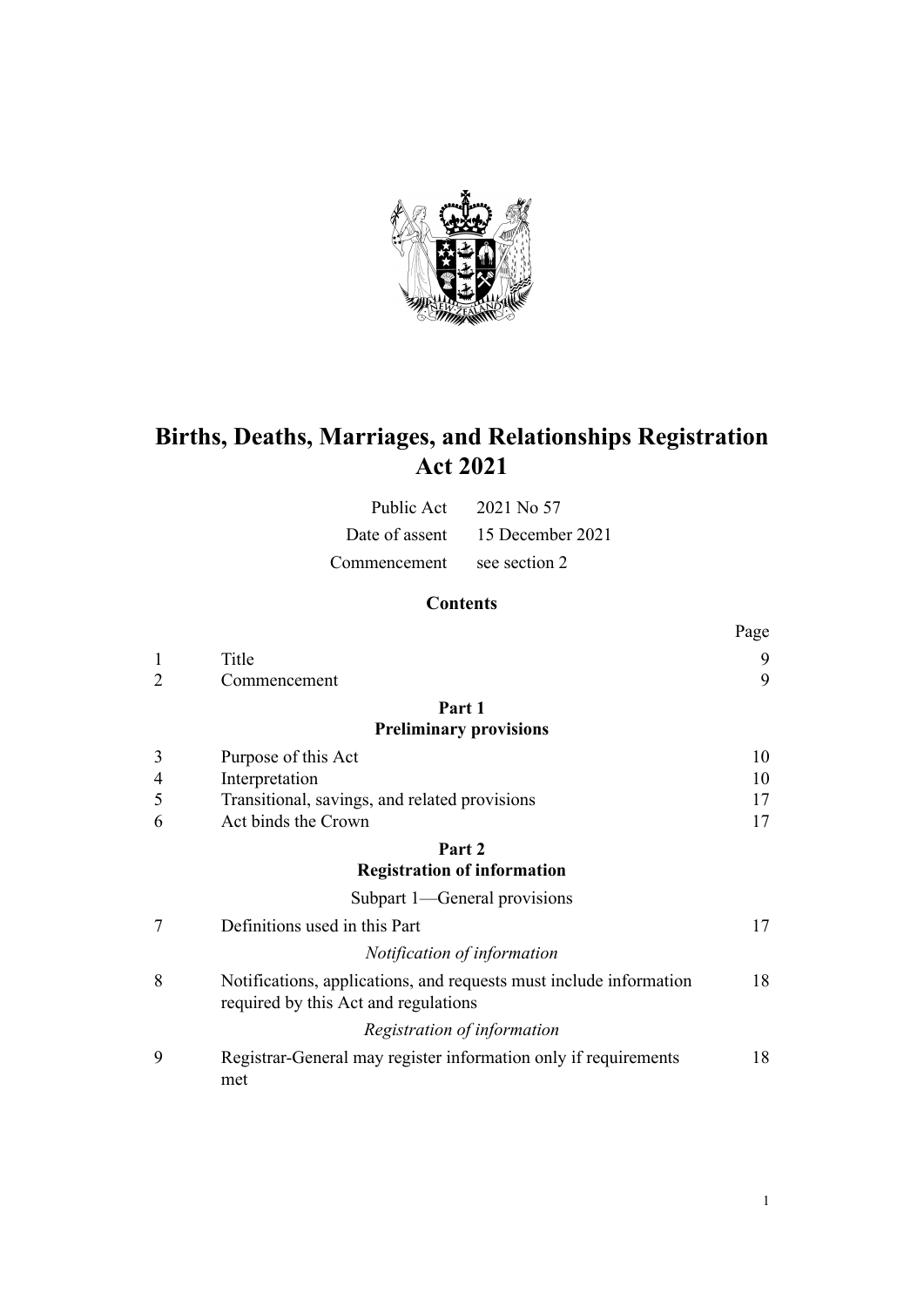

# **Births, Deaths, Marriages, and Relationships Registration Act 2021**

|                            | Public Act $2021$ No 57         |
|----------------------------|---------------------------------|
|                            | Date of assent 15 December 2021 |
| Commencement see section 2 |                                 |

# **Contents**

|                |                                                                                                            | Page |
|----------------|------------------------------------------------------------------------------------------------------------|------|
| 1              | Title                                                                                                      | 9    |
| $\overline{2}$ | Commencement                                                                                               | 9    |
|                | Part 1                                                                                                     |      |
|                | <b>Preliminary provisions</b>                                                                              |      |
| 3              | Purpose of this Act                                                                                        | 10   |
| 4              | Interpretation                                                                                             | 10   |
| 5              | Transitional, savings, and related provisions                                                              | 17   |
| 6              | Act binds the Crown                                                                                        | 17   |
|                | Part 2                                                                                                     |      |
|                | <b>Registration of information</b>                                                                         |      |
|                | Subpart 1—General provisions                                                                               |      |
| 7              | Definitions used in this Part                                                                              | 17   |
|                | Notification of information                                                                                |      |
| 8              | Notifications, applications, and requests must include information<br>required by this Act and regulations | 18   |
|                | Registration of information                                                                                |      |
| 9              | Registrar-General may register information only if requirements<br>met                                     | 18   |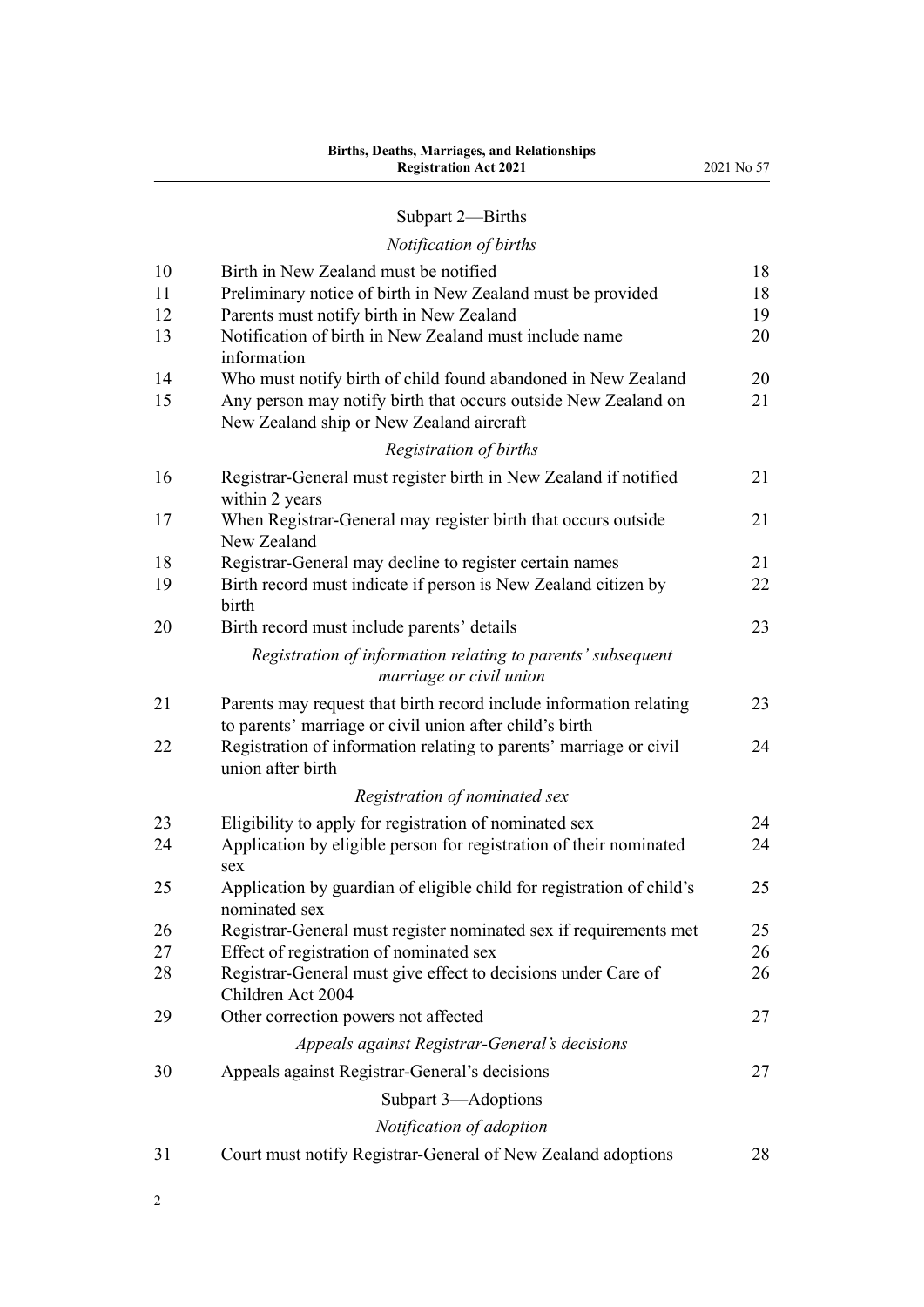# [Subpart 2—Births](#page-17-0)

## *[Notification of births](#page-17-0)*

| 10       | Birth in New Zealand must be notified                                                                                         | 18       |
|----------|-------------------------------------------------------------------------------------------------------------------------------|----------|
| 11       | Preliminary notice of birth in New Zealand must be provided                                                                   | 18       |
| 12<br>13 | Parents must notify birth in New Zealand<br>Notification of birth in New Zealand must include name                            | 19<br>20 |
|          | information                                                                                                                   |          |
| 14       | Who must notify birth of child found abandoned in New Zealand                                                                 | 20       |
| 15       | Any person may notify birth that occurs outside New Zealand on<br>New Zealand ship or New Zealand aircraft                    | 21       |
|          | Registration of births                                                                                                        |          |
| 16       | Registrar-General must register birth in New Zealand if notified<br>within 2 years                                            | 21       |
| 17       | When Registrar-General may register birth that occurs outside<br>New Zealand                                                  | 21       |
| 18       | Registrar-General may decline to register certain names                                                                       | 21       |
| 19       | Birth record must indicate if person is New Zealand citizen by<br>birth                                                       | 22       |
| 20       | Birth record must include parents' details                                                                                    | 23       |
|          | Registration of information relating to parents' subsequent<br>marriage or civil union                                        |          |
| 21       | Parents may request that birth record include information relating<br>to parents' marriage or civil union after child's birth | 23       |
| 22       | Registration of information relating to parents' marriage or civil<br>union after birth                                       | 24       |
|          | Registration of nominated sex                                                                                                 |          |
| 23       | Eligibility to apply for registration of nominated sex                                                                        | 24       |
| 24       | Application by eligible person for registration of their nominated<br>sex                                                     | 24       |
| 25       | Application by guardian of eligible child for registration of child's<br>nominated sex                                        | 25       |
| 26       | Registrar-General must register nominated sex if requirements met                                                             | 25       |
| 27       | Effect of registration of nominated sex                                                                                       | 26       |
| 28       | Registrar-General must give effect to decisions under Care of<br>Children Act 2004                                            | 26       |
| 29       | Other correction powers not affected                                                                                          | 27       |
|          | Appeals against Registrar-General's decisions                                                                                 |          |
| 30       | Appeals against Registrar-General's decisions                                                                                 | 27       |
|          | Subpart 3-Adoptions                                                                                                           |          |
|          | Notification of adoption                                                                                                      |          |
| 31       | Court must notify Registrar-General of New Zealand adoptions                                                                  | 28       |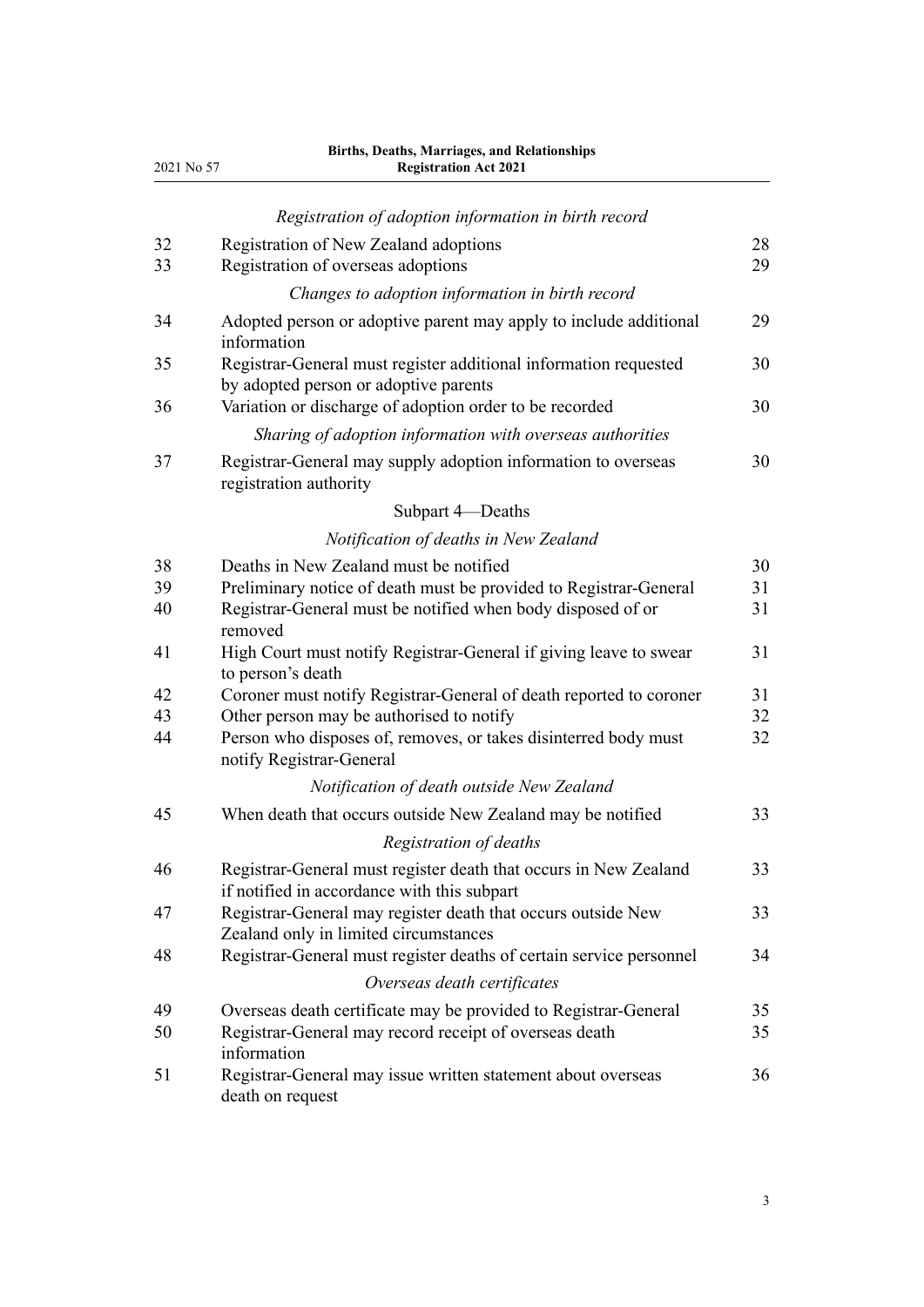| 2021 No 57 | <b>Births, Deaths, Marriages, and Relationships</b><br><b>Registration Act 2021</b>                             |          |
|------------|-----------------------------------------------------------------------------------------------------------------|----------|
|            | Registration of adoption information in birth record                                                            |          |
| 32<br>33   | Registration of New Zealand adoptions<br>Registration of overseas adoptions                                     | 28<br>29 |
|            | Changes to adoption information in birth record                                                                 |          |
| 34         | Adopted person or adoptive parent may apply to include additional<br>information                                | 29       |
| 35         | Registrar-General must register additional information requested<br>by adopted person or adoptive parents       | 30       |
| 36         | Variation or discharge of adoption order to be recorded                                                         | 30       |
|            | Sharing of adoption information with overseas authorities                                                       |          |
| 37         | Registrar-General may supply adoption information to overseas<br>registration authority                         | 30       |
|            | Subpart 4-Deaths                                                                                                |          |
|            | Notification of deaths in New Zealand                                                                           |          |
| 38         | Deaths in New Zealand must be notified                                                                          | 30       |
| 39         | Preliminary notice of death must be provided to Registrar-General                                               | 31       |
| 40         | Registrar-General must be notified when body disposed of or<br>removed                                          | 31       |
| 41         | High Court must notify Registrar-General if giving leave to swear<br>to person's death                          | 31       |
| 42         | Coroner must notify Registrar-General of death reported to coroner                                              | 31       |
| 43         | Other person may be authorised to notify                                                                        | 32       |
| 44         | Person who disposes of, removes, or takes disinterred body must<br>notify Registrar-General                     | 32       |
|            | Notification of death outside New Zealand                                                                       |          |
| 45         | When death that occurs outside New Zealand may be notified                                                      | 33       |
|            | Registration of deaths                                                                                          |          |
| 46         | Registrar-General must register death that occurs in New Zealand<br>if notified in accordance with this subpart | 33       |
| 47         | Registrar-General may register death that occurs outside New<br>Zealand only in limited circumstances           | 33       |
| 48         | Registrar-General must register deaths of certain service personnel                                             | 34       |
|            | Overseas death certificates                                                                                     |          |
| 49         | Overseas death certificate may be provided to Registrar-General                                                 | 35       |
| 50         | Registrar-General may record receipt of overseas death<br>information                                           | 35       |
| 51         | Registrar-General may issue written statement about overseas<br>death on request                                | 36       |

3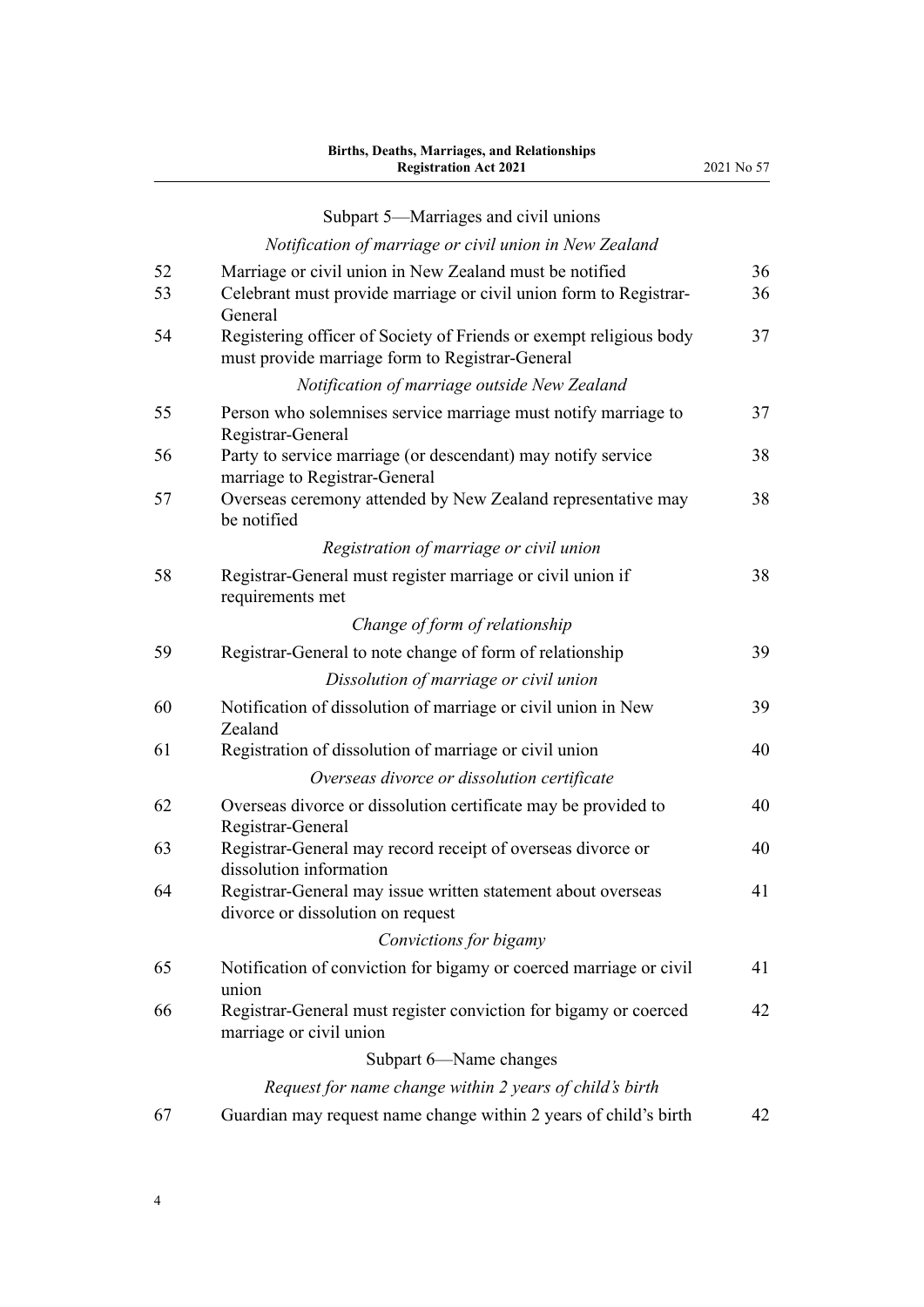#### [Subpart 5—Marriages and civil unions](#page-35-0) *[Notification of marriage or civil union in New Zealand](#page-35-0)* [52](#page-35-0) [Marriage or civil union in New Zealand must be notified](#page-35-0) [36](#page-35-0) [53](#page-35-0) [Celebrant must provide marriage or civil union form to Registrar-](#page-35-0)[General](#page-35-0) [36](#page-35-0) [54](#page-36-0) [Registering officer of Society of Friends or exempt religious body](#page-36-0) [must provide marriage form to Registrar-General](#page-36-0) [37](#page-36-0) *[Notification of marriage outside New Zealand](#page-36-0)* [55](#page-36-0) [Person who solemnises service marriage must notify marriage to](#page-36-0) [Registrar-General](#page-36-0) [37](#page-36-0) [56](#page-37-0) [Party to service marriage \(or descendant\) may notify service](#page-37-0) [marriage to Registrar-General](#page-37-0) [38](#page-37-0) [57](#page-37-0) [Overseas ceremony attended by New Zealand representative may](#page-37-0) [be notified](#page-37-0) [38](#page-37-0) *[Registration of marriage or civil union](#page-37-0)* [58](#page-37-0) [Registrar-General must register marriage or civil union if](#page-37-0) [requirements met](#page-37-0) [38](#page-37-0) *[Change of form of relationship](#page-38-0)* [59](#page-38-0) [Registrar-General to note change of form of relationship](#page-38-0) [39](#page-38-0) *[Dissolution of marriage or civil union](#page-38-0)* [60](#page-38-0) [Notification of dissolution of marriage or civil union in New](#page-38-0) [Zealand](#page-38-0) [39](#page-38-0) [61](#page-39-0) [Registration of dissolution of marriage or civil union](#page-39-0) [40](#page-39-0) *[Overseas divorce or dissolution certificate](#page-39-0)* [62](#page-39-0) [Overseas divorce or dissolution certificate may be provided to](#page-39-0) [Registrar-General](#page-39-0) [40](#page-39-0) [63](#page-39-0) [Registrar-General may record receipt of overseas divorce or](#page-39-0) [dissolution information](#page-39-0) [40](#page-39-0) [64](#page-40-0) [Registrar-General may issue written statement about overseas](#page-40-0) [divorce or dissolution on request](#page-40-0) [41](#page-40-0)

#### *[Convictions for bigamy](#page-40-0)*

| 65 | Notification of conviction for bigamy or coerced marriage or civil |    |
|----|--------------------------------------------------------------------|----|
|    | union                                                              |    |
| 66 | Registrar-General must register conviction for bigamy or coerced   | 42 |
|    | marriage or civil union                                            |    |
|    | Subpart 6—Name changes                                             |    |

#### *[Request for name change within 2 years of child's birth](#page-41-0)*

| 67 | Guardian may request name change within 2 years of child's birth |  |  |
|----|------------------------------------------------------------------|--|--|
|    |                                                                  |  |  |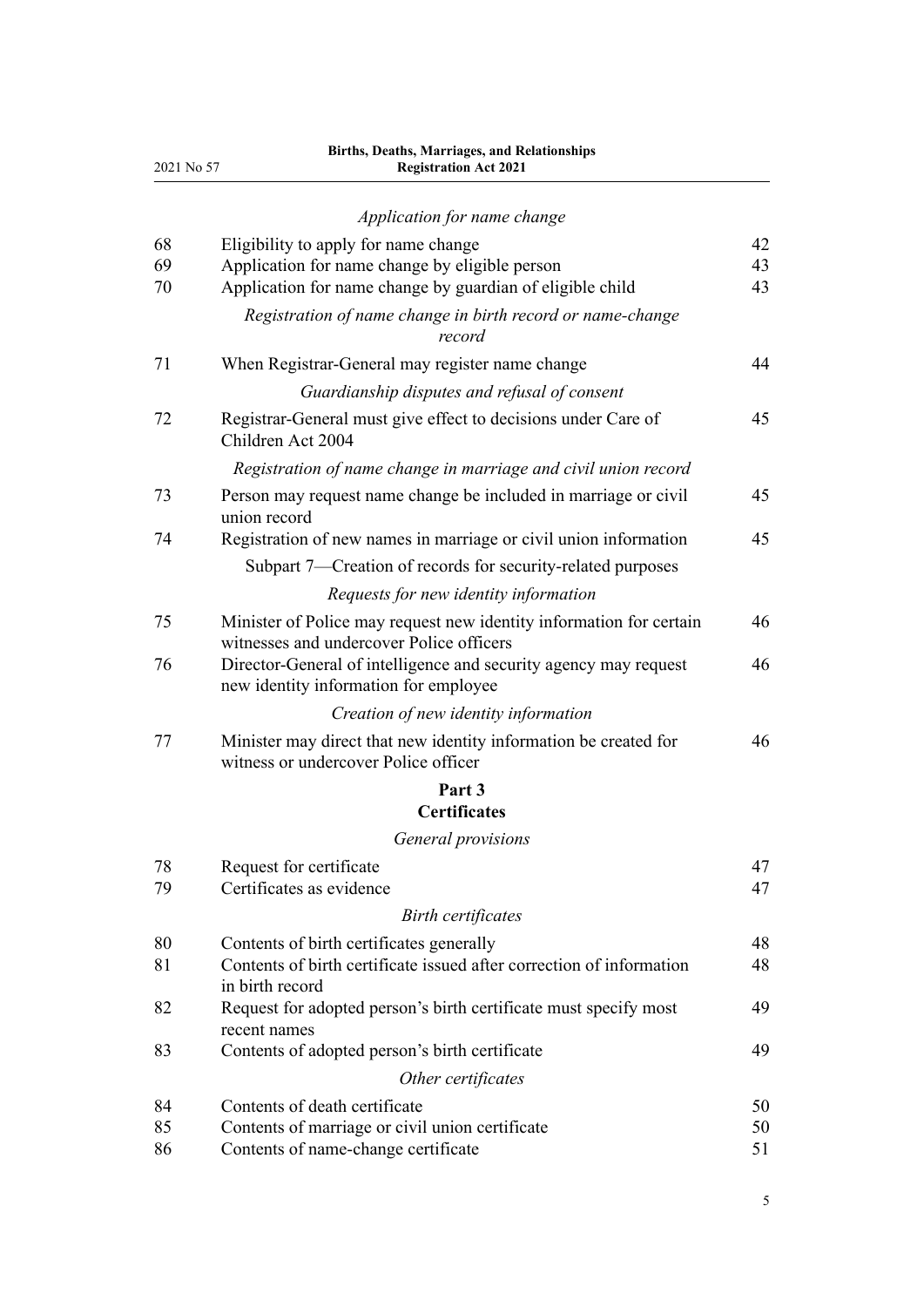| 2021 No 57 | Births, Deaths, Marriages, and Relationships<br><b>Registration Act 2021</b>                                    |    |
|------------|-----------------------------------------------------------------------------------------------------------------|----|
|            | Application for name change                                                                                     |    |
| 68         | Eligibility to apply for name change                                                                            | 42 |
| 69         | Application for name change by eligible person                                                                  | 43 |
| 70         | Application for name change by guardian of eligible child                                                       | 43 |
|            | Registration of name change in birth record or name-change<br>record                                            |    |
| 71         | When Registrar-General may register name change                                                                 | 44 |
|            | Guardianship disputes and refusal of consent                                                                    |    |
| 72         | Registrar-General must give effect to decisions under Care of<br>Children Act 2004                              | 45 |
|            | Registration of name change in marriage and civil union record                                                  |    |
| 73         | Person may request name change be included in marriage or civil<br>union record                                 | 45 |
| 74         | Registration of new names in marriage or civil union information                                                | 45 |
|            | Subpart 7-Creation of records for security-related purposes                                                     |    |
|            | Requests for new identity information                                                                           |    |
| 75         | Minister of Police may request new identity information for certain<br>witnesses and undercover Police officers | 46 |
| 76         | Director-General of intelligence and security agency may request<br>new identity information for employee       | 46 |
|            | Creation of new identity information                                                                            |    |
| 77         | Minister may direct that new identity information be created for<br>witness or undercover Police officer        | 46 |
|            | Part 3<br><b>Certificates</b>                                                                                   |    |
|            | General provisions                                                                                              |    |
| 78         | Request for certificate                                                                                         | 47 |
| 79         | Certificates as evidence                                                                                        | 47 |
|            | <b>Birth certificates</b>                                                                                       |    |
| 80         | Contents of birth certificates generally                                                                        | 48 |
| 81         | Contents of birth certificate issued after correction of information<br>in birth record                         | 48 |
| 82         | Request for adopted person's birth certificate must specify most<br>recent names                                | 49 |
| 83         | Contents of adopted person's birth certificate                                                                  | 49 |
|            | Other certificates                                                                                              |    |
| 84         | Contents of death certificate                                                                                   | 50 |
| 85         | Contents of marriage or civil union certificate                                                                 | 50 |
| 86         | Contents of name-change certificate                                                                             | 51 |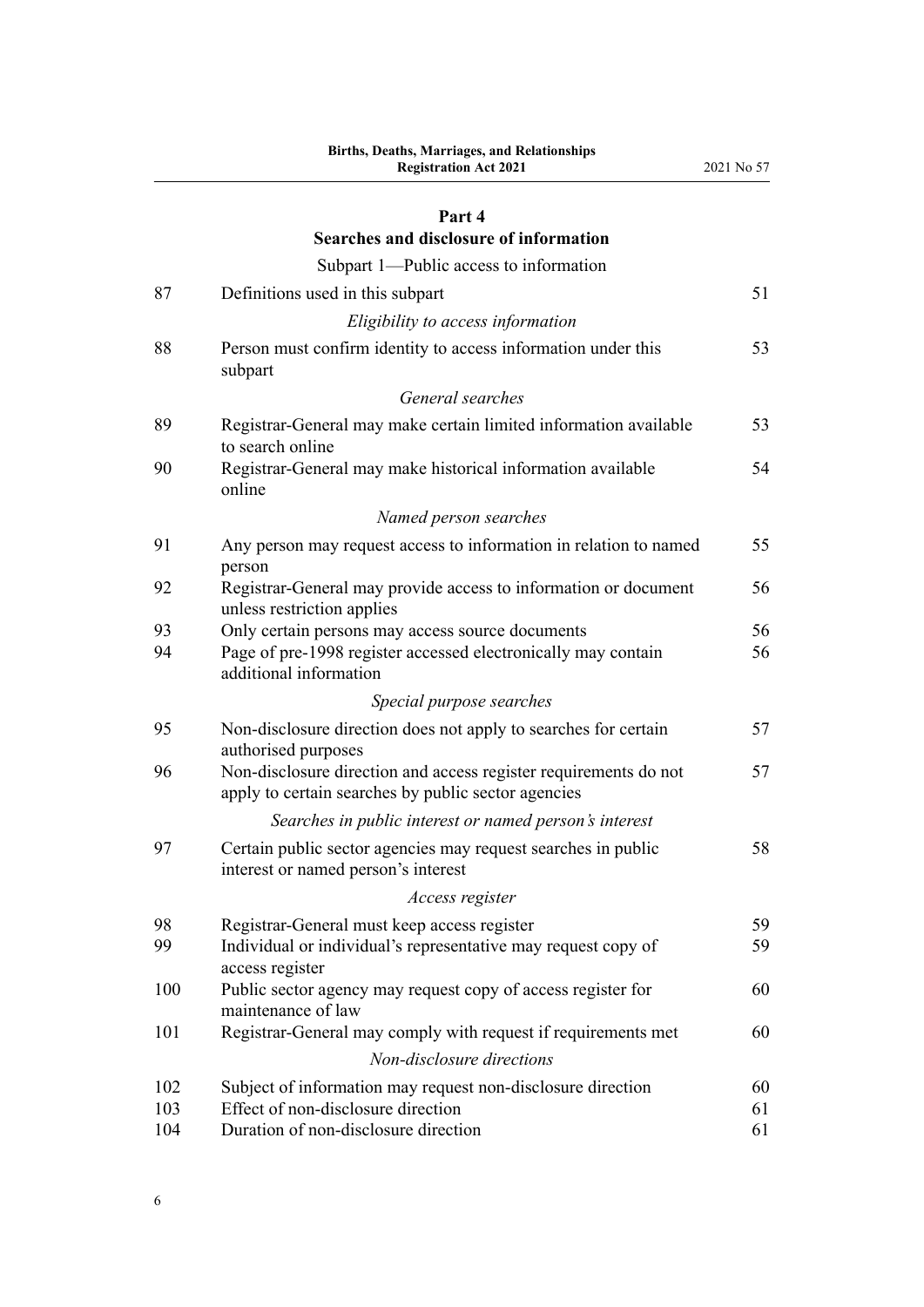#### **[Part 4](#page-50-0)**

|     | Searches and disclosure of information                                                                                  |    |
|-----|-------------------------------------------------------------------------------------------------------------------------|----|
|     | Subpart 1—Public access to information                                                                                  |    |
| 87  | Definitions used in this subpart                                                                                        | 51 |
|     | Eligibility to access information                                                                                       |    |
| 88  | Person must confirm identity to access information under this<br>subpart                                                | 53 |
|     | General searches                                                                                                        |    |
| 89  | Registrar-General may make certain limited information available<br>to search online                                    | 53 |
| 90  | Registrar-General may make historical information available<br>online                                                   | 54 |
|     | Named person searches                                                                                                   |    |
| 91  | Any person may request access to information in relation to named<br>person                                             | 55 |
| 92  | Registrar-General may provide access to information or document<br>unless restriction applies                           | 56 |
| 93  | Only certain persons may access source documents                                                                        | 56 |
| 94  | Page of pre-1998 register accessed electronically may contain<br>additional information                                 | 56 |
|     | Special purpose searches                                                                                                |    |
| 95  | Non-disclosure direction does not apply to searches for certain<br>authorised purposes                                  | 57 |
| 96  | Non-disclosure direction and access register requirements do not<br>apply to certain searches by public sector agencies | 57 |
|     | Searches in public interest or named person's interest                                                                  |    |
| 97  | Certain public sector agencies may request searches in public<br>interest or named person's interest                    | 58 |
|     | Access register                                                                                                         |    |
| 98  | Registrar-General must keep access register                                                                             | 59 |
| 99  | Individual or individual's representative may request copy of<br>access register                                        | 59 |
| 100 | Public sector agency may request copy of access register for<br>maintenance of law                                      | 60 |
| 101 | Registrar-General may comply with request if requirements met                                                           | 60 |
|     | Non-disclosure directions                                                                                               |    |
| 102 | Subject of information may request non-disclosure direction                                                             | 60 |
| 103 | Effect of non-disclosure direction                                                                                      | 61 |
| 104 | Duration of non-disclosure direction                                                                                    | 61 |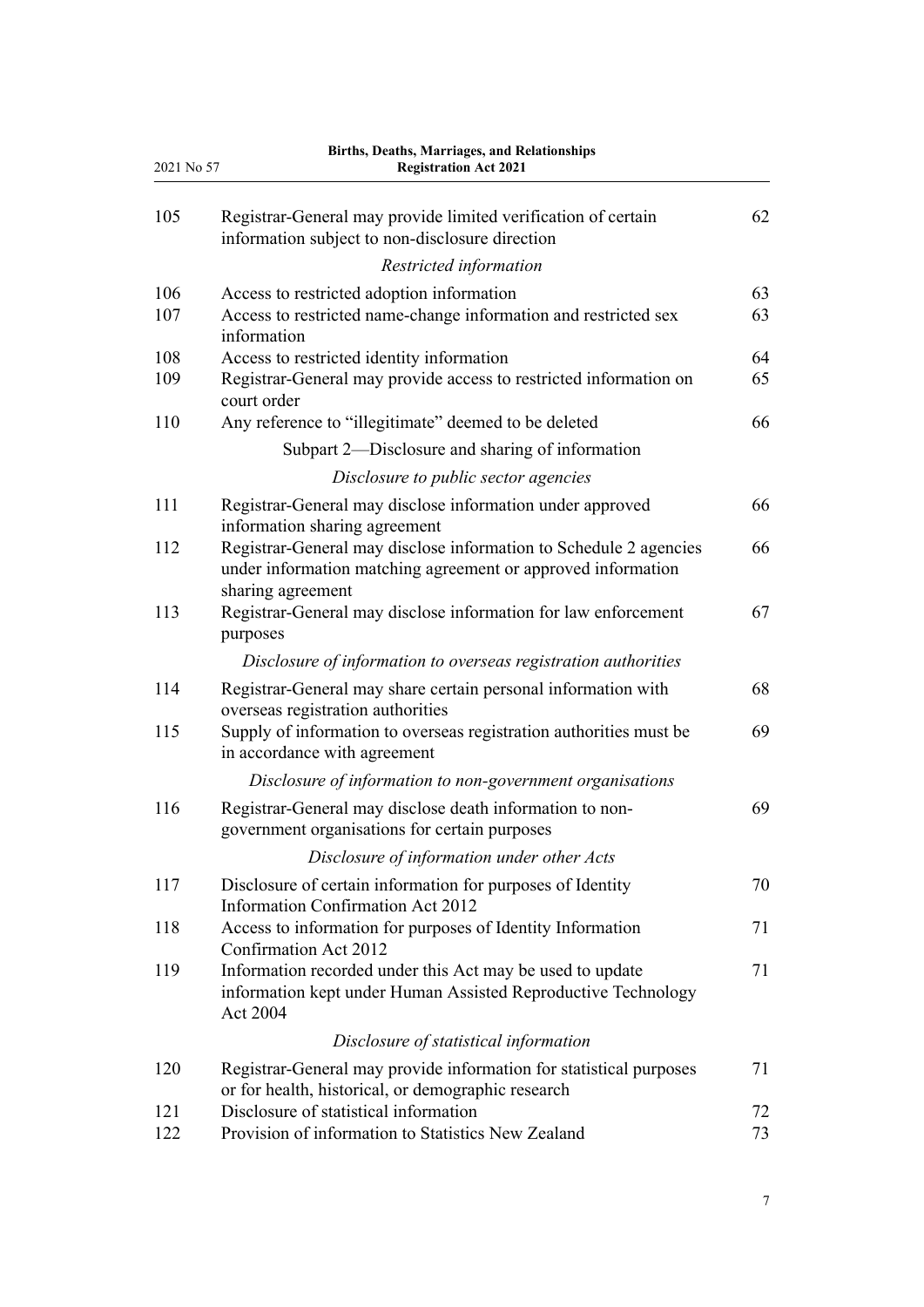| 2021 No 57 | Births, Deaths, Marriages, and Relationships<br><b>Registration Act 2021</b>                                                                           |          |
|------------|--------------------------------------------------------------------------------------------------------------------------------------------------------|----------|
| 105        | Registrar-General may provide limited verification of certain<br>information subject to non-disclosure direction                                       | 62       |
|            | Restricted information                                                                                                                                 |          |
| 106<br>107 | Access to restricted adoption information<br>Access to restricted name-change information and restricted sex<br>information                            | 63<br>63 |
| 108        | Access to restricted identity information                                                                                                              | 64       |
| 109        | Registrar-General may provide access to restricted information on<br>court order                                                                       | 65       |
| 110        | Any reference to "illegitimate" deemed to be deleted                                                                                                   | 66       |
|            | Subpart 2—Disclosure and sharing of information                                                                                                        |          |
|            | Disclosure to public sector agencies                                                                                                                   |          |
| 111        | Registrar-General may disclose information under approved<br>information sharing agreement                                                             | 66       |
| 112        | Registrar-General may disclose information to Schedule 2 agencies<br>under information matching agreement or approved information<br>sharing agreement | 66       |
| 113        | Registrar-General may disclose information for law enforcement<br>purposes                                                                             | 67       |
|            | Disclosure of information to overseas registration authorities                                                                                         |          |
| 114        | Registrar-General may share certain personal information with<br>overseas registration authorities                                                     | 68       |
| 115        | Supply of information to overseas registration authorities must be<br>in accordance with agreement                                                     | 69       |
|            | Disclosure of information to non-government organisations                                                                                              |          |
| 116        | Registrar-General may disclose death information to non-<br>government organisations for certain purposes                                              | 69       |
|            | Disclosure of information under other Acts                                                                                                             |          |
| 117        | Disclosure of certain information for purposes of Identity<br><b>Information Confirmation Act 2012</b>                                                 | 70       |
| 118        | Access to information for purposes of Identity Information<br>Confirmation Act 2012                                                                    | 71       |
| 119        | Information recorded under this Act may be used to update<br>information kept under Human Assisted Reproductive Technology<br>Act 2004                 | 71       |
|            | Disclosure of statistical information                                                                                                                  |          |
| 120        | Registrar-General may provide information for statistical purposes<br>or for health, historical, or demographic research                               | 71       |
| 121        | Disclosure of statistical information                                                                                                                  | 72       |
| 122        | Provision of information to Statistics New Zealand                                                                                                     | 73       |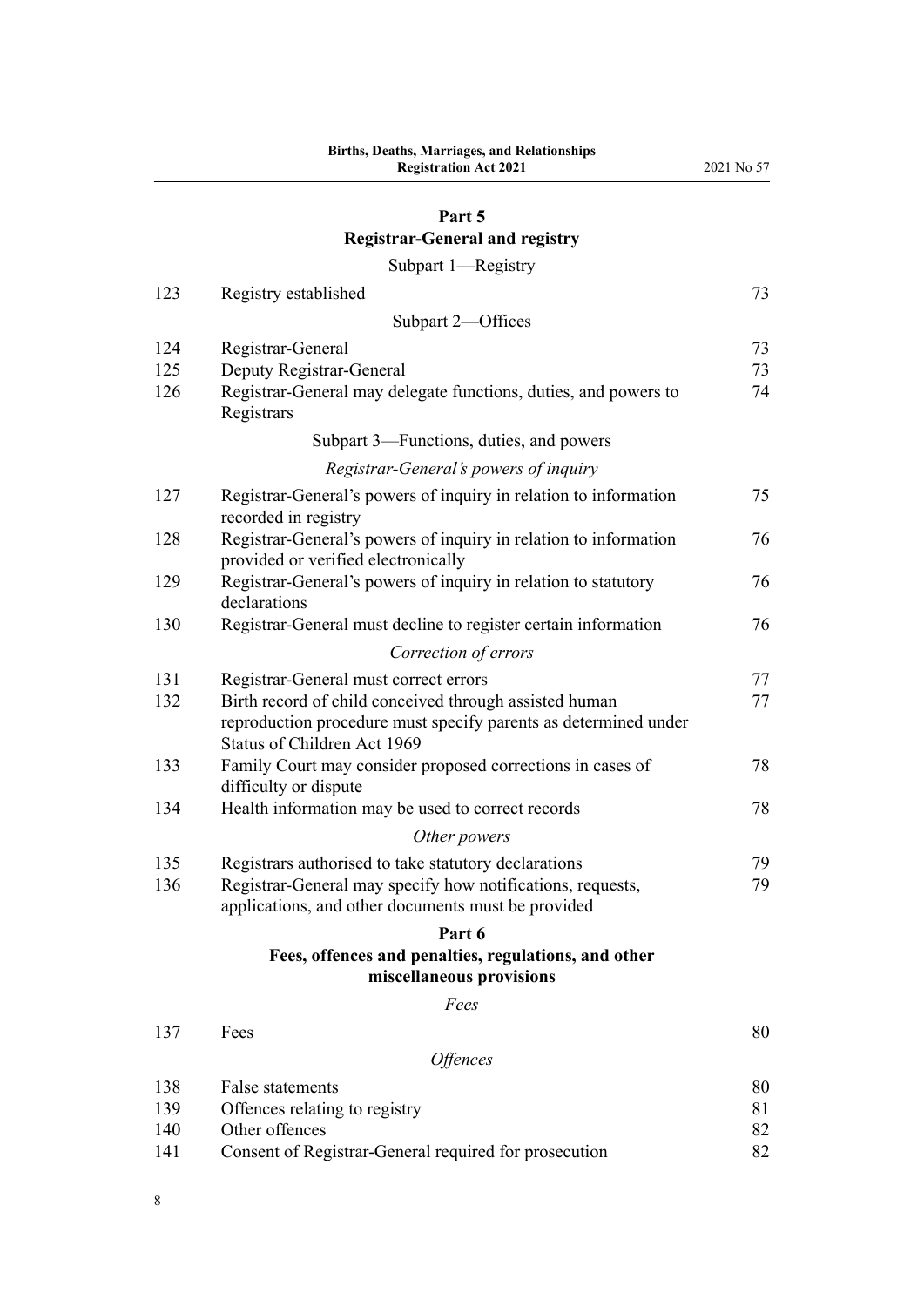## **[Part 5](#page-72-0)**

# **[Registrar-General and registry](#page-72-0)**

[Subpart 1—Registry](#page-72-0)

| 123 | Registry established                                                                                                                                     | 73 |
|-----|----------------------------------------------------------------------------------------------------------------------------------------------------------|----|
|     | Subpart 2-Offices                                                                                                                                        |    |
| 124 | Registrar-General                                                                                                                                        | 73 |
| 125 | Deputy Registrar-General                                                                                                                                 | 73 |
| 126 | Registrar-General may delegate functions, duties, and powers to<br>Registrars                                                                            | 74 |
|     | Subpart 3—Functions, duties, and powers                                                                                                                  |    |
|     | Registrar-General's powers of inquiry                                                                                                                    |    |
| 127 | Registrar-General's powers of inquiry in relation to information<br>recorded in registry                                                                 | 75 |
| 128 | Registrar-General's powers of inquiry in relation to information<br>provided or verified electronically                                                  | 76 |
| 129 | Registrar-General's powers of inquiry in relation to statutory<br>declarations                                                                           | 76 |
| 130 | Registrar-General must decline to register certain information                                                                                           | 76 |
|     | Correction of errors                                                                                                                                     |    |
| 131 | Registrar-General must correct errors                                                                                                                    | 77 |
| 132 | Birth record of child conceived through assisted human<br>reproduction procedure must specify parents as determined under<br>Status of Children Act 1969 | 77 |
| 133 | Family Court may consider proposed corrections in cases of<br>difficulty or dispute                                                                      | 78 |
| 134 | Health information may be used to correct records                                                                                                        | 78 |
|     | Other powers                                                                                                                                             |    |
| 135 | Registrars authorised to take statutory declarations                                                                                                     | 79 |
| 136 | Registrar-General may specify how notifications, requests,<br>applications, and other documents must be provided                                         | 79 |
|     | Part 6                                                                                                                                                   |    |
|     | Fees, offences and penalties, regulations, and other<br>miscellaneous provisions                                                                         |    |
|     | Fees                                                                                                                                                     |    |
| 137 | Fees                                                                                                                                                     | 80 |
|     | Offences                                                                                                                                                 |    |
| 138 | False statements                                                                                                                                         | 80 |
| 139 | Offences relating to registry                                                                                                                            | 81 |
| 140 | Other offences                                                                                                                                           | 82 |
| 141 | Consent of Registrar-General required for prosecution                                                                                                    | 82 |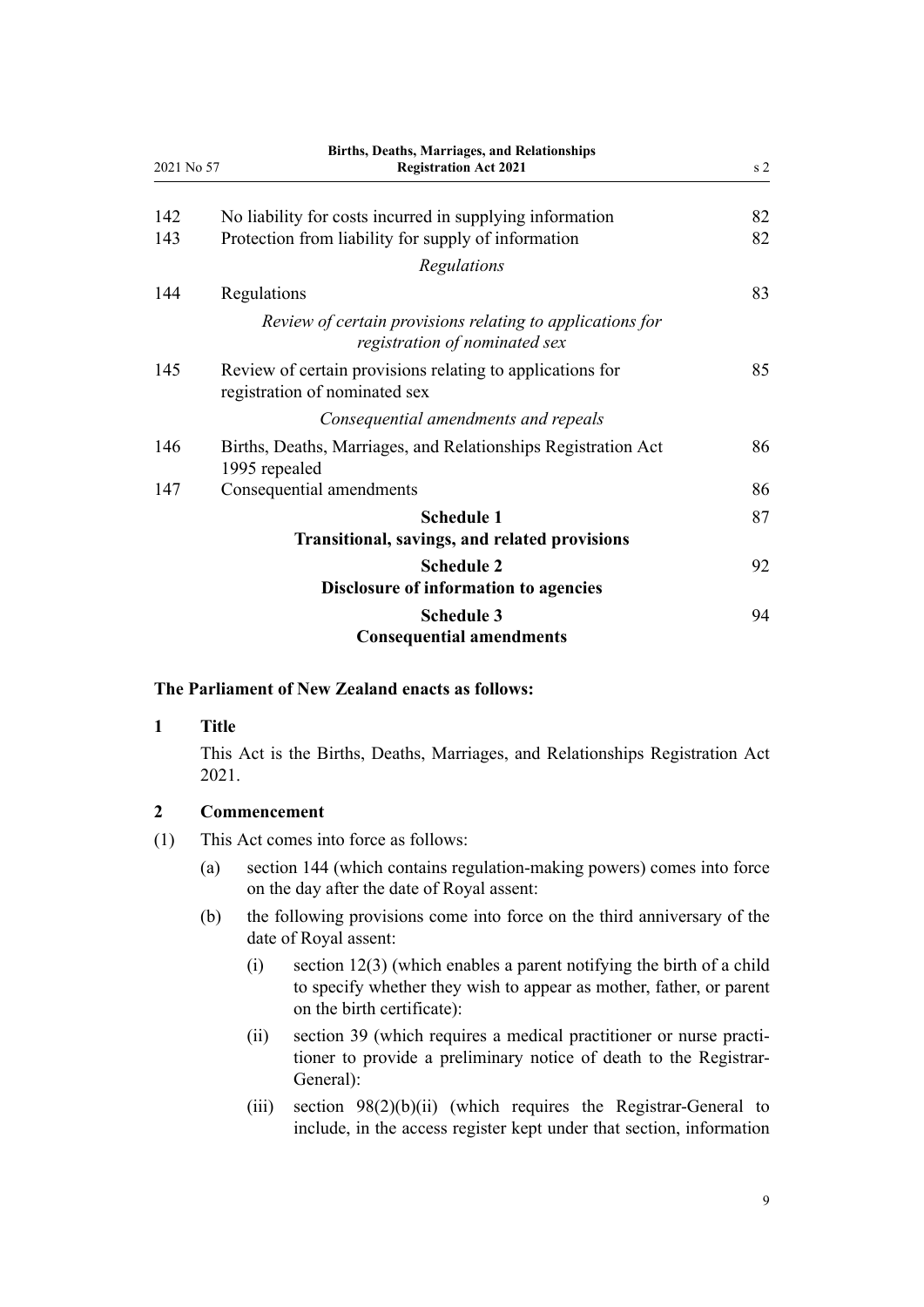<span id="page-8-0"></span>

| 2021 No 57 | Births, Deaths, Marriages, and Relationships<br><b>Registration Act 2021</b>               | s <sub>2</sub> |
|------------|--------------------------------------------------------------------------------------------|----------------|
| 142        | No liability for costs incurred in supplying information                                   | 82             |
| 143        | Protection from liability for supply of information                                        | 82             |
|            | Regulations                                                                                |                |
| 144        | Regulations                                                                                | 83             |
|            | Review of certain provisions relating to applications for<br>registration of nominated sex |                |
| 145        | Review of certain provisions relating to applications for<br>registration of nominated sex | 85             |
|            | Consequential amendments and repeals                                                       |                |
| 146        | Births, Deaths, Marriages, and Relationships Registration Act<br>1995 repealed             | 86             |
| 147        | Consequential amendments                                                                   | 86             |
|            | <b>Schedule 1</b><br>Transitional, savings, and related provisions                         | 87             |
|            | <b>Schedule 2</b><br>Disclosure of information to agencies                                 | 92             |
|            | <b>Schedule 3</b><br><b>Consequential amendments</b>                                       | 94             |

## **The Parliament of New Zealand enacts as follows:**

## **1 Title**

This Act is the Births, Deaths, Marriages, and Relationships Registration Act 2021.

## **2 Commencement**

- (1) This Act comes into force as follows:
	- (a) [section 144](#page-82-0) (which contains regulation-making powers) comes into force on the day after the date of Royal assent:
	- (b) the following provisions come into force on the third anniversary of the date of Royal assent:
		- (i) [section 12\(3\)](#page-18-0) (which enables a parent notifying the birth of a child to specify whether they wish to appear as mother, father, or parent on the birth certificate):
		- (ii) [section 39](#page-30-0) (which requires a medical practitioner or nurse practitioner to provide a preliminary notice of death to the Registrar-General):
		- (iii) [section 98\(2\)\(b\)\(ii\)](#page-58-0) (which requires the Registrar-General to include, in the access register kept under that section, information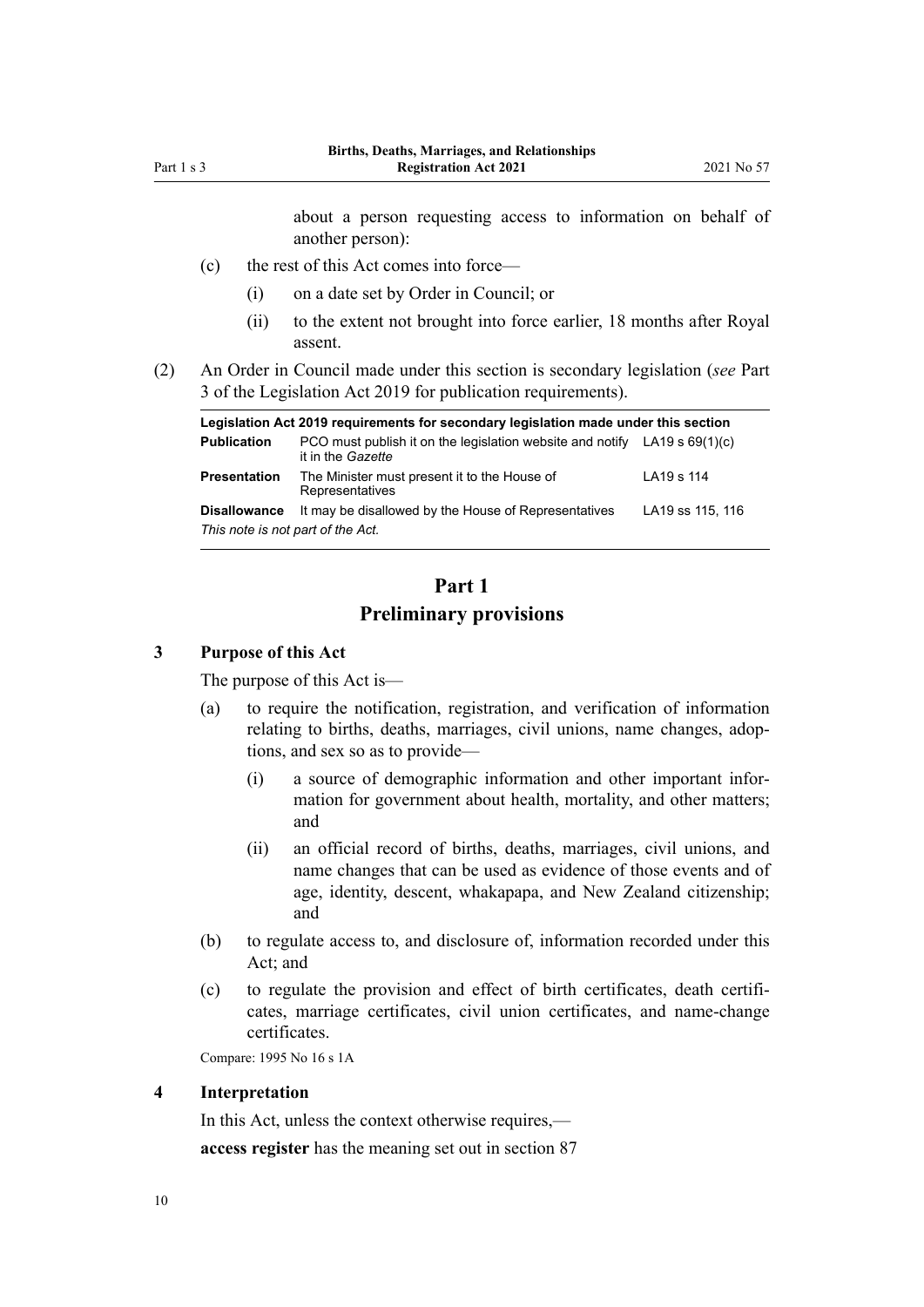about a person requesting access to information on behalf of another person):

- <span id="page-9-0"></span>(c) the rest of this Act comes into force—
	- (i) on a date set by Order in Council; or
	- (ii) to the extent not brought into force earlier, 18 months after Royal assent.
- (2) An Order in Council made under this section is secondary legislation (*see* [Part](http://legislation.govt.nz/pdflink.aspx?id=DLM7298343) [3](http://legislation.govt.nz/pdflink.aspx?id=DLM7298343) of the Legislation Act 2019 for publication requirements).

|                                   | Legislation Act 2019 requirements for secondary legislation made under this section              |                  |  |
|-----------------------------------|--------------------------------------------------------------------------------------------------|------------------|--|
| <b>Publication</b>                | PCO must publish it on the legislation website and notify LA19 s $69(1)(c)$<br>it in the Gazette |                  |  |
| <b>Presentation</b>               | The Minister must present it to the House of<br>Representatives                                  | LA19 s 114       |  |
| <b>Disallowance</b>               | It may be disallowed by the House of Representatives                                             | LA19 ss 115, 116 |  |
| This note is not part of the Act. |                                                                                                  |                  |  |

## **Part 1 Preliminary provisions**

## **3 Purpose of this Act**

The purpose of this Act is—

- (a) to require the notification, registration, and verification of information relating to births, deaths, marriages, civil unions, name changes, adoptions, and sex so as to provide—
	- (i) a source of demographic information and other important infor‐ mation for government about health, mortality, and other matters; and
	- (ii) an official record of births, deaths, marriages, civil unions, and name changes that can be used as evidence of those events and of age, identity, descent, whakapapa, and New Zealand citizenship; and
- (b) to regulate access to, and disclosure of, information recorded under this Act; and
- (c) to regulate the provision and effect of birth certificates, death certifi‐ cates, marriage certificates, civil union certificates, and name-change certificates.

Compare: 1995 No 16 [s 1A](http://legislation.govt.nz/pdflink.aspx?id=DLM1805395)

#### **4 Interpretation**

In this Act, unless the context otherwise requires, **access register** has the meaning set out in [section 87](#page-50-0)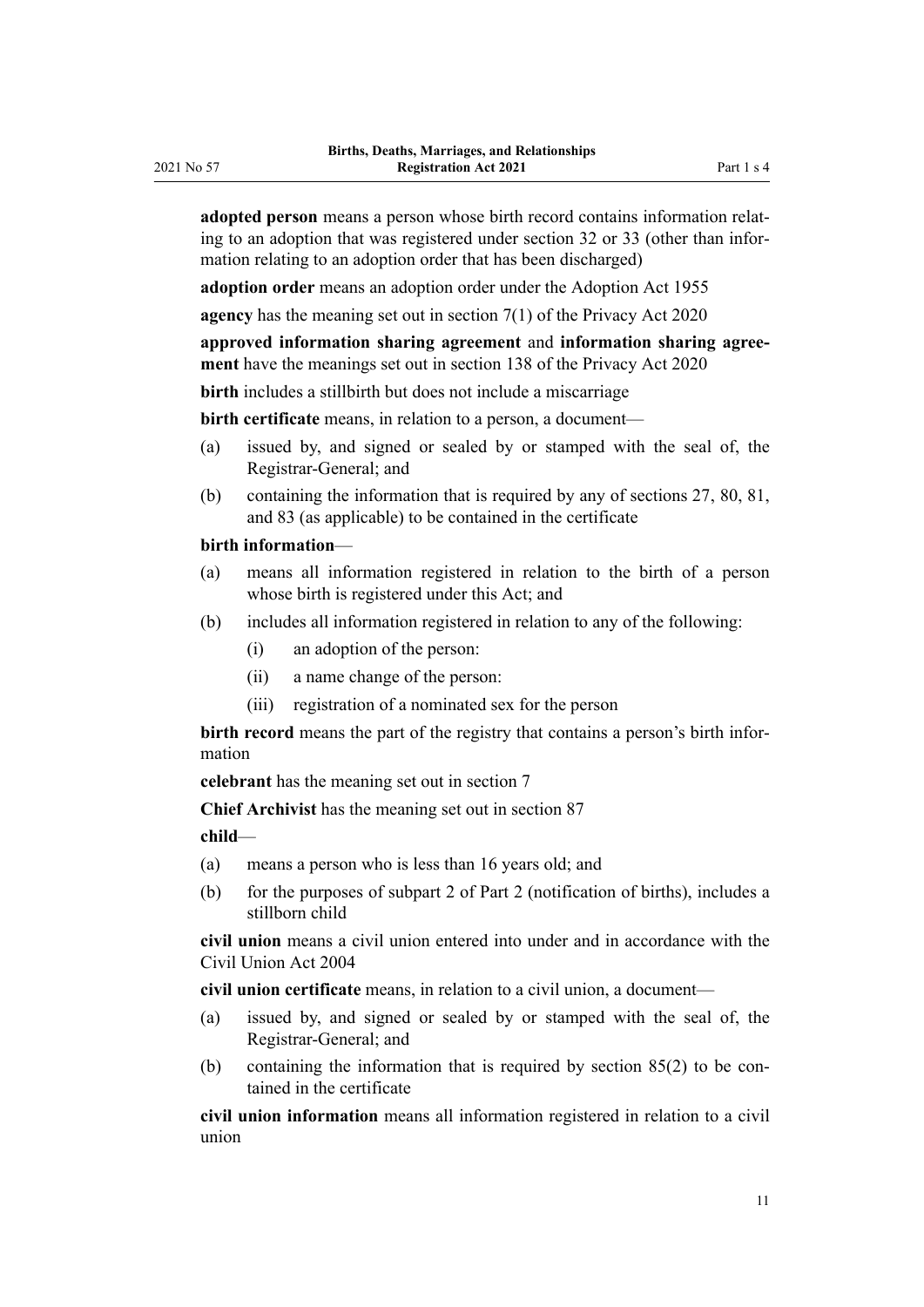**adopted person** means a person whose birth record contains information relat‐ ing to an adoption that was registered under [section 32](#page-27-0) or [33](#page-28-0) (other than information relating to an adoption order that has been discharged)

**adoption order** means an adoption order under the [Adoption Act 1955](http://legislation.govt.nz/pdflink.aspx?id=DLM292660)

**agency** has the meaning set out in [section 7\(1\)](http://legislation.govt.nz/pdflink.aspx?id=LMS23312) of the Privacy Act 2020

**approved information sharing agreement** and **information sharing agree‐ ment** have the meanings set out in [section 138](http://legislation.govt.nz/pdflink.aspx?id=LMS23568) of the Privacy Act 2020

**birth** includes a stillbirth but does not include a miscarriage

**birth certificate** means, in relation to a person, a document—

- (a) issued by, and signed or sealed by or stamped with the seal of, the Registrar-General; and
- (b) containing the information that is required by any of [sections 27,](#page-25-0) [80,](#page-47-0) [81](#page-47-0), and [83](#page-48-0) (as applicable) to be contained in the certificate

#### **birth information**—

- (a) means all information registered in relation to the birth of a person whose birth is registered under this Act; and
- (b) includes all information registered in relation to any of the following:
	- (i) an adoption of the person:
	- (ii) a name change of the person:
	- (iii) registration of a nominated sex for the person

**birth record** means the part of the registry that contains a person's birth information

**celebrant** has the meaning set out in [section 7](#page-16-0)

**Chief Archivist** has the meaning set out in [section 87](#page-50-0)

**child**—

- (a) means a person who is less than 16 years old; and
- (b) for the purposes of [subpart 2](#page-17-0) of Part 2 (notification of births), includes a stillborn child

**civil union** means a civil union entered into under and in accordance with the Civil Union Act 2004

**civil union certificate** means, in relation to a civil union, a document—

- (a) issued by, and signed or sealed by or stamped with the seal of, the Registrar-General; and
- (b) containing the information that is required by section  $85(2)$  to be contained in the certificate

**civil union information** means all information registered in relation to a civil union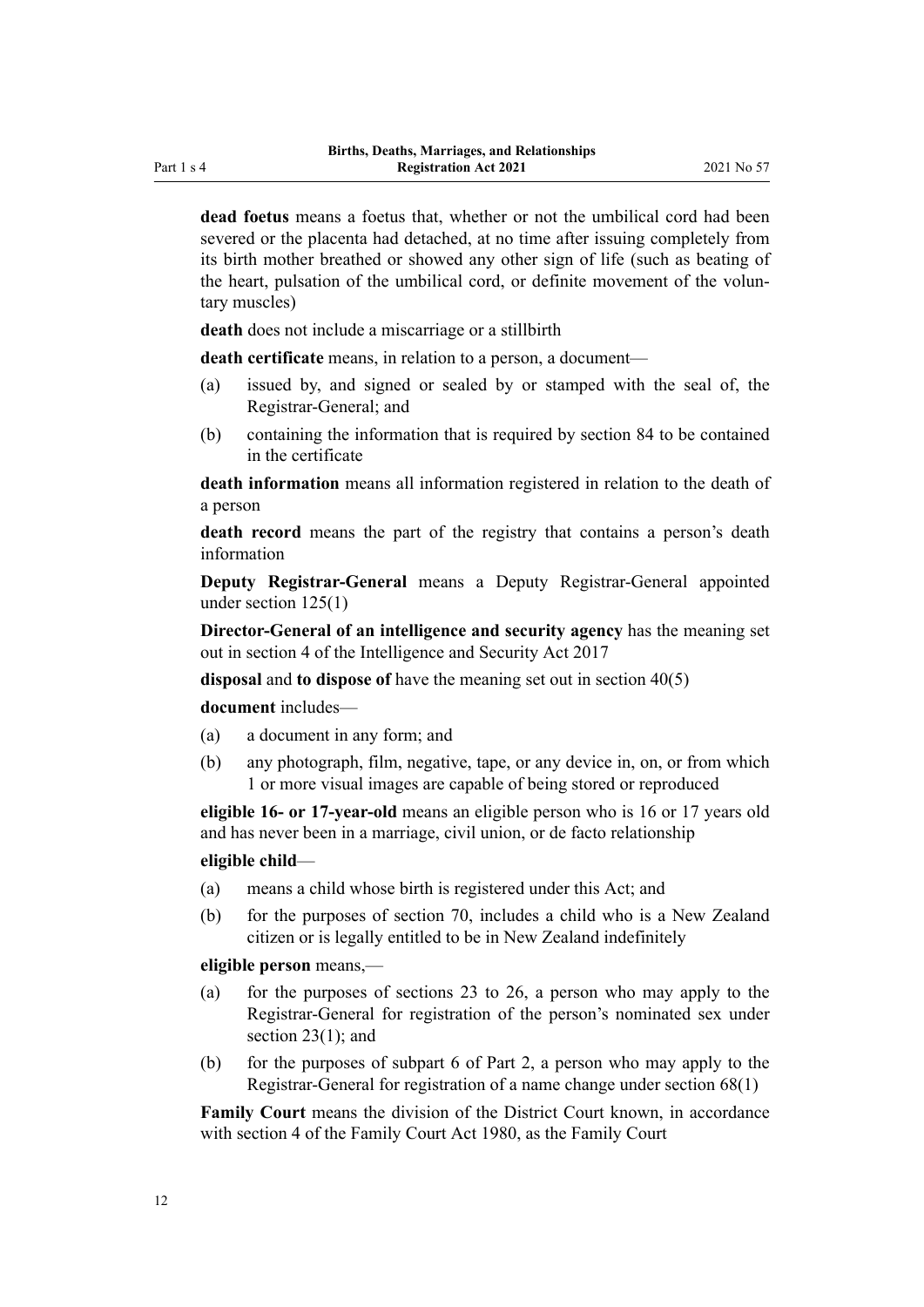**dead foetus** means a foetus that, whether or not the umbilical cord had been severed or the placenta had detached, at no time after issuing completely from its birth mother breathed or showed any other sign of life (such as beating of the heart, pulsation of the umbilical cord, or definite movement of the voluntary muscles)

**death** does not include a miscarriage or a stillbirth

**death certificate** means, in relation to a person, a document—

- (a) issued by, and signed or sealed by or stamped with the seal of, the Registrar-General; and
- (b) containing the information that is required by [section 84](#page-49-0) to be contained in the certificate

**death information** means all information registered in relation to the death of a person

**death record** means the part of the registry that contains a person's death information

**Deputy Registrar-General** means a Deputy Registrar-General appointed under [section 125\(1\)](#page-72-0)

**Director-General of an intelligence and security agency** has the meaning set out in [section 4](#page-9-0) of the Intelligence and Security Act 2017

**disposal** and **to dispose of** have the meaning set out in [section 40\(5\)](#page-30-0)

**document** includes—

- (a) a document in any form; and
- (b) any photograph, film, negative, tape, or any device in, on, or from which 1 or more visual images are capable of being stored or reproduced

**eligible 16- or 17-year-old** means an eligible person who is 16 or 17 years old and has never been in a marriage, civil union, or de facto relationship

#### **eligible child**—

- (a) means a child whose birth is registered under this Act; and
- (b) for the purposes of [section 70](#page-42-0), includes a child who is a New Zealand citizen or is legally entitled to be in New Zealand indefinitely

**eligible person** means,—

- (a) for the purposes of [sections 23 to 26,](#page-23-0) a person who may apply to the Registrar-General for registration of the person's nominated sex under section 23(1); and
- (b) for the purposes of [subpart 6](#page-41-0) of Part 2, a person who may apply to the Registrar-General for registration of a name change under [section 68\(1\)](#page-41-0)

**Family Court** means the division of the District Court known, in accordance with [section 4](http://legislation.govt.nz/pdflink.aspx?id=DLM42268) of the Family Court Act 1980, as the Family Court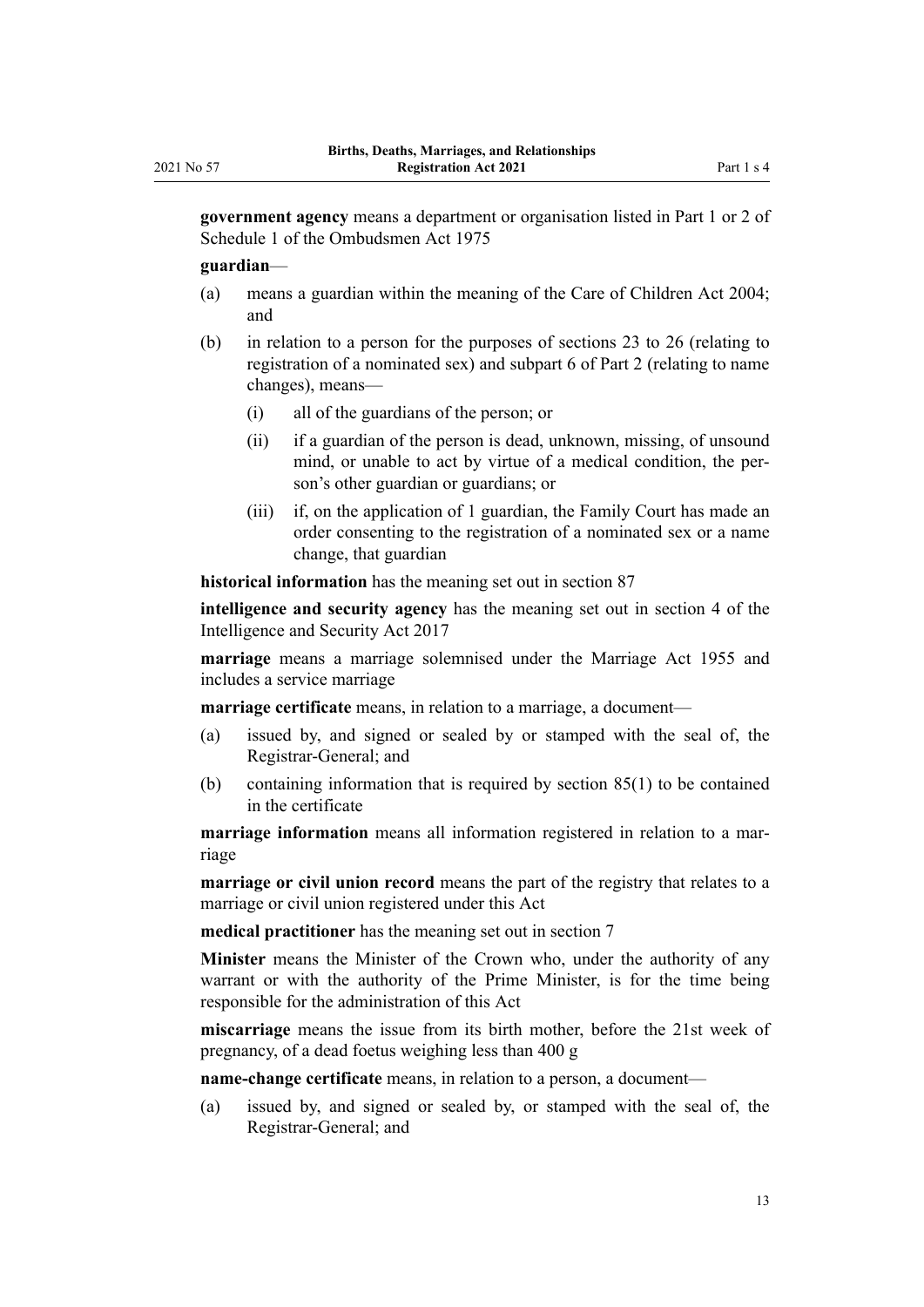**government agency** means a department or organisation listed in [Part 1](http://legislation.govt.nz/pdflink.aspx?id=DLM431205) or [2](http://legislation.govt.nz/pdflink.aspx?id=DLM431296) of Schedule 1 of the Ombudsmen Act 1975

#### **guardian**—

- (a) means a guardian within the meaning of the [Care of Children Act 2004;](http://legislation.govt.nz/pdflink.aspx?id=DLM317232) and
- (b) in relation to a person for the purposes of [sections 23 to 26](#page-23-0) (relating to registration of a nominated sex) and [subpart 6](#page-41-0) of Part 2 (relating to name changes), means—
	- (i) all of the guardians of the person; or
	- (ii) if a guardian of the person is dead, unknown, missing, of unsound mind, or unable to act by virtue of a medical condition, the person's other guardian or guardians; or
	- (iii) if, on the application of 1 guardian, the Family Court has made an order consenting to the registration of a nominated sex or a name change, that guardian

**historical information** has the meaning set out in [section 87](#page-50-0)

**intelligence and security agency** has the meaning set out in [section 4](http://legislation.govt.nz/pdflink.aspx?id=DLM6920830) of the Intelligence and Security Act 2017

**marriage** means a marriage solemnised under the [Marriage Act 1955](http://legislation.govt.nz/pdflink.aspx?id=DLM292027) and includes a service marriage

**marriage certificate** means, in relation to a marriage, a document—

- (a) issued by, and signed or sealed by or stamped with the seal of, the Registrar-General; and
- (b) containing information that is required by [section 85\(1\)](#page-49-0) to be contained in the certificate

**marriage information** means all information registered in relation to a marriage

**marriage or civil union record** means the part of the registry that relates to a marriage or civil union registered under this Act

**medical practitioner** has the meaning set out in [section 7](#page-16-0)

**Minister** means the Minister of the Crown who, under the authority of any warrant or with the authority of the Prime Minister, is for the time being responsible for the administration of this Act

**miscarriage** means the issue from its birth mother, before the 21st week of pregnancy, of a dead foetus weighing less than 400 g

**name-change certificate** means, in relation to a person, a document—

(a) issued by, and signed or sealed by, or stamped with the seal of, the Registrar-General; and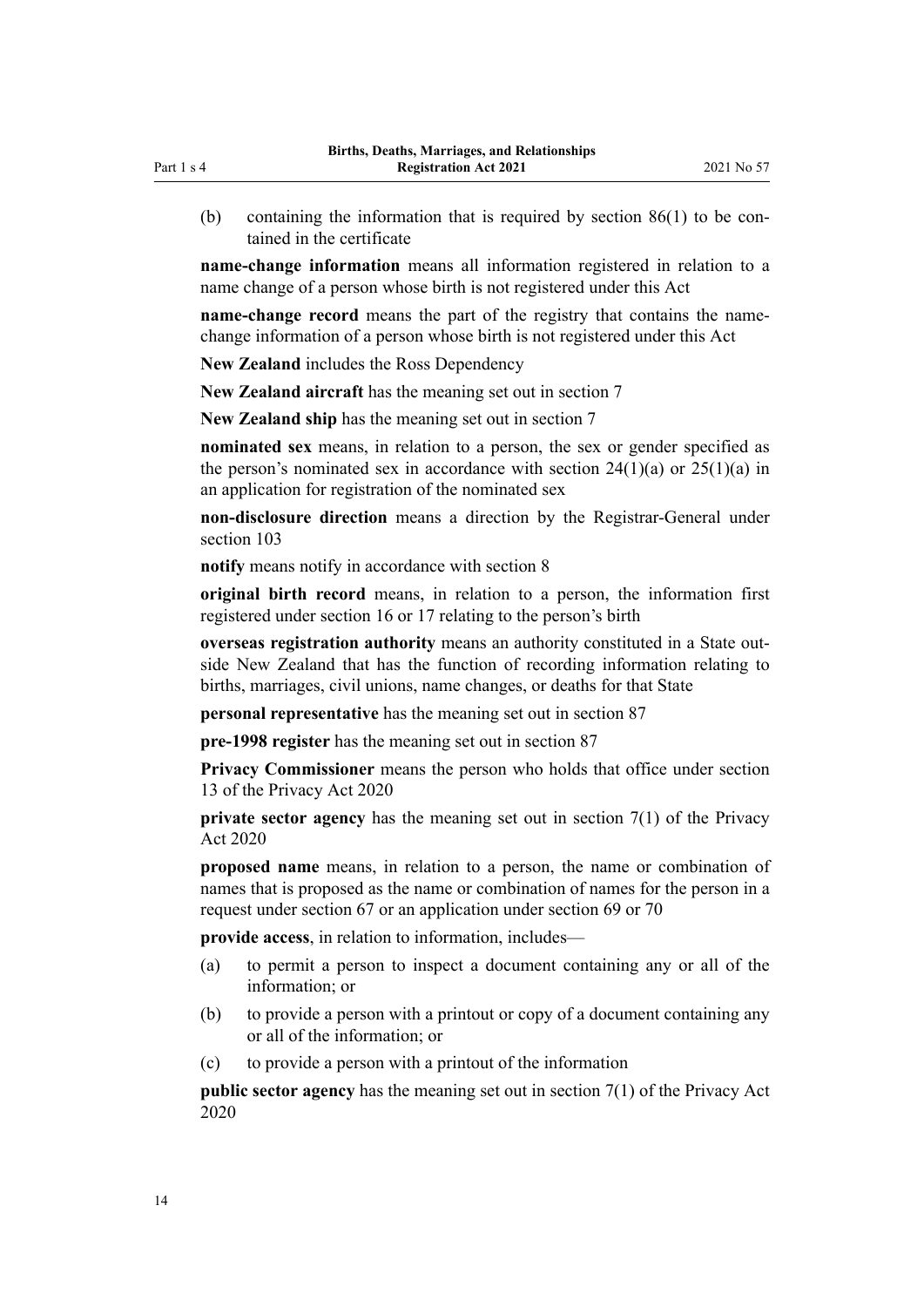(b) containing the information that is required by section  $86(1)$  to be contained in the certificate

**name-change information** means all information registered in relation to a name change of a person whose birth is not registered under this Act

**name-change record** means the part of the registry that contains the namechange information of a person whose birth is not registered under this Act

**New Zealand** includes the Ross Dependency

**New Zealand aircraft** has the meaning set out in [section 7](#page-16-0)

**New Zealand ship** has the meaning set out in [section 7](#page-16-0)

**nominated sex** means, in relation to a person, the sex or gender specified as the person's nominated sex in accordance with section  $24(1)(a)$  or  $25(1)(a)$  in an application for registration of the nominated sex

**non-disclosure direction** means a direction by the Registrar-General under [section 103](#page-60-0)

**notify** means notify in accordance with [section 8](#page-17-0)

**original birth record** means, in relation to a person, the information first registered under [section 16](#page-20-0) or [17](#page-20-0) relating to the person's birth

**overseas registration authority** means an authority constituted in a State out‐ side New Zealand that has the function of recording information relating to births, marriages, civil unions, name changes, or deaths for that State

**personal representative** has the meaning set out in [section 87](#page-50-0)

**pre-1998 register** has the meaning set out in [section 87](#page-50-0)

**Privacy Commissioner** means the person who holds that office under [section](http://legislation.govt.nz/pdflink.aspx?id=LMS23322) [13](http://legislation.govt.nz/pdflink.aspx?id=LMS23322) of the Privacy Act 2020

**private sector agency** has the meaning set out in [section 7\(1\)](http://legislation.govt.nz/pdflink.aspx?id=LMS23312) of the Privacy Act 2020

**proposed name** means, in relation to a person, the name or combination of names that is proposed as the name or combination of names for the person in a request under [section 67](#page-41-0) or an application under [section 69](#page-42-0) or [70](#page-42-0)

**provide access**, in relation to information, includes—

- (a) to permit a person to inspect a document containing any or all of the information; or
- (b) to provide a person with a printout or copy of a document containing any or all of the information; or
- (c) to provide a person with a printout of the information

**public sector agency** has the meaning set out in [section 7\(1\)](http://legislation.govt.nz/pdflink.aspx?id=LMS23312) of the Privacy Act 2020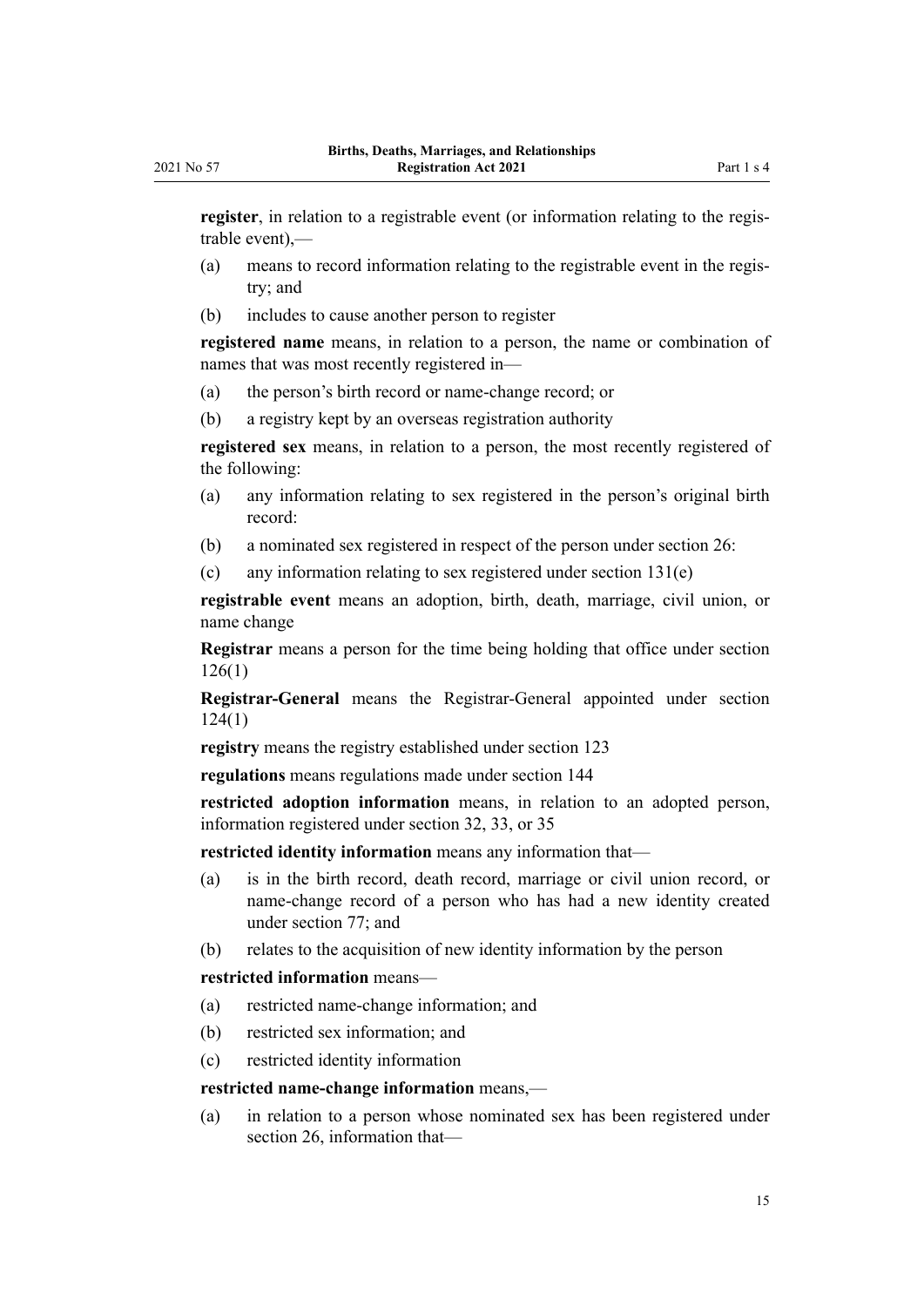**register**, in relation to a registrable event (or information relating to the regis‐ trable event),—

- (a) means to record information relating to the registrable event in the regis‐ try; and
- (b) includes to cause another person to register

**registered name** means, in relation to a person, the name or combination of names that was most recently registered in—

- (a) the person's birth record or name-change record; or
- (b) a registry kept by an overseas registration authority

**registered sex** means, in relation to a person, the most recently registered of the following:

- (a) any information relating to sex registered in the person's original birth record:
- (b) a nominated sex registered in respect of the person under [section 26](#page-24-0):
- (c) any information relating to sex registered under [section 131\(e\)](#page-76-0)

**registrable event** means an adoption, birth, death, marriage, civil union, or name change

**Registrar** means a person for the time being holding that office under [section](#page-73-0) [126\(1\)](#page-73-0)

**Registrar-General** means the Registrar-General appointed under [section](#page-72-0) [124\(1\)](#page-72-0)

**registry** means the registry established under [section 123](#page-72-0)

**regulations** means regulations made under [section 144](#page-82-0)

**restricted adoption information** means, in relation to an adopted person, information registered under [section 32,](#page-27-0) [33,](#page-28-0) or [35](#page-29-0)

**restricted identity information** means any information that—

- (a) is in the birth record, death record, marriage or civil union record, or name-change record of a person who has had a new identity created under [section 77](#page-45-0); and
- (b) relates to the acquisition of new identity information by the person

## **restricted information** means—

- (a) restricted name-change information; and
- (b) restricted sex information; and
- (c) restricted identity information

#### **restricted name-change information** means,—

(a) in relation to a person whose nominated sex has been registered under [section 26](#page-24-0), information that—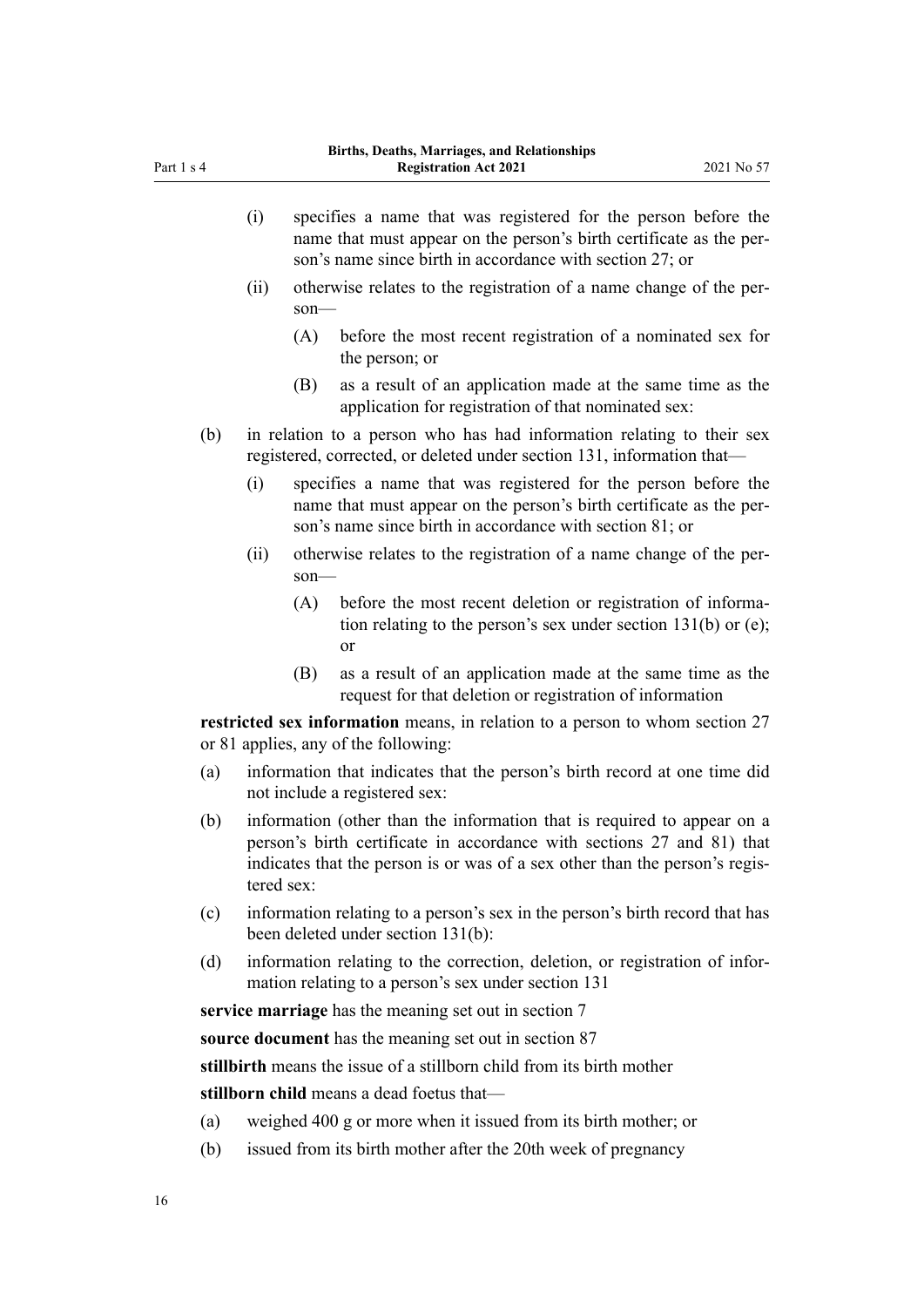- (i) specifies a name that was registered for the person before the name that must appear on the person's birth certificate as the per‐ son's name since birth in accordance with [section 27](#page-25-0); or
- (ii) otherwise relates to the registration of a name change of the per‐ son—
	- (A) before the most recent registration of a nominated sex for the person; or
	- (B) as a result of an application made at the same time as the application for registration of that nominated sex:
- (b) in relation to a person who has had information relating to their sex registered, corrected, or deleted under [section 131](#page-76-0), information that—
	- (i) specifies a name that was registered for the person before the name that must appear on the person's birth certificate as the per‐ son's name since birth in accordance with [section 81](#page-47-0); or
	- (ii) otherwise relates to the registration of a name change of the per‐ son—
		- (A) before the most recent deletion or registration of information relating to the person's sex under [section 131\(b\) or \(e\);](#page-76-0) or
		- (B) as a result of an application made at the same time as the request for that deletion or registration of information

**restricted sex information** means, in relation to a person to whom [section 27](#page-25-0) or [81](#page-47-0) applies, any of the following:

- (a) information that indicates that the person's birth record at one time did not include a registered sex:
- (b) information (other than the information that is required to appear on a person's birth certificate in accordance with [sections 27](#page-25-0) and [81\)](#page-47-0) that indicates that the person is or was of a sex other than the person's registered sex:
- (c) information relating to a person's sex in the person's birth record that has been deleted under [section 131\(b\)](#page-76-0):
- (d) information relating to the correction, deletion, or registration of information relating to a person's sex under [section 131](#page-76-0)

**service marriage** has the meaning set out in [section 7](#page-16-0)

**source document** has the meaning set out in [section 87](#page-50-0)

**stillbirth** means the issue of a stillborn child from its birth mother

**stillborn child** means a dead foetus that—

- (a) weighed 400 g or more when it issued from its birth mother; or
- (b) issued from its birth mother after the 20th week of pregnancy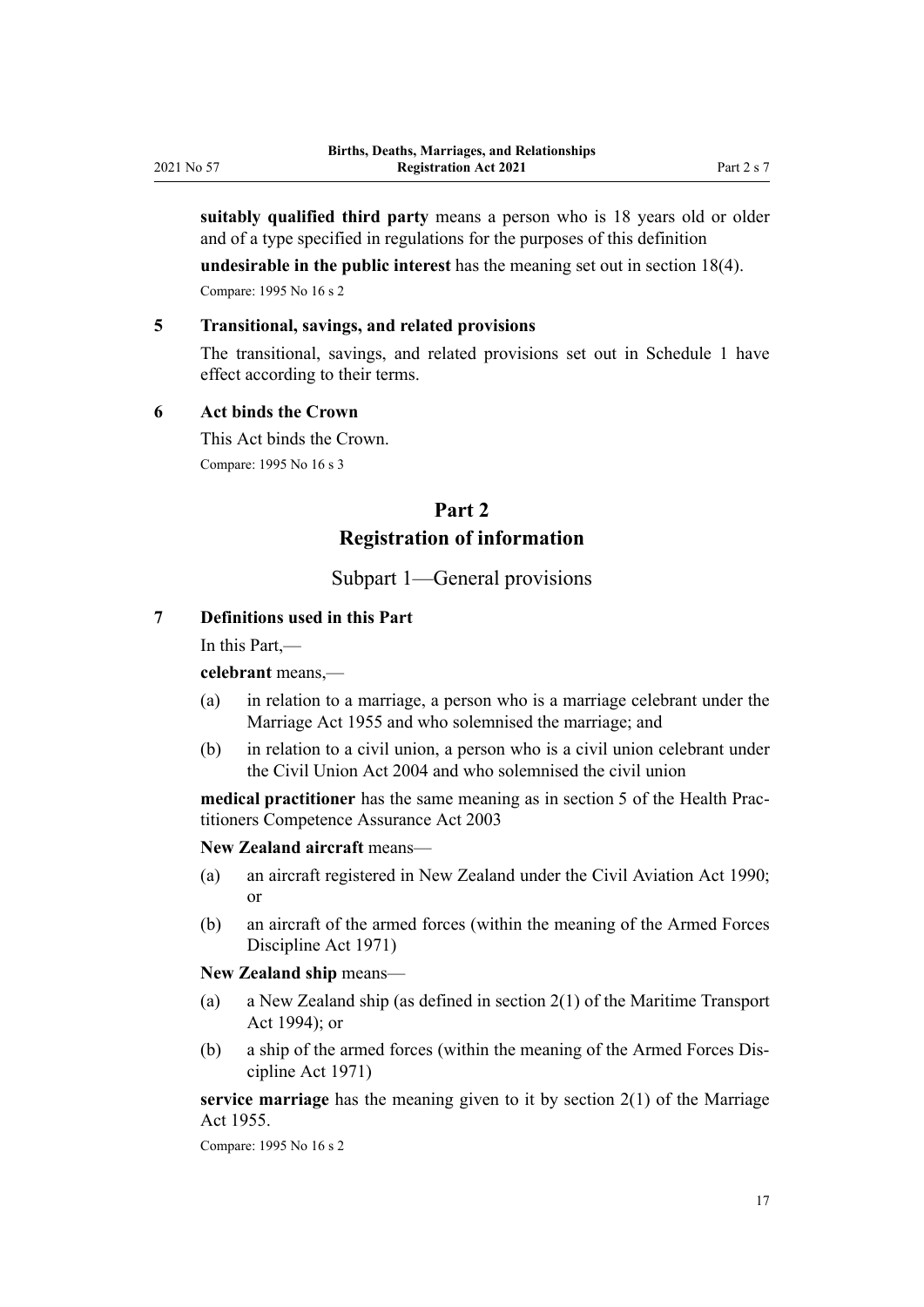<span id="page-16-0"></span>**suitably qualified third party** means a person who is 18 years old or older and of a type specified in regulations for the purposes of this definition

**undesirable in the public interest** has the meaning set out in [section 18\(4\).](#page-20-0)

Compare: 1995 No 16 [s 2](http://legislation.govt.nz/pdflink.aspx?id=DLM359378)

## **5 Transitional, savings, and related provisions**

The transitional, savings, and related provisions set out in [Schedule 1](#page-86-0) have effect according to their terms.

## **6 Act binds the Crown**

This Act binds the Crown. Compare: 1995 No 16 [s 3](http://legislation.govt.nz/pdflink.aspx?id=DLM364094)

# **Part 2 Registration of information**

## Subpart 1—General provisions

## **7 Definitions used in this Part**

In this Part,—

#### **celebrant** means,—

- (a) in relation to a marriage, a person who is a marriage celebrant under the [Marriage Act 1955](http://legislation.govt.nz/pdflink.aspx?id=DLM292027) and who solemnised the marriage; and
- (b) in relation to a civil union, a person who is a civil union celebrant under the [Civil Union Act 2004](http://legislation.govt.nz/pdflink.aspx?id=DLM323384) and who solemnised the civil union

**medical practitioner** has the same meaning as in [section 5](http://legislation.govt.nz/pdflink.aspx?id=DLM203321) of the Health Practitioners Competence Assurance Act 2003

**New Zealand aircraft** means—

- (a) an aircraft registered in New Zealand under the [Civil Aviation Act 1990;](http://legislation.govt.nz/pdflink.aspx?id=DLM214686) or
- (b) an aircraft of the armed forces (within the meaning of the [Armed Forces](http://legislation.govt.nz/pdflink.aspx?id=DLM401062) [Discipline Act 1971\)](http://legislation.govt.nz/pdflink.aspx?id=DLM401062)

**New Zealand ship** means—

- (a) a New Zealand ship (as defined in [section 2\(1\)](http://legislation.govt.nz/pdflink.aspx?id=DLM334667) of the Maritime Transport Act 1994); or
- (b) a ship of the armed forces (within the meaning of the [Armed Forces Dis‐](http://legislation.govt.nz/pdflink.aspx?id=DLM401062) [cipline Act 1971\)](http://legislation.govt.nz/pdflink.aspx?id=DLM401062)

**service marriage** has the meaning given to it by [section 2\(1\)](http://legislation.govt.nz/pdflink.aspx?id=DLM292034) of the Marriage Act 1955.

Compare: 1995 No 16 [s 2](http://legislation.govt.nz/pdflink.aspx?id=DLM359378)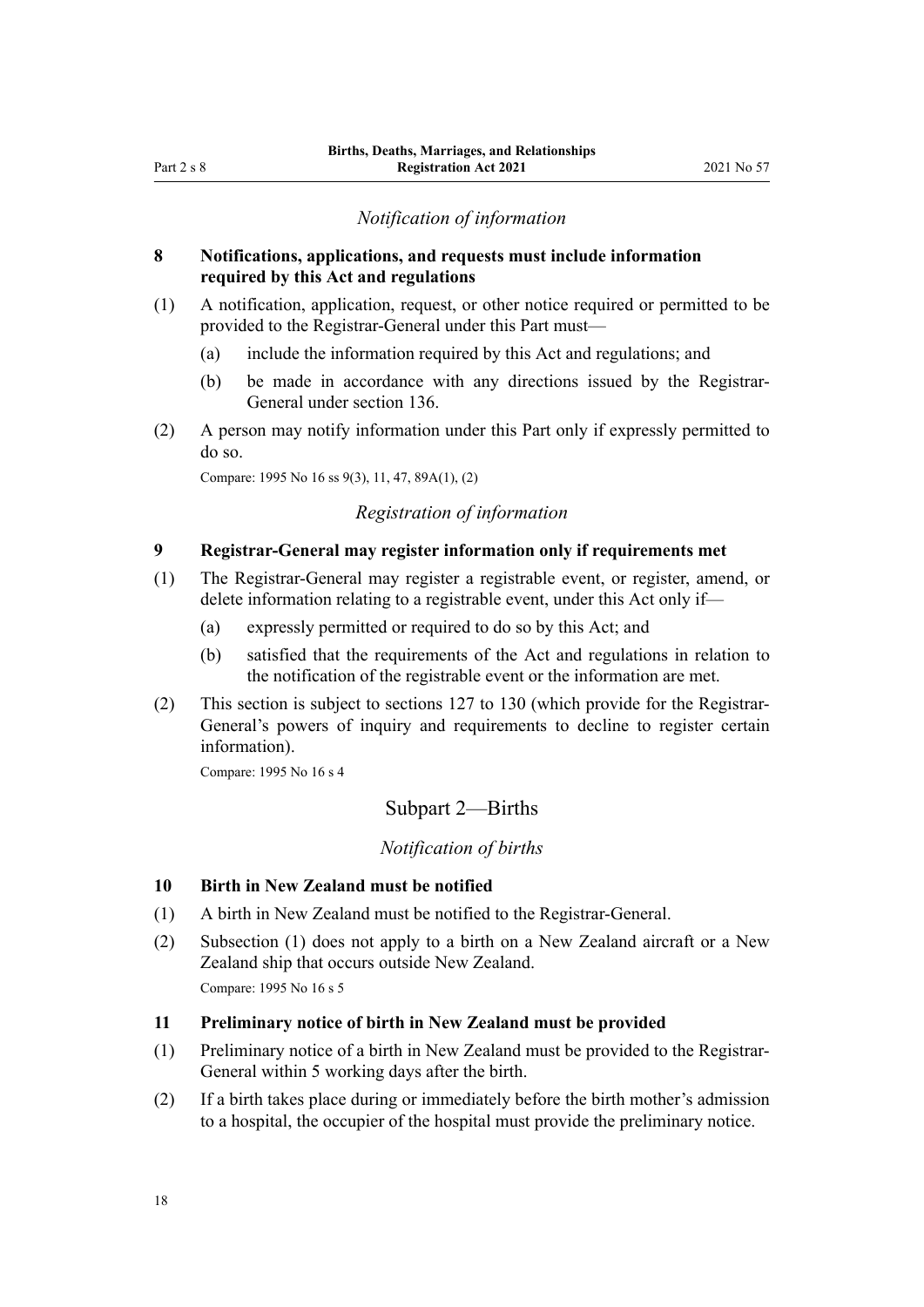## *Notification of information*

## <span id="page-17-0"></span>**8 Notifications, applications, and requests must include information required by this Act and regulations**

- (1) A notification, application, request, or other notice required or permitted to be provided to the Registrar-General under this Part must—
	- (a) include the information required by this Act and regulations; and
	- (b) be made in accordance with any directions issued by the Registrar-General under [section 136](#page-78-0).
- (2) A person may notify information under this Part only if expressly permitted to do so.

Compare: 1995 No 16 [ss 9\(3\),](http://legislation.govt.nz/pdflink.aspx?id=DLM364101) [11](http://legislation.govt.nz/pdflink.aspx?id=DLM364104), [47,](http://legislation.govt.nz/pdflink.aspx?id=DLM364181) [89A\(1\), \(2\)](http://legislation.govt.nz/pdflink.aspx?id=DLM1806511)

## *Registration of information*

#### **9 Registrar-General may register information only if requirements met**

- (1) The Registrar-General may register a registrable event, or register, amend, or delete information relating to a registrable event, under this Act only if—
	- (a) expressly permitted or required to do so by this Act; and
	- (b) satisfied that the requirements of the Act and regulations in relation to the notification of the registrable event or the information are met.
- (2) This section is subject to [sections 127 to 130](#page-74-0) (which provide for the Registrar-General's powers of inquiry and requirements to decline to register certain information).

Compare: 1995 No 16 [s 4](http://legislation.govt.nz/pdflink.aspx?id=DLM364095)

## Subpart 2—Births

#### *Notification of births*

#### **10 Birth in New Zealand must be notified**

- (1) A birth in New Zealand must be notified to the Registrar-General.
- (2) Subsection (1) does not apply to a birth on a New Zealand aircraft or a New Zealand ship that occurs outside New Zealand.

Compare: 1995 No 16 [s 5](http://legislation.govt.nz/pdflink.aspx?id=DLM364097)

#### **11 Preliminary notice of birth in New Zealand must be provided**

- (1) Preliminary notice of a birth in New Zealand must be provided to the Registrar-General within 5 working days after the birth.
- (2) If a birth takes place during or immediately before the birth mother's admission to a hospital, the occupier of the hospital must provide the preliminary notice.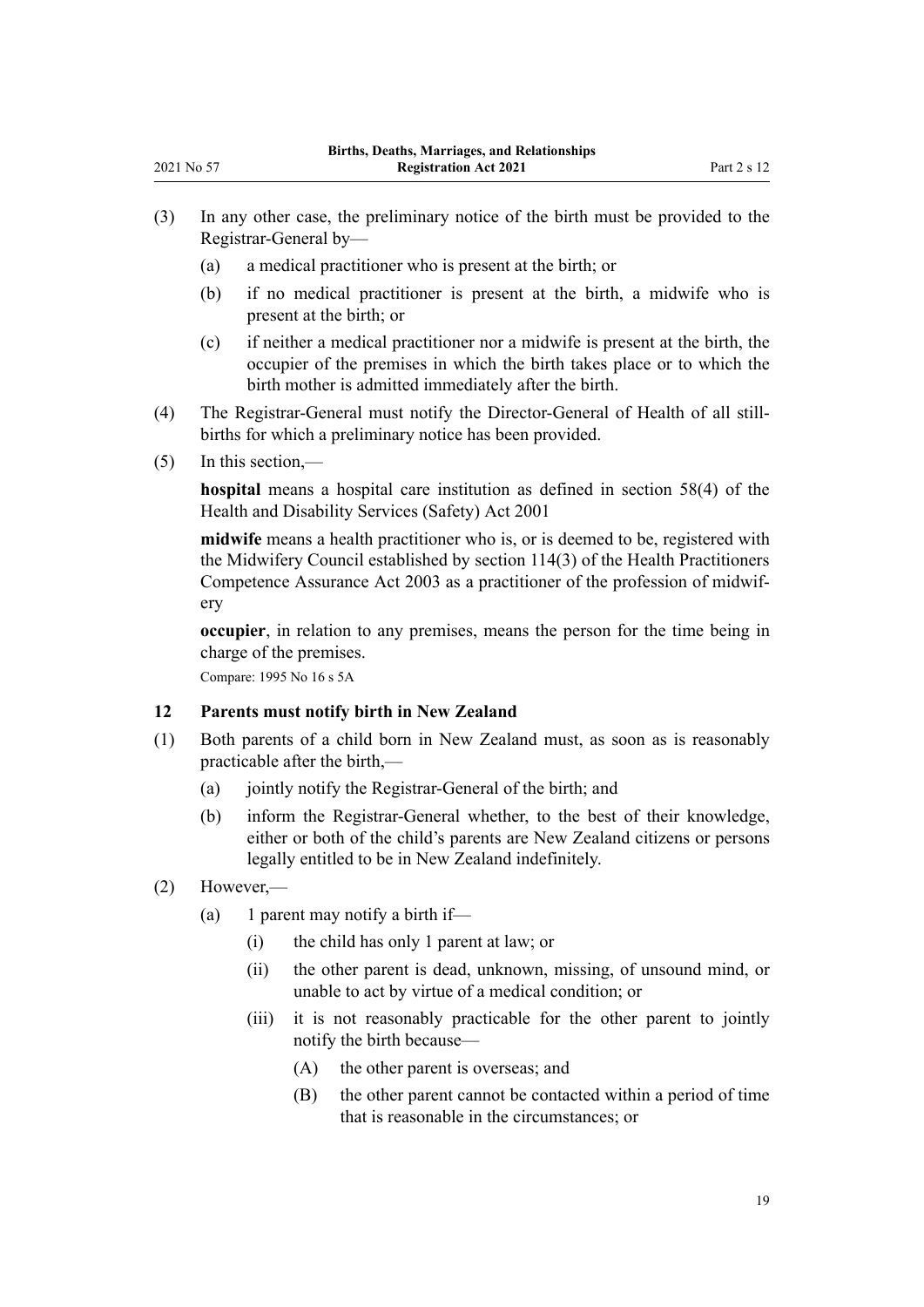- <span id="page-18-0"></span>(3) In any other case, the preliminary notice of the birth must be provided to the Registrar-General by—
	- (a) a medical practitioner who is present at the birth; or
	- (b) if no medical practitioner is present at the birth, a midwife who is present at the birth; or
	- (c) if neither a medical practitioner nor a midwife is present at the birth, the occupier of the premises in which the birth takes place or to which the birth mother is admitted immediately after the birth.
- (4) The Registrar-General must notify the Director-General of Health of all still‐ births for which a preliminary notice has been provided.
- (5) In this section,—

**hospital** means a hospital care institution as defined in [section 58\(4\)](http://legislation.govt.nz/pdflink.aspx?id=DLM120905) of the Health and Disability Services (Safety) Act 2001

**midwife** means a health practitioner who is, or is deemed to be, registered with the Midwifery Council established by [section 114\(3\)](http://legislation.govt.nz/pdflink.aspx?id=DLM204329) of the Health Practitioners Competence Assurance Act 2003 as a practitioner of the profession of midwif‐ ery

**occupier**, in relation to any premises, means the person for the time being in charge of the premises.

Compare: 1995 No 16 [s 5A](http://legislation.govt.nz/pdflink.aspx?id=DLM1805740)

## **12 Parents must notify birth in New Zealand**

- (1) Both parents of a child born in New Zealand must, as soon as is reasonably practicable after the birth,—
	- (a) jointly notify the Registrar-General of the birth; and
	- (b) inform the Registrar-General whether, to the best of their knowledge, either or both of the child's parents are New Zealand citizens or persons legally entitled to be in New Zealand indefinitely.
- (2) However,—
	- (a) 1 parent may notify a birth if—
		- (i) the child has only 1 parent at law; or
		- (ii) the other parent is dead, unknown, missing, of unsound mind, or unable to act by virtue of a medical condition; or
		- (iii) it is not reasonably practicable for the other parent to jointly notify the birth because—
			- (A) the other parent is overseas; and
			- (B) the other parent cannot be contacted within a period of time that is reasonable in the circumstances; or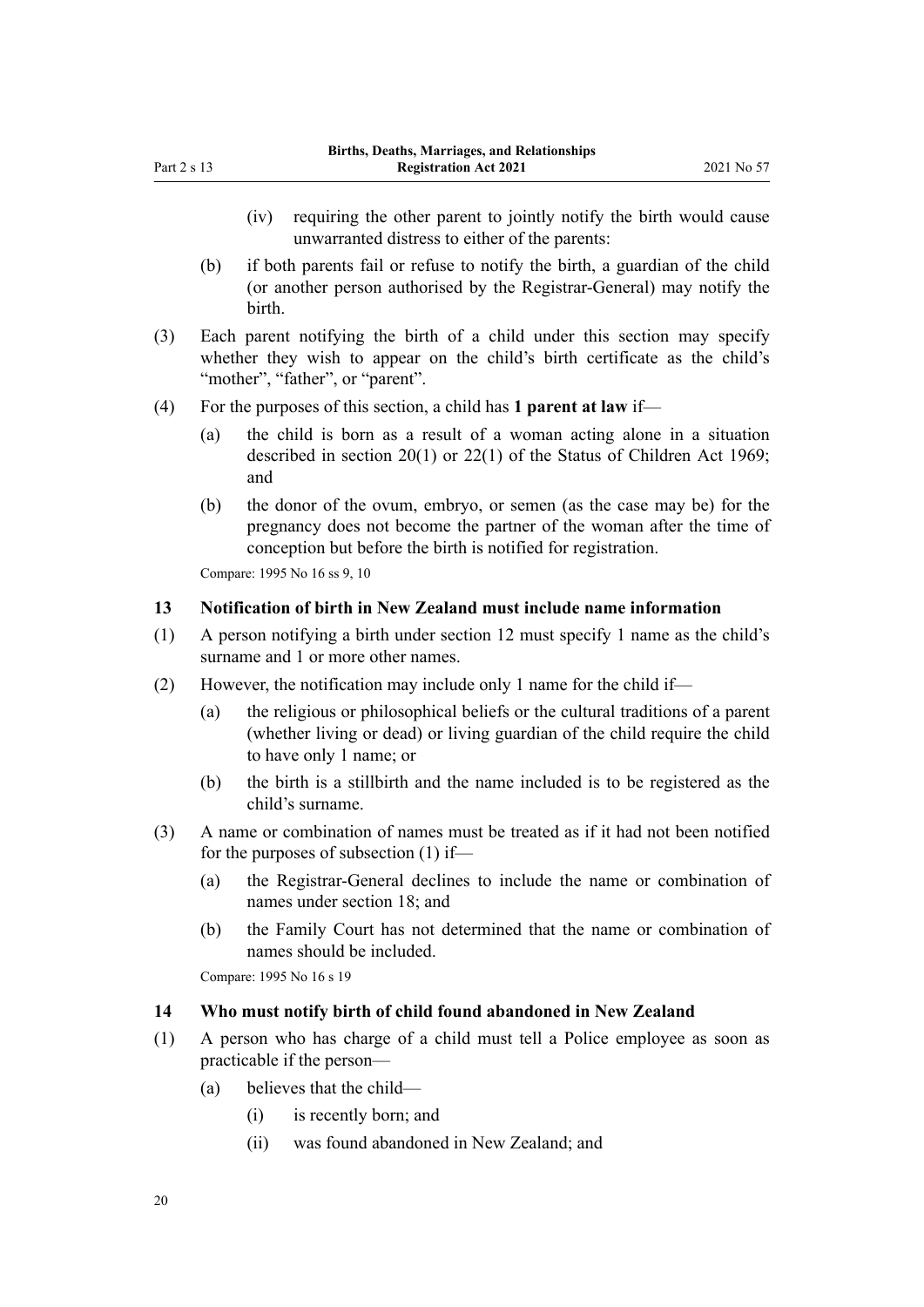- <span id="page-19-0"></span>(iv) requiring the other parent to jointly notify the birth would cause unwarranted distress to either of the parents:
- (b) if both parents fail or refuse to notify the birth, a guardian of the child (or another person authorised by the Registrar-General) may notify the birth.
- (3) Each parent notifying the birth of a child under this section may specify whether they wish to appear on the child's birth certificate as the child's "mother", "father", or "parent".
- (4) For the purposes of this section, a child has **1 parent at law** if—
	- (a) the child is born as a result of a woman acting alone in a situation described in [section 20\(1\)](http://legislation.govt.nz/pdflink.aspx?id=DLM391094) or [22\(1\)](http://legislation.govt.nz/pdflink.aspx?id=DLM391201) of the Status of Children Act 1969; and
	- (b) the donor of the ovum, embryo, or semen (as the case may be) for the pregnancy does not become the partner of the woman after the time of conception but before the birth is notified for registration.

Compare: 1995 No 16 [ss 9](http://legislation.govt.nz/pdflink.aspx?id=DLM364101), [10](http://legislation.govt.nz/pdflink.aspx?id=DLM364103)

## **13 Notification of birth in New Zealand must include name information**

- (1) A person notifying a birth under [section 12](#page-18-0) must specify 1 name as the child's surname and 1 or more other names.
- (2) However, the notification may include only 1 name for the child if—
	- (a) the religious or philosophical beliefs or the cultural traditions of a parent (whether living or dead) or living guardian of the child require the child to have only 1 name; or
	- (b) the birth is a stillbirth and the name included is to be registered as the child's surname.
- (3) A name or combination of names must be treated as if it had not been notified for the purposes of subsection (1) if—
	- (a) the Registrar-General declines to include the name or combination of names under [section 18](#page-20-0); and
	- (b) the Family Court has not determined that the name or combination of names should be included.

Compare: 1995 No 16 [s 19](http://legislation.govt.nz/pdflink.aspx?id=DLM364131)

## **14 Who must notify birth of child found abandoned in New Zealand**

- (1) A person who has charge of a child must tell a Police employee as soon as practicable if the person—
	- (a) believes that the child—
		- (i) is recently born; and
		- (ii) was found abandoned in New Zealand; and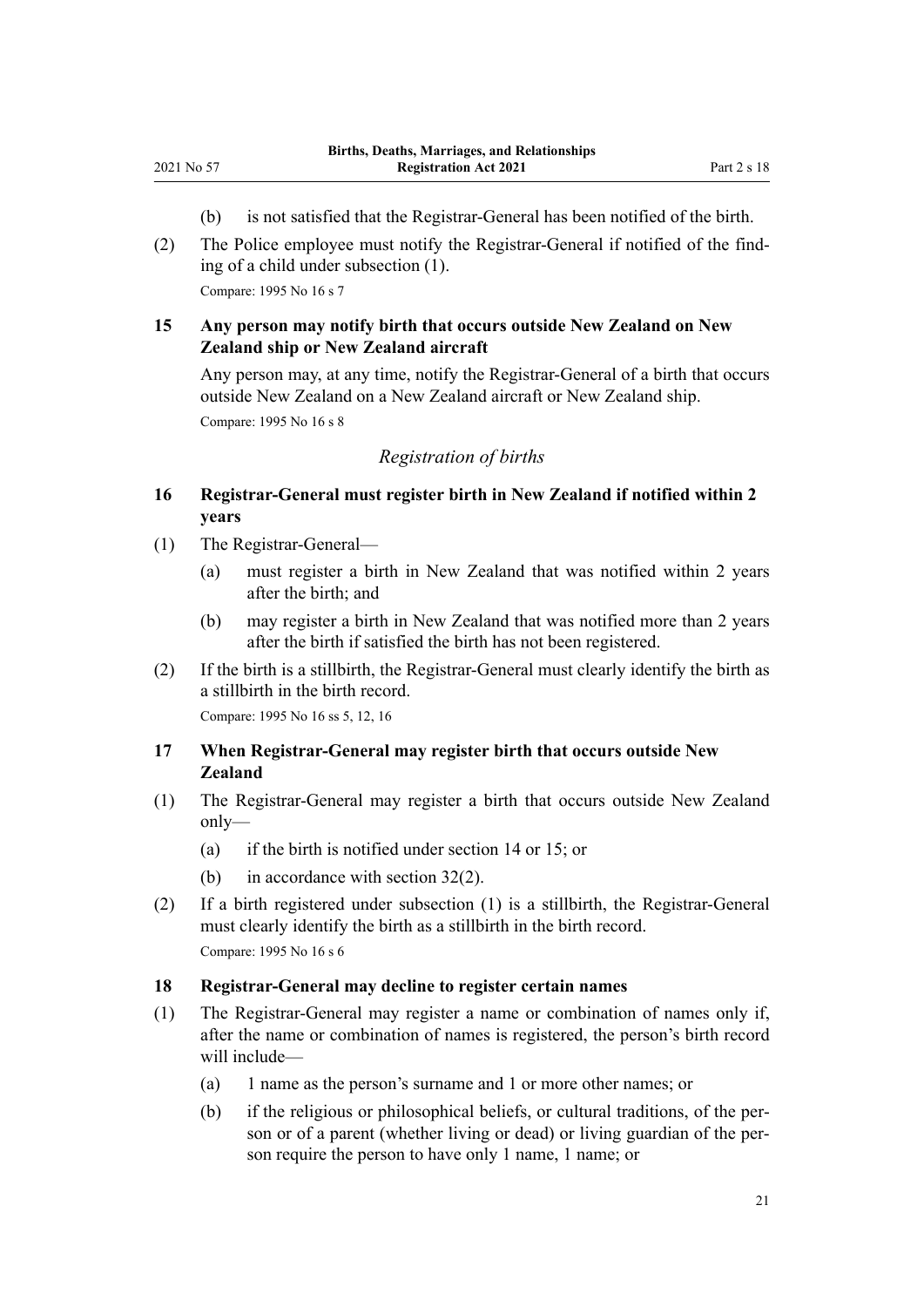- (b) is not satisfied that the Registrar-General has been notified of the birth.
- <span id="page-20-0"></span>(2) The Police employee must notify the Registrar-General if notified of the find‐ ing of a child under subsection (1).

Compare: 1995 No 16 [s 7](http://legislation.govt.nz/pdflink.aspx?id=DLM364099)

## **15 Any person may notify birth that occurs outside New Zealand on New Zealand ship or New Zealand aircraft**

Any person may, at any time, notify the Registrar-General of a birth that occurs outside New Zealand on a New Zealand aircraft or New Zealand ship.

Compare: 1995 No 16 [s 8](http://legislation.govt.nz/pdflink.aspx?id=DLM364100)

## *Registration of births*

- **16 Registrar-General must register birth in New Zealand if notified within 2 years**
- (1) The Registrar-General—
	- (a) must register a birth in New Zealand that was notified within 2 years after the birth; and
	- (b) may register a birth in New Zealand that was notified more than 2 years after the birth if satisfied the birth has not been registered.
- (2) If the birth is a stillbirth, the Registrar-General must clearly identify the birth as a stillbirth in the birth record. Compare: 1995 No 16 [ss 5](http://legislation.govt.nz/pdflink.aspx?id=DLM364097), [12,](http://legislation.govt.nz/pdflink.aspx?id=DLM364105) [16](http://legislation.govt.nz/pdflink.aspx?id=DLM364122)

## **17 When Registrar-General may register birth that occurs outside New Zealand**

- (1) The Registrar-General may register a birth that occurs outside New Zealand only—
	- (a) if the birth is notified under [section 14](#page-19-0) or 15; or
	- (b) in accordance with [section 32\(2\)](#page-27-0).
- (2) If a birth registered under subsection (1) is a stillbirth, the Registrar-General must clearly identify the birth as a stillbirth in the birth record. Compare: 1995 No 16 [s 6](http://legislation.govt.nz/pdflink.aspx?id=DLM364098)

## **18 Registrar-General may decline to register certain names**

- (1) The Registrar-General may register a name or combination of names only if, after the name or combination of names is registered, the person's birth record will include—
	- (a) 1 name as the person's surname and 1 or more other names; or
	- (b) if the religious or philosophical beliefs, or cultural traditions, of the per‐ son or of a parent (whether living or dead) or living guardian of the person require the person to have only 1 name, 1 name; or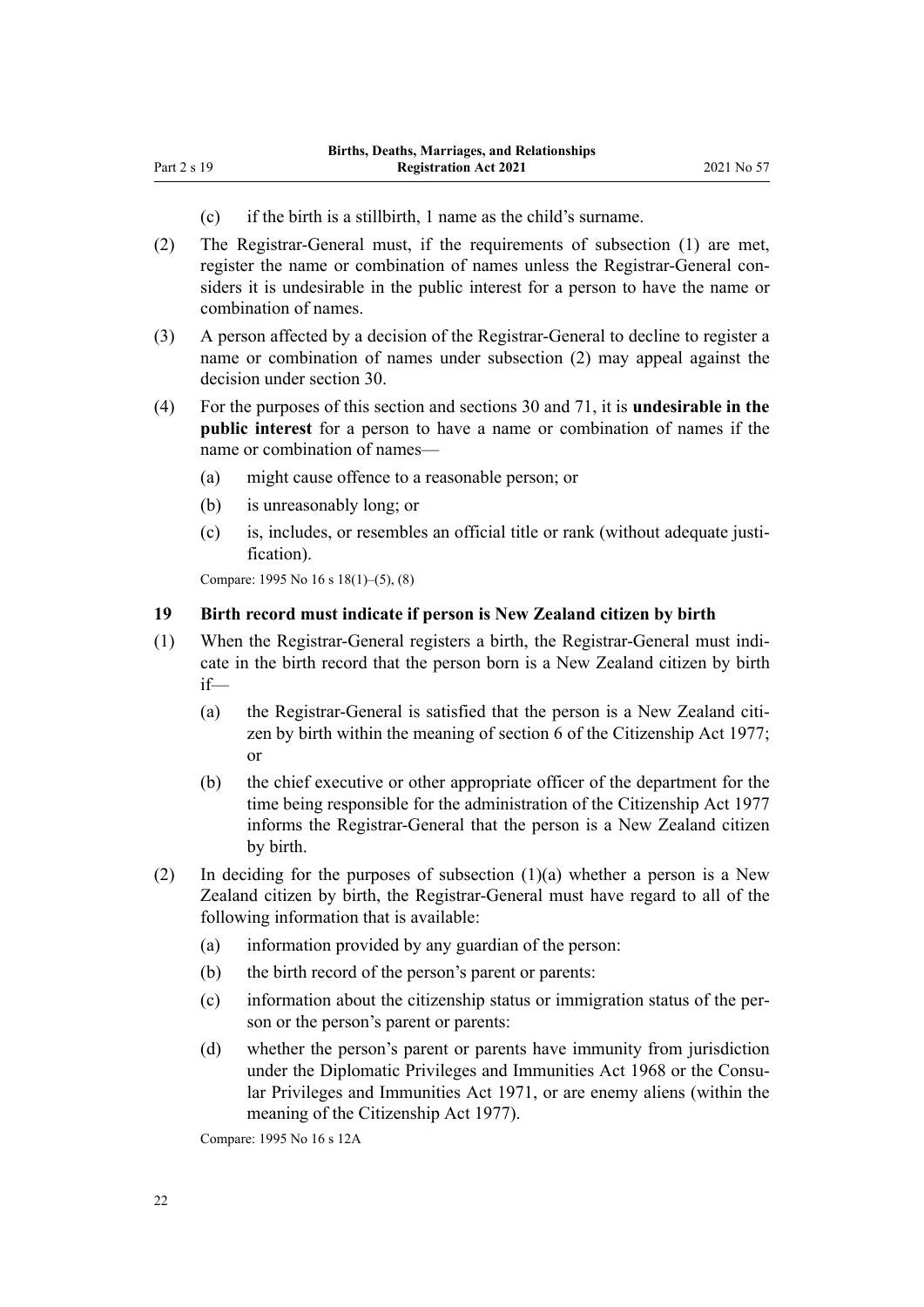(c) if the birth is a stillbirth, 1 name as the child's surname.

<span id="page-21-0"></span>Part 2 s 19

- (2) The Registrar-General must, if the requirements of subsection (1) are met, register the name or combination of names unless the Registrar-General considers it is undesirable in the public interest for a person to have the name or combination of names.
- (3) A person affected by a decision of the Registrar-General to decline to register a name or combination of names under subsection (2) may appeal against the decision under [section 30](#page-26-0).
- (4) For the purposes of this section and [sections 30](#page-26-0) and [71,](#page-43-0) it is **undesirable in the public interest** for a person to have a name or combination of names if the name or combination of names—
	- (a) might cause offence to a reasonable person; or
	- (b) is unreasonably long; or
	- (c) is, includes, or resembles an official title or rank (without adequate justi‐ fication).

Compare: 1995 No 16 [s 18\(1\)–\(5\), \(8\)](http://legislation.govt.nz/pdflink.aspx?id=DLM364129)

#### **19 Birth record must indicate if person is New Zealand citizen by birth**

- (1) When the Registrar-General registers a birth, the Registrar-General must indi‐ cate in the birth record that the person born is a New Zealand citizen by birth if—
	- (a) the Registrar-General is satisfied that the person is a New Zealand citizen by birth within the meaning of [section 6](http://legislation.govt.nz/pdflink.aspx?id=DLM443841) of the Citizenship Act 1977; or
	- (b) the chief executive or other appropriate officer of the department for the time being responsible for the administration of the [Citizenship Act 1977](http://legislation.govt.nz/pdflink.aspx?id=DLM443683) informs the Registrar-General that the person is a New Zealand citizen by birth.
- (2) In deciding for the purposes of subsection  $(1)(a)$  whether a person is a New Zealand citizen by birth, the Registrar-General must have regard to all of the following information that is available:
	- (a) information provided by any guardian of the person:
	- (b) the birth record of the person's parent or parents:
	- (c) information about the citizenship status or immigration status of the per‐ son or the person's parent or parents:
	- (d) whether the person's parent or parents have immunity from jurisdiction under the [Diplomatic Privileges and Immunities Act 1968](http://legislation.govt.nz/pdflink.aspx?id=DLM387495) or the Consu[lar Privileges and Immunities Act 1971,](http://legislation.govt.nz/pdflink.aspx?id=DLM397288) or are enemy aliens (within the meaning of the [Citizenship Act 1977\)](http://legislation.govt.nz/pdflink.aspx?id=DLM443683).

Compare: 1995 No 16 [s 12A](http://legislation.govt.nz/pdflink.aspx?id=DLM364108)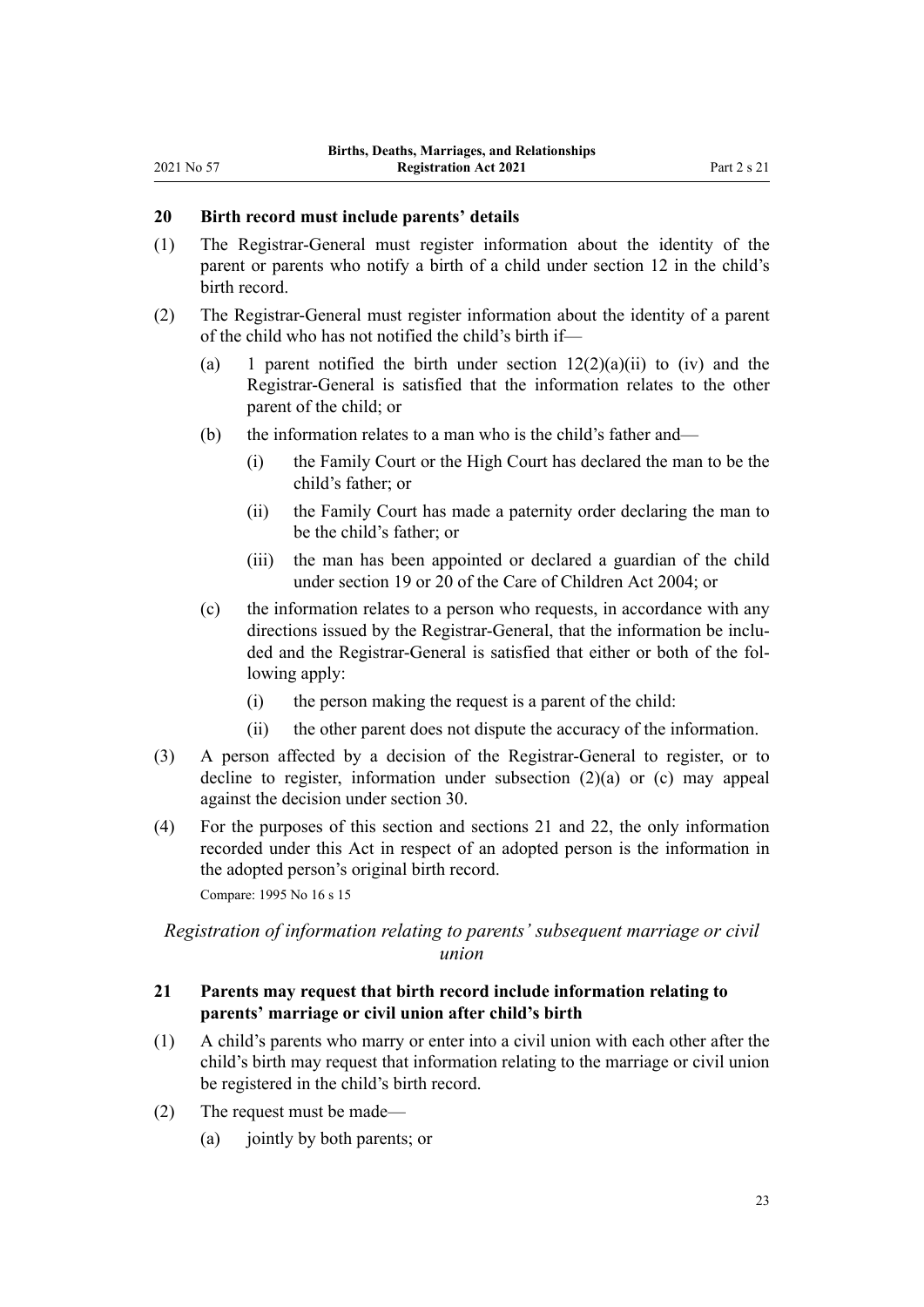## <span id="page-22-0"></span>**20 Birth record must include parents' details**

- (1) The Registrar-General must register information about the identity of the parent or parents who notify a birth of a child under [section 12](#page-18-0) in the child's birth record.
- (2) The Registrar-General must register information about the identity of a parent of the child who has not notified the child's birth if—
	- (a) 1 parent notified the birth under section  $12(2)(a)(ii)$  to (iv) and the Registrar-General is satisfied that the information relates to the other parent of the child; or
	- (b) the information relates to a man who is the child's father and—
		- (i) the Family Court or the High Court has declared the man to be the child's father; or
		- (ii) the Family Court has made a paternity order declaring the man to be the child's father; or
		- (iii) the man has been appointed or declared a guardian of the child under [section 19](http://legislation.govt.nz/pdflink.aspx?id=DLM317422) or [20](http://legislation.govt.nz/pdflink.aspx?id=DLM317424) of the Care of Children Act 2004; or
	- (c) the information relates to a person who requests, in accordance with any directions issued by the Registrar-General, that the information be included and the Registrar-General is satisfied that either or both of the fol‐ lowing apply:
		- (i) the person making the request is a parent of the child:
		- (ii) the other parent does not dispute the accuracy of the information.
- (3) A person affected by a decision of the Registrar-General to register, or to decline to register, information under subsection (2)(a) or (c) may appeal against the decision under [section 30.](#page-26-0)
- (4) For the purposes of this section and sections 21 and [22](#page-23-0), the only information recorded under this Act in respect of an adopted person is the information in the adopted person's original birth record.

Compare: 1995 No 16 [s 15](http://legislation.govt.nz/pdflink.aspx?id=DLM364112)

## *Registration of information relating to parents' subsequent marriage or civil union*

## **21 Parents may request that birth record include information relating to parents' marriage or civil union after child's birth**

- (1) A child's parents who marry or enter into a civil union with each other after the child's birth may request that information relating to the marriage or civil union be registered in the child's birth record.
- (2) The request must be made—
	- (a) jointly by both parents; or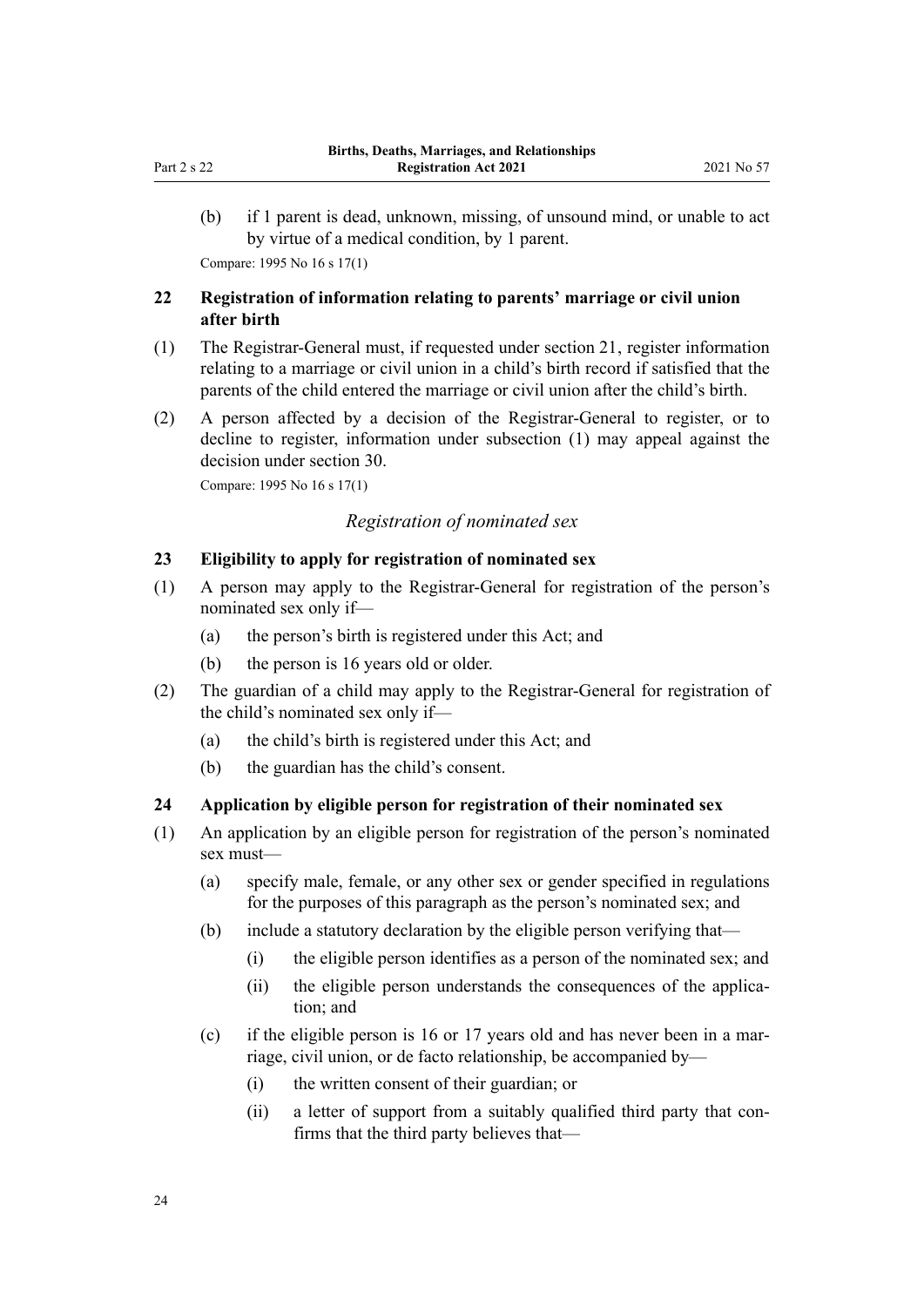<span id="page-23-0"></span>(b) if 1 parent is dead, unknown, missing, of unsound mind, or unable to act by virtue of a medical condition, by 1 parent. Compare: 1995 No 16 [s 17\(1\)](http://legislation.govt.nz/pdflink.aspx?id=DLM364123)

## **22 Registration of information relating to parents' marriage or civil union after birth**

- (1) The Registrar-General must, if requested under [section 21](#page-22-0), register information relating to a marriage or civil union in a child's birth record if satisfied that the parents of the child entered the marriage or civil union after the child's birth.
- (2) A person affected by a decision of the Registrar-General to register, or to decline to register, information under subsection (1) may appeal against the decision under [section 30](#page-26-0).

Compare: 1995 No 16 [s 17\(1\)](http://legislation.govt.nz/pdflink.aspx?id=DLM364123)

## *Registration of nominated sex*

## **23 Eligibility to apply for registration of nominated sex**

- (1) A person may apply to the Registrar-General for registration of the person's nominated sex only if—
	- (a) the person's birth is registered under this Act; and
	- (b) the person is 16 years old or older.
- (2) The guardian of a child may apply to the Registrar-General for registration of the child's nominated sex only if—
	- (a) the child's birth is registered under this Act; and
	- (b) the guardian has the child's consent.

## **24 Application by eligible person for registration of their nominated sex**

- (1) An application by an eligible person for registration of the person's nominated sex must—
	- (a) specify male, female, or any other sex or gender specified in regulations for the purposes of this paragraph as the person's nominated sex; and
	- (b) include a statutory declaration by the eligible person verifying that—
		- (i) the eligible person identifies as a person of the nominated sex; and
		- (ii) the eligible person understands the consequences of the application; and
	- (c) if the eligible person is 16 or 17 years old and has never been in a marriage, civil union, or de facto relationship, be accompanied by—
		- (i) the written consent of their guardian; or
		- (ii) a letter of support from a suitably qualified third party that confirms that the third party believes that—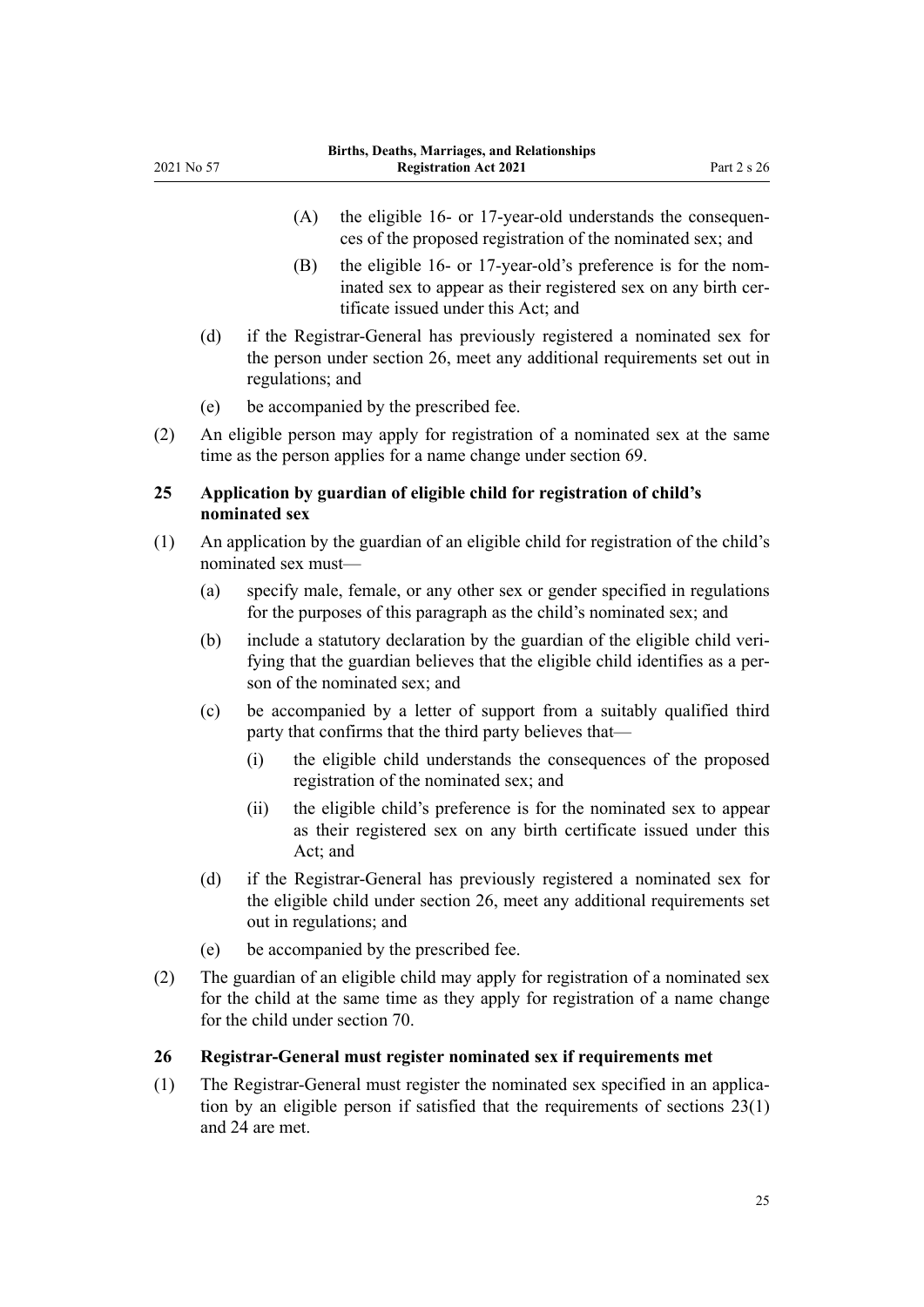- (A) the eligible 16- or 17-year-old understands the consequences of the proposed registration of the nominated sex; and
- (B) the eligible 16- or 17-year-old's preference is for the nominated sex to appear as their registered sex on any birth certificate issued under this Act; and
- (d) if the Registrar-General has previously registered a nominated sex for the person under section 26, meet any additional requirements set out in regulations; and
- (e) be accompanied by the prescribed fee.

<span id="page-24-0"></span>2021 No 57

(2) An eligible person may apply for registration of a nominated sex at the same time as the person applies for a name change under [section 69](#page-42-0).

## **25 Application by guardian of eligible child for registration of child's nominated sex**

- (1) An application by the guardian of an eligible child for registration of the child's nominated sex must—
	- (a) specify male, female, or any other sex or gender specified in regulations for the purposes of this paragraph as the child's nominated sex; and
	- (b) include a statutory declaration by the guardian of the eligible child veri‐ fying that the guardian believes that the eligible child identifies as a per‐ son of the nominated sex; and
	- (c) be accompanied by a letter of support from a suitably qualified third party that confirms that the third party believes that—
		- (i) the eligible child understands the consequences of the proposed registration of the nominated sex; and
		- (ii) the eligible child's preference is for the nominated sex to appear as their registered sex on any birth certificate issued under this Act; and
	- (d) if the Registrar-General has previously registered a nominated sex for the eligible child under section 26, meet any additional requirements set out in regulations; and
	- (e) be accompanied by the prescribed fee.
- (2) The guardian of an eligible child may apply for registration of a nominated sex for the child at the same time as they apply for registration of a name change for the child under [section 70](#page-42-0).

## **26 Registrar-General must register nominated sex if requirements met**

(1) The Registrar-General must register the nominated sex specified in an applica‐ tion by an eligible person if satisfied that the requirements of [sections 23\(1\)](#page-23-0) and [24](#page-23-0) are met.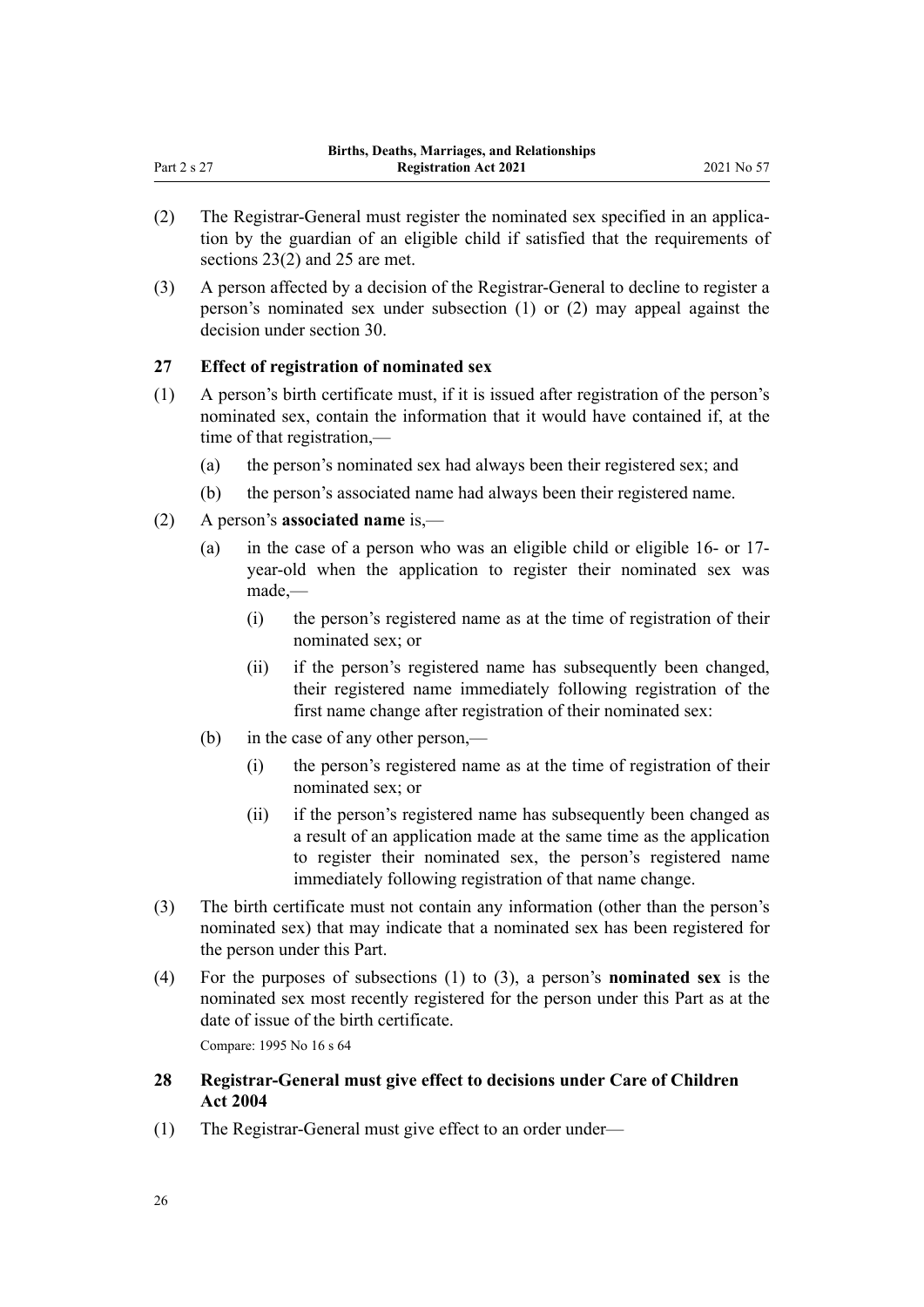- (2) The Registrar-General must register the nominated sex specified in an applica‐ tion by the guardian of an eligible child if satisfied that the requirements of [sections 23\(2\)](#page-23-0) and [25](#page-24-0) are met.
- (3) A person affected by a decision of the Registrar-General to decline to register a person's nominated sex under subsection (1) or (2) may appeal against the decision under [section 30](#page-26-0).

## **27 Effect of registration of nominated sex**

<span id="page-25-0"></span>Part  $2s 27$ 

- (1) A person's birth certificate must, if it is issued after registration of the person's nominated sex, contain the information that it would have contained if, at the time of that registration,—
	- (a) the person's nominated sex had always been their registered sex; and
	- (b) the person's associated name had always been their registered name.
- (2) A person's **associated name** is,—
	- (a) in the case of a person who was an eligible child or eligible 16- or 17 year-old when the application to register their nominated sex was made,—
		- (i) the person's registered name as at the time of registration of their nominated sex; or
		- (ii) if the person's registered name has subsequently been changed, their registered name immediately following registration of the first name change after registration of their nominated sex:
	- (b) in the case of any other person,—
		- (i) the person's registered name as at the time of registration of their nominated sex; or
		- (ii) if the person's registered name has subsequently been changed as a result of an application made at the same time as the application to register their nominated sex, the person's registered name immediately following registration of that name change.
- (3) The birth certificate must not contain any information (other than the person's nominated sex) that may indicate that a nominated sex has been registered for the person under this Part.
- (4) For the purposes of subsections (1) to (3), a person's **nominated sex** is the nominated sex most recently registered for the person under this Part as at the date of issue of the birth certificate.

Compare: 1995 No 16 [s 64](http://legislation.govt.nz/pdflink.aspx?id=DLM364719)

## **28 Registrar-General must give effect to decisions under Care of Children Act 2004**

(1) The Registrar-General must give effect to an order under—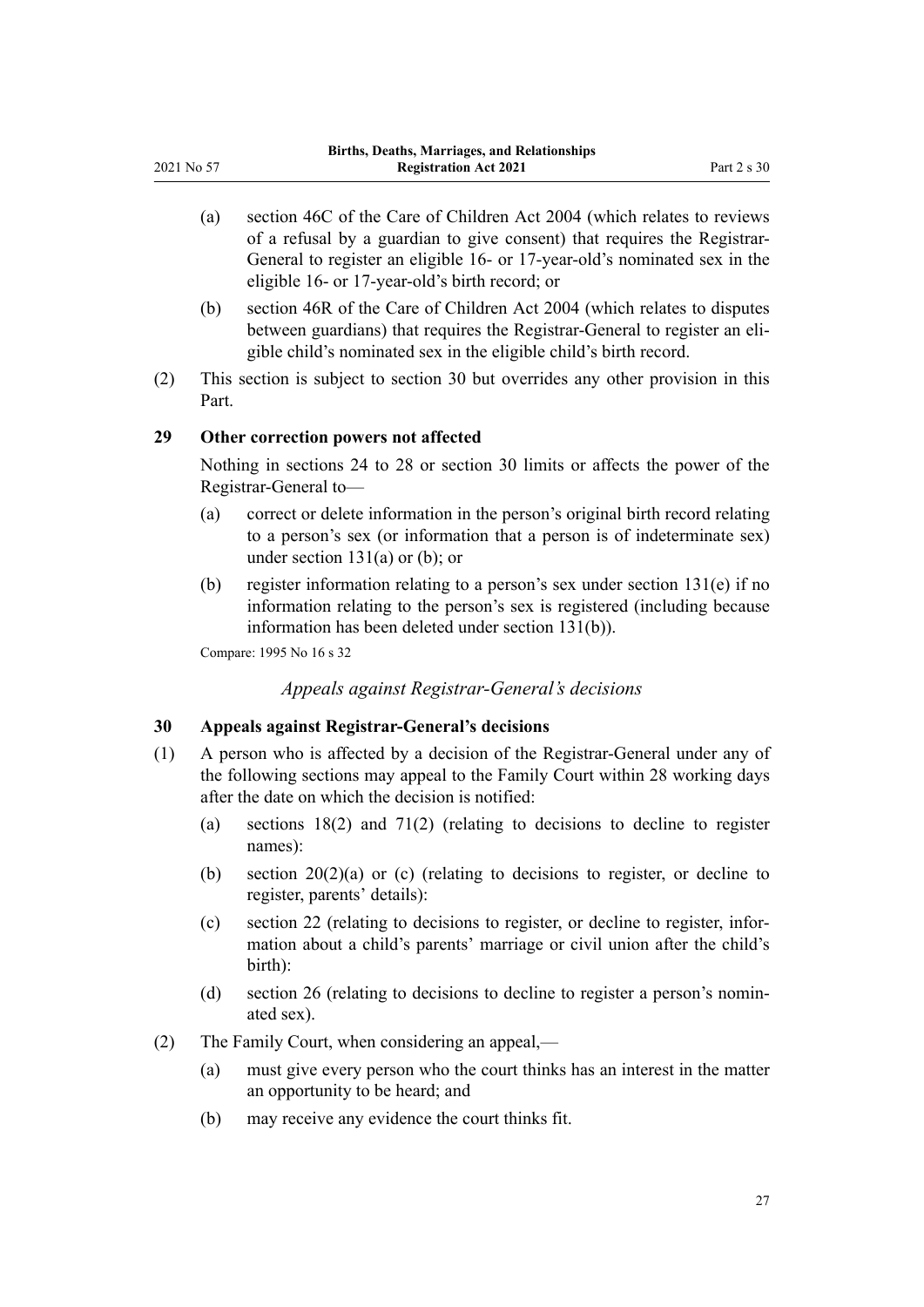- <span id="page-26-0"></span>(a) [section 46C](http://legislation.govt.nz/pdflink.aspx?id=DLM6027362) of the Care of Children Act 2004 (which relates to reviews of a refusal by a guardian to give consent) that requires the Registrar-General to register an eligible 16- or 17-year-old's nominated sex in the eligible 16- or 17-year-old's birth record; or
- (b) [section 46R](http://legislation.govt.nz/pdflink.aspx?id=DLM6027395) of the Care of Children Act 2004 (which relates to disputes between guardians) that requires the Registrar-General to register an eligible child's nominated sex in the eligible child's birth record.
- (2) This section is subject to section 30 but overrides any other provision in this Part.

#### **29 Other correction powers not affected**

Nothing in [sections 24 to 28](#page-23-0) or section 30 limits or affects the power of the Registrar-General to—

- (a) correct or delete information in the person's original birth record relating to a person's sex (or information that a person is of indeterminate sex) under section  $131(a)$  or (b); or
- (b) register information relating to a person's sex under [section 131\(e\)](#page-76-0) if no information relating to the person's sex is registered (including because information has been deleted under section 131(b)).

Compare: 1995 No 16 [s 32](http://legislation.govt.nz/pdflink.aspx?id=DLM364155)

*Appeals against Registrar-General's decisions*

## **30 Appeals against Registrar-General's decisions**

- (1) A person who is affected by a decision of the Registrar-General under any of the following sections may appeal to the Family Court within 28 working days after the date on which the decision is notified:
	- (a) [sections 18\(2\)](#page-20-0) and [71\(2\)](#page-43-0) (relating to decisions to decline to register names):
	- (b) [section 20\(2\)\(a\) or \(c\)](#page-22-0) (relating to decisions to register, or decline to register, parents' details):
	- (c) [section 22](#page-23-0) (relating to decisions to register, or decline to register, infor‐ mation about a child's parents' marriage or civil union after the child's birth):
	- (d) [section 26](#page-24-0) (relating to decisions to decline to register a person's nomin‐ ated sex).
- (2) The Family Court, when considering an appeal,—
	- (a) must give every person who the court thinks has an interest in the matter an opportunity to be heard; and
	- (b) may receive any evidence the court thinks fit.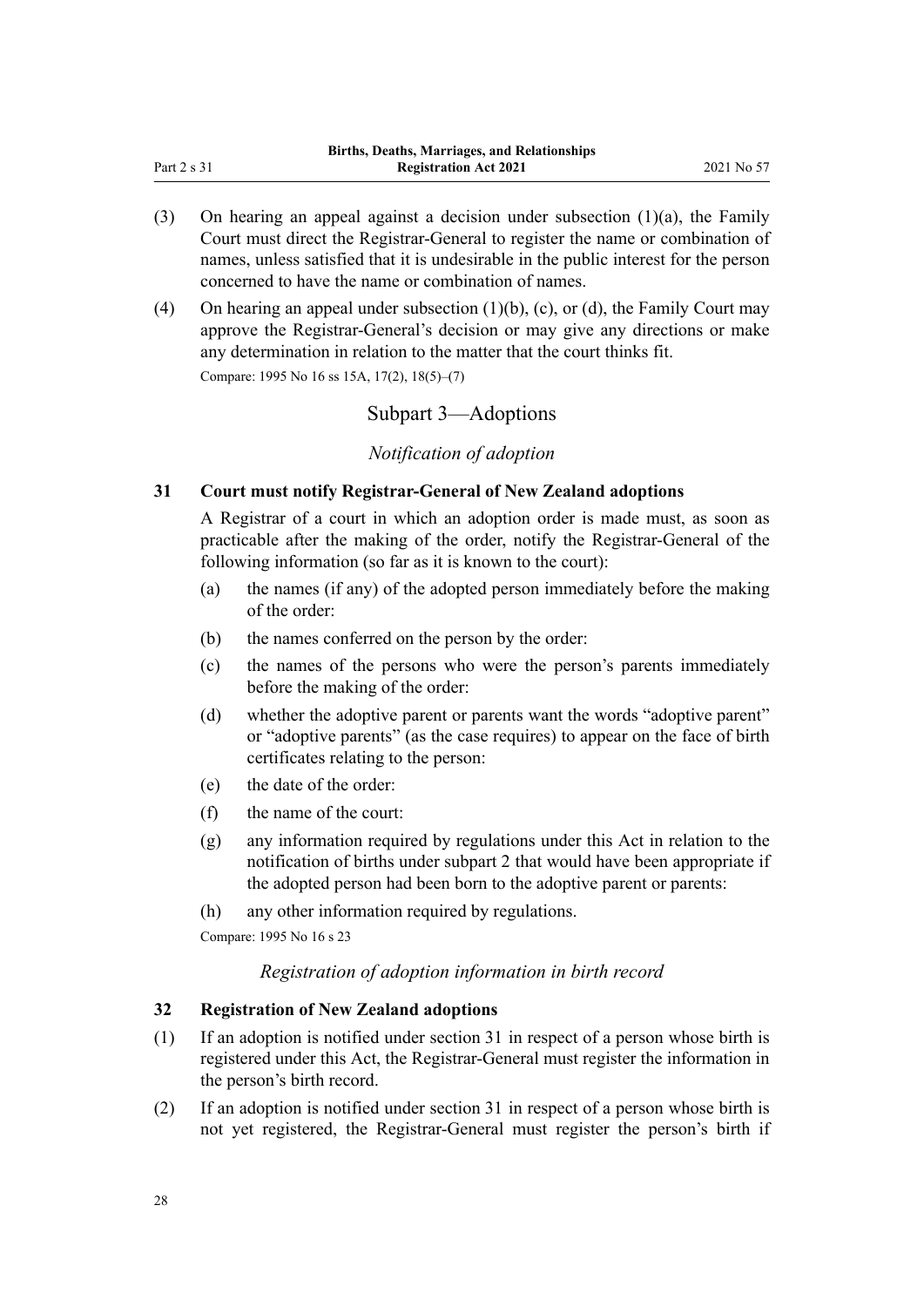- <span id="page-27-0"></span>(3) On hearing an appeal against a decision under subsection (1)(a), the Family Court must direct the Registrar-General to register the name or combination of names, unless satisfied that it is undesirable in the public interest for the person concerned to have the name or combination of names.
- (4) On hearing an appeal under subsection (1)(b), (c), or (d), the Family Court may approve the Registrar-General's decision or may give any directions or make any determination in relation to the matter that the court thinks fit.

Compare: 1995 No 16 [ss 15A](http://legislation.govt.nz/pdflink.aspx?id=DLM1805756), [17\(2\)](http://legislation.govt.nz/pdflink.aspx?id=DLM364123), [18\(5\)–\(7\)](http://legislation.govt.nz/pdflink.aspx?id=DLM364129)

## Subpart 3—Adoptions

## *Notification of adoption*

## **31 Court must notify Registrar-General of New Zealand adoptions**

A Registrar of a court in which an adoption order is made must, as soon as practicable after the making of the order, notify the Registrar-General of the following information (so far as it is known to the court):

- (a) the names (if any) of the adopted person immediately before the making of the order:
- (b) the names conferred on the person by the order:
- (c) the names of the persons who were the person's parents immediately before the making of the order:
- (d) whether the adoptive parent or parents want the words "adoptive parent" or "adoptive parents" (as the case requires) to appear on the face of birth certificates relating to the person:
- (e) the date of the order:
- (f) the name of the court:
- (g) any information required by regulations under this Act in relation to the notification of births under [subpart 2](#page-17-0) that would have been appropriate if the adopted person had been born to the adoptive parent or parents:
- (h) any other information required by regulations.

Compare: 1995 No 16 [s 23](http://legislation.govt.nz/pdflink.aspx?id=DLM364142)

#### *Registration of adoption information in birth record*

## **32 Registration of New Zealand adoptions**

- (1) If an adoption is notified under section 31 in respect of a person whose birth is registered under this Act, the Registrar-General must register the information in the person's birth record.
- (2) If an adoption is notified under section 31 in respect of a person whose birth is not yet registered, the Registrar-General must register the person's birth if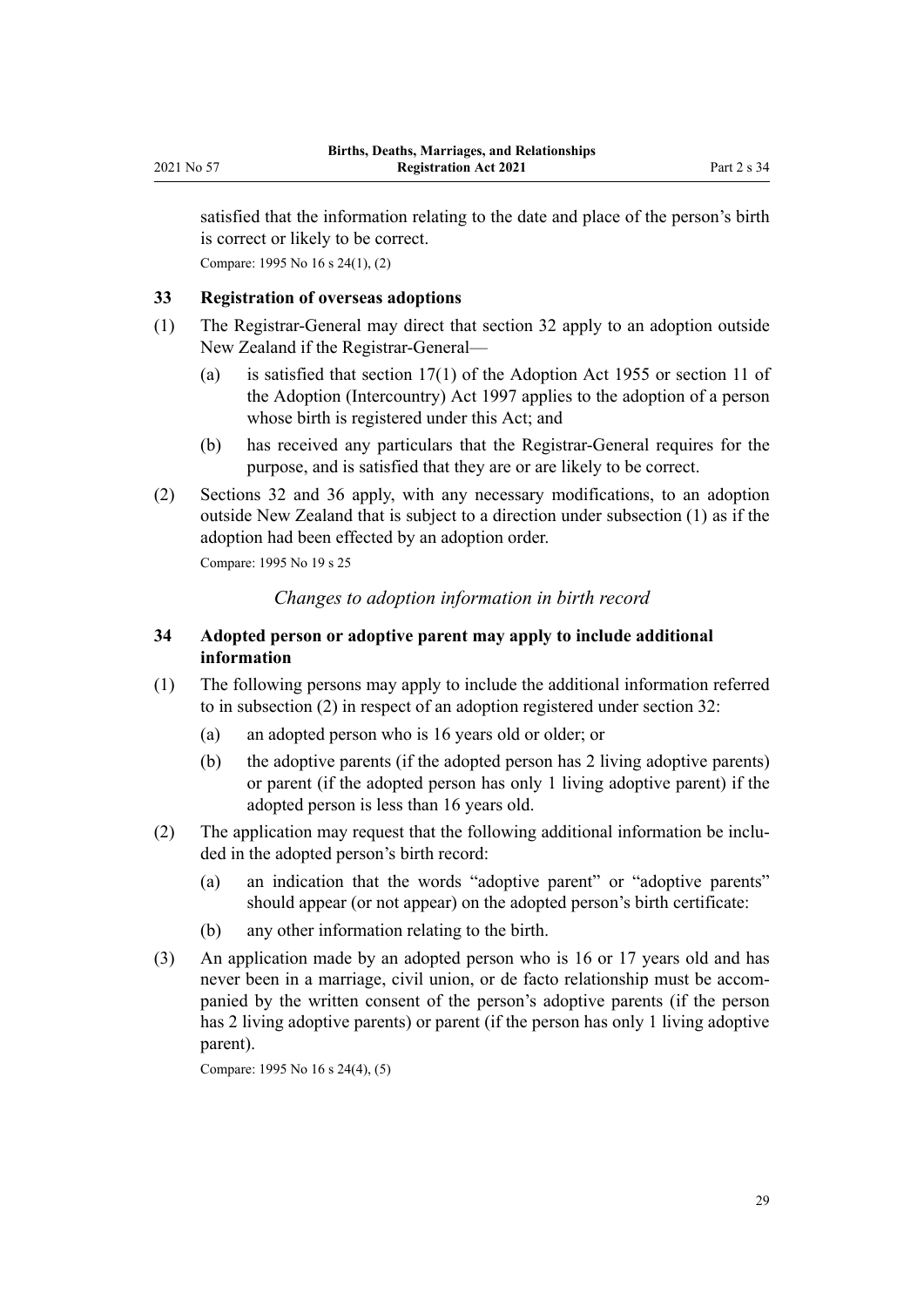<span id="page-28-0"></span>satisfied that the information relating to the date and place of the person's birth is correct or likely to be correct. Compare: 1995 No 16 [s 24\(1\), \(2\)](http://legislation.govt.nz/pdflink.aspx?id=DLM364143)

## **33 Registration of overseas adoptions**

- (1) The Registrar-General may direct that [section 32](#page-27-0) apply to an adoption outside New Zealand if the Registrar-General—
	- (a) is satisfied that [section 17\(1\)](http://legislation.govt.nz/pdflink.aspx?id=DLM293196) of the Adoption Act 1955 or [section 11](http://legislation.govt.nz/pdflink.aspx?id=DLM423030) of the Adoption (Intercountry) Act 1997 applies to the adoption of a person whose birth is registered under this Act; and
	- (b) has received any particulars that the Registrar-General requires for the purpose, and is satisfied that they are or are likely to be correct.
- (2) [Sections 32](#page-27-0) and [36](#page-29-0) apply, with any necessary modifications, to an adoption outside New Zealand that is subject to a direction under subsection (1) as if the adoption had been effected by an adoption order.

Compare: 1995 No 19 [s 25](http://legislation.govt.nz/pdflink.aspx?id=DLM364145)

## *Changes to adoption information in birth record*

## **34 Adopted person or adoptive parent may apply to include additional information**

- (1) The following persons may apply to include the additional information referred to in subsection (2) in respect of an adoption registered under [section 32](#page-27-0):
	- (a) an adopted person who is 16 years old or older; or
	- (b) the adoptive parents (if the adopted person has 2 living adoptive parents) or parent (if the adopted person has only 1 living adoptive parent) if the adopted person is less than 16 years old.
- (2) The application may request that the following additional information be inclu‐ ded in the adopted person's birth record:
	- (a) an indication that the words "adoptive parent" or "adoptive parents" should appear (or not appear) on the adopted person's birth certificate:
	- (b) any other information relating to the birth.
- (3) An application made by an adopted person who is 16 or 17 years old and has never been in a marriage, civil union, or de facto relationship must be accompanied by the written consent of the person's adoptive parents (if the person has 2 living adoptive parents) or parent (if the person has only 1 living adoptive parent).

Compare: 1995 No 16 [s 24\(4\), \(5\)](http://legislation.govt.nz/pdflink.aspx?id=DLM364143)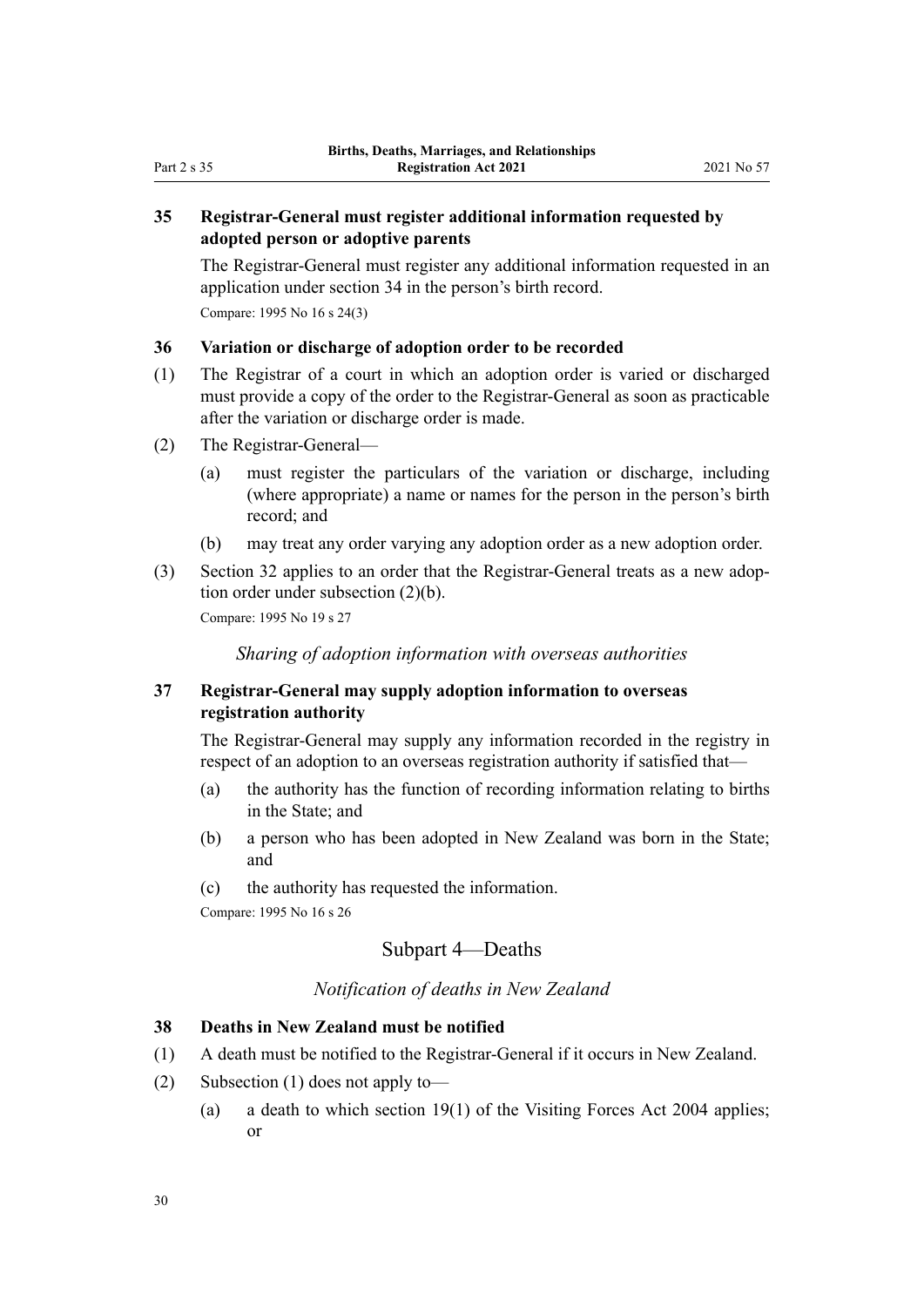## <span id="page-29-0"></span>**35 Registrar-General must register additional information requested by adopted person or adoptive parents**

The Registrar-General must register any additional information requested in an application under [section 34](#page-28-0) in the person's birth record. Compare: 1995 No 16 [s 24\(3\)](http://legislation.govt.nz/pdflink.aspx?id=DLM364143)

#### **36 Variation or discharge of adoption order to be recorded**

- (1) The Registrar of a court in which an adoption order is varied or discharged must provide a copy of the order to the Registrar-General as soon as practicable after the variation or discharge order is made.
- (2) The Registrar-General—
	- (a) must register the particulars of the variation or discharge, including (where appropriate) a name or names for the person in the person's birth record; and
	- (b) may treat any order varying any adoption order as a new adoption order.
- (3) [Section 32](#page-27-0) applies to an order that the Registrar-General treats as a new adop‐ tion order under subsection (2)(b).

Compare: 1995 No 19 [s 27](http://legislation.govt.nz/pdflink.aspx?id=DLM364148)

*Sharing of adoption information with overseas authorities*

## **37 Registrar-General may supply adoption information to overseas registration authority**

The Registrar-General may supply any information recorded in the registry in respect of an adoption to an overseas registration authority if satisfied that—

- (a) the authority has the function of recording information relating to births in the State; and
- (b) a person who has been adopted in New Zealand was born in the State; and
- (c) the authority has requested the information.

Compare: 1995 No 16 [s 26](http://legislation.govt.nz/pdflink.aspx?id=DLM364147)

## Subpart 4—Deaths

## *Notification of deaths in New Zealand*

## **38 Deaths in New Zealand must be notified**

- (1) A death must be notified to the Registrar-General if it occurs in New Zealand.
- (2) Subsection (1) does not apply to—
	- (a) a death to which [section 19\(1\)](http://legislation.govt.nz/pdflink.aspx?id=DLM302835) of the Visiting Forces Act 2004 applies; or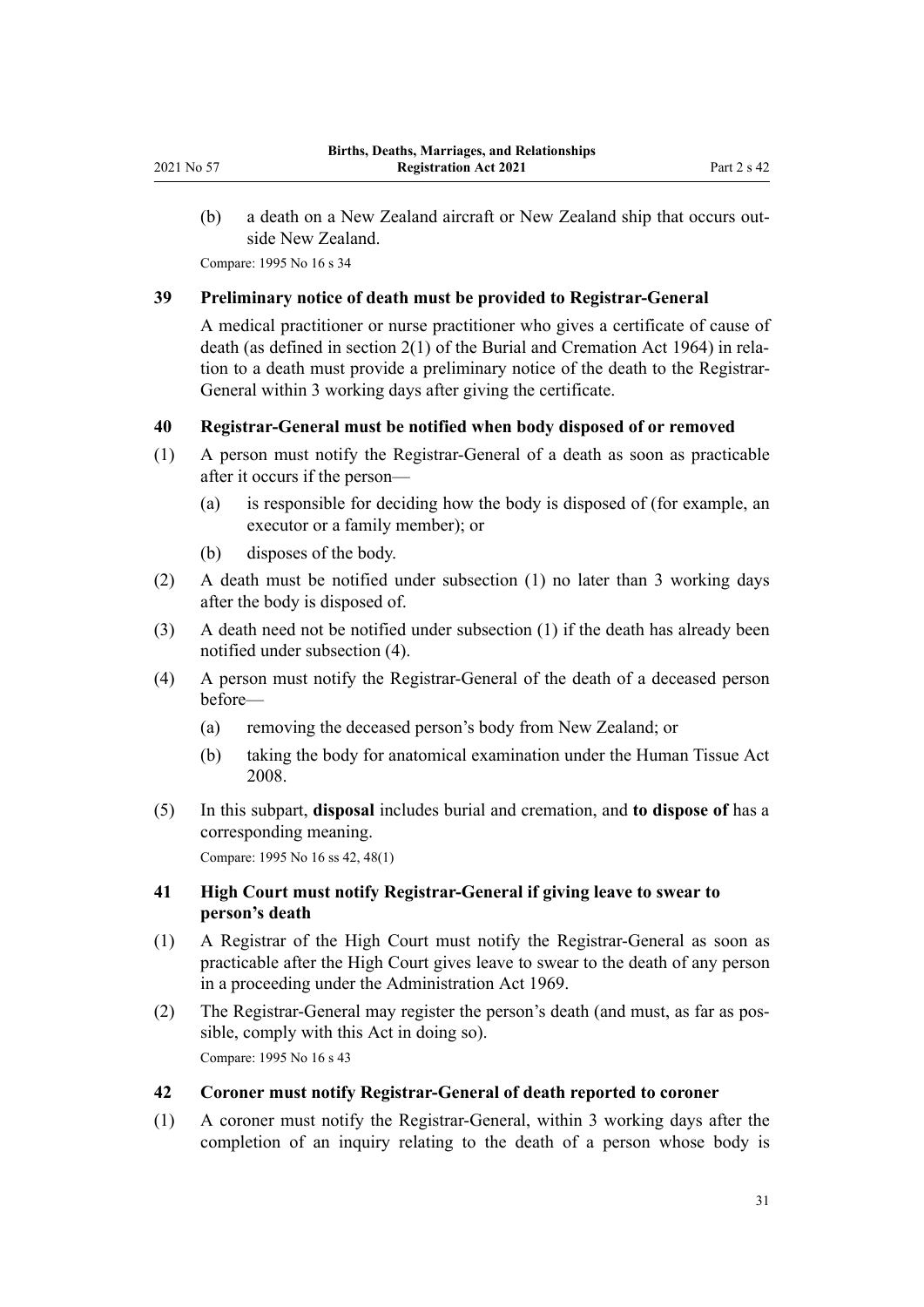<span id="page-30-0"></span>(b) a death on a New Zealand aircraft or New Zealand ship that occurs outside New Zealand.

Compare: 1995 No 16 [s 34](http://legislation.govt.nz/pdflink.aspx?id=DLM364158)

#### **39 Preliminary notice of death must be provided to Registrar-General**

A medical practitioner or nurse practitioner who gives a certificate of cause of death (as defined in [section 2\(1\)](http://legislation.govt.nz/pdflink.aspx?id=DLM355084) of the Burial and Cremation Act 1964) in rela‐ tion to a death must provide a preliminary notice of the death to the Registrar-General within 3 working days after giving the certificate.

#### **40 Registrar-General must be notified when body disposed of or removed**

- (1) A person must notify the Registrar-General of a death as soon as practicable after it occurs if the person—
	- (a) is responsible for deciding how the body is disposed of (for example, an executor or a family member); or
	- (b) disposes of the body.
- (2) A death must be notified under subsection (1) no later than 3 working days after the body is disposed of.
- (3) A death need not be notified under subsection (1) if the death has already been notified under subsection (4).
- (4) A person must notify the Registrar-General of the death of a deceased person before—
	- (a) removing the deceased person's body from New Zealand; or
	- (b) taking the body for anatomical examination under the [Human Tissue Act](http://legislation.govt.nz/pdflink.aspx?id=DLM1152935) [2008](http://legislation.govt.nz/pdflink.aspx?id=DLM1152935).
- (5) In this subpart, **disposal** includes burial and cremation, and **to dispose of** has a corresponding meaning.

Compare: 1995 No 16 [ss 42,](http://legislation.govt.nz/pdflink.aspx?id=DLM364176) 48(1)

## **41 High Court must notify Registrar-General if giving leave to swear to person's death**

- (1) A Registrar of the High Court must notify the Registrar-General as soon as practicable after the High Court gives leave to swear to the death of any person in a proceeding under the [Administration Act 1969.](http://legislation.govt.nz/pdflink.aspx?id=DLM392629)
- (2) The Registrar-General may register the person's death (and must, as far as pos‐ sible, comply with this Act in doing so). Compare: 1995 No 16 [s 43](http://legislation.govt.nz/pdflink.aspx?id=DLM364177)

#### **42 Coroner must notify Registrar-General of death reported to coroner**

(1) A coroner must notify the Registrar-General, within 3 working days after the completion of an inquiry relating to the death of a person whose body is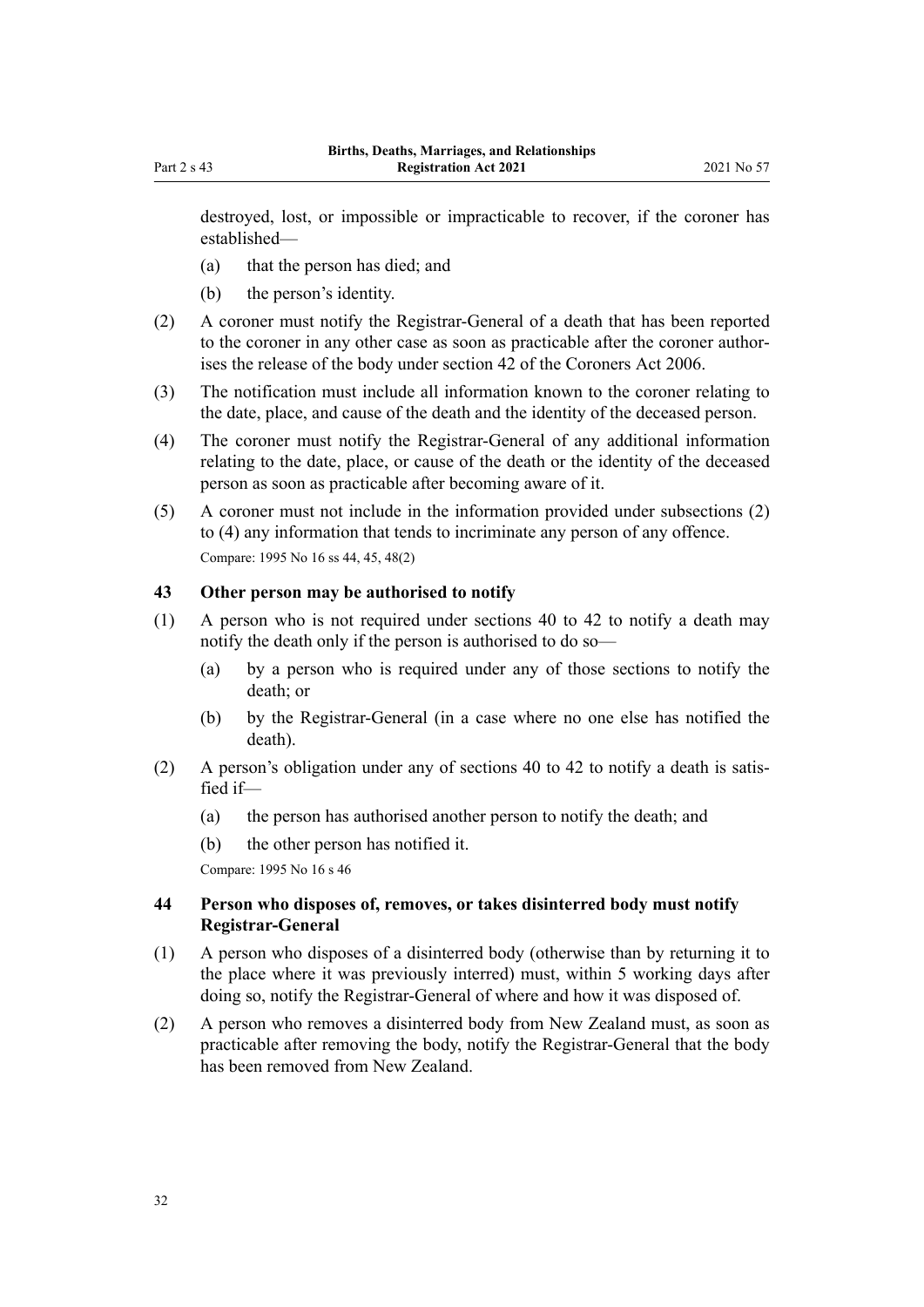<span id="page-31-0"></span>destroyed, lost, or impossible or impracticable to recover, if the coroner has established—

- (a) that the person has died; and
- (b) the person's identity.
- (2) A coroner must notify the Registrar-General of a death that has been reported to the coroner in any other case as soon as practicable after the coroner authorises the release of the body under [section 42](http://legislation.govt.nz/pdflink.aspx?id=DLM377576) of the Coroners Act 2006.
- (3) The notification must include all information known to the coroner relating to the date, place, and cause of the death and the identity of the deceased person.
- (4) The coroner must notify the Registrar-General of any additional information relating to the date, place, or cause of the death or the identity of the deceased person as soon as practicable after becoming aware of it.
- (5) A coroner must not include in the information provided under subsections (2) to (4) any information that tends to incriminate any person of any offence. Compare: 1995 No 16 [ss 44,](http://legislation.govt.nz/pdflink.aspx?id=DLM364178) [45](http://legislation.govt.nz/pdflink.aspx?id=DLM364179), [48\(2\)](http://legislation.govt.nz/pdflink.aspx?id=DLM364182)

## **43 Other person may be authorised to notify**

- (1) A person who is not required under [sections 40 to 42](#page-30-0) to notify a death may notify the death only if the person is authorised to do so—
	- (a) by a person who is required under any of those sections to notify the death; or
	- (b) by the Registrar-General (in a case where no one else has notified the death).
- (2) A person's obligation under any of [sections 40 to 42](#page-30-0) to notify a death is satis‐ fied if—
	- (a) the person has authorised another person to notify the death; and
	- (b) the other person has notified it.

Compare: 1995 No 16 [s 46](http://legislation.govt.nz/pdflink.aspx?id=DLM364180)

## **44 Person who disposes of, removes, or takes disinterred body must notify Registrar-General**

- (1) A person who disposes of a disinterred body (otherwise than by returning it to the place where it was previously interred) must, within 5 working days after doing so, notify the Registrar-General of where and how it was disposed of.
- (2) A person who removes a disinterred body from New Zealand must, as soon as practicable after removing the body, notify the Registrar-General that the body has been removed from New Zealand.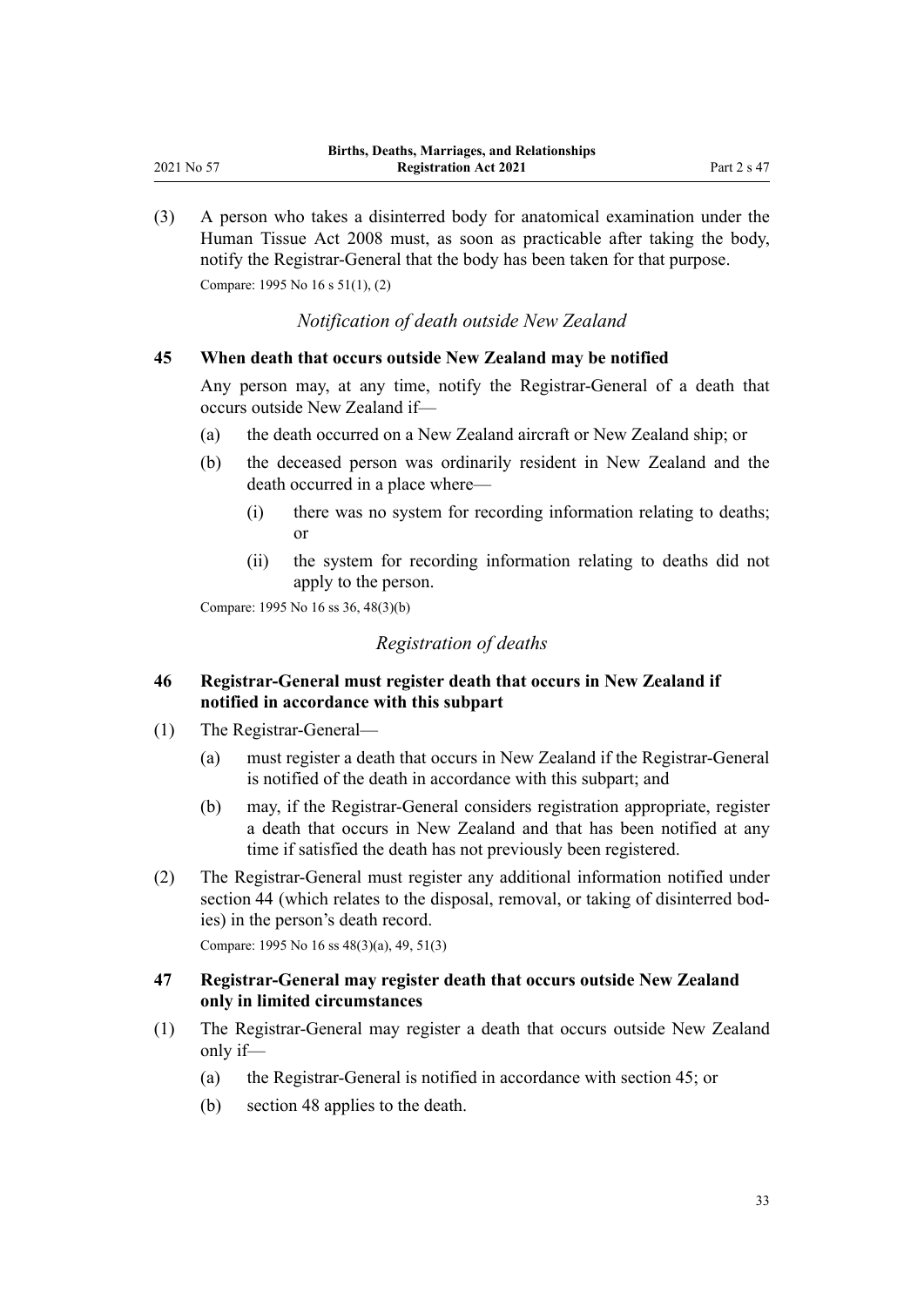<span id="page-32-0"></span>(3) A person who takes a disinterred body for anatomical examination under the [Human Tissue Act 2008](http://legislation.govt.nz/pdflink.aspx?id=DLM1152935) must, as soon as practicable after taking the body, notify the Registrar-General that the body has been taken for that purpose.

Compare: 1995 No 16 [s 51\(1\), \(2\)](http://legislation.govt.nz/pdflink.aspx?id=DLM364187)

*Notification of death outside New Zealand*

#### **45 When death that occurs outside New Zealand may be notified**

Any person may, at any time, notify the Registrar-General of a death that occurs outside New Zealand if—

- (a) the death occurred on a New Zealand aircraft or New Zealand ship; or
- (b) the deceased person was ordinarily resident in New Zealand and the death occurred in a place where—
	- (i) there was no system for recording information relating to deaths; or
	- (ii) the system for recording information relating to deaths did not apply to the person.

Compare: 1995 No 16 [ss 36,](http://legislation.govt.nz/pdflink.aspx?id=DLM364161) [48\(3\)\(b\)](http://legislation.govt.nz/pdflink.aspx?id=DLM364182)

## *Registration of deaths*

## **46 Registrar-General must register death that occurs in New Zealand if notified in accordance with this subpart**

- (1) The Registrar-General—
	- (a) must register a death that occurs in New Zealand if the Registrar-General is notified of the death in accordance with this subpart; and
	- (b) may, if the Registrar-General considers registration appropriate, register a death that occurs in New Zealand and that has been notified at any time if satisfied the death has not previously been registered.
- (2) The Registrar-General must register any additional information notified under [section 44](#page-31-0) (which relates to the disposal, removal, or taking of disinterred bodies) in the person's death record.

Compare: 1995 No 16 [ss 48\(3\)\(a\)](http://legislation.govt.nz/pdflink.aspx?id=DLM364182), [49,](http://legislation.govt.nz/pdflink.aspx?id=DLM364184) [51\(3\)](http://legislation.govt.nz/pdflink.aspx?id=DLM364187)

## **47 Registrar-General may register death that occurs outside New Zealand only in limited circumstances**

- (1) The Registrar-General may register a death that occurs outside New Zealand only if—
	- (a) the Registrar-General is notified in accordance with section 45; or
	- (b) [section 48](#page-33-0) applies to the death.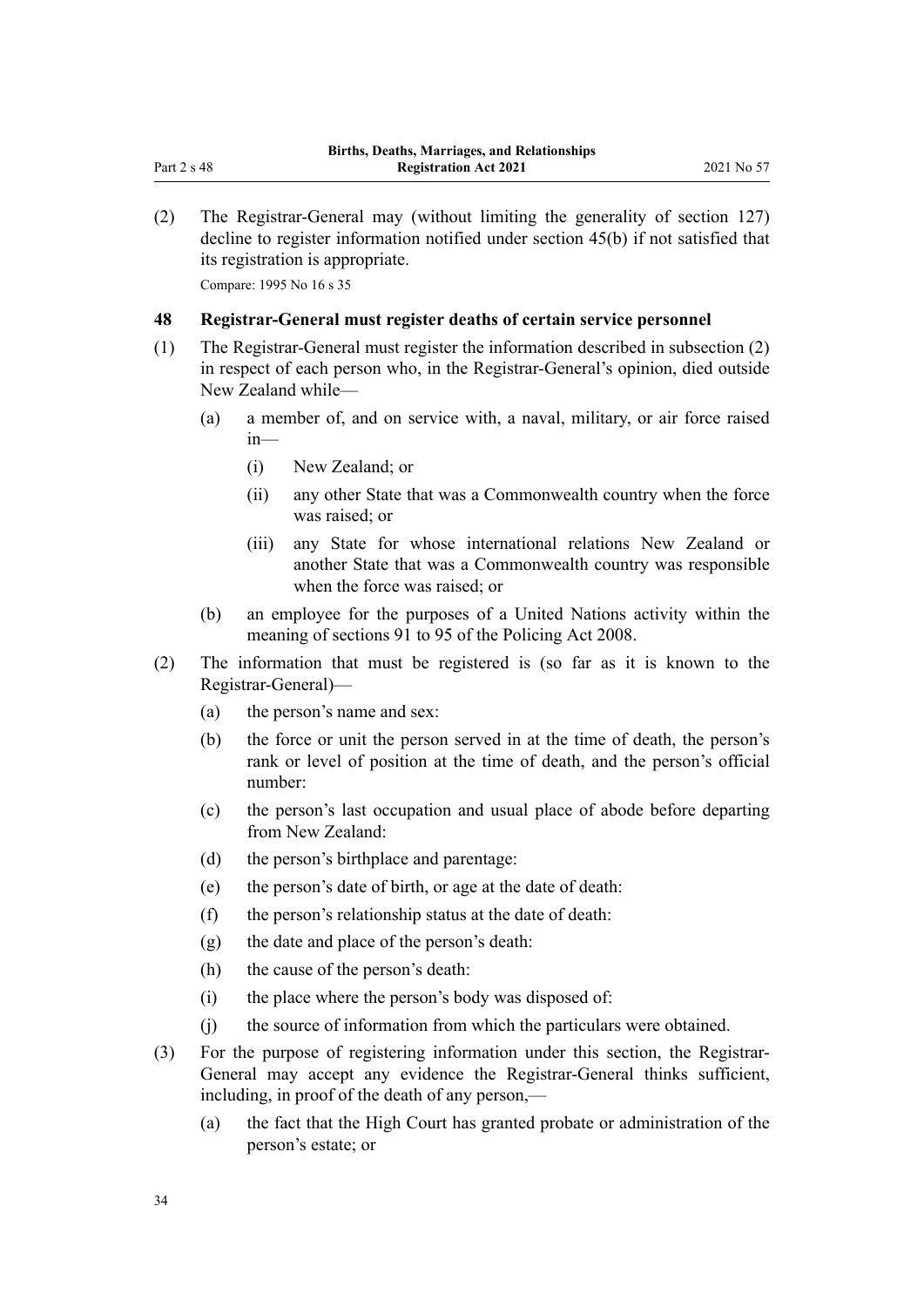<span id="page-33-0"></span>(2) The Registrar-General may (without limiting the generality of [section 127](#page-74-0)) decline to register information notified under [section 45\(b\)](#page-32-0) if not satisfied that its registration is appropriate.

Compare: 1995 No 16 [s 35](http://legislation.govt.nz/pdflink.aspx?id=DLM364160)

## **48 Registrar-General must register deaths of certain service personnel**

- (1) The Registrar-General must register the information described in subsection (2) in respect of each person who, in the Registrar-General's opinion, died outside New Zealand while—
	- (a) a member of, and on service with, a naval, military, or air force raised in—
		- (i) New Zealand; or
		- (ii) any other State that was a Commonwealth country when the force was raised; or
		- (iii) any State for whose international relations New Zealand or another State that was a Commonwealth country was responsible when the force was raised; or
	- (b) an employee for the purposes of a United Nations activity within the meaning of [sections 91 to 95](http://legislation.govt.nz/pdflink.aspx?id=DLM1102322) of the Policing Act 2008.
- (2) The information that must be registered is (so far as it is known to the Registrar-General)—
	- (a) the person's name and sex:
	- (b) the force or unit the person served in at the time of death, the person's rank or level of position at the time of death, and the person's official number:
	- (c) the person's last occupation and usual place of abode before departing from New Zealand:
	- (d) the person's birthplace and parentage:
	- (e) the person's date of birth, or age at the date of death:
	- (f) the person's relationship status at the date of death:
	- (g) the date and place of the person's death:
	- (h) the cause of the person's death:
	- (i) the place where the person's body was disposed of:
	- (j) the source of information from which the particulars were obtained.
- (3) For the purpose of registering information under this section, the Registrar-General may accept any evidence the Registrar-General thinks sufficient, including, in proof of the death of any person,—
	- (a) the fact that the High Court has granted probate or administration of the person's estate; or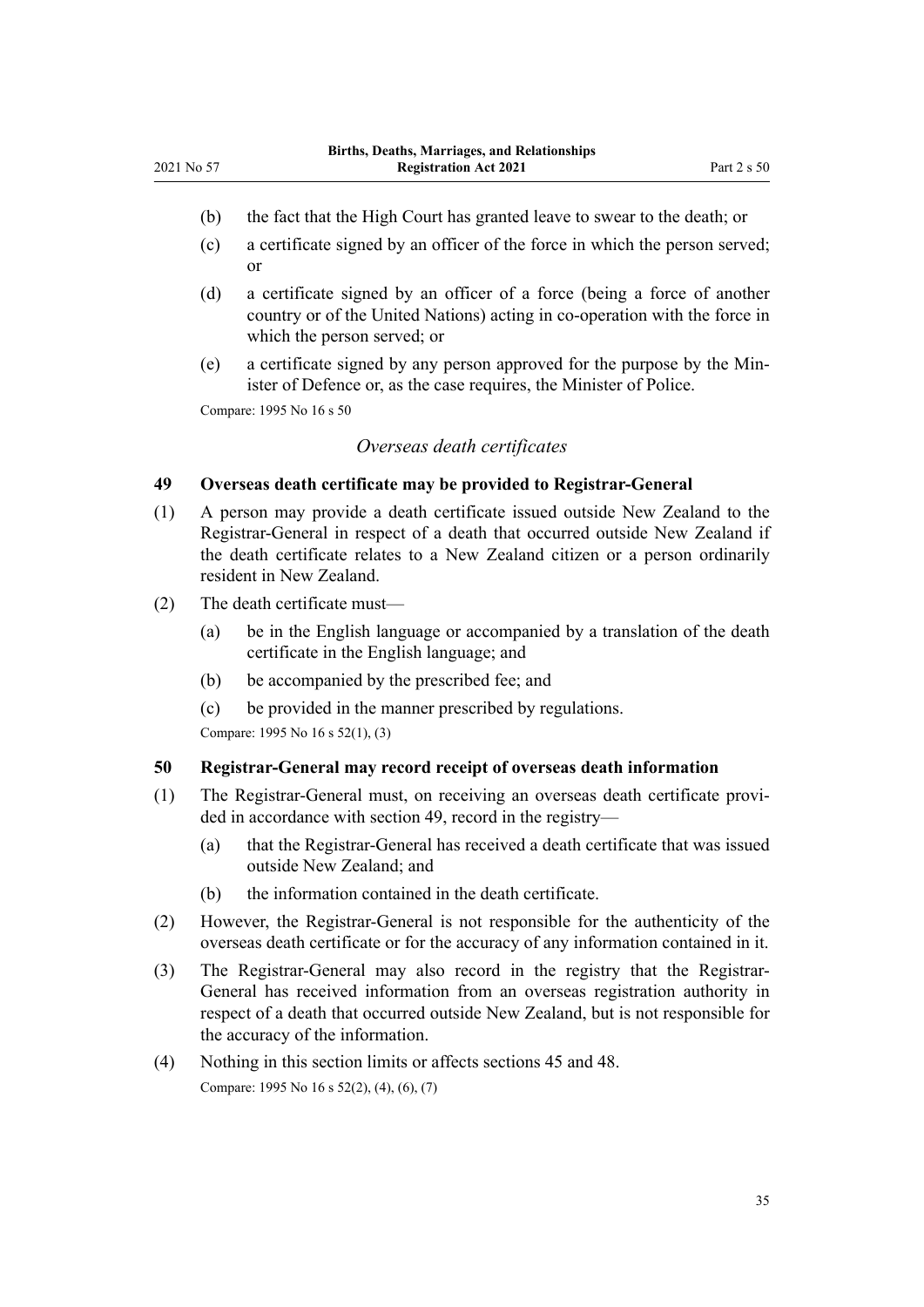- <span id="page-34-0"></span>(b) the fact that the High Court has granted leave to swear to the death; or
- (c) a certificate signed by an officer of the force in which the person served; or
- (d) a certificate signed by an officer of a force (being a force of another country or of the United Nations) acting in co-operation with the force in which the person served; or
- (e) a certificate signed by any person approved for the purpose by the Min‐ ister of Defence or, as the case requires, the Minister of Police.

Compare: 1995 No 16 [s 50](http://legislation.govt.nz/pdflink.aspx?id=DLM364185)

#### *Overseas death certificates*

## **49 Overseas death certificate may be provided to Registrar-General**

- (1) A person may provide a death certificate issued outside New Zealand to the Registrar-General in respect of a death that occurred outside New Zealand if the death certificate relates to a New Zealand citizen or a person ordinarily resident in New Zealand.
- (2) The death certificate must—
	- (a) be in the English language or accompanied by a translation of the death certificate in the English language; and
	- (b) be accompanied by the prescribed fee; and
	- (c) be provided in the manner prescribed by regulations.

Compare: 1995 No 16 [s 52\(1\), \(3\)](http://legislation.govt.nz/pdflink.aspx?id=DLM364188)

#### **50 Registrar-General may record receipt of overseas death information**

- (1) The Registrar-General must, on receiving an overseas death certificate provi‐ ded in accordance with section 49, record in the registry—
	- (a) that the Registrar-General has received a death certificate that was issued outside New Zealand; and
	- (b) the information contained in the death certificate.
- (2) However, the Registrar-General is not responsible for the authenticity of the overseas death certificate or for the accuracy of any information contained in it.
- (3) The Registrar-General may also record in the registry that the Registrar-General has received information from an overseas registration authority in respect of a death that occurred outside New Zealand, but is not responsible for the accuracy of the information.
- (4) Nothing in this section limits or affects [sections 45](#page-32-0) and [48.](#page-33-0) Compare: 1995 No 16 [s 52\(2\), \(4\), \(6\), \(7\)](http://legislation.govt.nz/pdflink.aspx?id=DLM364188)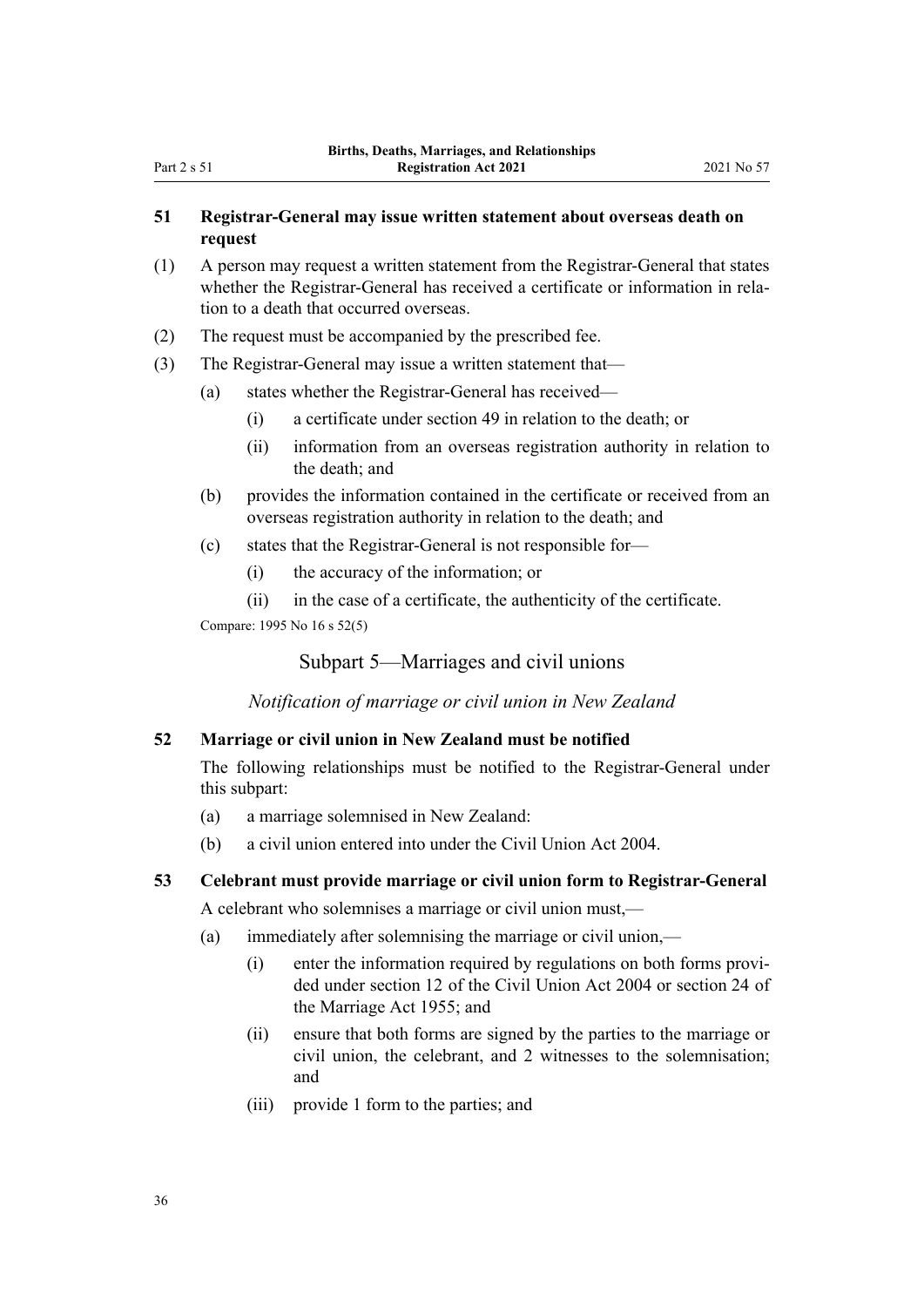## <span id="page-35-0"></span>**51 Registrar-General may issue written statement about overseas death on request**

- (1) A person may request a written statement from the Registrar-General that states whether the Registrar-General has received a certificate or information in relation to a death that occurred overseas.
- (2) The request must be accompanied by the prescribed fee.
- (3) The Registrar-General may issue a written statement that—
	- (a) states whether the Registrar-General has received—
		- (i) a certificate under [section 49](#page-34-0) in relation to the death; or
		- (ii) information from an overseas registration authority in relation to the death; and
	- (b) provides the information contained in the certificate or received from an overseas registration authority in relation to the death; and
	- (c) states that the Registrar-General is not responsible for—
		- (i) the accuracy of the information; or
		- (ii) in the case of a certificate, the authenticity of the certificate.

Compare: 1995 No 16 [s 52\(5\)](http://legislation.govt.nz/pdflink.aspx?id=DLM364188)

Subpart 5—Marriages and civil unions

*Notification of marriage or civil union in New Zealand*

## **52 Marriage or civil union in New Zealand must be notified**

The following relationships must be notified to the Registrar-General under this subpart:

- (a) a marriage solemnised in New Zealand:
- (b) a civil union entered into under the [Civil Union Act 2004](http://legislation.govt.nz/pdflink.aspx?id=DLM323384).

## **53 Celebrant must provide marriage or civil union form to Registrar-General**

A celebrant who solemnises a marriage or civil union must,—

- (a) immediately after solemnising the marriage or civil union,—
	- (i) enter the information required by regulations on both forms provi‐ ded under [section 12](http://legislation.govt.nz/pdflink.aspx?id=DLM323422) of the Civil Union Act 2004 or [section 24](http://legislation.govt.nz/pdflink.aspx?id=DLM292310) of the Marriage Act 1955; and
	- (ii) ensure that both forms are signed by the parties to the marriage or civil union, the celebrant, and 2 witnesses to the solemnisation; and
	- (iii) provide 1 form to the parties; and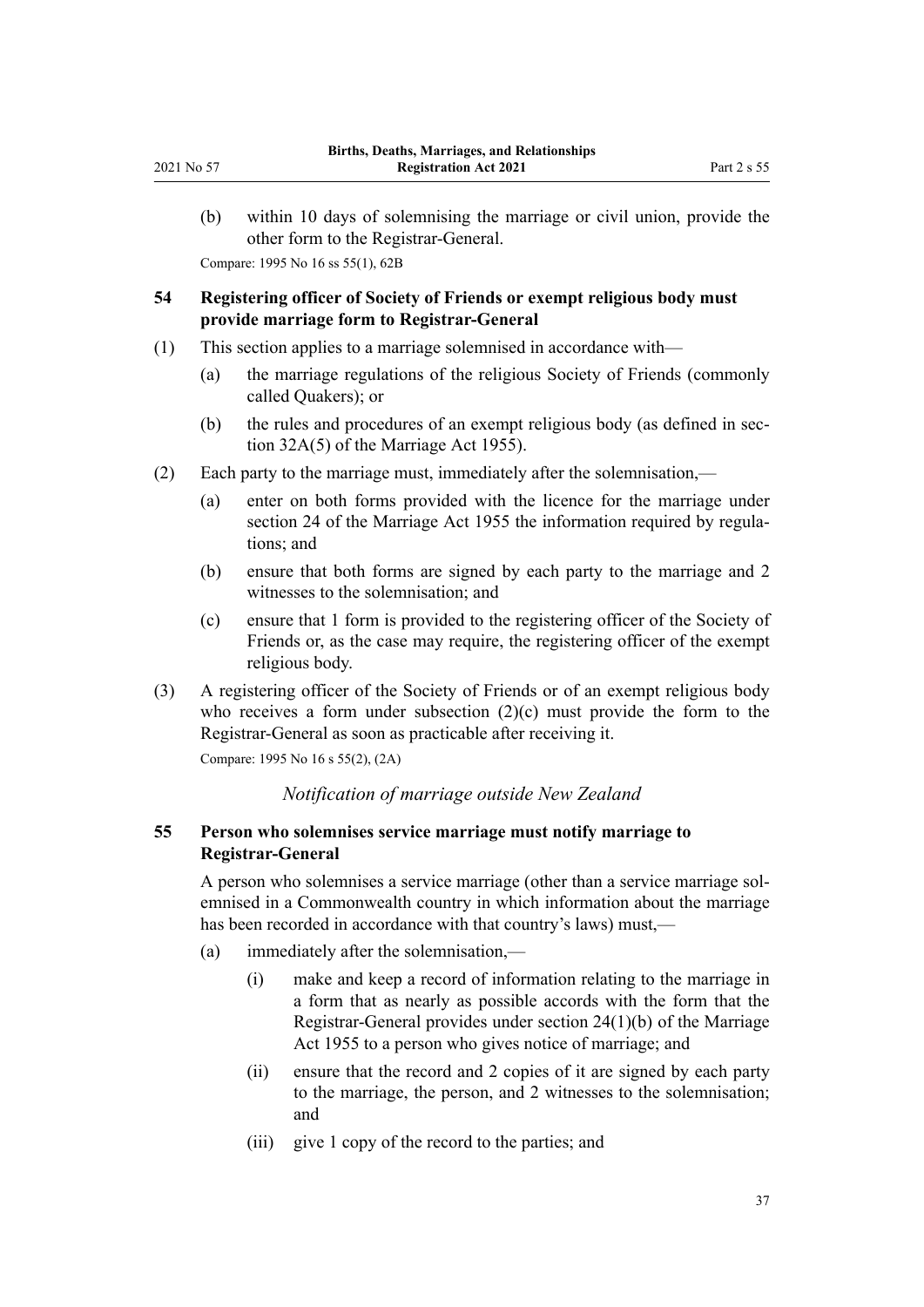<span id="page-36-0"></span>(b) within 10 days of solemnising the marriage or civil union, provide the other form to the Registrar-General. Compare: 1995 No 16 [ss 55\(1\)](http://legislation.govt.nz/pdflink.aspx?id=DLM364192), [62B](http://legislation.govt.nz/pdflink.aspx?id=DLM364705)

**54 Registering officer of Society of Friends or exempt religious body must**

# **provide marriage form to Registrar-General**

- (1) This section applies to a marriage solemnised in accordance with—
	- (a) the marriage regulations of the religious Society of Friends (commonly called Quakers); or
	- (b) the rules and procedures of an exempt religious body (as defined in sec[tion 32A\(5\)](http://legislation.govt.nz/pdflink.aspx?id=DLM292337) of the Marriage Act 1955).
- (2) Each party to the marriage must, immediately after the solemnisation,—
	- (a) enter on both forms provided with the licence for the marriage under [section 24](http://legislation.govt.nz/pdflink.aspx?id=DLM292310) of the Marriage Act 1955 the information required by regulations; and
	- (b) ensure that both forms are signed by each party to the marriage and 2 witnesses to the solemnisation; and
	- (c) ensure that 1 form is provided to the registering officer of the Society of Friends or, as the case may require, the registering officer of the exempt religious body.
- (3) A registering officer of the Society of Friends or of an exempt religious body who receives a form under subsection  $(2)(c)$  must provide the form to the Registrar-General as soon as practicable after receiving it.

Compare: 1995 No 16 [s 55\(2\), \(2A\)](http://legislation.govt.nz/pdflink.aspx?id=DLM364192)

# *Notification of marriage outside New Zealand*

# **55 Person who solemnises service marriage must notify marriage to Registrar-General**

A person who solemnises a service marriage (other than a service marriage sol‐ emnised in a Commonwealth country in which information about the marriage has been recorded in accordance with that country's laws) must,—

- (a) immediately after the solemnisation,—
	- (i) make and keep a record of information relating to the marriage in a form that as nearly as possible accords with the form that the Registrar-General provides under [section 24\(1\)\(b\)](http://legislation.govt.nz/pdflink.aspx?id=DLM292310) of the Marriage Act 1955 to a person who gives notice of marriage; and
	- (ii) ensure that the record and 2 copies of it are signed by each party to the marriage, the person, and 2 witnesses to the solemnisation; and
	- (iii) give 1 copy of the record to the parties; and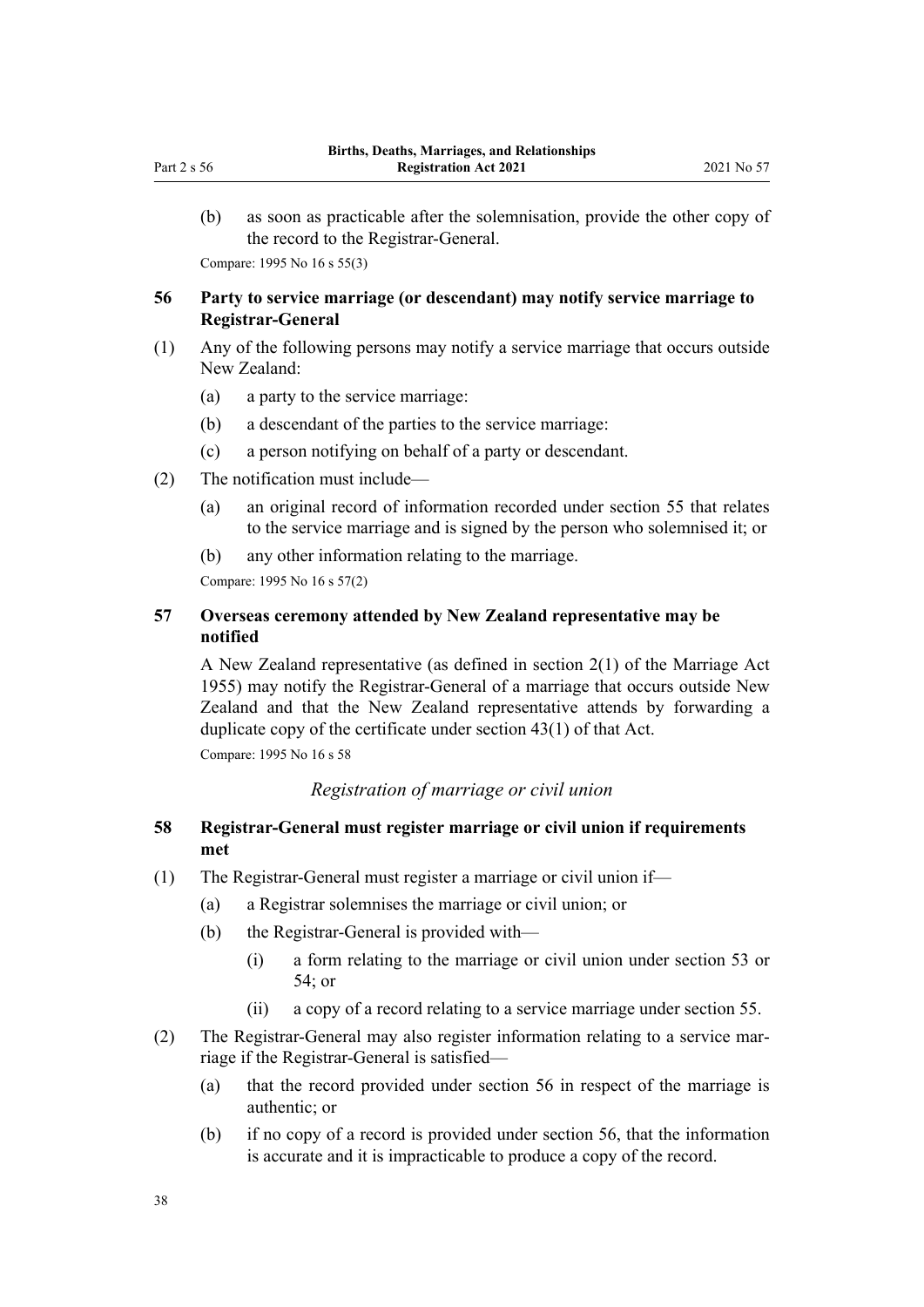(b) as soon as practicable after the solemnisation, provide the other copy of the record to the Registrar-General.

Compare: 1995 No 16 [s 55\(3\)](http://legislation.govt.nz/pdflink.aspx?id=DLM364192)

# **56 Party to service marriage (or descendant) may notify service marriage to Registrar-General**

- (1) Any of the following persons may notify a service marriage that occurs outside New Zealand:
	- (a) a party to the service marriage:
	- (b) a descendant of the parties to the service marriage:
	- (c) a person notifying on behalf of a party or descendant.
- (2) The notification must include—
	- (a) an original record of information recorded under [section 55](#page-36-0) that relates to the service marriage and is signed by the person who solemnised it; or
	- (b) any other information relating to the marriage.

Compare: 1995 No 16 [s 57\(2\)](http://legislation.govt.nz/pdflink.aspx?id=DLM364195)

# **57 Overseas ceremony attended by New Zealand representative may be notified**

A New Zealand representative (as defined in [section 2\(1\)](http://legislation.govt.nz/pdflink.aspx?id=DLM292034) of the Marriage Act 1955) may notify the Registrar-General of a marriage that occurs outside New Zealand and that the New Zealand representative attends by forwarding a duplicate copy of the certificate under [section 43\(1\)](http://legislation.govt.nz/pdflink.aspx?id=DLM292375) of that Act.

Compare: 1995 No 16 [s 58](http://legislation.govt.nz/pdflink.aspx?id=DLM364196)

# *Registration of marriage or civil union*

# **58 Registrar-General must register marriage or civil union if requirements met**

- (1) The Registrar-General must register a marriage or civil union if—
	- (a) a Registrar solemnises the marriage or civil union; or
	- (b) the Registrar-General is provided with—
		- (i) a form relating to the marriage or civil union under [section 53](#page-35-0) or [54;](#page-36-0) or
		- (ii) a copy of a record relating to a service marriage under [section 55](#page-36-0).
- (2) The Registrar-General may also register information relating to a service mar‐ riage if the Registrar-General is satisfied—
	- (a) that the record provided under section 56 in respect of the marriage is authentic; or
	- (b) if no copy of a record is provided under section 56, that the information is accurate and it is impracticable to produce a copy of the record.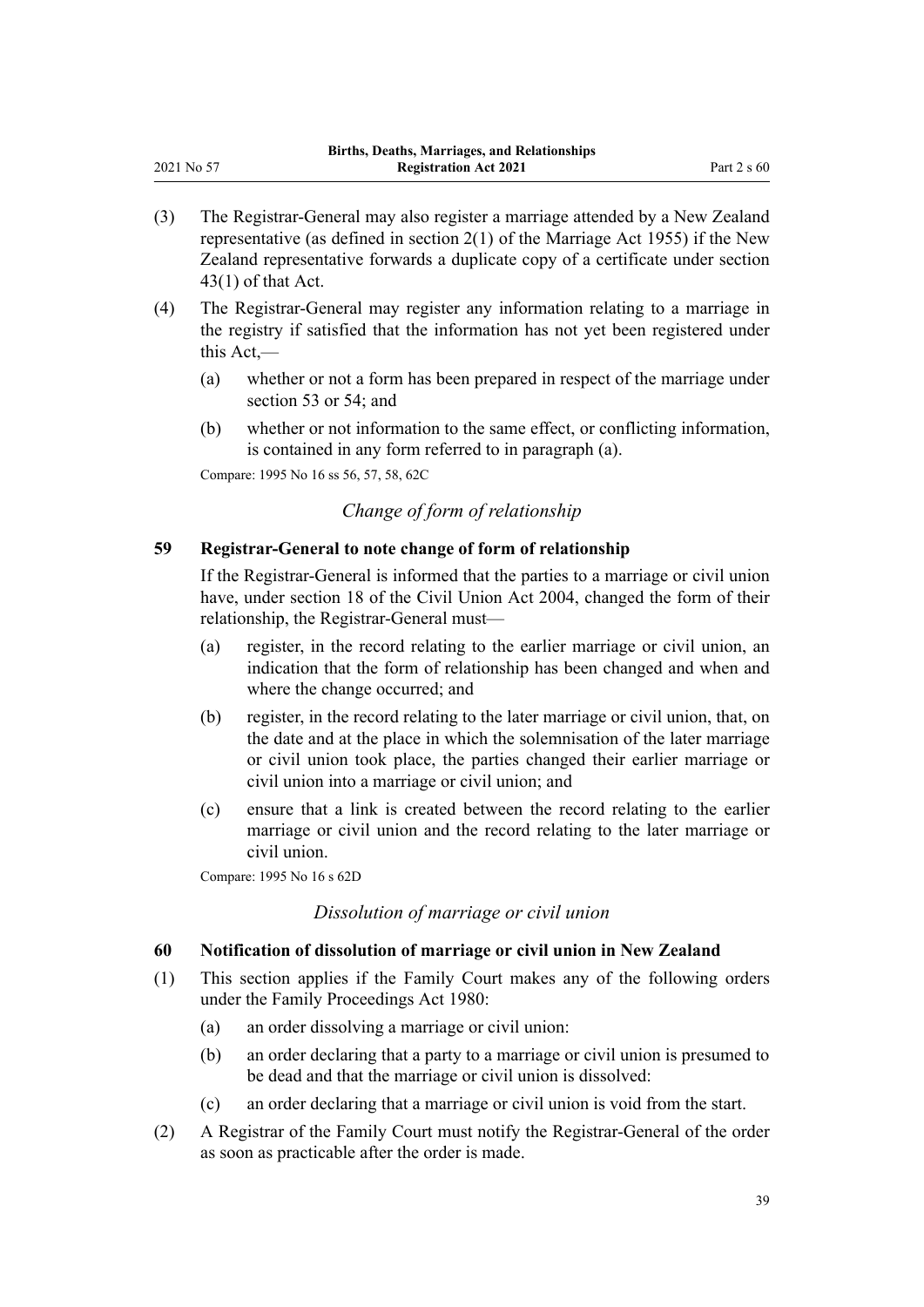- (3) The Registrar-General may also register a marriage attended by a New Zealand representative (as defined in [section 2\(1\)](http://legislation.govt.nz/pdflink.aspx?id=DLM292034) of the Marriage Act 1955) if the New Zealand representative forwards a duplicate copy of a certificate under [section](http://legislation.govt.nz/pdflink.aspx?id=DLM292375) [43\(1\)](http://legislation.govt.nz/pdflink.aspx?id=DLM292375) of that Act.
- (4) The Registrar-General may register any information relating to a marriage in the registry if satisfied that the information has not yet been registered under this Act,—
	- (a) whether or not a form has been prepared in respect of the marriage under [section 53](#page-35-0) or [54;](#page-36-0) and
	- (b) whether or not information to the same effect, or conflicting information, is contained in any form referred to in paragraph (a).

Compare: 1995 No 16 [ss 56,](http://legislation.govt.nz/pdflink.aspx?id=DLM364194) [57](http://legislation.govt.nz/pdflink.aspx?id=DLM364195), [58,](http://legislation.govt.nz/pdflink.aspx?id=DLM364196) [62C](http://legislation.govt.nz/pdflink.aspx?id=DLM364707)

<span id="page-38-0"></span>2021 No 57

*Change of form of relationship*

# **59 Registrar-General to note change of form of relationship**

If the Registrar-General is informed that the parties to a marriage or civil union have, under [section 18](http://legislation.govt.nz/pdflink.aspx?id=DLM323429) of the Civil Union Act 2004, changed the form of their relationship, the Registrar-General must—

- (a) register, in the record relating to the earlier marriage or civil union, an indication that the form of relationship has been changed and when and where the change occurred; and
- (b) register, in the record relating to the later marriage or civil union, that, on the date and at the place in which the solemnisation of the later marriage or civil union took place, the parties changed their earlier marriage or civil union into a marriage or civil union; and
- (c) ensure that a link is created between the record relating to the earlier marriage or civil union and the record relating to the later marriage or civil union.

Compare: 1995 No 16 [s 62D](http://legislation.govt.nz/pdflink.aspx?id=DLM364709)

# *Dissolution of marriage or civil union*

#### **60 Notification of dissolution of marriage or civil union in New Zealand**

- (1) This section applies if the Family Court makes any of the following orders under the [Family Proceedings Act 1980](http://legislation.govt.nz/pdflink.aspx?id=DLM39722):
	- (a) an order dissolving a marriage or civil union:
	- (b) an order declaring that a party to a marriage or civil union is presumed to be dead and that the marriage or civil union is dissolved:
	- (c) an order declaring that a marriage or civil union is void from the start.
- (2) A Registrar of the Family Court must notify the Registrar-General of the order as soon as practicable after the order is made.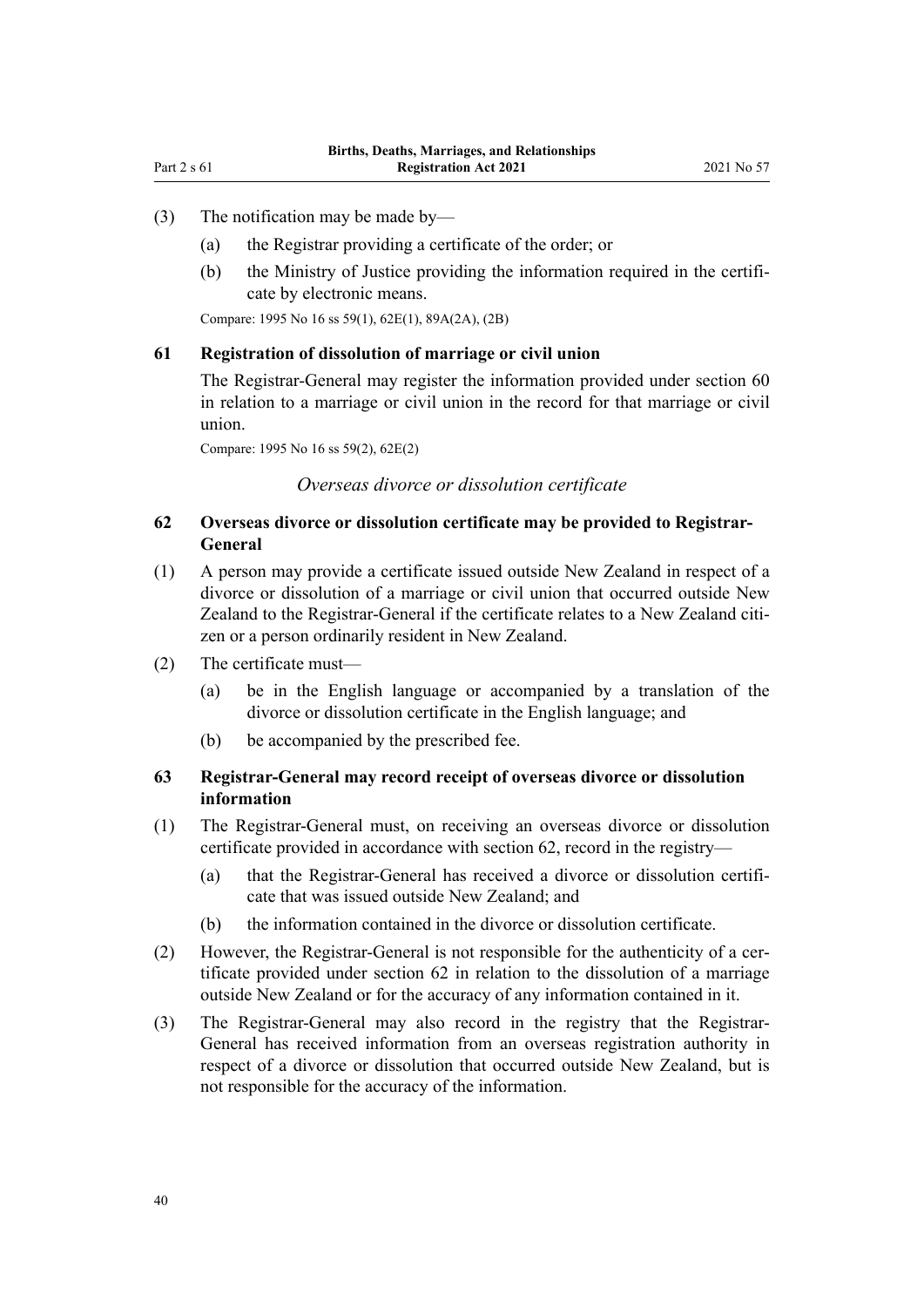- <span id="page-39-0"></span>(3) The notification may be made by—
	- (a) the Registrar providing a certificate of the order; or
	- (b) the Ministry of Justice providing the information required in the certificate by electronic means.

Compare: 1995 No 16 [ss 59\(1\)](http://legislation.govt.nz/pdflink.aspx?id=DLM364197), [62E\(1\),](http://legislation.govt.nz/pdflink.aspx?id=DLM364711) [89A\(2A\), \(2B\)](http://legislation.govt.nz/pdflink.aspx?id=DLM1806511)

#### **61 Registration of dissolution of marriage or civil union**

The Registrar-General may register the information provided under [section 60](#page-38-0) in relation to a marriage or civil union in the record for that marriage or civil union.

Compare: 1995 No 16 [ss 59\(2\)](http://legislation.govt.nz/pdflink.aspx?id=DLM364197), [62E\(2\)](http://legislation.govt.nz/pdflink.aspx?id=DLM364711)

*Overseas divorce or dissolution certificate*

# **62 Overseas divorce or dissolution certificate may be provided to Registrar-General**

- (1) A person may provide a certificate issued outside New Zealand in respect of a divorce or dissolution of a marriage or civil union that occurred outside New Zealand to the Registrar-General if the certificate relates to a New Zealand citizen or a person ordinarily resident in New Zealand.
- (2) The certificate must—
	- (a) be in the English language or accompanied by a translation of the divorce or dissolution certificate in the English language; and
	- (b) be accompanied by the prescribed fee.

# **63 Registrar-General may record receipt of overseas divorce or dissolution information**

- (1) The Registrar-General must, on receiving an overseas divorce or dissolution certificate provided in accordance with section 62, record in the registry—
	- (a) that the Registrar-General has received a divorce or dissolution certifi‐ cate that was issued outside New Zealand; and
	- (b) the information contained in the divorce or dissolution certificate.
- (2) However, the Registrar-General is not responsible for the authenticity of a certificate provided under section 62 in relation to the dissolution of a marriage outside New Zealand or for the accuracy of any information contained in it.
- (3) The Registrar-General may also record in the registry that the Registrar-General has received information from an overseas registration authority in respect of a divorce or dissolution that occurred outside New Zealand, but is not responsible for the accuracy of the information.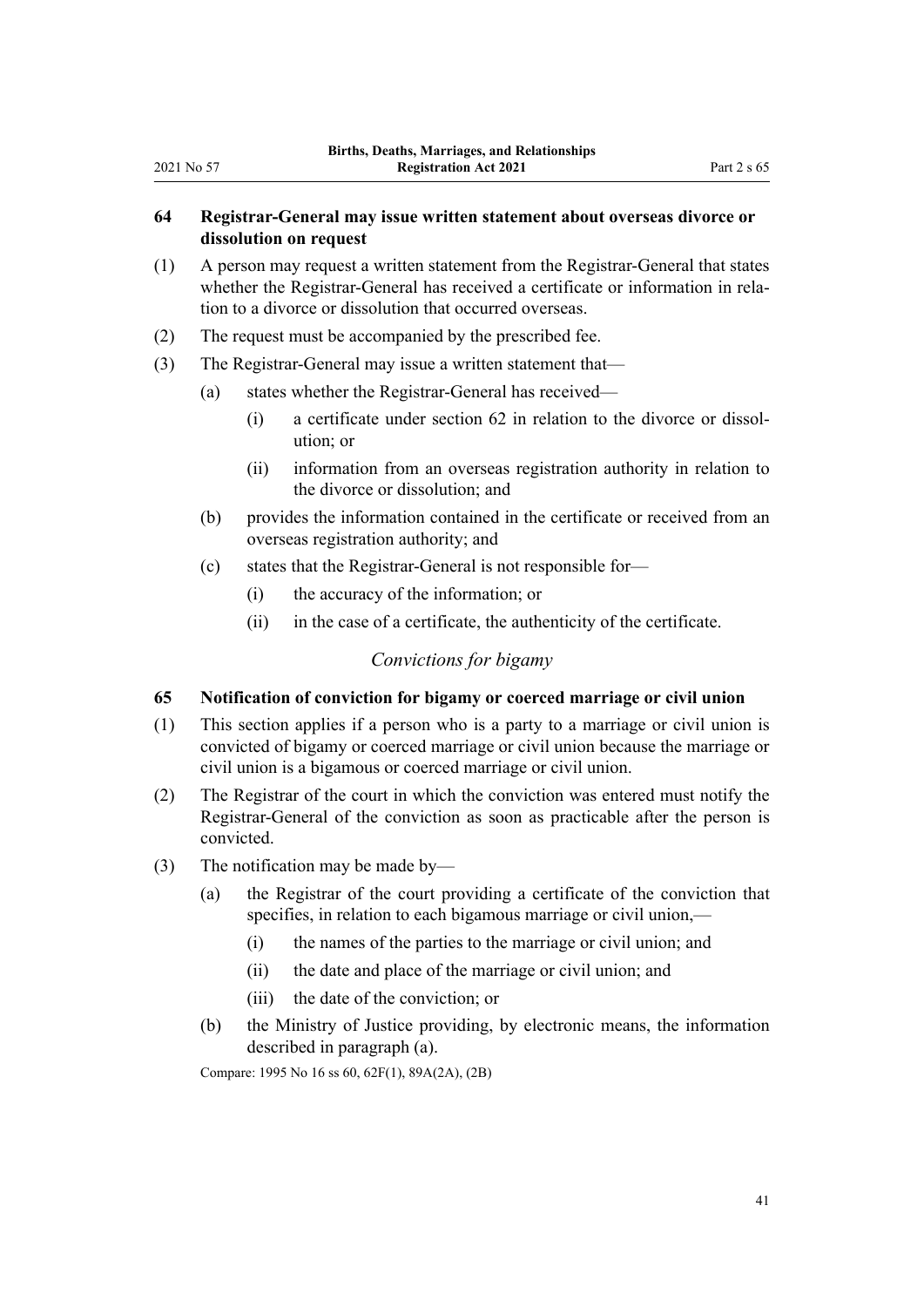# <span id="page-40-0"></span>**64 Registrar-General may issue written statement about overseas divorce or dissolution on request**

- (1) A person may request a written statement from the Registrar-General that states whether the Registrar-General has received a certificate or information in relation to a divorce or dissolution that occurred overseas.
- (2) The request must be accompanied by the prescribed fee.
- (3) The Registrar-General may issue a written statement that—
	- (a) states whether the Registrar-General has received—
		- $(i)$  a certificate under [section 62](#page-39-0) in relation to the divorce or dissolution; or
		- (ii) information from an overseas registration authority in relation to the divorce or dissolution; and
	- (b) provides the information contained in the certificate or received from an overseas registration authority; and
	- (c) states that the Registrar-General is not responsible for—
		- (i) the accuracy of the information; or
		- (ii) in the case of a certificate, the authenticity of the certificate.

## *Convictions for bigamy*

# **65 Notification of conviction for bigamy or coerced marriage or civil union**

- (1) This section applies if a person who is a party to a marriage or civil union is convicted of bigamy or coerced marriage or civil union because the marriage or civil union is a bigamous or coerced marriage or civil union.
- (2) The Registrar of the court in which the conviction was entered must notify the Registrar-General of the conviction as soon as practicable after the person is convicted.
- (3) The notification may be made by—
	- (a) the Registrar of the court providing a certificate of the conviction that specifies, in relation to each bigamous marriage or civil union,—
		- (i) the names of the parties to the marriage or civil union; and
		- (ii) the date and place of the marriage or civil union; and
		- (iii) the date of the conviction; or
	- (b) the Ministry of Justice providing, by electronic means, the information described in paragraph (a).

Compare: 1995 No 16 [ss 60,](http://legislation.govt.nz/pdflink.aspx?id=DLM364198) [62F\(1\),](http://legislation.govt.nz/pdflink.aspx?id=DLM364713) [89A\(2A\), \(2B\)](http://legislation.govt.nz/pdflink.aspx?id=DLM1806511)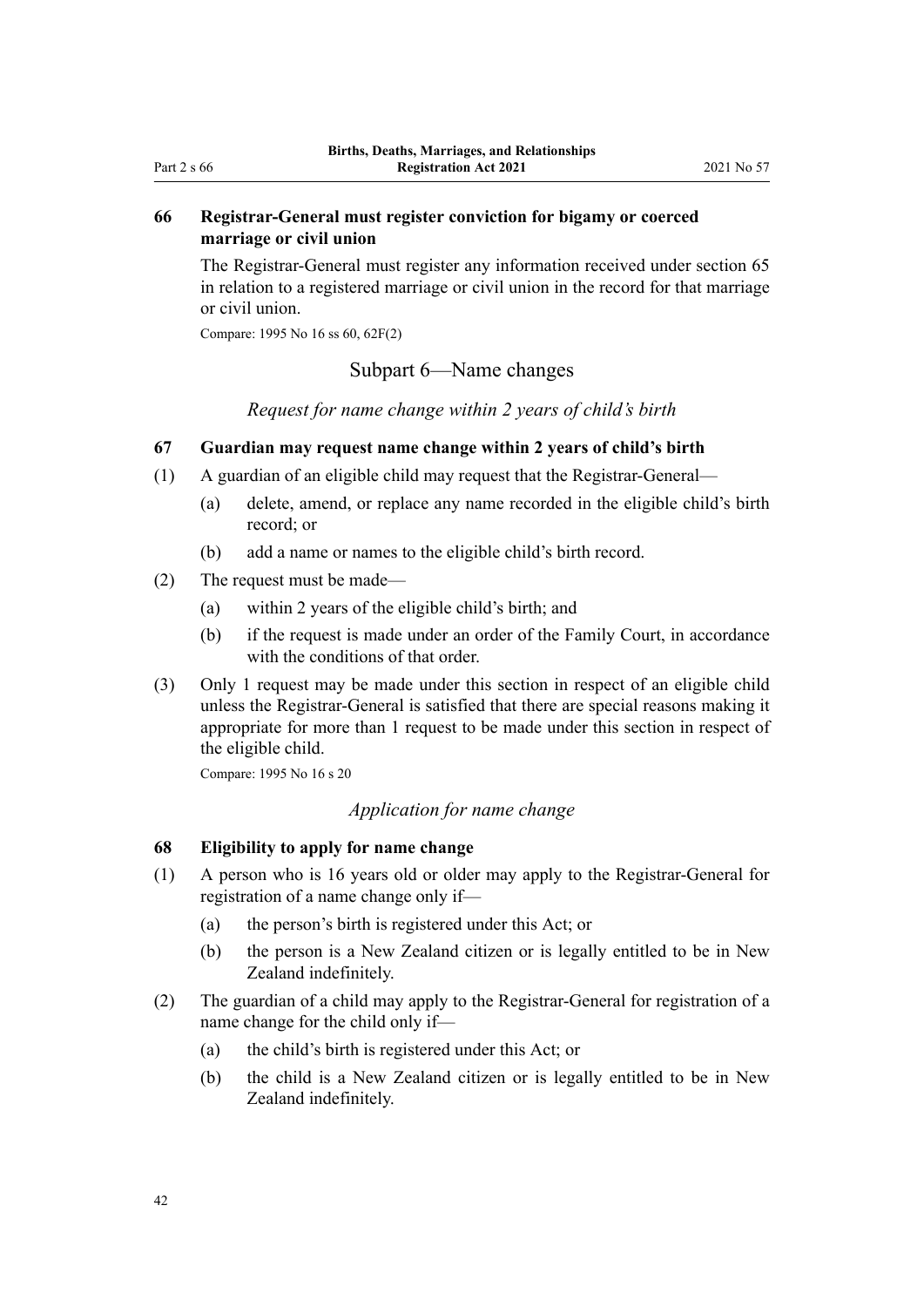# <span id="page-41-0"></span>**66 Registrar-General must register conviction for bigamy or coerced marriage or civil union**

The Registrar-General must register any information received under [section 65](#page-40-0) in relation to a registered marriage or civil union in the record for that marriage or civil union.

Compare: 1995 No 16 [ss 60,](http://legislation.govt.nz/pdflink.aspx?id=DLM364198) [62F\(2\)](http://legislation.govt.nz/pdflink.aspx?id=DLM364713)

# Subpart 6—Name changes

*Request for name change within 2 years of child's birth*

# **67 Guardian may request name change within 2 years of child's birth**

- (1) A guardian of an eligible child may request that the Registrar-General—
	- (a) delete, amend, or replace any name recorded in the eligible child's birth record; or
	- (b) add a name or names to the eligible child's birth record.
- (2) The request must be made—
	- (a) within 2 years of the eligible child's birth; and
	- (b) if the request is made under an order of the Family Court, in accordance with the conditions of that order.
- (3) Only 1 request may be made under this section in respect of an eligible child unless the Registrar-General is satisfied that there are special reasons making it appropriate for more than 1 request to be made under this section in respect of the eligible child.

Compare: 1995 No 16 [s 20](http://legislation.govt.nz/pdflink.aspx?id=DLM364132)

## *Application for name change*

# **68 Eligibility to apply for name change**

- (1) A person who is 16 years old or older may apply to the Registrar-General for registration of a name change only if—
	- (a) the person's birth is registered under this Act; or
	- (b) the person is a New Zealand citizen or is legally entitled to be in New Zealand indefinitely.
- (2) The guardian of a child may apply to the Registrar-General for registration of a name change for the child only if—
	- (a) the child's birth is registered under this Act; or
	- (b) the child is a New Zealand citizen or is legally entitled to be in New Zealand indefinitely.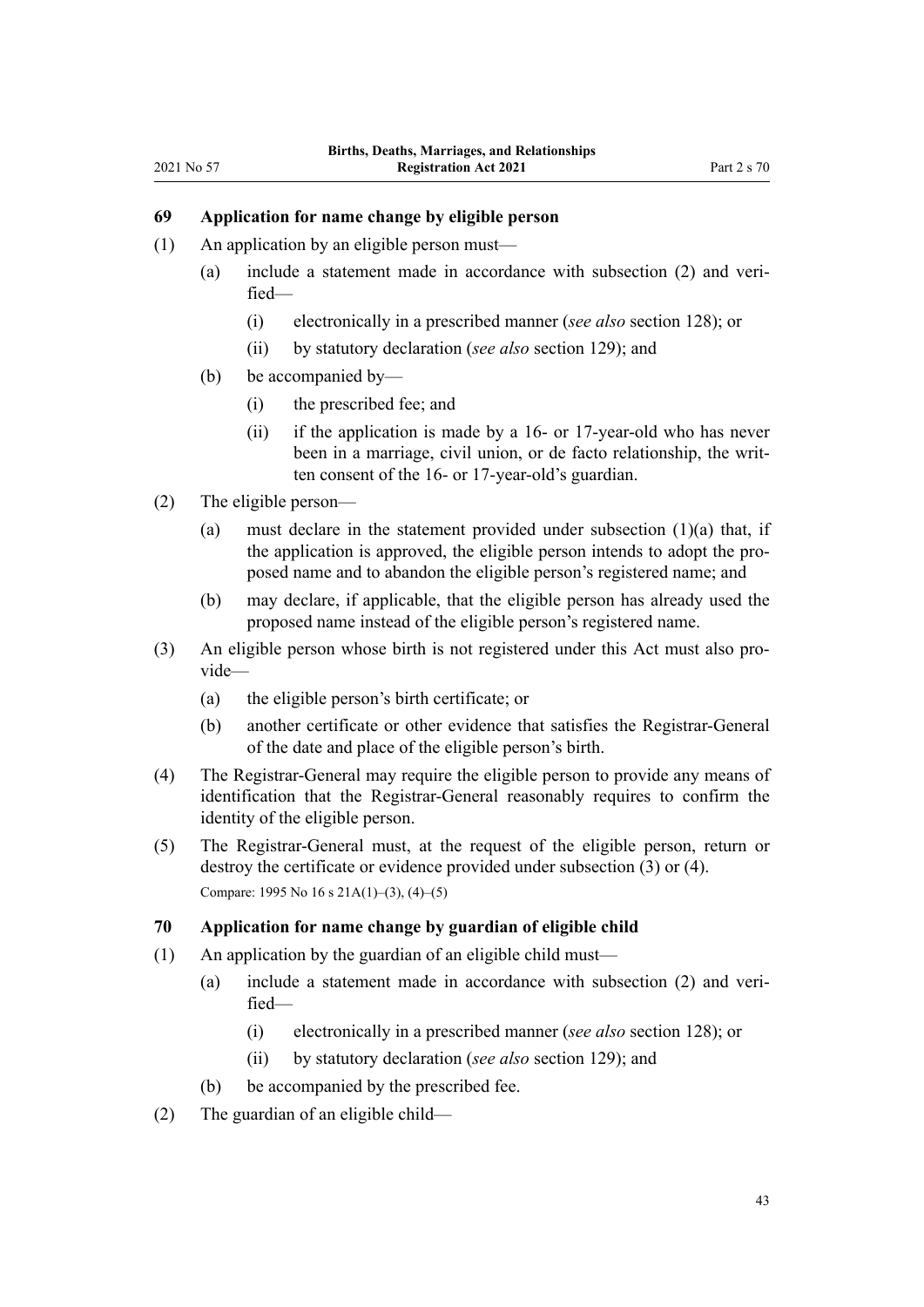# <span id="page-42-0"></span>**69 Application for name change by eligible person**

- (1) An application by an eligible person must—
	- (a) include a statement made in accordance with subsection (2) and verified—
		- (i) electronically in a prescribed manner (*see also* [section 128\)](#page-75-0); or
		- (ii) by statutory declaration (*see also* [section 129\)](#page-75-0); and
	- (b) be accompanied by—
		- (i) the prescribed fee; and
		- (ii) if the application is made by a 16- or 17-year-old who has never been in a marriage, civil union, or de facto relationship, the written consent of the 16- or 17-year-old's guardian.
- (2) The eligible person—
	- (a) must declare in the statement provided under subsection  $(1)(a)$  that, if the application is approved, the eligible person intends to adopt the pro‐ posed name and to abandon the eligible person's registered name; and
	- (b) may declare, if applicable, that the eligible person has already used the proposed name instead of the eligible person's registered name.
- (3) An eligible person whose birth is not registered under this Act must also pro‐ vide—
	- (a) the eligible person's birth certificate; or
	- (b) another certificate or other evidence that satisfies the Registrar-General of the date and place of the eligible person's birth.
- (4) The Registrar-General may require the eligible person to provide any means of identification that the Registrar-General reasonably requires to confirm the identity of the eligible person.
- (5) The Registrar-General must, at the request of the eligible person, return or destroy the certificate or evidence provided under subsection (3) or (4). Compare: 1995 No 16 [s 21A\(1\)–\(3\), \(4\)–\(5\)](http://legislation.govt.nz/pdflink.aspx?id=DLM1805768)

#### **70 Application for name change by guardian of eligible child**

- (1) An application by the guardian of an eligible child must—
	- (a) include a statement made in accordance with subsection (2) and veri‐ fied—
		- (i) electronically in a prescribed manner (*see also* [section 128\)](#page-75-0); or
		- (ii) by statutory declaration (*see also* [section 129\)](#page-75-0); and
	- (b) be accompanied by the prescribed fee.
- (2) The guardian of an eligible child—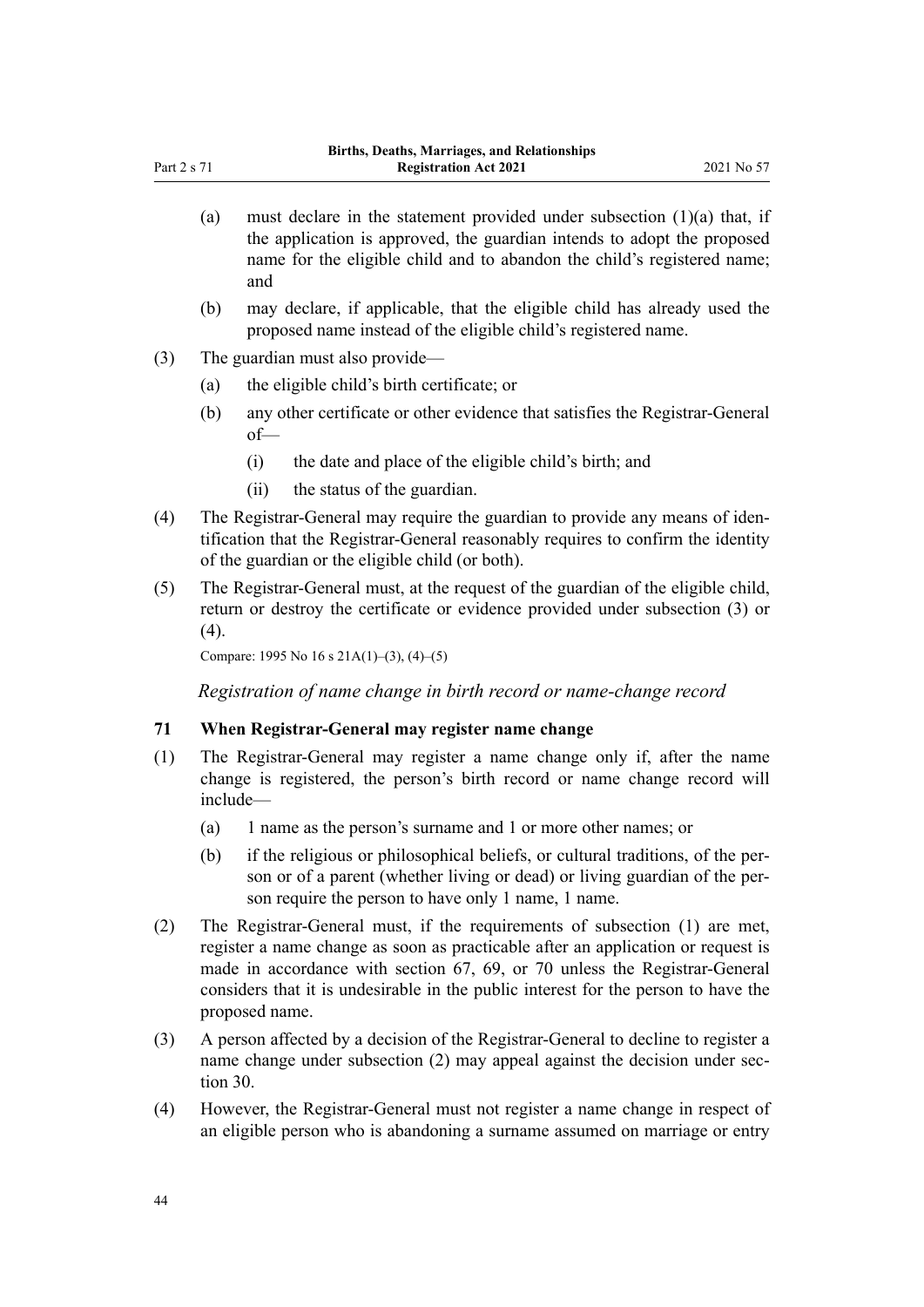- (a) must declare in the statement provided under subsection  $(1)(a)$  that, if the application is approved, the guardian intends to adopt the proposed name for the eligible child and to abandon the child's registered name; and
- (b) may declare, if applicable, that the eligible child has already used the proposed name instead of the eligible child's registered name.
- (3) The guardian must also provide—
	- (a) the eligible child's birth certificate; or
	- (b) any other certificate or other evidence that satisfies the Registrar-General of—
		- (i) the date and place of the eligible child's birth; and
		- (ii) the status of the guardian.
- (4) The Registrar-General may require the guardian to provide any means of iden‐ tification that the Registrar-General reasonably requires to confirm the identity of the guardian or the eligible child (or both).
- (5) The Registrar-General must, at the request of the guardian of the eligible child, return or destroy the certificate or evidence provided under subsection (3) or (4).

Compare: 1995 No 16 [s 21A\(1\)–\(3\), \(4\)–\(5\)](http://legislation.govt.nz/pdflink.aspx?id=DLM1805768)

*Registration of name change in birth record or name-change record*

#### **71 When Registrar-General may register name change**

- (1) The Registrar-General may register a name change only if, after the name change is registered, the person's birth record or name change record will include—
	- (a) 1 name as the person's surname and 1 or more other names; or
	- (b) if the religious or philosophical beliefs, or cultural traditions, of the per‐ son or of a parent (whether living or dead) or living guardian of the person require the person to have only 1 name, 1 name.
- (2) The Registrar-General must, if the requirements of subsection (1) are met, register a name change as soon as practicable after an application or request is made in accordance with [section 67,](#page-41-0) [69,](#page-42-0) or [70](#page-42-0) unless the Registrar-General considers that it is undesirable in the public interest for the person to have the proposed name.
- (3) A person affected by a decision of the Registrar-General to decline to register a name change under subsection (2) may appeal against the decision under sec[tion 30](#page-26-0).
- (4) However, the Registrar-General must not register a name change in respect of an eligible person who is abandoning a surname assumed on marriage or entry

<span id="page-43-0"></span>Part 2 s 71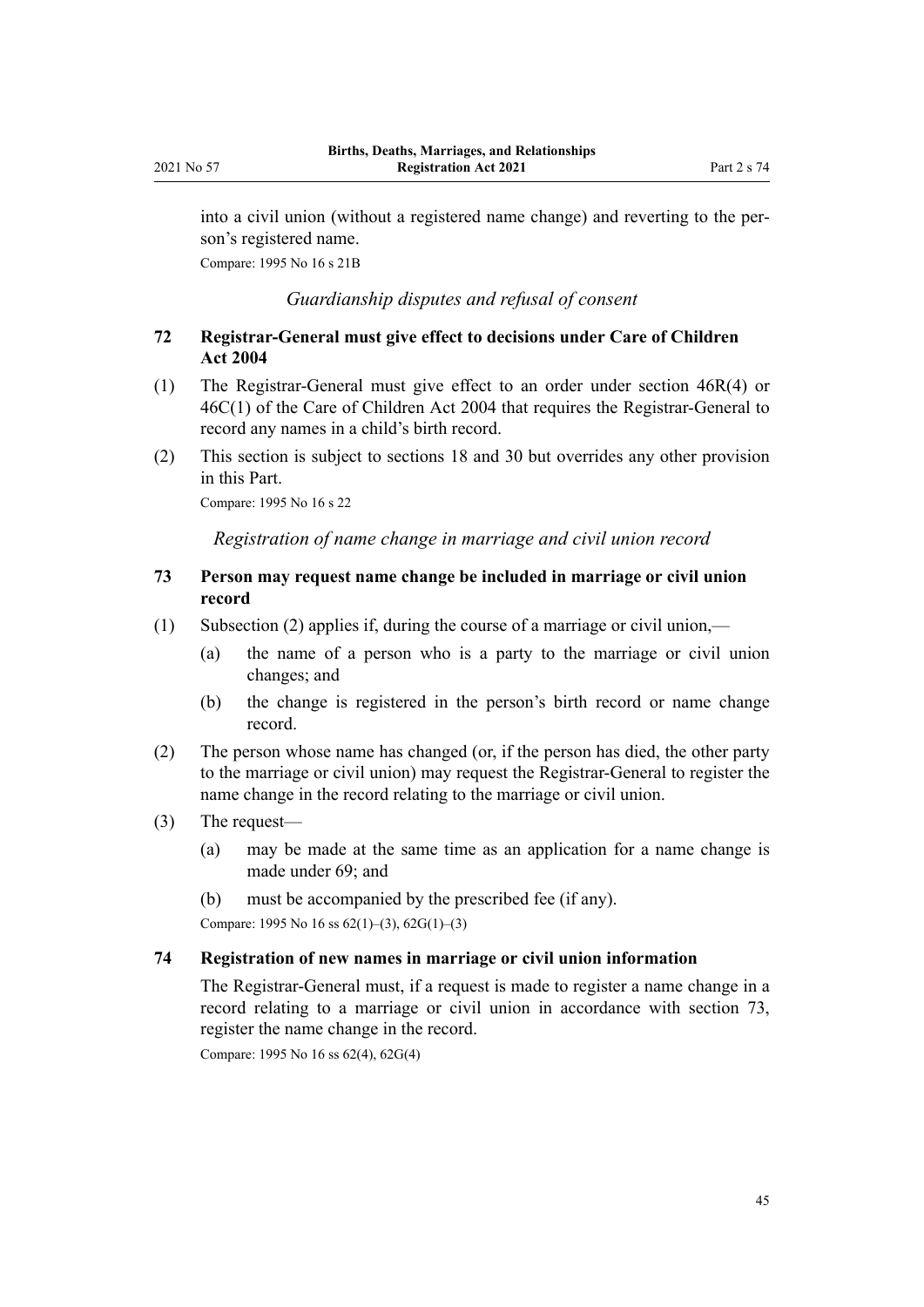into a civil union (without a registered name change) and reverting to the per‐ son's registered name.

Compare: 1995 No 16 [s 21B](http://legislation.govt.nz/pdflink.aspx?id=DLM1805769)

*Guardianship disputes and refusal of consent*

# **72 Registrar-General must give effect to decisions under Care of Children Act 2004**

- (1) The Registrar-General must give effect to an order under [section 46R\(4\)](http://legislation.govt.nz/pdflink.aspx?id=DLM6027395) or [46C\(1\)](http://legislation.govt.nz/pdflink.aspx?id=DLM6027362) of the Care of Children Act 2004 that requires the Registrar-General to record any names in a child's birth record.
- (2) This section is subject to [sections 18](#page-20-0) and [30](#page-26-0) but overrides any other provision in this Part.

Compare: 1995 No 16 [s 22](http://legislation.govt.nz/pdflink.aspx?id=DLM364138)

*Registration of name change in marriage and civil union record*

# **73 Person may request name change be included in marriage or civil union record**

- (1) Subsection (2) applies if, during the course of a marriage or civil union,—
	- (a) the name of a person who is a party to the marriage or civil union changes; and
	- (b) the change is registered in the person's birth record or name change record.
- (2) The person whose name has changed (or, if the person has died, the other party to the marriage or civil union) may request the Registrar-General to register the name change in the record relating to the marriage or civil union.
- (3) The request—
	- (a) may be made at the same time as an application for a name change is made under 69; and
	- (b) must be accompanied by the prescribed fee (if any).

Compare: 1995 No 16 [ss 62\(1\)–\(3\)](http://legislation.govt.nz/pdflink.aspx?id=DLM364700), [62G\(1\)–\(3\)](http://legislation.govt.nz/pdflink.aspx?id=DLM364715)

#### **74 Registration of new names in marriage or civil union information**

The Registrar-General must, if a request is made to register a name change in a record relating to a marriage or civil union in accordance with section 73, register the name change in the record.

Compare: 1995 No 16 [ss 62\(4\)](http://legislation.govt.nz/pdflink.aspx?id=DLM364700), [62G\(4\)](http://legislation.govt.nz/pdflink.aspx?id=DLM364715)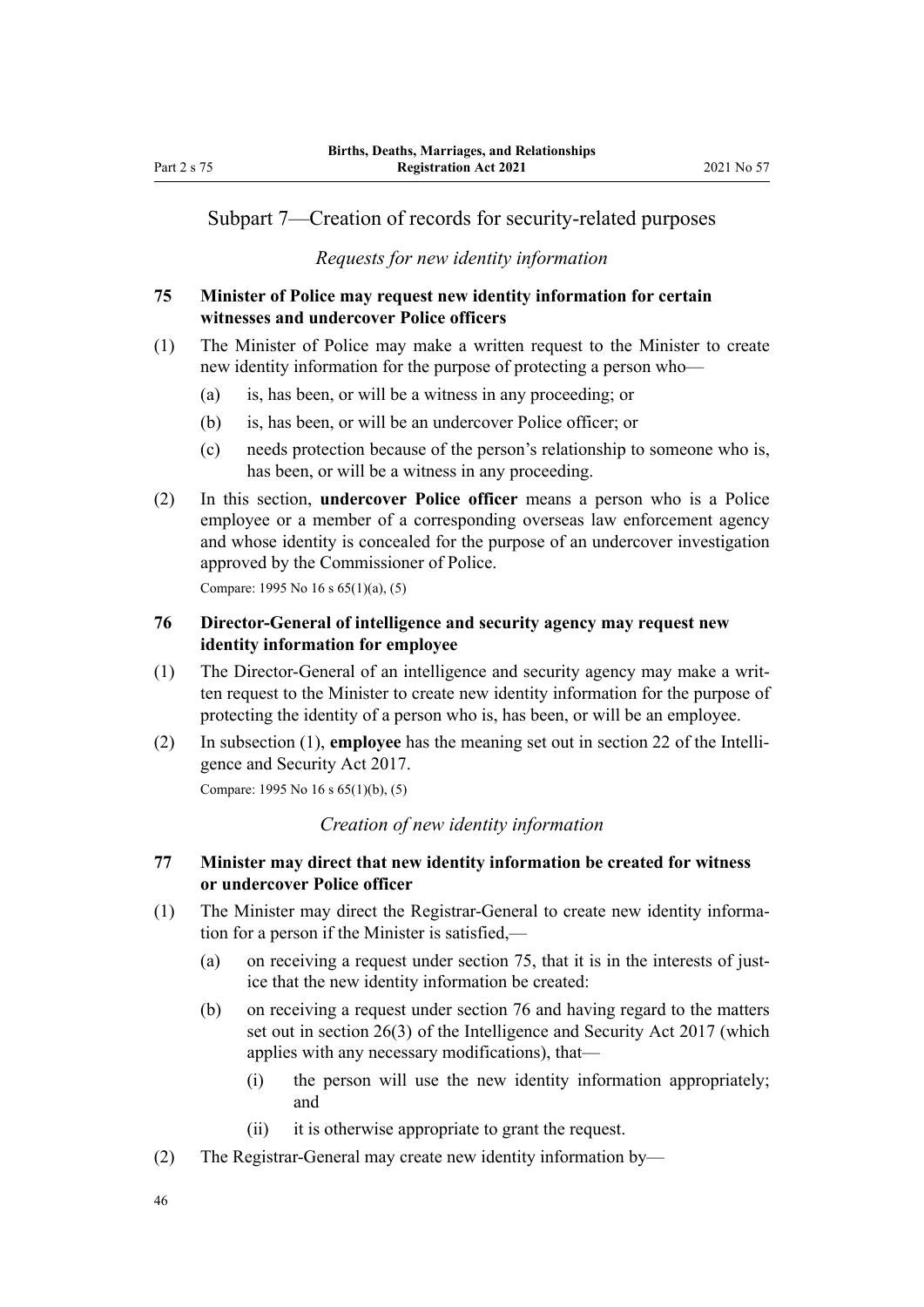# <span id="page-45-0"></span>Subpart 7—Creation of records for security-related purposes

#### *Requests for new identity information*

# **75 Minister of Police may request new identity information for certain witnesses and undercover Police officers**

- (1) The Minister of Police may make a written request to the Minister to create new identity information for the purpose of protecting a person who—
	- (a) is, has been, or will be a witness in any proceeding; or
	- (b) is, has been, or will be an undercover Police officer; or
	- (c) needs protection because of the person's relationship to someone who is, has been, or will be a witness in any proceeding.
- (2) In this section, **undercover Police officer** means a person who is a Police employee or a member of a corresponding overseas law enforcement agency and whose identity is concealed for the purpose of an undercover investigation approved by the Commissioner of Police.

Compare: 1995 No 16 s 65(1)(a), (5)

# **76 Director-General of intelligence and security agency may request new identity information for employee**

- (1) The Director-General of an intelligence and security agency may make a writ‐ ten request to the Minister to create new identity information for the purpose of protecting the identity of a person who is, has been, or will be an employee.
- (2) In subsection (1), **employee** has the meaning set out in [section 22](http://legislation.govt.nz/pdflink.aspx?id=DLM6920944) of the Intelli‐ gence and Security Act 2017.

Compare: 1995 No 16 [s 65\(1\)\(b\), \(5\)](http://legislation.govt.nz/pdflink.aspx?id=DLM364720)

# *Creation of new identity information*

# **77 Minister may direct that new identity information be created for witness or undercover Police officer**

- (1) The Minister may direct the Registrar-General to create new identity information for a person if the Minister is satisfied,—
	- (a) on receiving a request under section 75, that it is in the interests of justice that the new identity information be created:
	- (b) on receiving a request under section 76 and having regard to the matters set out in [section 26\(3\)](http://legislation.govt.nz/pdflink.aspx?id=DLM6920972) of the Intelligence and Security Act 2017 (which applies with any necessary modifications), that—
		- (i) the person will use the new identity information appropriately; and
		- (ii) it is otherwise appropriate to grant the request.
- (2) The Registrar-General may create new identity information by—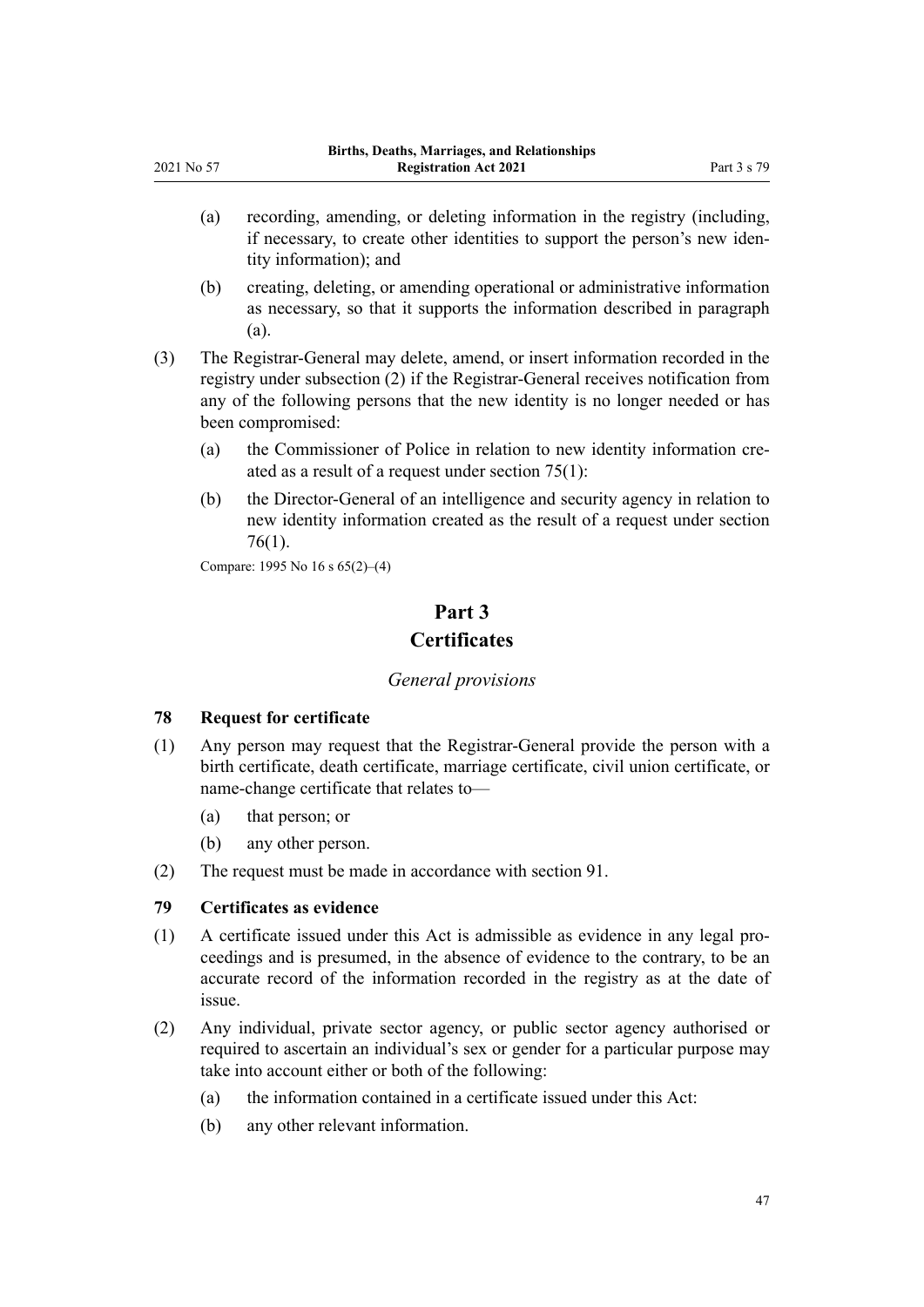- (a) recording, amending, or deleting information in the registry (including, if necessary, to create other identities to support the person's new iden‐ tity information); and
- (b) creating, deleting, or amending operational or administrative information as necessary, so that it supports the information described in paragraph (a).
- (3) The Registrar-General may delete, amend, or insert information recorded in the registry under subsection (2) if the Registrar-General receives notification from any of the following persons that the new identity is no longer needed or has been compromised:
	- (a) the Commissioner of Police in relation to new identity information created as a result of a request under [section 75\(1\)](#page-45-0):
	- (b) the Director-General of an intelligence and security agency in relation to new identity information created as the result of a request under [section](#page-45-0) [76\(1\)](#page-45-0).

Compare: 1995 No 16 [s 65\(2\)–\(4\)](http://legislation.govt.nz/pdflink.aspx?id=DLM364720)

# **Part 3 Certificates**

#### *General provisions*

#### **78 Request for certificate**

<span id="page-46-0"></span>2021 No 57

- (1) Any person may request that the Registrar-General provide the person with a birth certificate, death certificate, marriage certificate, civil union certificate, or name-change certificate that relates to—
	- (a) that person; or
	- (b) any other person.
- (2) The request must be made in accordance with [section 91](#page-54-0).

# **79 Certificates as evidence**

- (1) A certificate issued under this Act is admissible as evidence in any legal pro‐ ceedings and is presumed, in the absence of evidence to the contrary, to be an accurate record of the information recorded in the registry as at the date of issue.
- (2) Any individual, private sector agency, or public sector agency authorised or required to ascertain an individual's sex or gender for a particular purpose may take into account either or both of the following:
	- (a) the information contained in a certificate issued under this Act:
	- (b) any other relevant information.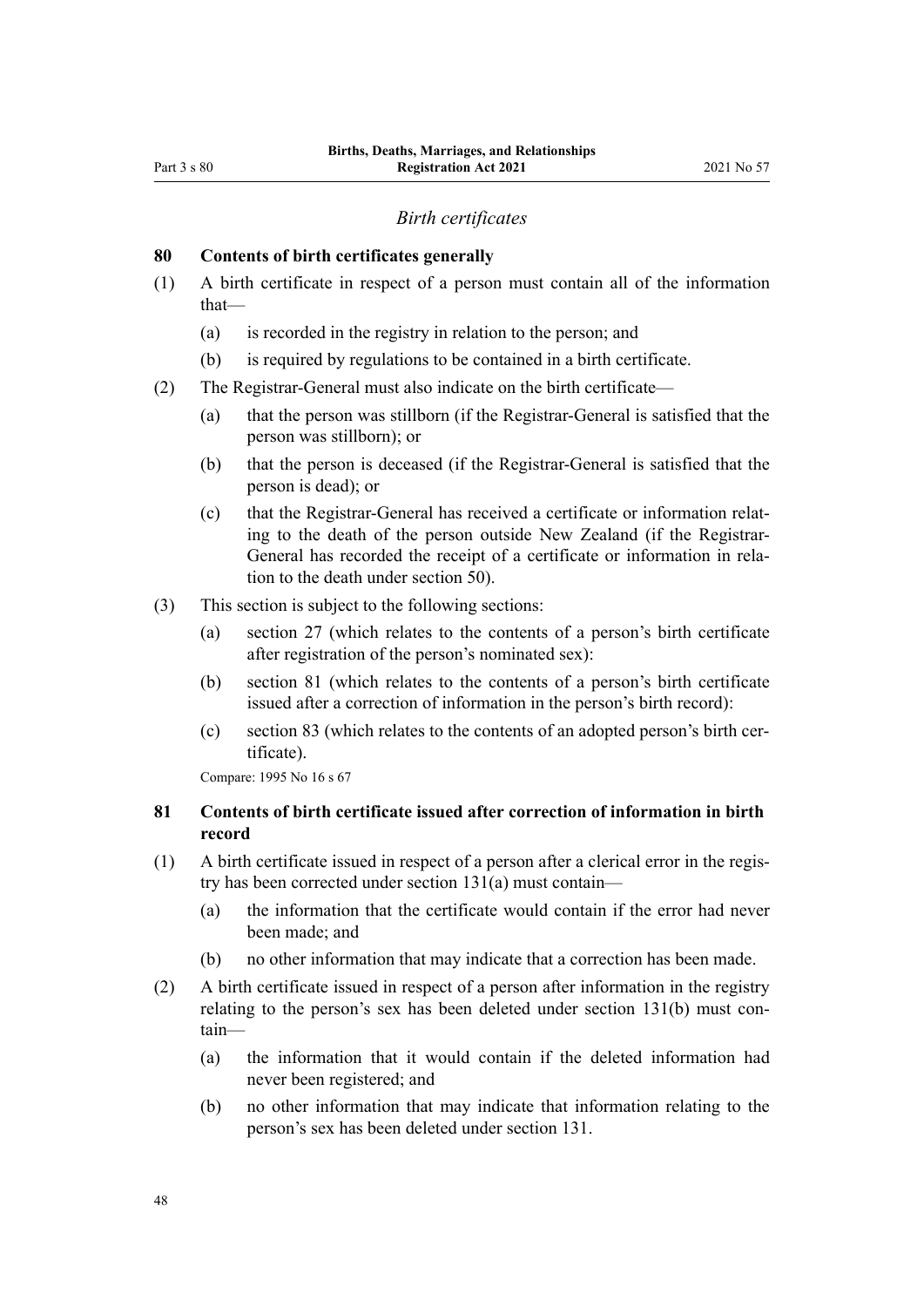#### *Birth certificates*

#### <span id="page-47-0"></span>**80 Contents of birth certificates generally**

- (1) A birth certificate in respect of a person must contain all of the information that—
	- (a) is recorded in the registry in relation to the person; and
	- (b) is required by regulations to be contained in a birth certificate.
- (2) The Registrar-General must also indicate on the birth certificate—
	- (a) that the person was stillborn (if the Registrar-General is satisfied that the person was stillborn); or
	- (b) that the person is deceased (if the Registrar-General is satisfied that the person is dead); or
	- (c) that the Registrar-General has received a certificate or information relat‐ ing to the death of the person outside New Zealand (if the Registrar-General has recorded the receipt of a certificate or information in rela‐ tion to the death under [section 50\)](#page-34-0).
- (3) This section is subject to the following sections:
	- (a) [section 27](#page-25-0) (which relates to the contents of a person's birth certificate after registration of the person's nominated sex):
	- (b) section 81 (which relates to the contents of a person's birth certificate issued after a correction of information in the person's birth record):
	- (c) [section 83](#page-48-0) (which relates to the contents of an adopted person's birth cer‐ tificate).

Compare: 1995 No 16 [s 67](http://legislation.govt.nz/pdflink.aspx?id=DLM364722)

# **81 Contents of birth certificate issued after correction of information in birth record**

- (1) A birth certificate issued in respect of a person after a clerical error in the regis‐ try has been corrected under [section 131\(a\)](#page-76-0) must contain—
	- (a) the information that the certificate would contain if the error had never been made; and
	- (b) no other information that may indicate that a correction has been made.
- (2) A birth certificate issued in respect of a person after information in the registry relating to the person's sex has been deleted under [section 131\(b\)](#page-76-0) must contain—
	- (a) the information that it would contain if the deleted information had never been registered; and
	- (b) no other information that may indicate that information relating to the person's sex has been deleted under [section 131](#page-76-0).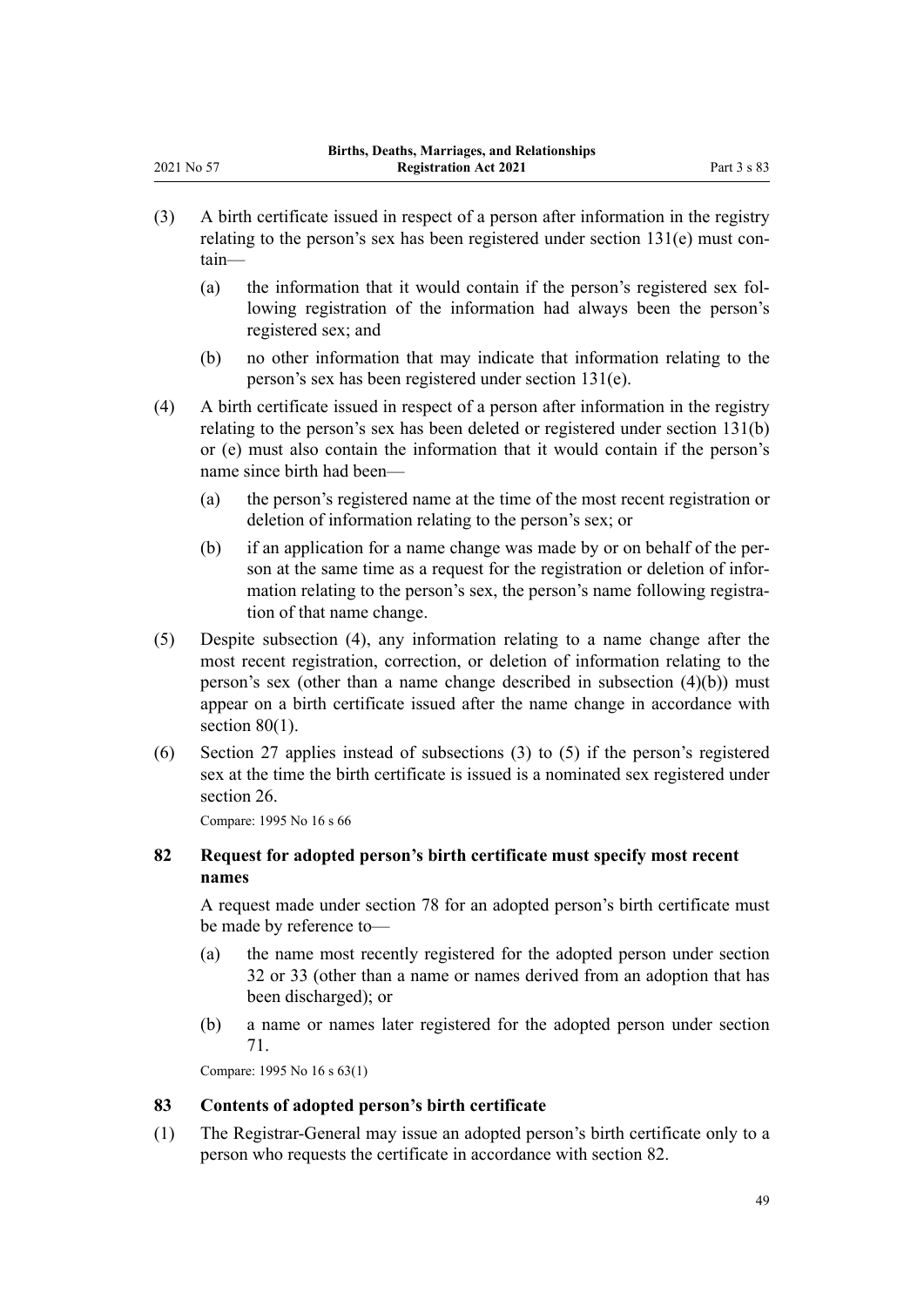- (3) A birth certificate issued in respect of a person after information in the registry relating to the person's sex has been registered under section  $131(e)$  must contain—
	- (a) the information that it would contain if the person's registered sex following registration of the information had always been the person's registered sex; and
	- (b) no other information that may indicate that information relating to the person's sex has been registered under [section 131\(e\)](#page-76-0).
- (4) A birth certificate issued in respect of a person after information in the registry relating to the person's sex has been deleted or registered under [section 131\(b\)](#page-76-0) [or \(e\)](#page-76-0) must also contain the information that it would contain if the person's name since birth had been—
	- (a) the person's registered name at the time of the most recent registration or deletion of information relating to the person's sex; or
	- (b) if an application for a name change was made by or on behalf of the per‐ son at the same time as a request for the registration or deletion of information relating to the person's sex, the person's name following registration of that name change.
- (5) Despite subsection (4), any information relating to a name change after the most recent registration, correction, or deletion of information relating to the person's sex (other than a name change described in subsection  $(4)(b)$ ) must appear on a birth certificate issued after the name change in accordance with [section 80\(1\).](#page-47-0)
- (6) [Section 27](#page-25-0) applies instead of subsections (3) to (5) if the person's registered sex at the time the birth certificate is issued is a nominated sex registered under [section 26](#page-24-0).

Compare: 1995 No 16 [s 66](http://legislation.govt.nz/pdflink.aspx?id=DLM364721)

<span id="page-48-0"></span>2021 No 57

# **82 Request for adopted person's birth certificate must specify most recent names**

A request made under [section 78](#page-46-0) for an adopted person's birth certificate must be made by reference to—

- (a) the name most recently registered for the adopted person under [section](#page-27-0) [32](#page-27-0) or [33](#page-28-0) (other than a name or names derived from an adoption that has been discharged); or
- (b) a name or names later registered for the adopted person under [section](#page-43-0) [71.](#page-43-0)

Compare: 1995 No 16 s 63(1)

#### **83 Contents of adopted person's birth certificate**

(1) The Registrar-General may issue an adopted person's birth certificate only to a person who requests the certificate in accordance with section 82.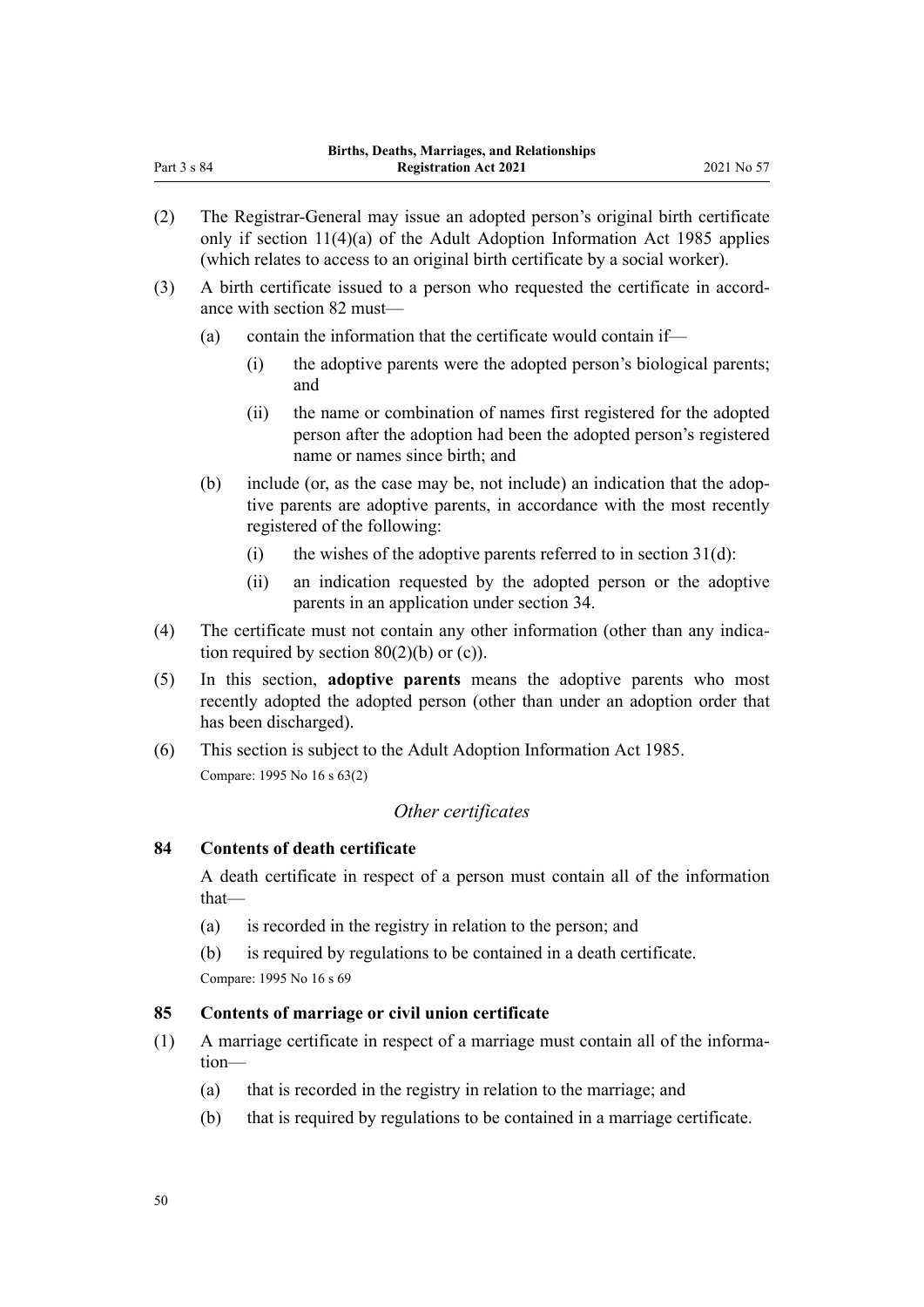- (2) The Registrar-General may issue an adopted person's original birth certificate only if section  $11(4)(a)$  of the Adult Adoption Information Act 1985 applies (which relates to access to an original birth certificate by a social worker).
- (3) A birth certificate issued to a person who requested the certificate in accord‐ ance with [section 82](#page-48-0) must—
	- (a) contain the information that the certificate would contain if—
		- (i) the adoptive parents were the adopted person's biological parents; and
		- (ii) the name or combination of names first registered for the adopted person after the adoption had been the adopted person's registered name or names since birth; and
	- (b) include (or, as the case may be, not include) an indication that the adoptive parents are adoptive parents, in accordance with the most recently registered of the following:
		- (i) the wishes of the adoptive parents referred to in section  $31(d)$ :
		- (ii) an indication requested by the adopted person or the adoptive parents in an application under [section 34.](#page-28-0)
- (4) The certificate must not contain any other information (other than any indication required by section  $80(2)(b)$  or (c)).
- (5) In this section, **adoptive parents** means the adoptive parents who most recently adopted the adopted person (other than under an adoption order that has been discharged).
- (6) This section is subject to the [Adult Adoption Information Act 1985](http://legislation.govt.nz/pdflink.aspx?id=DLM80512). Compare: 1995 No 16 [s 63\(2\)](http://legislation.govt.nz/pdflink.aspx?id=DLM364718)

# *Other certificates*

#### **84 Contents of death certificate**

A death certificate in respect of a person must contain all of the information that—

- (a) is recorded in the registry in relation to the person; and
- (b) is required by regulations to be contained in a death certificate. Compare: 1995 No 16 [s 69](http://legislation.govt.nz/pdflink.aspx?id=DLM364724)

# **85 Contents of marriage or civil union certificate**

- (1) A marriage certificate in respect of a marriage must contain all of the informa‐ tion—
	- (a) that is recorded in the registry in relation to the marriage; and
	- (b) that is required by regulations to be contained in a marriage certificate.

Part 3 s 84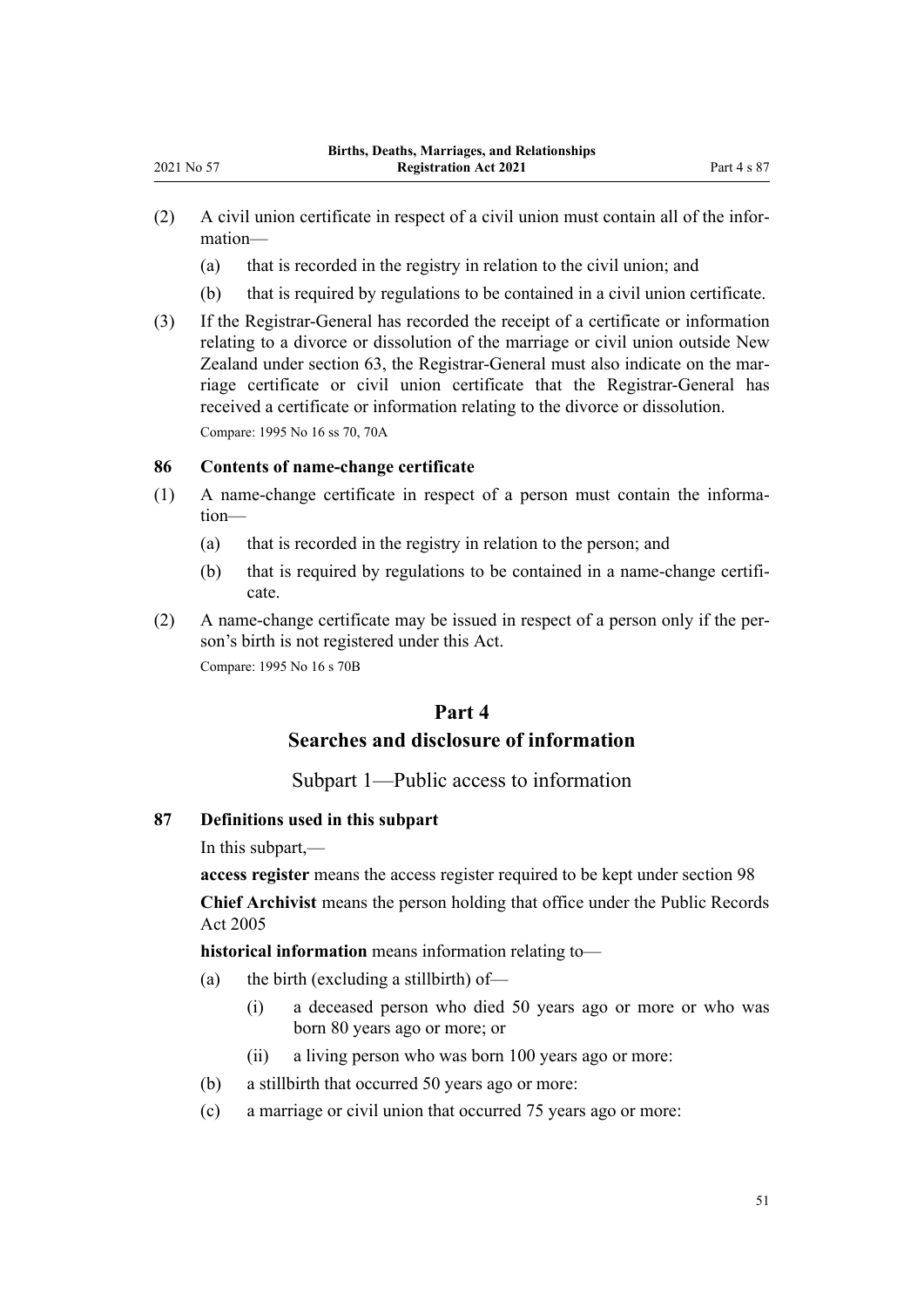- $(2)$  A civil union certificate in respect of a civil union must contain all of the information—
	- (a) that is recorded in the registry in relation to the civil union; and
	- (b) that is required by regulations to be contained in a civil union certificate.
- (3) If the Registrar-General has recorded the receipt of a certificate or information relating to a divorce or dissolution of the marriage or civil union outside New Zealand under [section 63](#page-39-0), the Registrar-General must also indicate on the marriage certificate or civil union certificate that the Registrar-General has received a certificate or information relating to the divorce or dissolution. Compare: 1995 No 16 [ss 70,](http://legislation.govt.nz/pdflink.aspx?id=DLM364725) [70A](http://legislation.govt.nz/pdflink.aspx?id=DLM364726)

#### **86 Contents of name-change certificate**

- (1) A name-change certificate in respect of a person must contain the informa‐ tion—
	- (a) that is recorded in the registry in relation to the person; and
	- (b) that is required by regulations to be contained in a name-change certificate.
- (2) A name-change certificate may be issued in respect of a person only if the per‐ son's birth is not registered under this Act. Compare: 1995 No 16 [s 70B](http://legislation.govt.nz/pdflink.aspx?id=DLM1806025)

# **Part 4**

# **Searches and disclosure of information**

#### Subpart 1—Public access to information

# **87 Definitions used in this subpart**

In this subpart,—

**access register** means the access register required to be kept under [section 98](#page-58-0) **Chief Archivist** means the person holding that office under the [Public Records](http://legislation.govt.nz/pdflink.aspx?id=DLM345528) [Act 2005](http://legislation.govt.nz/pdflink.aspx?id=DLM345528)

**historical information** means information relating to—

- (a) the birth (excluding a stillbirth) of—
	- (i) a deceased person who died 50 years ago or more or who was born 80 years ago or more; or
	- (ii) a living person who was born 100 years ago or more:
- (b) a stillbirth that occurred 50 years ago or more:
- (c) a marriage or civil union that occurred 75 years ago or more: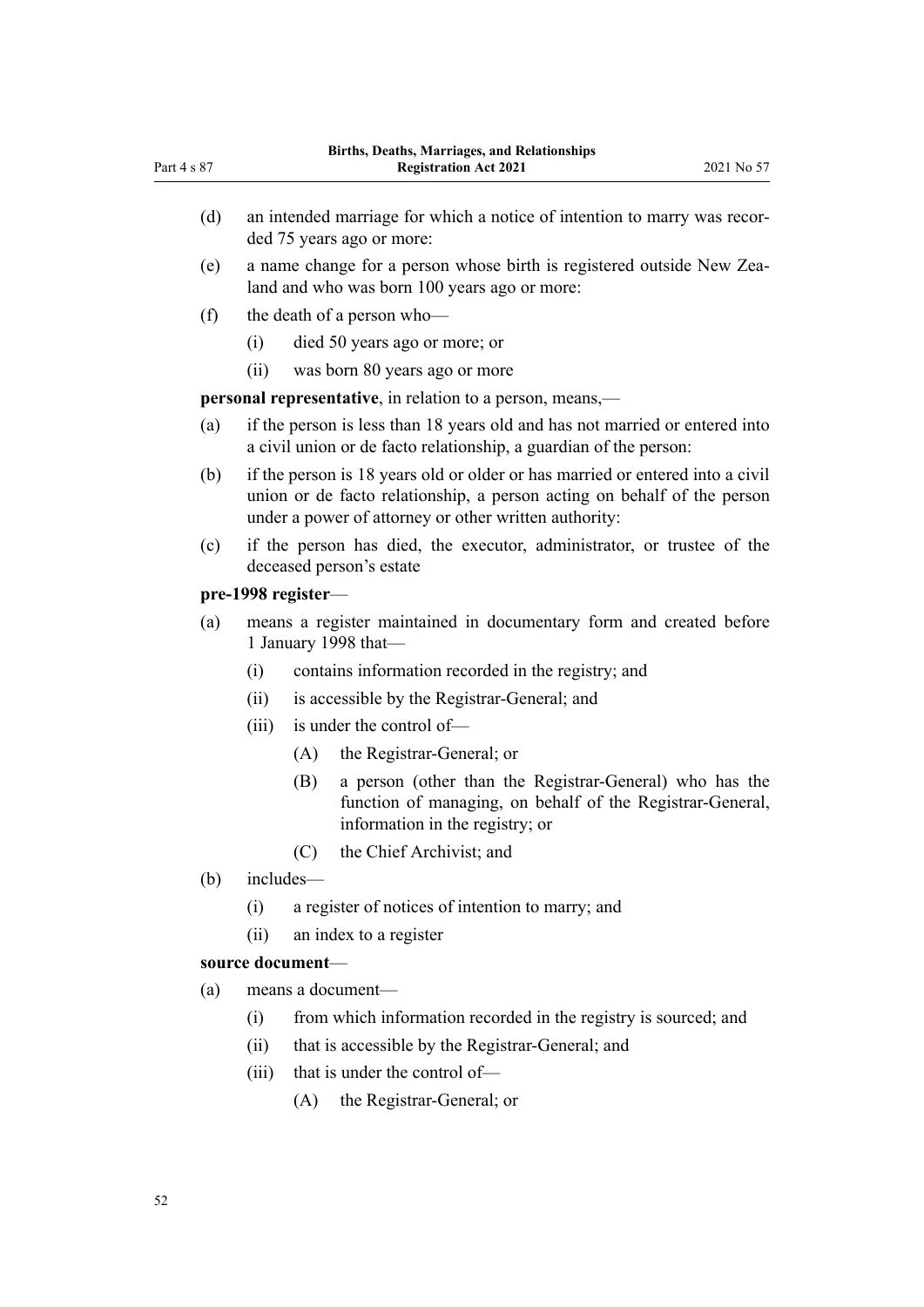- (d) an intended marriage for which a notice of intention to marry was recorded 75 years ago or more:
- (e) a name change for a person whose birth is registered outside New Zea‐ land and who was born 100 years ago or more:
- (f) the death of a person who—
	- (i) died 50 years ago or more; or
	- (ii) was born 80 years ago or more

**personal representative**, in relation to a person, means,—

- (a) if the person is less than 18 years old and has not married or entered into a civil union or de facto relationship, a guardian of the person:
- (b) if the person is 18 years old or older or has married or entered into a civil union or de facto relationship, a person acting on behalf of the person under a power of attorney or other written authority:
- (c) if the person has died, the executor, administrator, or trustee of the deceased person's estate

#### **pre-1998 register**—

- (a) means a register maintained in documentary form and created before 1 January 1998 that—
	- (i) contains information recorded in the registry; and
	- (ii) is accessible by the Registrar-General; and
	- (iii) is under the control of—
		- (A) the Registrar-General; or
		- (B) a person (other than the Registrar-General) who has the function of managing, on behalf of the Registrar-General, information in the registry; or
		- (C) the Chief Archivist; and
- (b) includes—
	- (i) a register of notices of intention to marry; and
	- (ii) an index to a register

#### **source document**—

- (a) means a document—
	- (i) from which information recorded in the registry is sourced; and
	- (ii) that is accessible by the Registrar-General; and
	- (iii) that is under the control of—
		- (A) the Registrar-General; or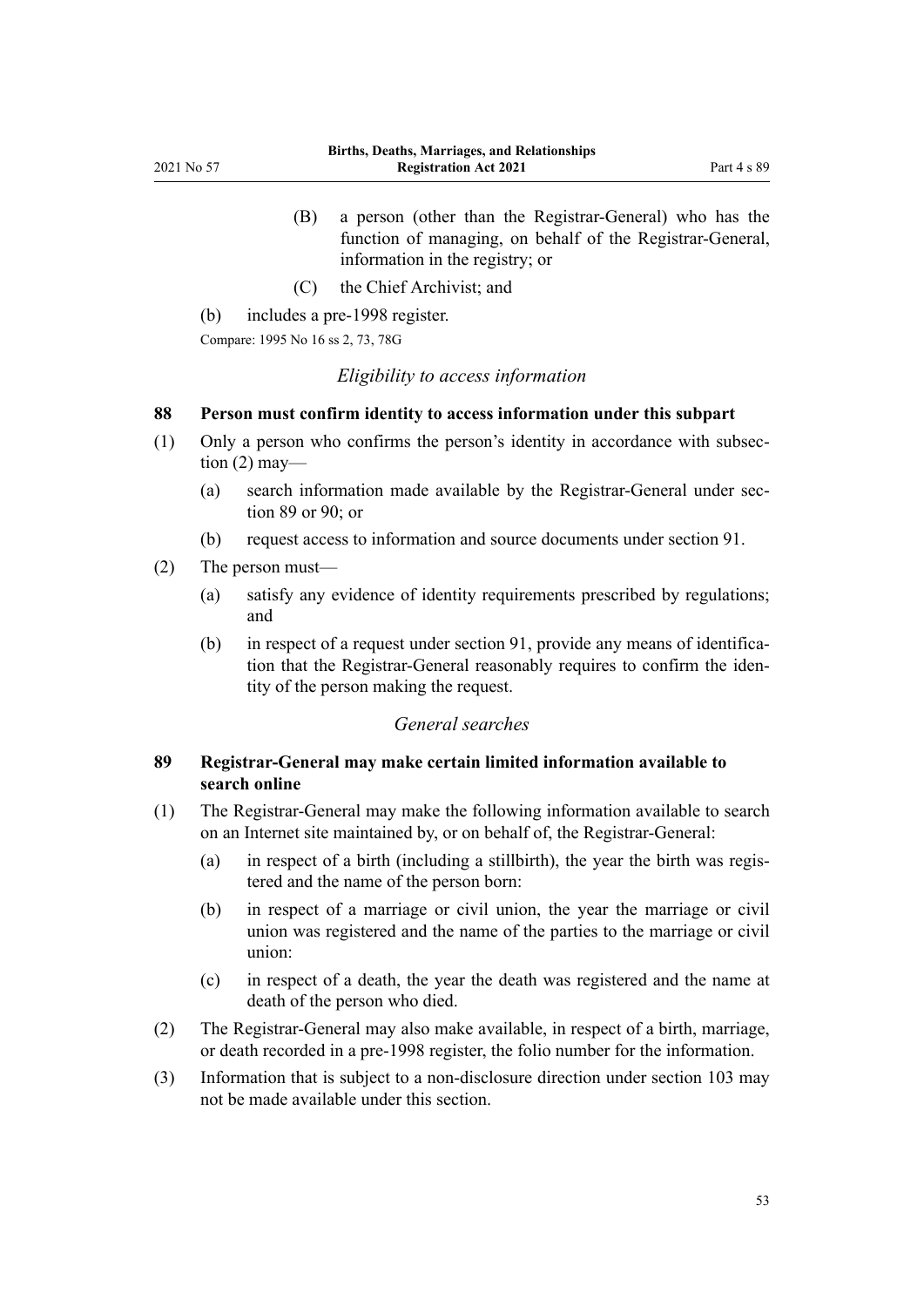- <span id="page-52-0"></span>(B) a person (other than the Registrar-General) who has the function of managing, on behalf of the Registrar-General, information in the registry; or
- (C) the Chief Archivist; and
- (b) includes a pre-1998 register.

Compare: 1995 No 16 [ss 2](http://legislation.govt.nz/pdflink.aspx?id=DLM359378), [73,](http://legislation.govt.nz/pdflink.aspx?id=DLM364733) [78G](http://legislation.govt.nz/pdflink.aspx?id=DLM1806411)

#### *Eligibility to access information*

#### **88 Person must confirm identity to access information under this subpart**

- (1) Only a person who confirms the person's identity in accordance with subsec‐ tion  $(2)$  may—
	- (a) search information made available by the Registrar-General under section 89 or [90](#page-53-0); or
	- (b) request access to information and source documents under [section 91.](#page-54-0)
- (2) The person must—
	- (a) satisfy any evidence of identity requirements prescribed by regulations; and
	- (b) in respect of a request under [section 91](#page-54-0), provide any means of identification that the Registrar-General reasonably requires to confirm the identity of the person making the request.

# *General searches*

# **89 Registrar-General may make certain limited information available to search online**

- (1) The Registrar-General may make the following information available to search on an Internet site maintained by, or on behalf of, the Registrar-General:
	- (a) in respect of a birth (including a stillbirth), the year the birth was registered and the name of the person born:
	- (b) in respect of a marriage or civil union, the year the marriage or civil union was registered and the name of the parties to the marriage or civil union:
	- (c) in respect of a death, the year the death was registered and the name at death of the person who died.
- (2) The Registrar-General may also make available, in respect of a birth, marriage, or death recorded in a pre-1998 register, the folio number for the information.
- (3) Information that is subject to a non-disclosure direction under [section 103](#page-60-0) may not be made available under this section.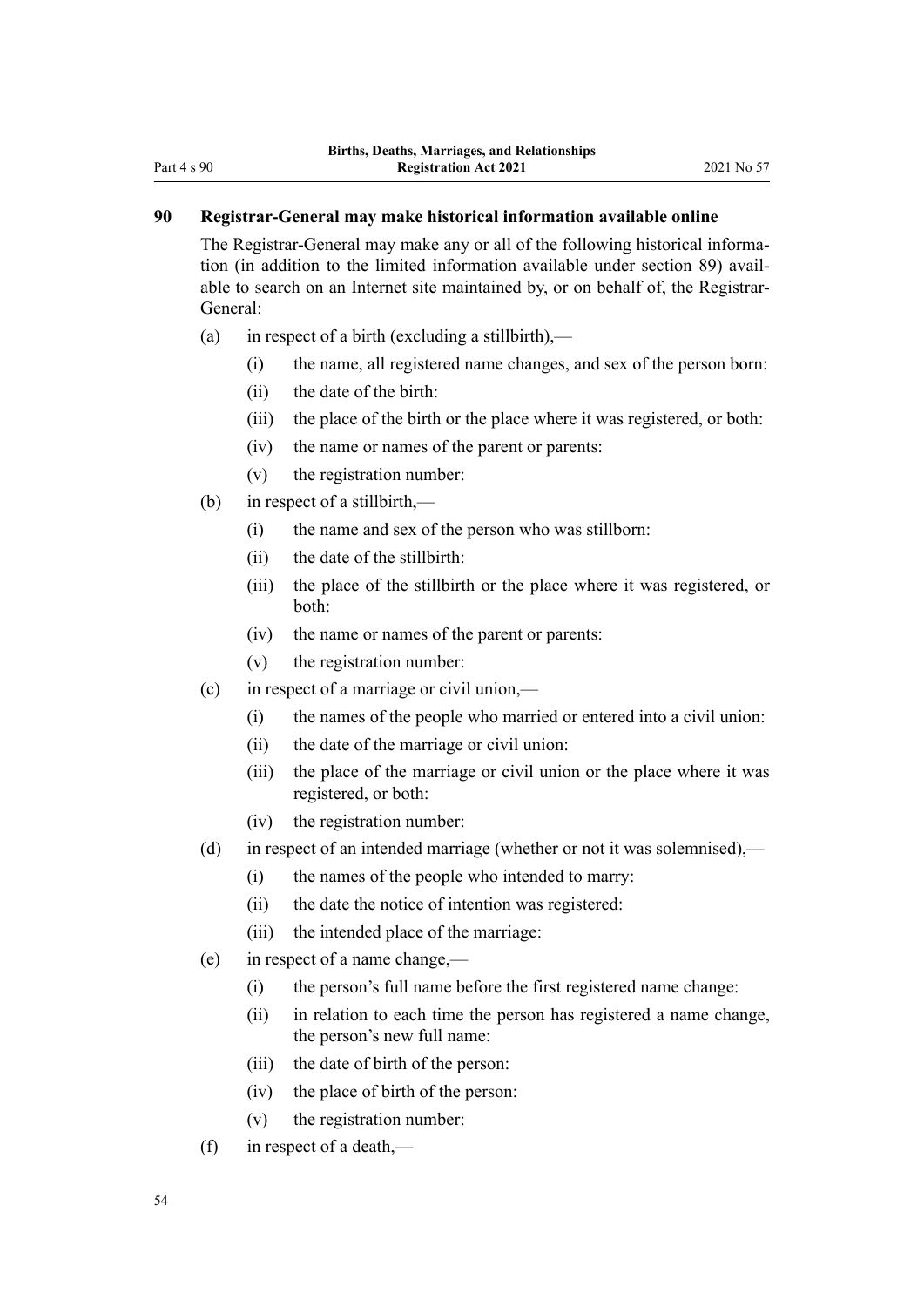# <span id="page-53-0"></span>**90 Registrar-General may make historical information available online**

The Registrar-General may make any or all of the following historical information (in addition to the limited information available under [section 89\)](#page-52-0) avail‐ able to search on an Internet site maintained by, or on behalf of, the Registrar-General:

- (a) in respect of a birth (excluding a stillbirth),—
	- (i) the name, all registered name changes, and sex of the person born:
	- (ii) the date of the birth:
	- (iii) the place of the birth or the place where it was registered, or both:
	- (iv) the name or names of the parent or parents:
	- (v) the registration number:
- (b) in respect of a stillbirth,—
	- (i) the name and sex of the person who was stillborn:
	- (ii) the date of the stillbirth:
	- (iii) the place of the stillbirth or the place where it was registered, or both:
	- (iv) the name or names of the parent or parents:
	- (v) the registration number:
- (c) in respect of a marriage or civil union,—
	- (i) the names of the people who married or entered into a civil union:
	- (ii) the date of the marriage or civil union:
	- (iii) the place of the marriage or civil union or the place where it was registered, or both:
	- (iv) the registration number:
- (d) in respect of an intended marriage (whether or not it was solemnised),—
	- (i) the names of the people who intended to marry:
	- (ii) the date the notice of intention was registered:
	- (iii) the intended place of the marriage:
- (e) in respect of a name change,—
	- (i) the person's full name before the first registered name change:
	- (ii) in relation to each time the person has registered a name change, the person's new full name:
	- (iii) the date of birth of the person:
	- (iv) the place of birth of the person:
	- (v) the registration number:
- (f) in respect of a death,—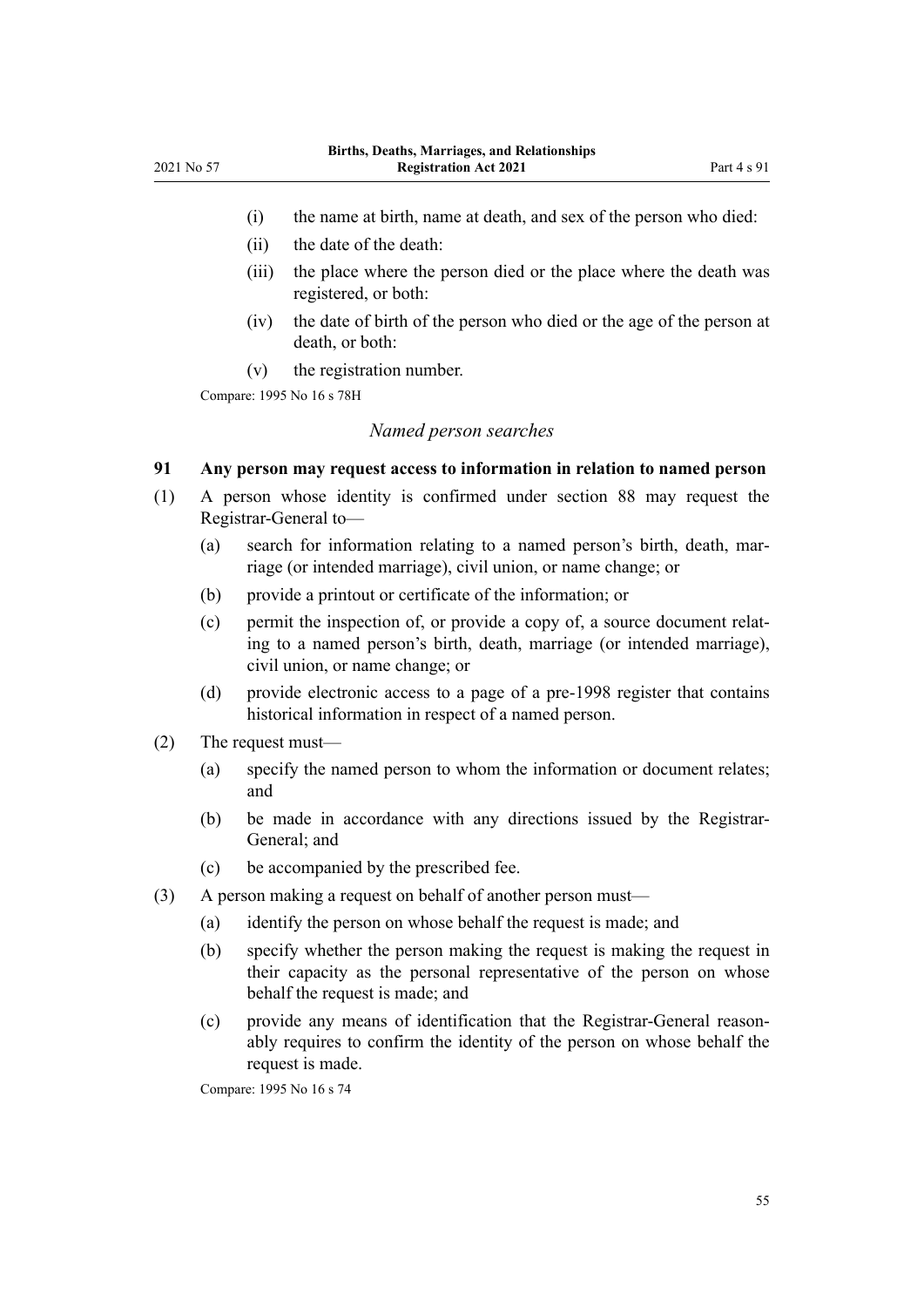- <span id="page-54-0"></span>(i) the name at birth, name at death, and sex of the person who died:
- (ii) the date of the death:
- (iii) the place where the person died or the place where the death was registered, or both:
- (iv) the date of birth of the person who died or the age of the person at death, or both:
- (v) the registration number.

Compare: 1995 No 16 [s 78H](http://legislation.govt.nz/pdflink.aspx?id=DLM1806413)

#### *Named person searches*

# **91 Any person may request access to information in relation to named person**

- (1) A person whose identity is confirmed under [section 88](#page-52-0) may request the Registrar-General to—
	- (a) search for information relating to a named person's birth, death, marriage (or intended marriage), civil union, or name change; or
	- (b) provide a printout or certificate of the information; or
	- (c) permit the inspection of, or provide a copy of, a source document relat‐ ing to a named person's birth, death, marriage (or intended marriage), civil union, or name change; or
	- (d) provide electronic access to a page of a pre-1998 register that contains historical information in respect of a named person.
- (2) The request must—
	- (a) specify the named person to whom the information or document relates; and
	- (b) be made in accordance with any directions issued by the Registrar-General; and
	- (c) be accompanied by the prescribed fee.
- (3) A person making a request on behalf of another person must—
	- (a) identify the person on whose behalf the request is made; and
	- (b) specify whether the person making the request is making the request in their capacity as the personal representative of the person on whose behalf the request is made; and
	- (c) provide any means of identification that the Registrar-General reason‐ ably requires to confirm the identity of the person on whose behalf the request is made.

Compare: 1995 No 16 [s 74](http://legislation.govt.nz/pdflink.aspx?id=DLM364734)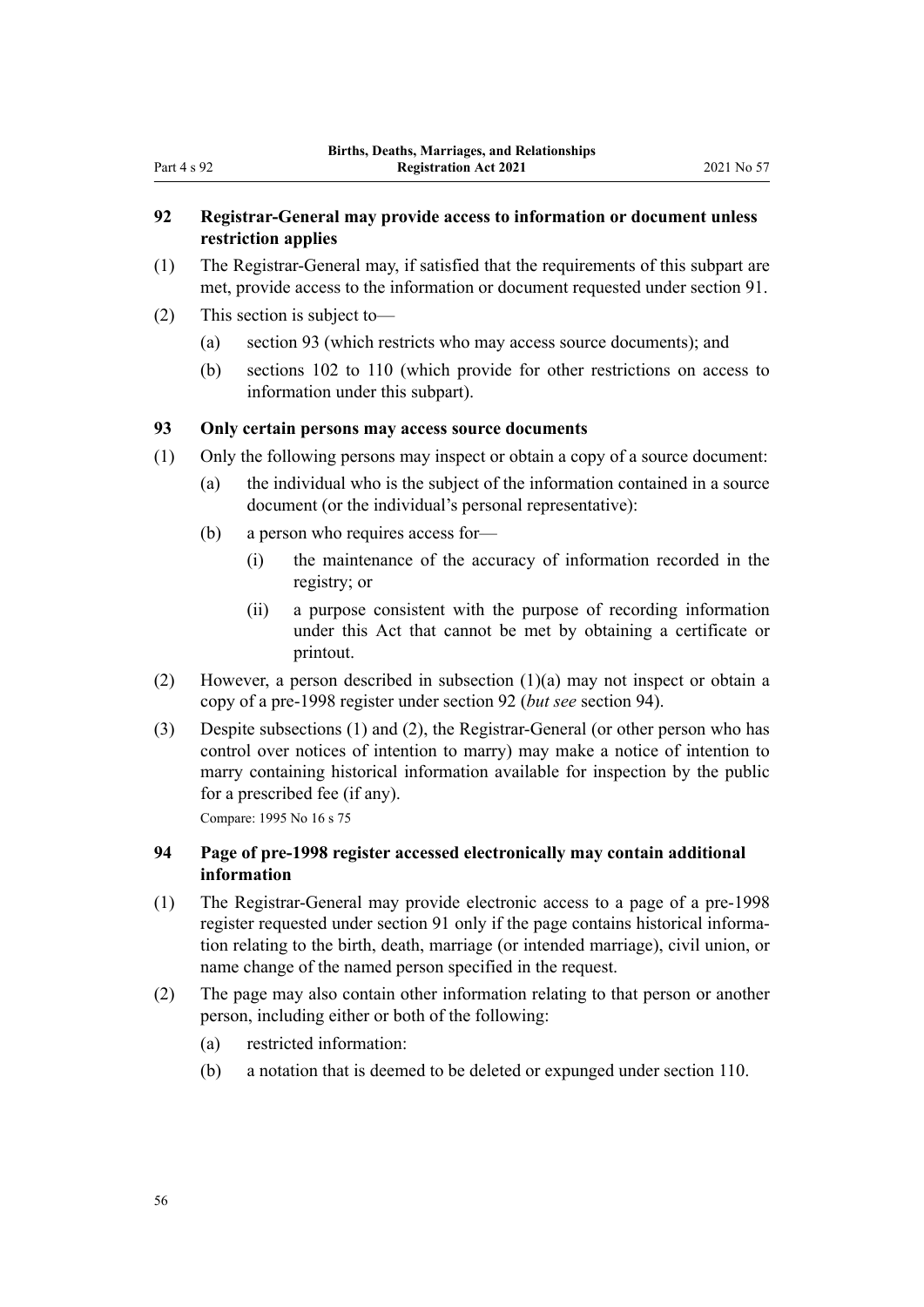# <span id="page-55-0"></span>**92 Registrar-General may provide access to information or document unless restriction applies**

- (1) The Registrar-General may, if satisfied that the requirements of this subpart are met, provide access to the information or document requested under [section 91.](#page-54-0)
- (2) This section is subject to—
	- (a) section 93 (which restricts who may access source documents); and
	- (b) [sections 102 to 110](#page-59-0) (which provide for other restrictions on access to information under this subpart).

## **93 Only certain persons may access source documents**

- (1) Only the following persons may inspect or obtain a copy of a source document:
	- (a) the individual who is the subject of the information contained in a source document (or the individual's personal representative):
	- (b) a person who requires access for—
		- (i) the maintenance of the accuracy of information recorded in the registry; or
		- (ii) a purpose consistent with the purpose of recording information under this Act that cannot be met by obtaining a certificate or printout.
- (2) However, a person described in subsection (1)(a) may not inspect or obtain a copy of a pre-1998 register under section 92 (*but see* section 94).
- (3) Despite subsections (1) and (2), the Registrar-General (or other person who has control over notices of intention to marry) may make a notice of intention to marry containing historical information available for inspection by the public for a prescribed fee (if any).

Compare: 1995 No 16 [s 75](http://legislation.govt.nz/pdflink.aspx?id=DLM364740)

# **94 Page of pre-1998 register accessed electronically may contain additional information**

- (1) The Registrar-General may provide electronic access to a page of a pre-1998 register requested under [section 91](#page-54-0) only if the page contains historical information relating to the birth, death, marriage (or intended marriage), civil union, or name change of the named person specified in the request.
- (2) The page may also contain other information relating to that person or another person, including either or both of the following:
	- (a) restricted information:
	- (b) a notation that is deemed to be deleted or expunged under [section 110](#page-65-0).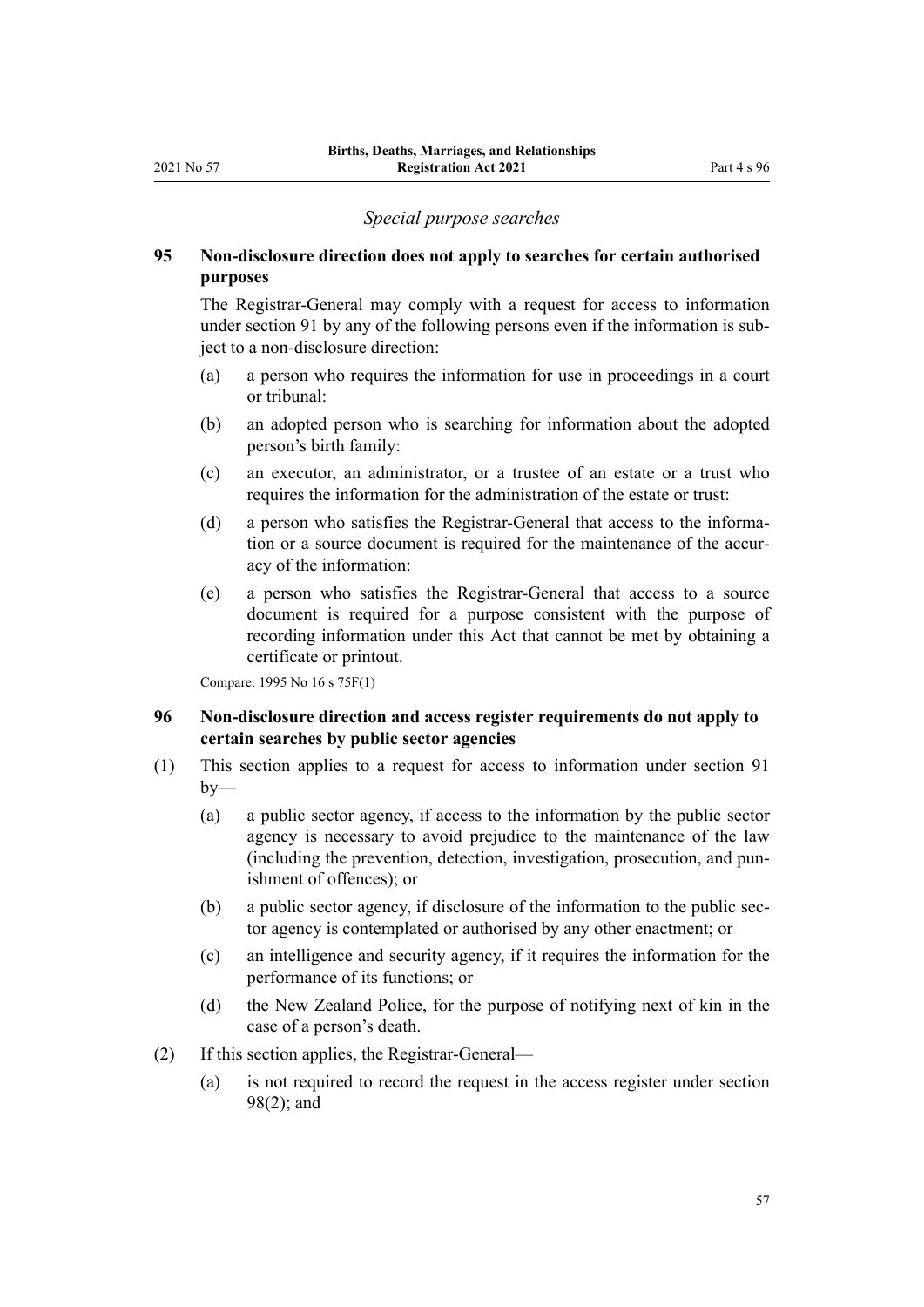#### *Special purpose searches*

# <span id="page-56-0"></span>**95 Non-disclosure direction does not apply to searches for certain authorised purposes**

The Registrar-General may comply with a request for access to information under [section 91](#page-54-0) by any of the following persons even if the information is subject to a non-disclosure direction:

- (a) a person who requires the information for use in proceedings in a court or tribunal:
- (b) an adopted person who is searching for information about the adopted person's birth family:
- (c) an executor, an administrator, or a trustee of an estate or a trust who requires the information for the administration of the estate or trust:
- (d) a person who satisfies the Registrar-General that access to the information or a source document is required for the maintenance of the accuracy of the information:
- (e) a person who satisfies the Registrar-General that access to a source document is required for a purpose consistent with the purpose of recording information under this Act that cannot be met by obtaining a certificate or printout.

Compare: 1995 No 16 [s 75F\(1\)](http://legislation.govt.nz/pdflink.aspx?id=DLM1806044)

# **96 Non-disclosure direction and access register requirements do not apply to certain searches by public sector agencies**

- (1) This section applies to a request for access to information under [section 91](#page-54-0)  $by-$ 
	- (a) a public sector agency, if access to the information by the public sector agency is necessary to avoid prejudice to the maintenance of the law (including the prevention, detection, investigation, prosecution, and pun‐ ishment of offences); or
	- (b) a public sector agency, if disclosure of the information to the public sec‐ tor agency is contemplated or authorised by any other enactment; or
	- (c) an intelligence and security agency, if it requires the information for the performance of its functions; or
	- (d) the New Zealand Police, for the purpose of notifying next of kin in the case of a person's death.
- (2) If this section applies, the Registrar-General—
	- (a) is not required to record the request in the access register under [section](#page-58-0) [98\(2\)](#page-58-0); and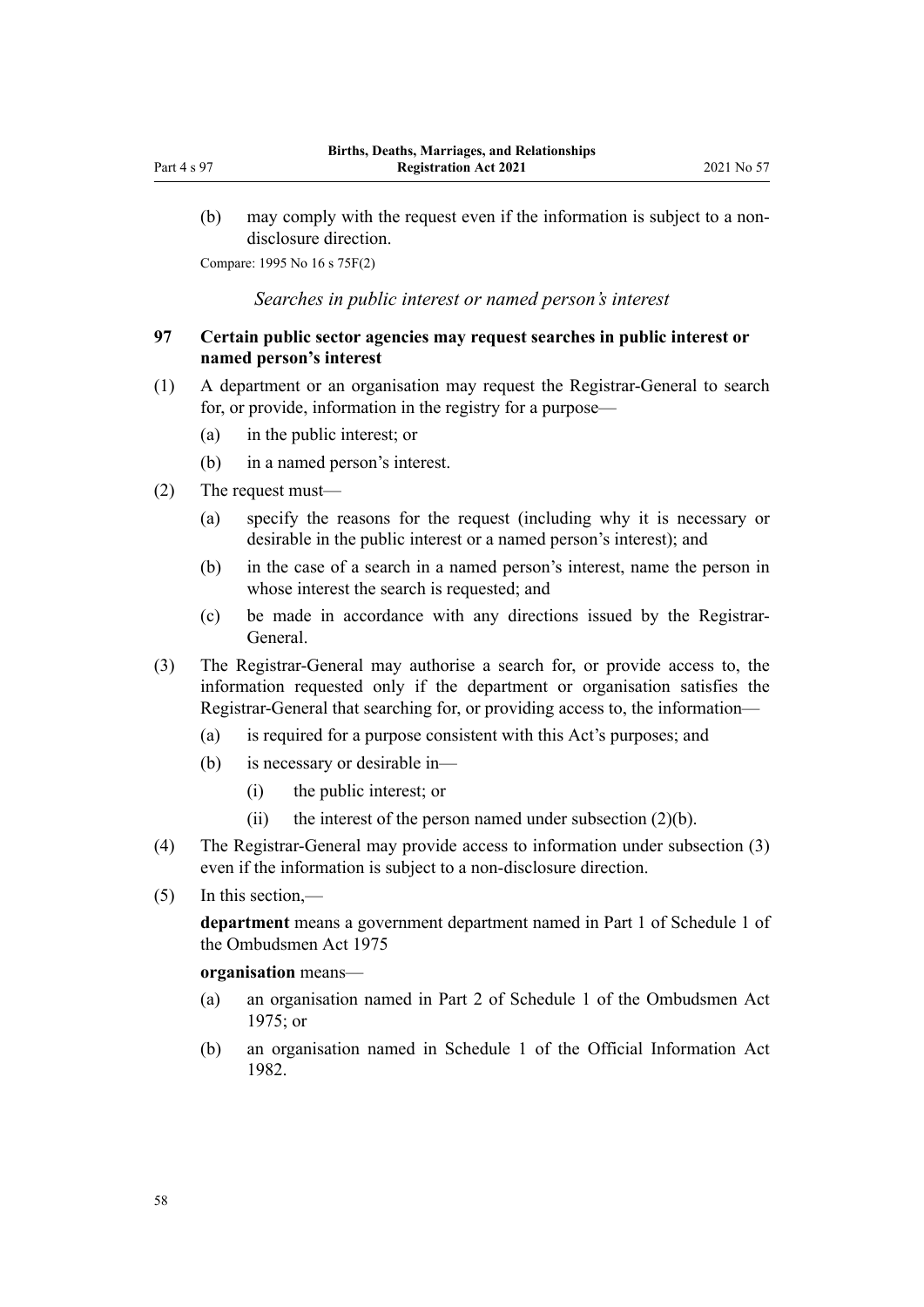<span id="page-57-0"></span>(b) may comply with the request even if the information is subject to a nondisclosure direction.

Compare: 1995 No 16 [s 75F\(2\)](http://legislation.govt.nz/pdflink.aspx?id=DLM1806044)

*Searches in public interest or named person's interest*

# **97 Certain public sector agencies may request searches in public interest or named person's interest**

- (1) A department or an organisation may request the Registrar-General to search for, or provide, information in the registry for a purpose—
	- (a) in the public interest; or
	- (b) in a named person's interest.
- (2) The request must—
	- (a) specify the reasons for the request (including why it is necessary or desirable in the public interest or a named person's interest); and
	- (b) in the case of a search in a named person's interest, name the person in whose interest the search is requested; and
	- (c) be made in accordance with any directions issued by the Registrar-General.
- (3) The Registrar-General may authorise a search for, or provide access to, the information requested only if the department or organisation satisfies the Registrar-General that searching for, or providing access to, the information—
	- (a) is required for a purpose consistent with this Act's purposes; and
	- (b) is necessary or desirable in—
		- (i) the public interest; or
		- (ii) the interest of the person named under subsection  $(2)(b)$ .
- (4) The Registrar-General may provide access to information under subsection (3) even if the information is subject to a non-disclosure direction.
- (5) In this section,—

**department** means a government department named in [Part 1](http://legislation.govt.nz/pdflink.aspx?id=DLM431205) of Schedule 1 of the Ombudsmen Act 1975

#### **organisation** means—

- (a) an organisation named in [Part 2](http://legislation.govt.nz/pdflink.aspx?id=DLM431296) of Schedule 1 of the Ombudsmen Act 1975; or
- (b) an organisation named in [Schedule 1](http://legislation.govt.nz/pdflink.aspx?id=DLM65921) of the Official Information Act 1982.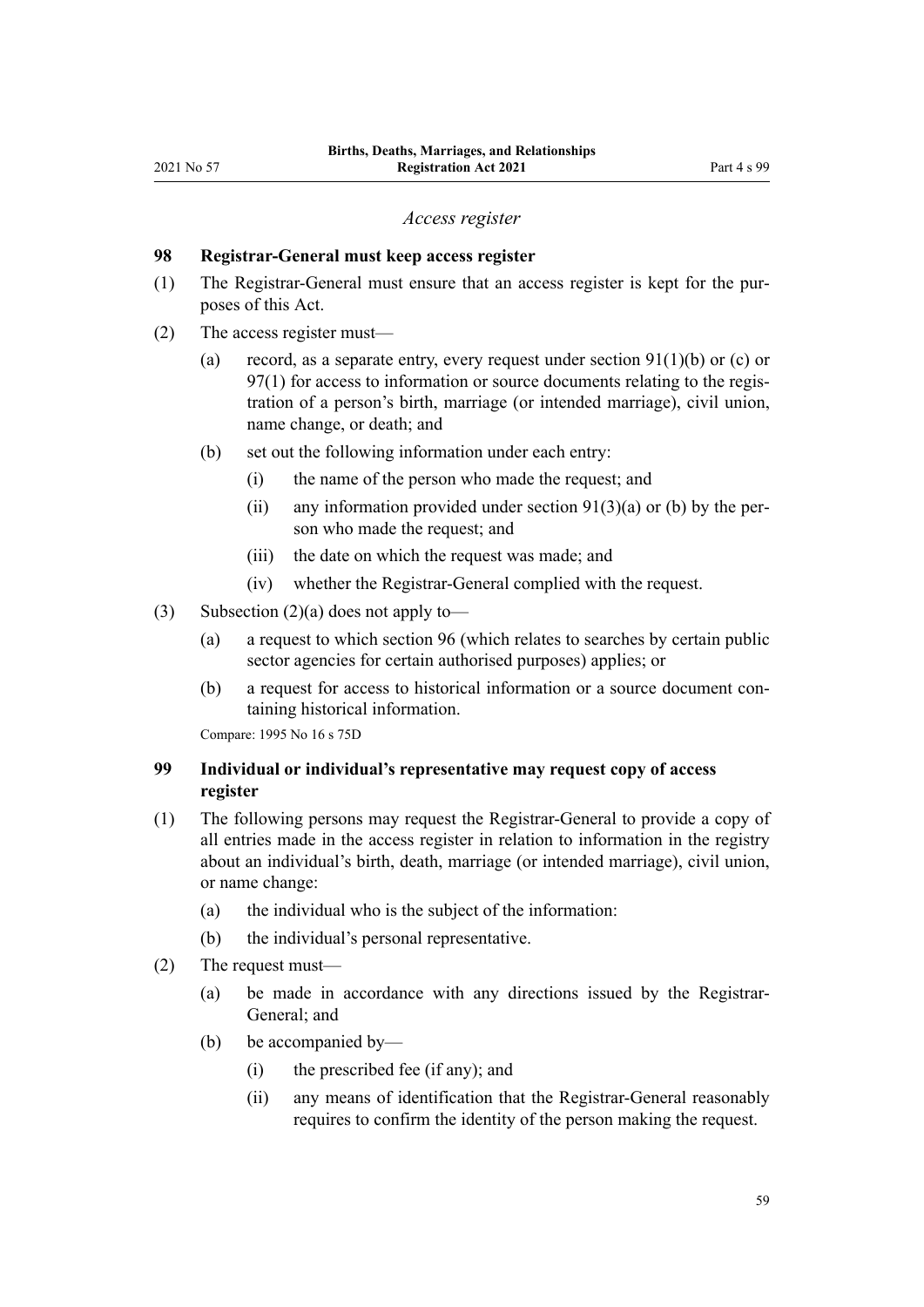#### *Access register*

## <span id="page-58-0"></span>**98 Registrar-General must keep access register**

- (1) The Registrar-General must ensure that an access register is kept for the pur‐ poses of this Act.
- (2) The access register must—
	- (a) record, as a separate entry, every request under section  $91(1)(b)$  or (c) or [97\(1\)](#page-57-0) for access to information or source documents relating to the registration of a person's birth, marriage (or intended marriage), civil union, name change, or death; and
	- (b) set out the following information under each entry:
		- (i) the name of the person who made the request; and
		- (ii) any information provided under section  $91(3)(a)$  or (b) by the person who made the request; and
		- (iii) the date on which the request was made; and
		- (iv) whether the Registrar-General complied with the request.
- (3) Subsection  $(2)(a)$  does not apply to-
	- (a) a request to which [section 96](#page-56-0) (which relates to searches by certain public sector agencies for certain authorised purposes) applies; or
	- (b) a request for access to historical information or a source document containing historical information.

Compare: 1995 No 16 [s 75D](http://legislation.govt.nz/pdflink.aspx?id=DLM1806042)

# **99 Individual or individual's representative may request copy of access register**

- (1) The following persons may request the Registrar-General to provide a copy of all entries made in the access register in relation to information in the registry about an individual's birth, death, marriage (or intended marriage), civil union, or name change:
	- (a) the individual who is the subject of the information:
	- (b) the individual's personal representative.
- (2) The request must—
	- (a) be made in accordance with any directions issued by the Registrar-General; and
	- (b) be accompanied by—
		- (i) the prescribed fee (if any); and
		- (ii) any means of identification that the Registrar-General reasonably requires to confirm the identity of the person making the request.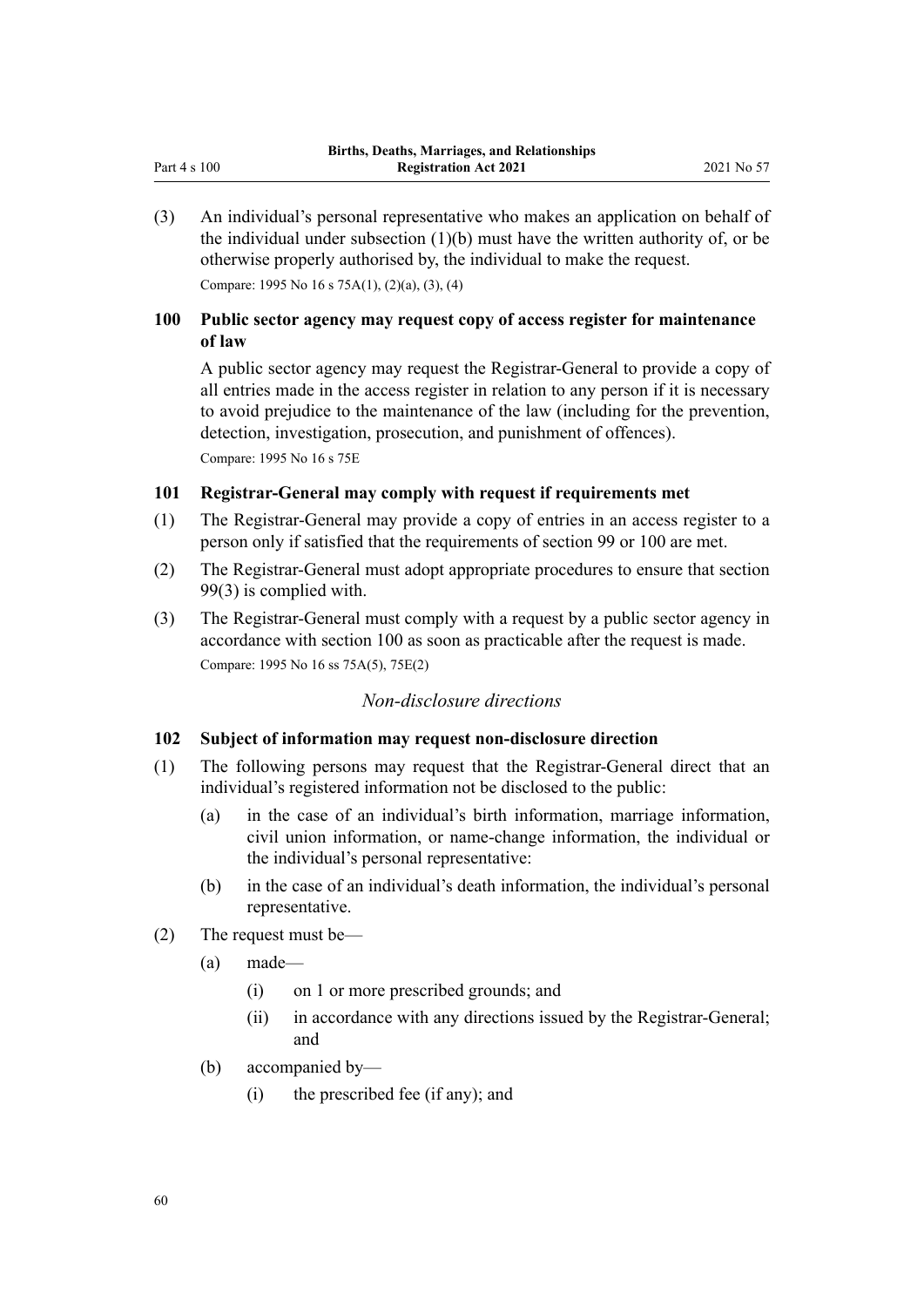<span id="page-59-0"></span>(3) An individual's personal representative who makes an application on behalf of the individual under subsection  $(1)(b)$  must have the written authority of, or be otherwise properly authorised by, the individual to make the request.

Compare: 1995 No 16 [s 75A\(1\), \(2\)\(a\), \(3\), \(4\)](http://legislation.govt.nz/pdflink.aspx?id=DLM1806039)

# **100 Public sector agency may request copy of access register for maintenance of law**

A public sector agency may request the Registrar-General to provide a copy of all entries made in the access register in relation to any person if it is necessary to avoid prejudice to the maintenance of the law (including for the prevention, detection, investigation, prosecution, and punishment of offences). Compare: 1995 No 16 [s 75E](http://legislation.govt.nz/pdflink.aspx?id=DLM1806043)

## **101 Registrar-General may comply with request if requirements met**

- (1) The Registrar-General may provide a copy of entries in an access register to a person only if satisfied that the requirements of [section 99](#page-58-0) or 100 are met.
- (2) The Registrar-General must adopt appropriate procedures to ensure that [section](#page-58-0) [99\(3\)](#page-58-0) is complied with.
- (3) The Registrar-General must comply with a request by a public sector agency in accordance with section 100 as soon as practicable after the request is made. Compare: 1995 No 16 [ss 75A\(5\),](http://legislation.govt.nz/pdflink.aspx?id=DLM1806039) [75E\(2\)](http://legislation.govt.nz/pdflink.aspx?id=DLM1806043)

# *Non-disclosure directions*

# **102 Subject of information may request non-disclosure direction**

- (1) The following persons may request that the Registrar-General direct that an individual's registered information not be disclosed to the public:
	- (a) in the case of an individual's birth information, marriage information, civil union information, or name-change information, the individual or the individual's personal representative:
	- (b) in the case of an individual's death information, the individual's personal representative.
- (2) The request must be—
	- (a) made—
		- (i) on 1 or more prescribed grounds; and
		- (ii) in accordance with any directions issued by the Registrar-General; and
	- (b) accompanied by—
		- (i) the prescribed fee (if any); and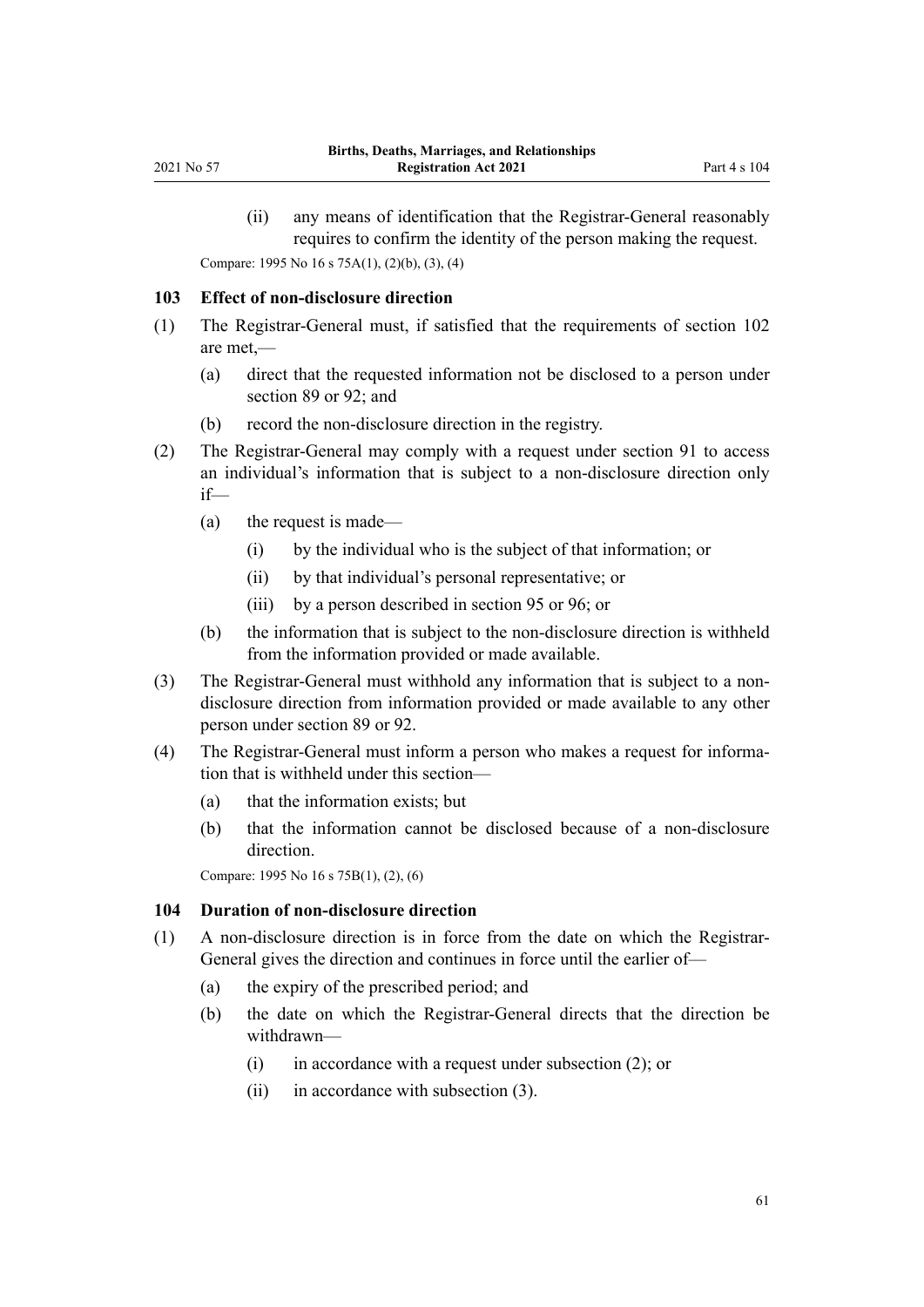(ii) any means of identification that the Registrar-General reasonably requires to confirm the identity of the person making the request.

<span id="page-60-0"></span>Compare: 1995 No 16 [s 75A\(1\), \(2\)\(b\), \(3\), \(4\)](http://legislation.govt.nz/pdflink.aspx?id=DLM1806039)

#### **103 Effect of non-disclosure direction**

- (1) The Registrar-General must, if satisfied that the requirements of [section 102](#page-59-0) are met,—
	- (a) direct that the requested information not be disclosed to a person under [section 89](#page-52-0) or [92;](#page-55-0) and
	- (b) record the non-disclosure direction in the registry.
- (2) The Registrar-General may comply with a request under [section 91](#page-54-0) to access an individual's information that is subject to a non-disclosure direction only if—
	- (a) the request is made—
		- (i) by the individual who is the subject of that information; or
		- (ii) by that individual's personal representative; or
		- (iii) by a person described in [section 95](#page-56-0) or [96;](#page-56-0) or
	- (b) the information that is subject to the non-disclosure direction is withheld from the information provided or made available.
- (3) The Registrar-General must withhold any information that is subject to a nondisclosure direction from information provided or made available to any other person under [section 89](#page-52-0) or [92.](#page-55-0)
- (4) The Registrar-General must inform a person who makes a request for informa‐ tion that is withheld under this section—
	- (a) that the information exists; but
	- (b) that the information cannot be disclosed because of a non-disclosure direction.

Compare: 1995 No 16 [s 75B\(1\), \(2\), \(6\)](http://legislation.govt.nz/pdflink.aspx?id=DLM1806040)

#### **104 Duration of non-disclosure direction**

- (1) A non-disclosure direction is in force from the date on which the Registrar-General gives the direction and continues in force until the earlier of—
	- (a) the expiry of the prescribed period; and
	- (b) the date on which the Registrar-General directs that the direction be withdrawn—
		- $(i)$  in accordance with a request under subsection  $(2)$ ; or
		- (ii) in accordance with subsection (3).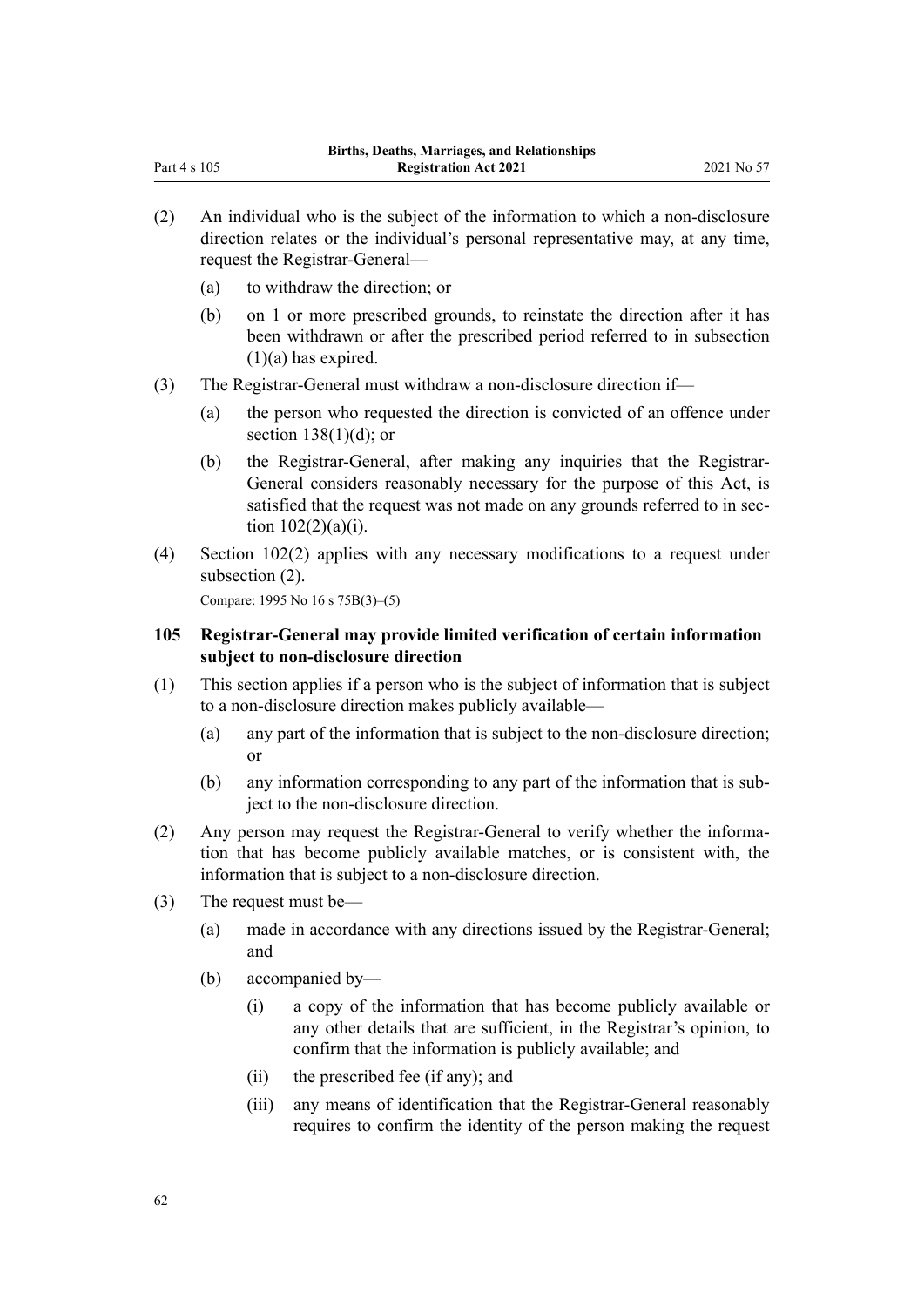- (2) An individual who is the subject of the information to which a non-disclosure direction relates or the individual's personal representative may, at any time, request the Registrar-General—
	- (a) to withdraw the direction; or

Part 4 s 105

- (b) on 1 or more prescribed grounds, to reinstate the direction after it has been withdrawn or after the prescribed period referred to in subsection  $(1)(a)$  has expired.
- (3) The Registrar-General must withdraw a non-disclosure direction if—
	- (a) the person who requested the direction is convicted of an offence under [section 138\(1\)\(d\);](#page-79-0) or
	- (b) the Registrar-General, after making any inquiries that the Registrar-General considers reasonably necessary for the purpose of this Act, is satisfied that the request was not made on any grounds referred to in section  $102(2)(a)(i)$ .
- (4) [Section 102\(2\)](#page-59-0) applies with any necessary modifications to a request under subsection (2).

Compare: 1995 No 16 [s 75B\(3\)–\(5\)](http://legislation.govt.nz/pdflink.aspx?id=DLM1806040)

# **105 Registrar-General may provide limited verification of certain information subject to non-disclosure direction**

- (1) This section applies if a person who is the subject of information that is subject to a non-disclosure direction makes publicly available—
	- (a) any part of the information that is subject to the non-disclosure direction; or
	- (b) any information corresponding to any part of the information that is sub‐ ject to the non-disclosure direction.
- (2) Any person may request the Registrar-General to verify whether the information that has become publicly available matches, or is consistent with, the information that is subject to a non-disclosure direction.
- (3) The request must be—
	- (a) made in accordance with any directions issued by the Registrar-General; and
	- (b) accompanied by—
		- (i) a copy of the information that has become publicly available or any other details that are sufficient, in the Registrar's opinion, to confirm that the information is publicly available; and
		- (ii) the prescribed fee (if any); and
		- (iii) any means of identification that the Registrar-General reasonably requires to confirm the identity of the person making the request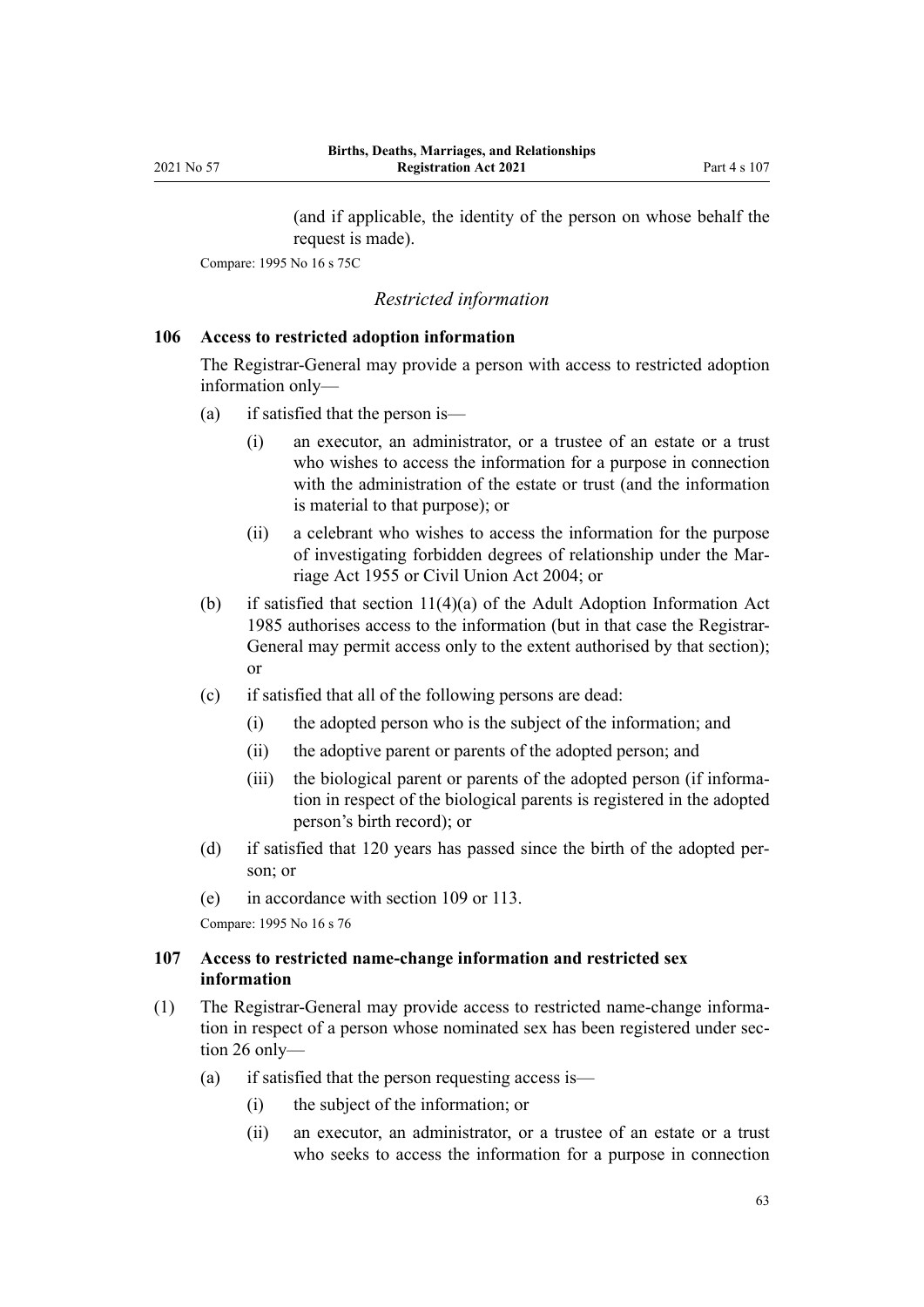(and if applicable, the identity of the person on whose behalf the request is made).

<span id="page-62-0"></span>Compare: 1995 No 16 [s 75C](http://legislation.govt.nz/pdflink.aspx?id=DLM1806041)

## *Restricted information*

# **106 Access to restricted adoption information**

The Registrar-General may provide a person with access to restricted adoption information only—

- (a) if satisfied that the person is—
	- (i) an executor, an administrator, or a trustee of an estate or a trust who wishes to access the information for a purpose in connection with the administration of the estate or trust (and the information is material to that purpose); or
	- (ii) a celebrant who wishes to access the information for the purpose of investigating forbidden degrees of relationship under the [Mar‐](http://legislation.govt.nz/pdflink.aspx?id=DLM292027) [riage Act 1955](http://legislation.govt.nz/pdflink.aspx?id=DLM292027) or [Civil Union Act 2004;](http://legislation.govt.nz/pdflink.aspx?id=DLM323384) or
- (b) if satisfied that [section 11\(4\)\(a\)](http://legislation.govt.nz/pdflink.aspx?id=DLM80568) of the Adult Adoption Information Act 1985 authorises access to the information (but in that case the Registrar-General may permit access only to the extent authorised by that section); or
- (c) if satisfied that all of the following persons are dead:
	- (i) the adopted person who is the subject of the information; and
	- (ii) the adoptive parent or parents of the adopted person; and
	- (iii) the biological parent or parents of the adopted person (if information in respect of the biological parents is registered in the adopted person's birth record); or
- (d) if satisfied that 120 years has passed since the birth of the adopted per‐ son; or
- (e) in accordance with [section 109](#page-64-0) or [113.](#page-66-0)

Compare: 1995 No 16 [s 76](http://legislation.govt.nz/pdflink.aspx?id=DLM364742)

# **107 Access to restricted name-change information and restricted sex information**

- (1) The Registrar-General may provide access to restricted name-change informa‐ tion in respect of a person whose nominated sex has been registered under sec[tion 26](#page-24-0) only—
	- (a) if satisfied that the person requesting access is—
		- (i) the subject of the information; or
		- (ii) an executor, an administrator, or a trustee of an estate or a trust who seeks to access the information for a purpose in connection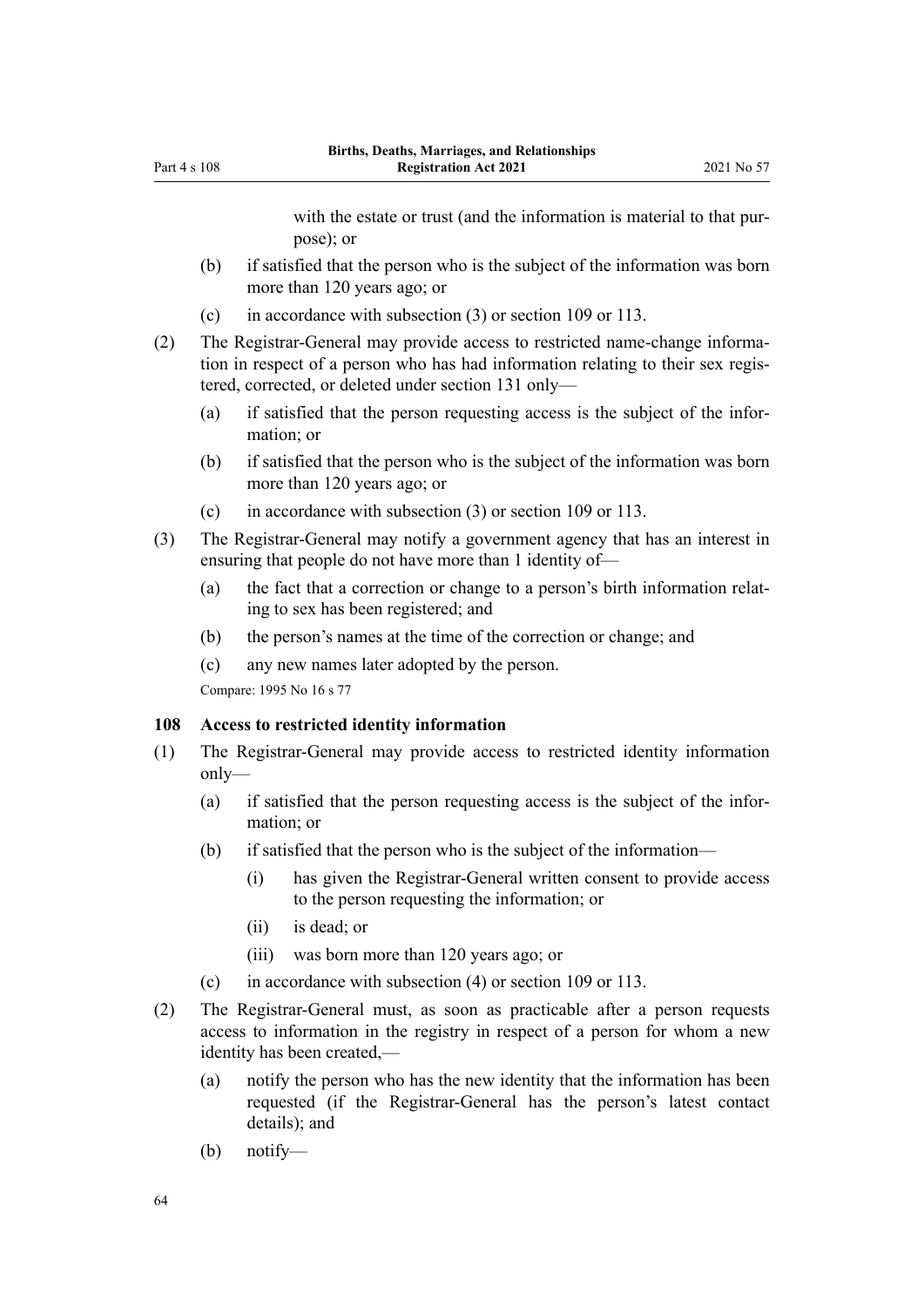with the estate or trust (and the information is material to that purpose); or

- <span id="page-63-0"></span>(b) if satisfied that the person who is the subject of the information was born more than 120 years ago; or
- (c) in accordance with subsection (3) or [section 109](#page-64-0) or [113.](#page-66-0)
- (2) The Registrar-General may provide access to restricted name-change informa‐ tion in respect of a person who has had information relating to their sex registered, corrected, or deleted under [section 131](#page-76-0) only—
	- (a) if satisfied that the person requesting access is the subject of the infor‐ mation; or
	- (b) if satisfied that the person who is the subject of the information was born more than 120 years ago; or
	- (c) in accordance with subsection (3) or [section 109](#page-64-0) or [113.](#page-66-0)
- (3) The Registrar-General may notify a government agency that has an interest in ensuring that people do not have more than 1 identity of—
	- (a) the fact that a correction or change to a person's birth information relat‐ ing to sex has been registered; and
	- (b) the person's names at the time of the correction or change; and
	- (c) any new names later adopted by the person.

Compare: 1995 No 16 [s 77](http://legislation.govt.nz/pdflink.aspx?id=DLM364744)

#### **108 Access to restricted identity information**

- (1) The Registrar-General may provide access to restricted identity information only—
	- (a) if satisfied that the person requesting access is the subject of the infor‐ mation; or
	- (b) if satisfied that the person who is the subject of the information—
		- (i) has given the Registrar-General written consent to provide access to the person requesting the information; or
		- (ii) is dead; or
		- (iii) was born more than 120 years ago; or
	- (c) in accordance with subsection (4) or [section 109](#page-64-0) or [113.](#page-66-0)
- (2) The Registrar-General must, as soon as practicable after a person requests access to information in the registry in respect of a person for whom a new identity has been created,—
	- (a) notify the person who has the new identity that the information has been requested (if the Registrar-General has the person's latest contact details); and
	- (b) notify—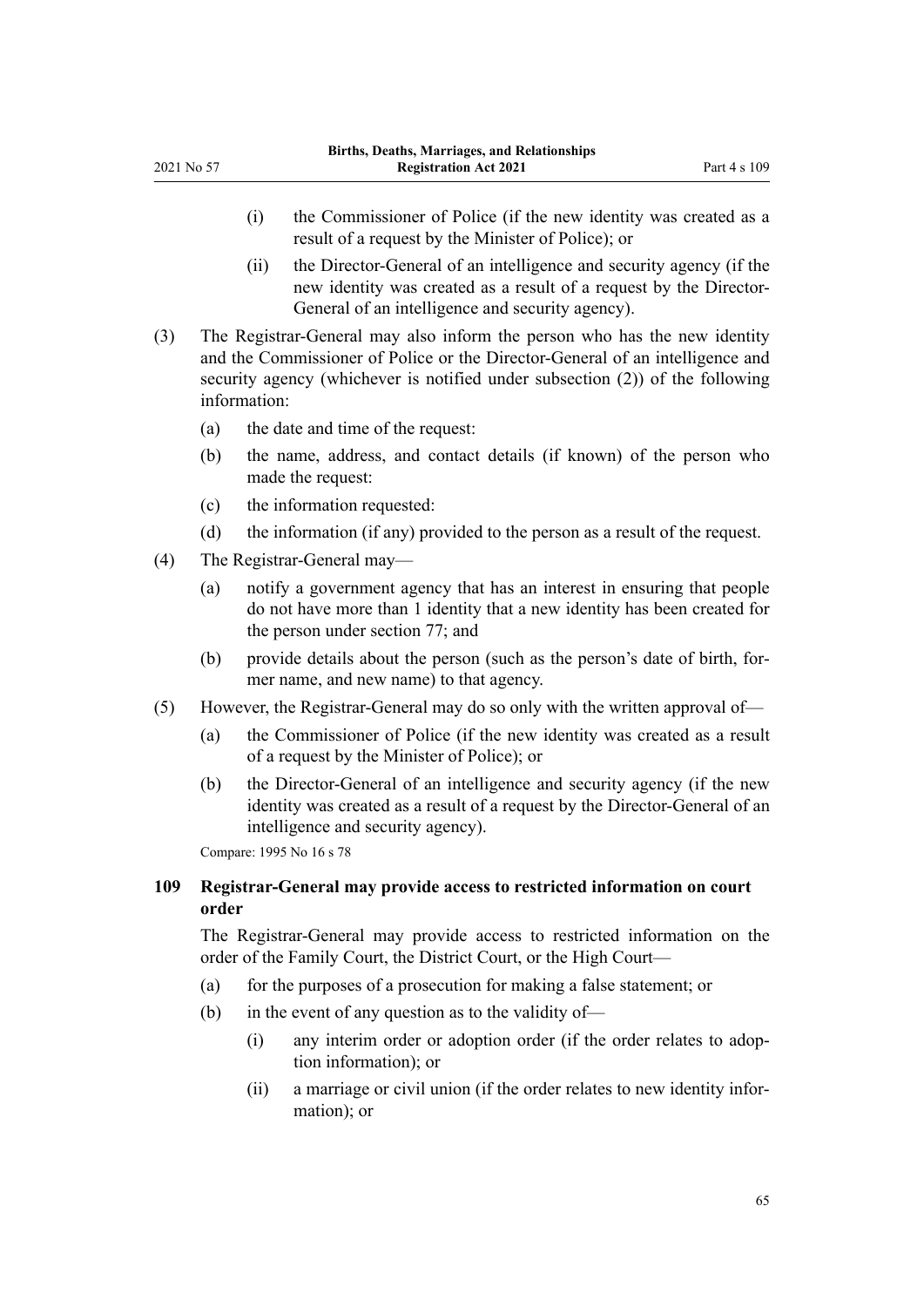- <span id="page-64-0"></span>(i) the Commissioner of Police (if the new identity was created as a result of a request by the Minister of Police); or
- (ii) the Director-General of an intelligence and security agency (if the new identity was created as a result of a request by the Director-General of an intelligence and security agency).
- (3) The Registrar-General may also inform the person who has the new identity and the Commissioner of Police or the Director-General of an intelligence and security agency (whichever is notified under subsection (2)) of the following information:
	- (a) the date and time of the request:
	- (b) the name, address, and contact details (if known) of the person who made the request:
	- (c) the information requested:
	- (d) the information (if any) provided to the person as a result of the request.
- (4) The Registrar-General may—
	- (a) notify a government agency that has an interest in ensuring that people do not have more than 1 identity that a new identity has been created for the person under [section 77;](#page-45-0) and
	- (b) provide details about the person (such as the person's date of birth, for‐ mer name, and new name) to that agency.
- (5) However, the Registrar-General may do so only with the written approval of—
	- (a) the Commissioner of Police (if the new identity was created as a result of a request by the Minister of Police); or
	- (b) the Director-General of an intelligence and security agency (if the new identity was created as a result of a request by the Director-General of an intelligence and security agency).

Compare: 1995 No 16 [s 78](http://legislation.govt.nz/pdflink.aspx?id=DLM364747)

# **109 Registrar-General may provide access to restricted information on court order**

The Registrar-General may provide access to restricted information on the order of the Family Court, the District Court, or the High Court—

- (a) for the purposes of a prosecution for making a false statement; or
- (b) in the event of any question as to the validity of—
	- (i) any interim order or adoption order (if the order relates to adop‐ tion information); or
	- (ii) a marriage or civil union (if the order relates to new identity infor‐ mation); or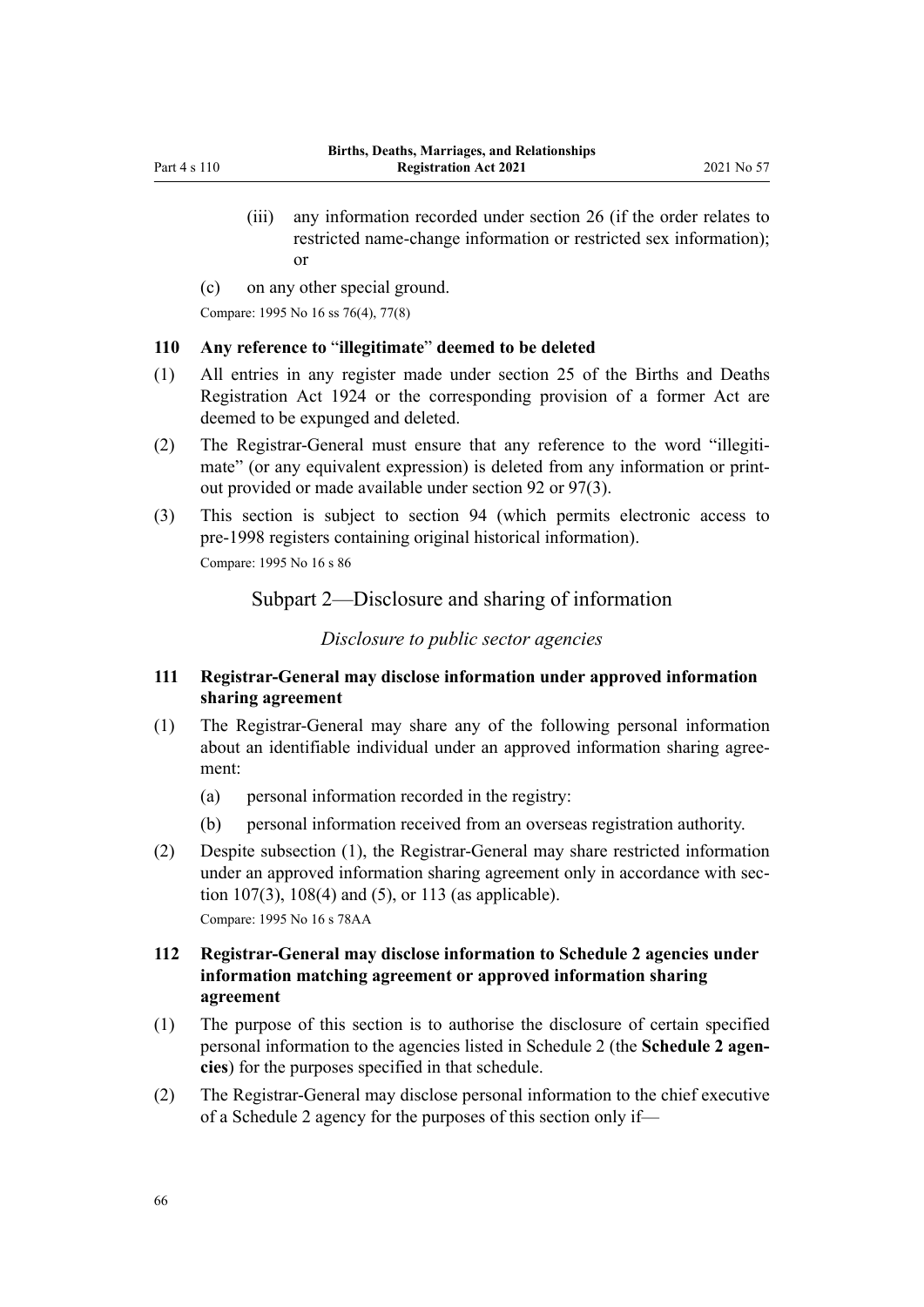- <span id="page-65-0"></span>(iii) any information recorded under [section 26](#page-24-0) (if the order relates to restricted name-change information or restricted sex information); or
- (c) on any other special ground.

Compare: 1995 No 16 [ss 76\(4\)](http://legislation.govt.nz/pdflink.aspx?id=DLM364742), [77\(8\)](http://legislation.govt.nz/pdflink.aspx?id=DLM364744)

#### **110 Any reference to** "**illegitimate**" **deemed to be deleted**

- (1) All entries in any register made under section 25 of the Births and Deaths Registration Act 1924 or the corresponding provision of a former Act are deemed to be expunged and deleted.
- (2) The Registrar-General must ensure that any reference to the word "illegiti‐ mate" (or any equivalent expression) is deleted from any information or printout provided or made available under [section 92](#page-55-0) or [97\(3\)](#page-57-0).
- (3) This section is subject to [section 94](#page-55-0) (which permits electronic access to pre-1998 registers containing original historical information). Compare: 1995 No 16 [s 86](http://legislation.govt.nz/pdflink.aspx?id=DLM364767)

# Subpart 2—Disclosure and sharing of information

#### *Disclosure to public sector agencies*

# **111 Registrar-General may disclose information under approved information sharing agreement**

- (1) The Registrar-General may share any of the following personal information about an identifiable individual under an approved information sharing agree‐ ment:
	- (a) personal information recorded in the registry:
	- (b) personal information received from an overseas registration authority.
- (2) Despite subsection (1), the Registrar-General may share restricted information under an approved information sharing agreement only in accordance with sec[tion 107\(3\),](#page-62-0) [108\(4\) and \(5\),](#page-63-0) or [113](#page-66-0) (as applicable). Compare: 1995 No 16 [s 78AA](http://legislation.govt.nz/pdflink.aspx?id=DLM5048002)

# **112 Registrar-General may disclose information to Schedule 2 agencies under information matching agreement or approved information sharing agreement**

- (1) The purpose of this section is to authorise the disclosure of certain specified personal information to the agencies listed in [Schedule 2](#page-91-0) (the **Schedule 2 agen‐ cies**) for the purposes specified in that schedule.
- (2) The Registrar-General may disclose personal information to the chief executive of a Schedule 2 agency for the purposes of this section only if—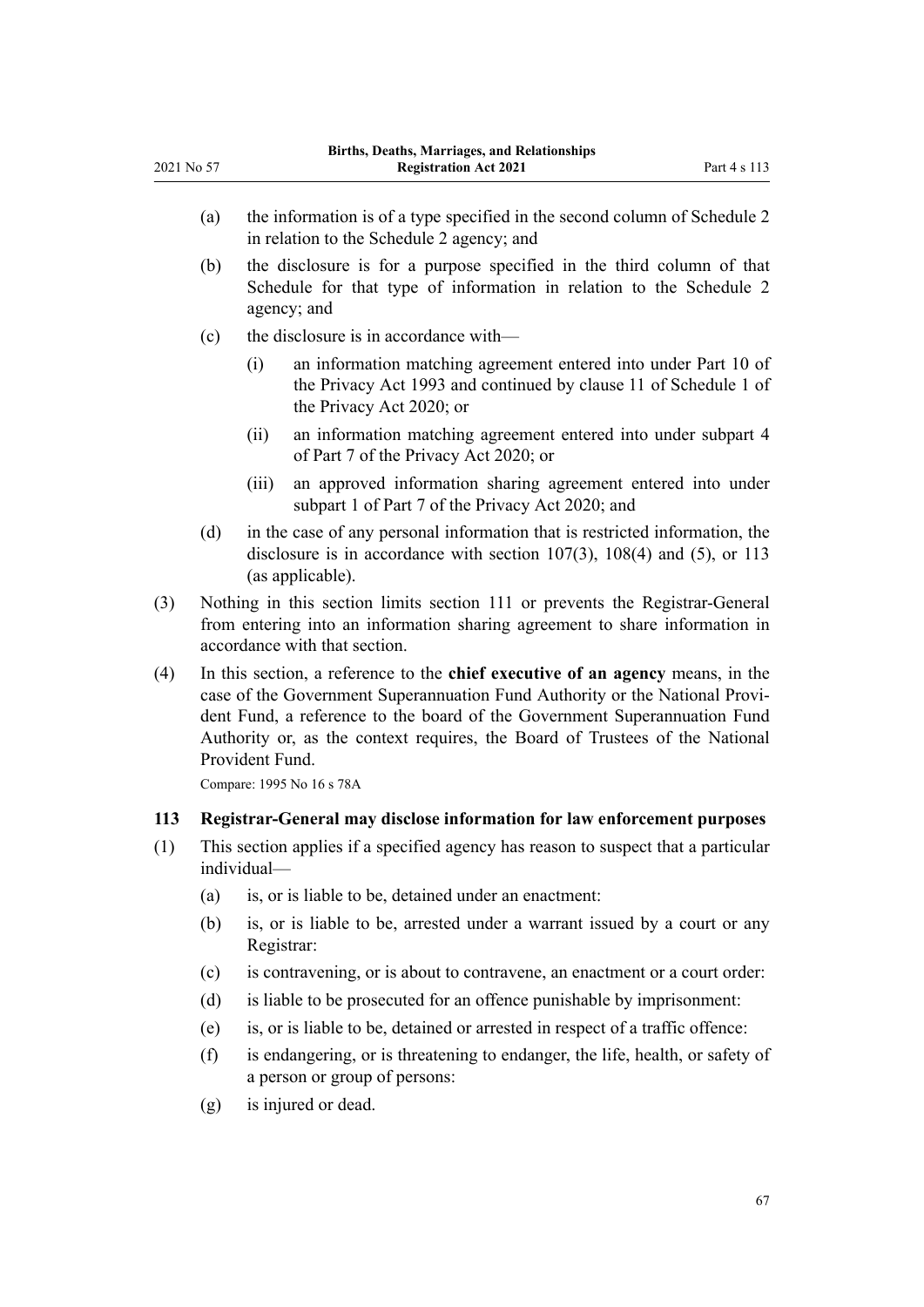<span id="page-66-0"></span>2021 No 57

|            | (a)<br>(b)<br>(c)<br>(d) | (i)<br>(ii)<br>(iii) | the information is of a type specified in the second column of Schedule 2<br>in relation to the Schedule 2 agency; and<br>the disclosure is for a purpose specified in the third column of that<br>Schedule for that type of information in relation to the Schedule 2<br>agency; and<br>the disclosure is in accordance with—<br>an information matching agreement entered into under Part 10 of<br>the Privacy Act 1993 and continued by clause 11 of Schedule 1 of<br>the Privacy Act 2020; or<br>an information matching agreement entered into under subpart 4<br>of Part 7 of the Privacy Act 2020; or<br>an approved information sharing agreement entered into under<br>subpart 1 of Part 7 of the Privacy Act 2020; and<br>in the case of any personal information that is restricted information, the<br>disclosure is in accordance with section $107(3)$ , $108(4)$ and $(5)$ , or 113<br>(as applicable). |  |  |
|------------|--------------------------|----------------------|------------------------------------------------------------------------------------------------------------------------------------------------------------------------------------------------------------------------------------------------------------------------------------------------------------------------------------------------------------------------------------------------------------------------------------------------------------------------------------------------------------------------------------------------------------------------------------------------------------------------------------------------------------------------------------------------------------------------------------------------------------------------------------------------------------------------------------------------------------------------------------------------------------------------|--|--|
| (3)<br>(4) |                          |                      |                                                                                                                                                                                                                                                                                                                                                                                                                                                                                                                                                                                                                                                                                                                                                                                                                                                                                                                        |  |  |
|            |                          |                      |                                                                                                                                                                                                                                                                                                                                                                                                                                                                                                                                                                                                                                                                                                                                                                                                                                                                                                                        |  |  |
|            |                          |                      |                                                                                                                                                                                                                                                                                                                                                                                                                                                                                                                                                                                                                                                                                                                                                                                                                                                                                                                        |  |  |
|            |                          |                      |                                                                                                                                                                                                                                                                                                                                                                                                                                                                                                                                                                                                                                                                                                                                                                                                                                                                                                                        |  |  |
|            |                          |                      |                                                                                                                                                                                                                                                                                                                                                                                                                                                                                                                                                                                                                                                                                                                                                                                                                                                                                                                        |  |  |
|            |                          |                      |                                                                                                                                                                                                                                                                                                                                                                                                                                                                                                                                                                                                                                                                                                                                                                                                                                                                                                                        |  |  |
|            |                          |                      |                                                                                                                                                                                                                                                                                                                                                                                                                                                                                                                                                                                                                                                                                                                                                                                                                                                                                                                        |  |  |
|            |                          |                      | Nothing in this section limits section 111 or prevents the Registrar-General<br>from entering into an information sharing agreement to share information in<br>accordance with that section.                                                                                                                                                                                                                                                                                                                                                                                                                                                                                                                                                                                                                                                                                                                           |  |  |
|            |                          | Provident Fund.      | In this section, a reference to the chief executive of an agency means, in the<br>case of the Government Superannuation Fund Authority or the National Provi-<br>dent Fund, a reference to the board of the Government Superannuation Fund<br>Authority or, as the context requires, the Board of Trustees of the National                                                                                                                                                                                                                                                                                                                                                                                                                                                                                                                                                                                             |  |  |
|            |                          |                      | Compare: 1995 No 16 s 78A                                                                                                                                                                                                                                                                                                                                                                                                                                                                                                                                                                                                                                                                                                                                                                                                                                                                                              |  |  |
| 113        |                          |                      | Registrar-General may disclose information for law enforcement purposes                                                                                                                                                                                                                                                                                                                                                                                                                                                                                                                                                                                                                                                                                                                                                                                                                                                |  |  |
| (1)        |                          | individual-          | This section applies if a specified agency has reason to suspect that a particular                                                                                                                                                                                                                                                                                                                                                                                                                                                                                                                                                                                                                                                                                                                                                                                                                                     |  |  |
|            | (a)                      |                      | is, or is liable to be, detained under an enactment:                                                                                                                                                                                                                                                                                                                                                                                                                                                                                                                                                                                                                                                                                                                                                                                                                                                                   |  |  |
|            | (b)                      | Registrar:           | is, or is liable to be, arrested under a warrant issued by a court or any                                                                                                                                                                                                                                                                                                                                                                                                                                                                                                                                                                                                                                                                                                                                                                                                                                              |  |  |
|            | (c)                      |                      | is contravening, or is about to contravene, an enactment or a court order:                                                                                                                                                                                                                                                                                                                                                                                                                                                                                                                                                                                                                                                                                                                                                                                                                                             |  |  |
|            | (d)                      |                      | is liable to be prosecuted for an offence punishable by imprisonment:                                                                                                                                                                                                                                                                                                                                                                                                                                                                                                                                                                                                                                                                                                                                                                                                                                                  |  |  |
|            | (e)                      |                      | is, or is liable to be, detained or arrested in respect of a traffic offence:                                                                                                                                                                                                                                                                                                                                                                                                                                                                                                                                                                                                                                                                                                                                                                                                                                          |  |  |
|            | (f)                      |                      | is endangering, or is threatening to endanger, the life, health, or safety of<br>a person or group of persons:                                                                                                                                                                                                                                                                                                                                                                                                                                                                                                                                                                                                                                                                                                                                                                                                         |  |  |
|            | (g)                      |                      | is injured or dead.                                                                                                                                                                                                                                                                                                                                                                                                                                                                                                                                                                                                                                                                                                                                                                                                                                                                                                    |  |  |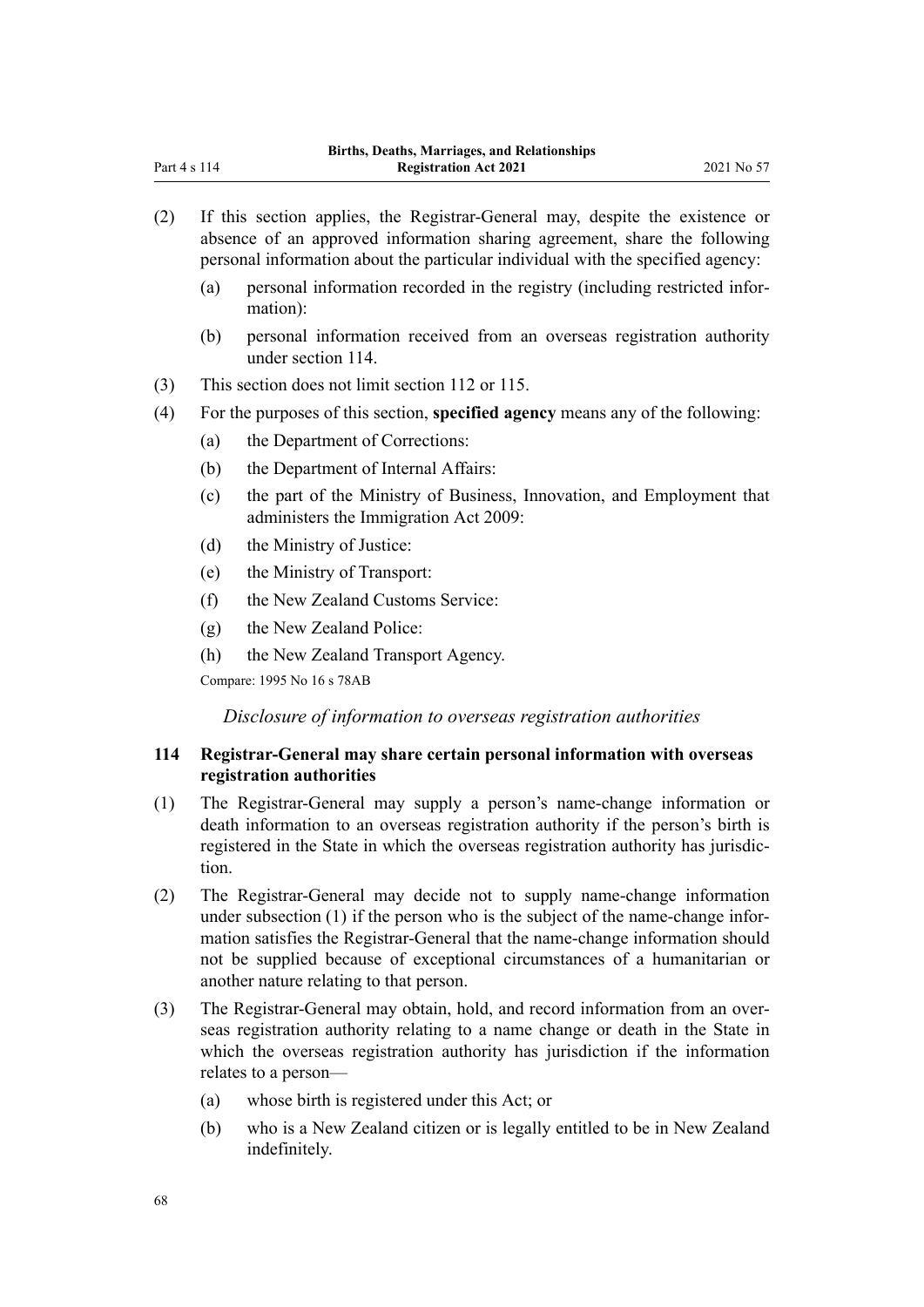| (2) | If this section applies, the Registrar-General may, despite the existence or<br>absence of an approved information sharing agreement, share the following<br>personal information about the particular individual with the specified agency:                                                                             |                                                                                                                |  |  |  |
|-----|--------------------------------------------------------------------------------------------------------------------------------------------------------------------------------------------------------------------------------------------------------------------------------------------------------------------------|----------------------------------------------------------------------------------------------------------------|--|--|--|
|     | (a)                                                                                                                                                                                                                                                                                                                      | personal information recorded in the registry (including restricted infor-<br>mation):                         |  |  |  |
|     | (b)                                                                                                                                                                                                                                                                                                                      | personal information received from an overseas registration authority<br>under section 114.                    |  |  |  |
| (3) | This section does not limit section 112 or 115.                                                                                                                                                                                                                                                                          |                                                                                                                |  |  |  |
| (4) | For the purposes of this section, specified agency means any of the following:                                                                                                                                                                                                                                           |                                                                                                                |  |  |  |
|     | (a)                                                                                                                                                                                                                                                                                                                      | the Department of Corrections:                                                                                 |  |  |  |
|     | (b)                                                                                                                                                                                                                                                                                                                      | the Department of Internal Affairs:                                                                            |  |  |  |
|     | (c)                                                                                                                                                                                                                                                                                                                      | the part of the Ministry of Business, Innovation, and Employment that<br>administers the Immigration Act 2009: |  |  |  |
|     | (d)                                                                                                                                                                                                                                                                                                                      | the Ministry of Justice:                                                                                       |  |  |  |
|     | (e)                                                                                                                                                                                                                                                                                                                      | the Ministry of Transport:                                                                                     |  |  |  |
|     | (f)                                                                                                                                                                                                                                                                                                                      | the New Zealand Customs Service:                                                                               |  |  |  |
|     | (g)                                                                                                                                                                                                                                                                                                                      | the New Zealand Police:                                                                                        |  |  |  |
|     | (h)                                                                                                                                                                                                                                                                                                                      | the New Zealand Transport Agency.                                                                              |  |  |  |
|     |                                                                                                                                                                                                                                                                                                                          | Compare: 1995 No 16 s 78AB                                                                                     |  |  |  |
|     |                                                                                                                                                                                                                                                                                                                          | Disclosure of information to overseas registration authorities                                                 |  |  |  |
| 114 | Registrar-General may share certain personal information with overseas<br>registration authorities                                                                                                                                                                                                                       |                                                                                                                |  |  |  |
| (1) | The Registrar-General may supply a person's name-change information or<br>death information to an overseas registration authority if the person's birth is<br>registered in the State in which the overseas registration authority has jurisdic-<br>tion.                                                                |                                                                                                                |  |  |  |
| (2) | The Registrar-General may decide not to supply name-change information<br>under subsection (1) if the person who is the subject of the name-change infor-<br>mation satisfies the Registrar-General that the name-change information should<br>not be supplied because of exceptional circumstances of a humanitarian or |                                                                                                                |  |  |  |

- (3) The Registrar-General may obtain, hold, and record information from an over‐ seas registration authority relating to a name change or death in the State in which the overseas registration authority has jurisdiction if the information relates to a person—
	- (a) whose birth is registered under this Act; or

another nature relating to that person.

(b) who is a New Zealand citizen or is legally entitled to be in New Zealand indefinitely.

<span id="page-67-0"></span>Part 4 s 114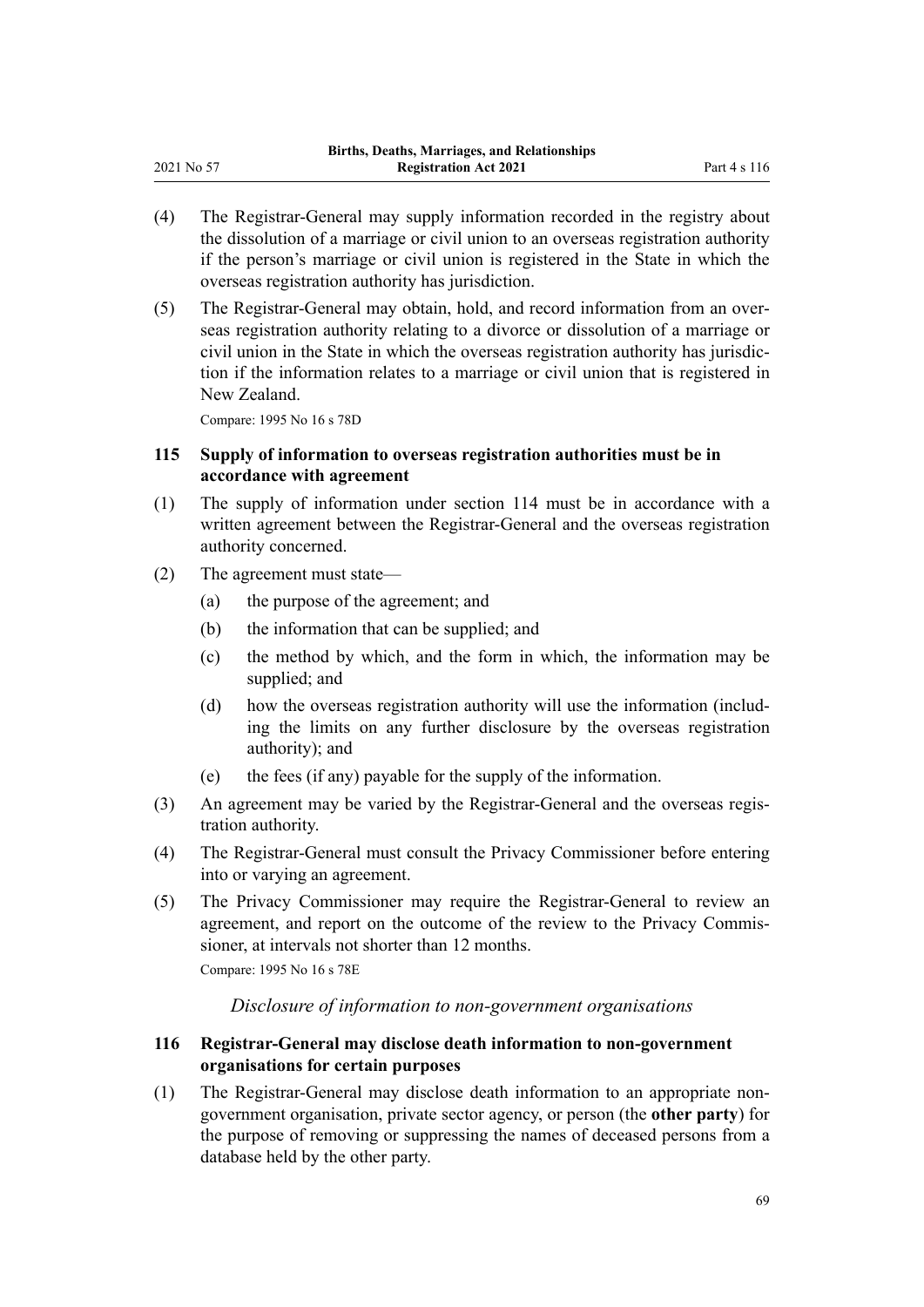- (4) The Registrar-General may supply information recorded in the registry about the dissolution of a marriage or civil union to an overseas registration authority if the person's marriage or civil union is registered in the State in which the overseas registration authority has jurisdiction.
- (5) The Registrar-General may obtain, hold, and record information from an over‐ seas registration authority relating to a divorce or dissolution of a marriage or civil union in the State in which the overseas registration authority has jurisdic‐ tion if the information relates to a marriage or civil union that is registered in New Zealand.

Compare: 1995 No 16 [s 78D](http://legislation.govt.nz/pdflink.aspx?id=DLM1806407)

<span id="page-68-0"></span>2021 No 57

# **115 Supply of information to overseas registration authorities must be in accordance with agreement**

- (1) The supply of information under [section 114](#page-67-0) must be in accordance with a written agreement between the Registrar-General and the overseas registration authority concerned.
- (2) The agreement must state—
	- (a) the purpose of the agreement; and
	- (b) the information that can be supplied; and
	- (c) the method by which, and the form in which, the information may be supplied; and
	- (d) how the overseas registration authority will use the information (including the limits on any further disclosure by the overseas registration authority); and
	- (e) the fees (if any) payable for the supply of the information.
- (3) An agreement may be varied by the Registrar-General and the overseas regis‐ tration authority.
- (4) The Registrar-General must consult the Privacy Commissioner before entering into or varying an agreement.
- (5) The Privacy Commissioner may require the Registrar-General to review an agreement, and report on the outcome of the review to the Privacy Commissioner, at intervals not shorter than 12 months.

Compare: 1995 No 16 [s 78E](http://legislation.govt.nz/pdflink.aspx?id=DLM1806408)

#### *Disclosure of information to non-government organisations*

# **116 Registrar-General may disclose death information to non-government organisations for certain purposes**

(1) The Registrar-General may disclose death information to an appropriate nongovernment organisation, private sector agency, or person (the **other party**) for the purpose of removing or suppressing the names of deceased persons from a database held by the other party.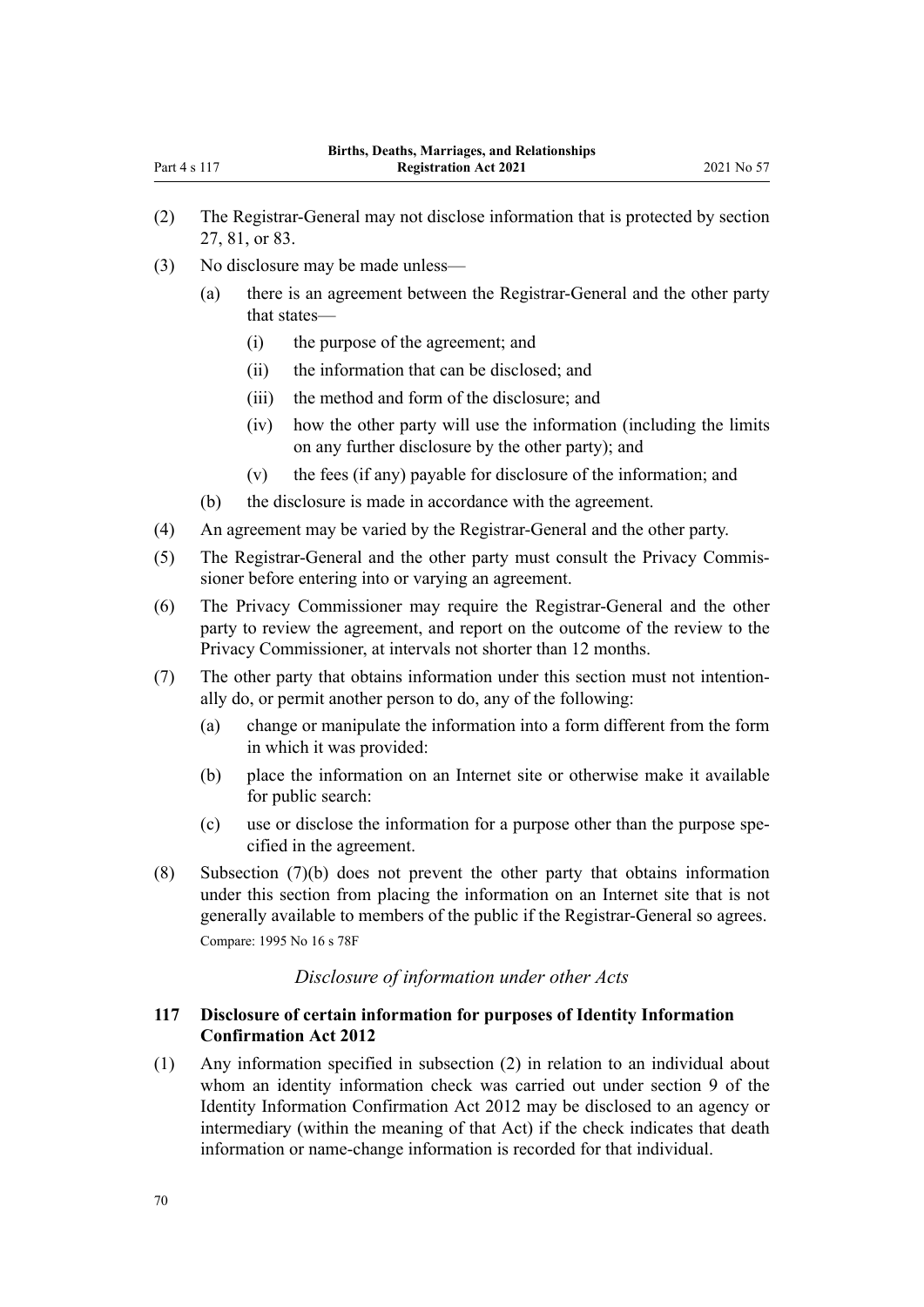- (2) The Registrar-General may not disclose information that is protected by [section](#page-25-0) [27,](#page-25-0) [81,](#page-47-0) or [83.](#page-48-0)
- (3) No disclosure may be made unless—
	- (a) there is an agreement between the Registrar-General and the other party that states—
		- (i) the purpose of the agreement; and
		- (ii) the information that can be disclosed; and
		- (iii) the method and form of the disclosure; and
		- (iv) how the other party will use the information (including the limits on any further disclosure by the other party); and
		- (v) the fees (if any) payable for disclosure of the information; and
	- (b) the disclosure is made in accordance with the agreement.
- (4) An agreement may be varied by the Registrar-General and the other party.
- (5) The Registrar-General and the other party must consult the Privacy Commis‐ sioner before entering into or varying an agreement.
- (6) The Privacy Commissioner may require the Registrar-General and the other party to review the agreement, and report on the outcome of the review to the Privacy Commissioner, at intervals not shorter than 12 months.
- (7) The other party that obtains information under this section must not intention‐ ally do, or permit another person to do, any of the following:
	- (a) change or manipulate the information into a form different from the form in which it was provided:
	- (b) place the information on an Internet site or otherwise make it available for public search:
	- (c) use or disclose the information for a purpose other than the purpose spe‐ cified in the agreement.
- (8) Subsection (7)(b) does not prevent the other party that obtains information under this section from placing the information on an Internet site that is not generally available to members of the public if the Registrar-General so agrees. Compare: 1995 No 16 [s 78F](http://legislation.govt.nz/pdflink.aspx?id=DLM1806409)

# *Disclosure of information under other Acts*

# **117 Disclosure of certain information for purposes of Identity Information Confirmation Act 2012**

(1) Any information specified in subsection (2) in relation to an individual about whom an identity information check was carried out under [section 9](http://legislation.govt.nz/pdflink.aspx?id=DLM3136850) of the Identity Information Confirmation Act 2012 may be disclosed to an agency or intermediary (within the meaning of that Act) if the check indicates that death information or name-change information is recorded for that individual.

Part 4 s 117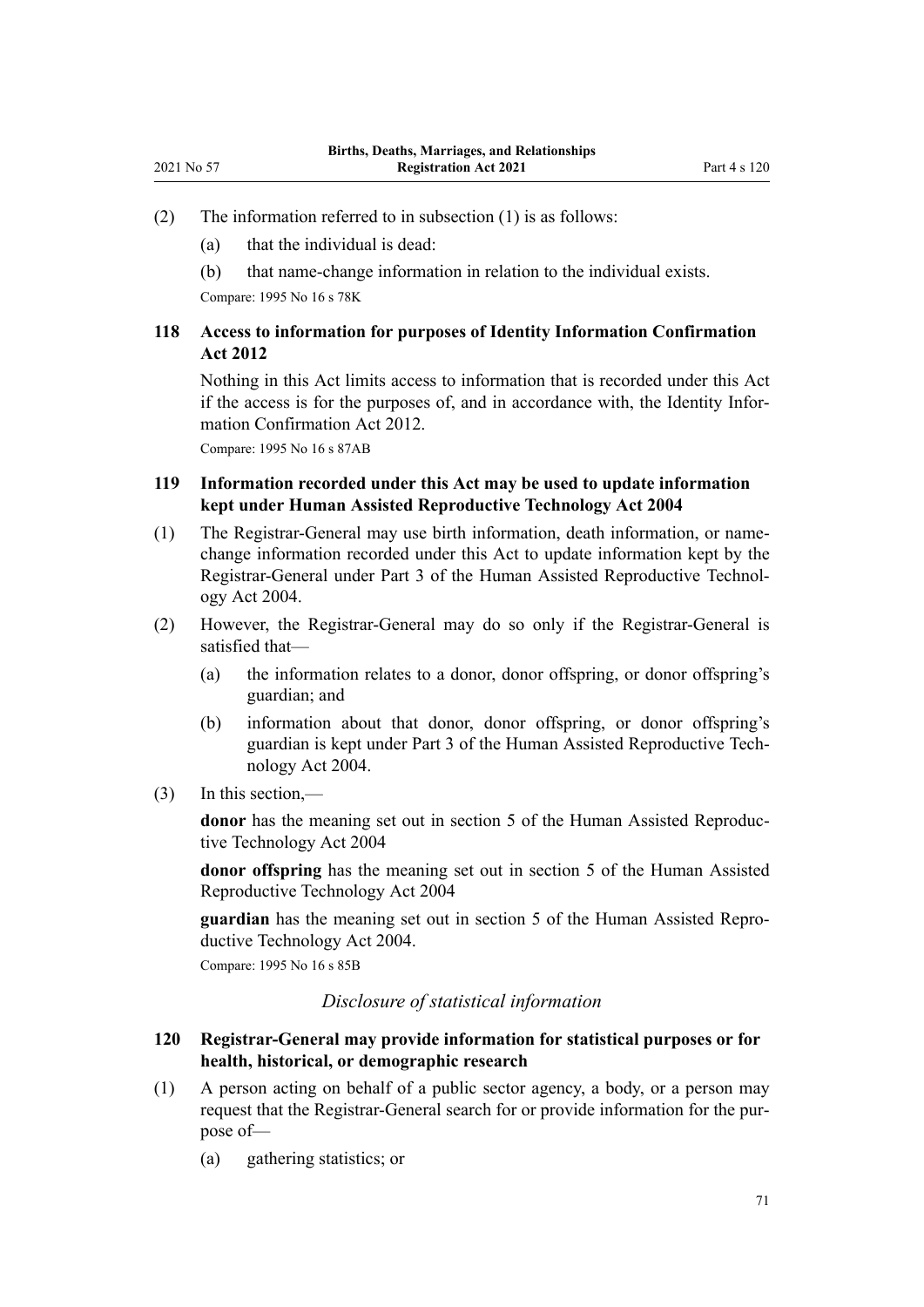- (2) The information referred to in subsection (1) is as follows:
	- (a) that the individual is dead:
	- (b) that name-change information in relation to the individual exists.

Compare: 1995 No 16 [s 78K](http://legislation.govt.nz/pdflink.aspx?id=DLM4961900)

# **118 Access to information for purposes of Identity Information Confirmation Act 2012**

Nothing in this Act limits access to information that is recorded under this Act if the access is for the purposes of, and in accordance with, the [Identity Infor‐](http://legislation.govt.nz/pdflink.aspx?id=DLM3136800) [mation Confirmation Act 2012](http://legislation.govt.nz/pdflink.aspx?id=DLM3136800).

Compare: 1995 No 16 [s 87AB](http://legislation.govt.nz/pdflink.aspx?id=DLM4961904)

# **119 Information recorded under this Act may be used to update information kept under Human Assisted Reproductive Technology Act 2004**

- (1) The Registrar-General may use birth information, death information, or namechange information recorded under this Act to update information kept by the Registrar-General under [Part 3](http://legislation.govt.nz/pdflink.aspx?id=DLM319359) of the Human Assisted Reproductive Technol‐ ogy Act 2004.
- (2) However, the Registrar-General may do so only if the Registrar-General is satisfied that—
	- (a) the information relates to a donor, donor offspring, or donor offspring's guardian; and
	- (b) information about that donor, donor offspring, or donor offspring's guardian is kept under [Part 3](http://legislation.govt.nz/pdflink.aspx?id=DLM319359) of the Human Assisted Reproductive Tech‐ nology Act 2004.
- (3) In this section,—

**donor** has the meaning set out in [section 5](http://legislation.govt.nz/pdflink.aspx?id=DLM319249) of the Human Assisted Reproductive Technology Act 2004

**donor offspring** has the meaning set out in [section 5](http://legislation.govt.nz/pdflink.aspx?id=DLM319249) of the Human Assisted Reproductive Technology Act 2004

**guardian** has the meaning set out in [section 5](http://legislation.govt.nz/pdflink.aspx?id=DLM319249) of the Human Assisted Repro‐ ductive Technology Act 2004.

Compare: 1995 No 16 [s 85B](http://legislation.govt.nz/pdflink.aspx?id=DLM1806473)

*Disclosure of statistical information*

#### **120 Registrar-General may provide information for statistical purposes or for health, historical, or demographic research**

- (1) A person acting on behalf of a public sector agency, a body, or a person may request that the Registrar-General search for or provide information for the pur‐ pose of—
	- (a) gathering statistics; or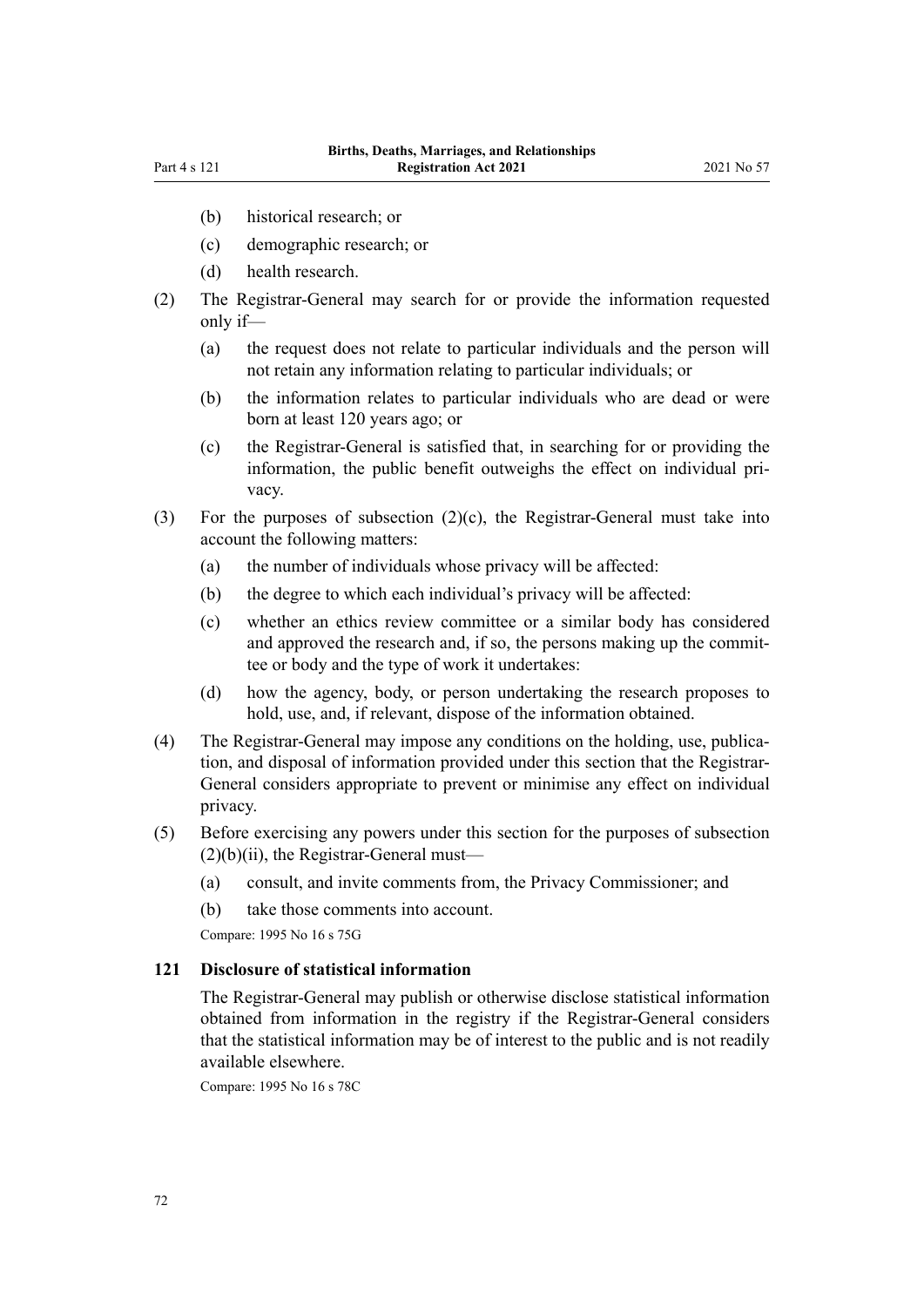- (b) historical research; or
- (c) demographic research; or
- (d) health research.
- (2) The Registrar-General may search for or provide the information requested only if—
	- (a) the request does not relate to particular individuals and the person will not retain any information relating to particular individuals; or
	- (b) the information relates to particular individuals who are dead or were born at least 120 years ago; or
	- (c) the Registrar-General is satisfied that, in searching for or providing the information, the public benefit outweighs the effect on individual pri‐ vacy.
- (3) For the purposes of subsection  $(2)(c)$ , the Registrar-General must take into account the following matters:
	- (a) the number of individuals whose privacy will be affected:
	- (b) the degree to which each individual's privacy will be affected:
	- (c) whether an ethics review committee or a similar body has considered and approved the research and, if so, the persons making up the committee or body and the type of work it undertakes:
	- (d) how the agency, body, or person undertaking the research proposes to hold, use, and, if relevant, dispose of the information obtained.
- (4) The Registrar-General may impose any conditions on the holding, use, publication, and disposal of information provided under this section that the Registrar-General considers appropriate to prevent or minimise any effect on individual privacy.
- (5) Before exercising any powers under this section for the purposes of subsection  $(2)(b)(ii)$ , the Registrar-General must—
	- (a) consult, and invite comments from, the Privacy Commissioner; and
	- (b) take those comments into account.

Compare: 1995 No 16 [s 75G](http://legislation.govt.nz/pdflink.aspx?id=DLM1806045)

## **121 Disclosure of statistical information**

The Registrar-General may publish or otherwise disclose statistical information obtained from information in the registry if the Registrar-General considers that the statistical information may be of interest to the public and is not readily available elsewhere.

Compare: 1995 No 16 [s 78C](http://legislation.govt.nz/pdflink.aspx?id=DLM1806406)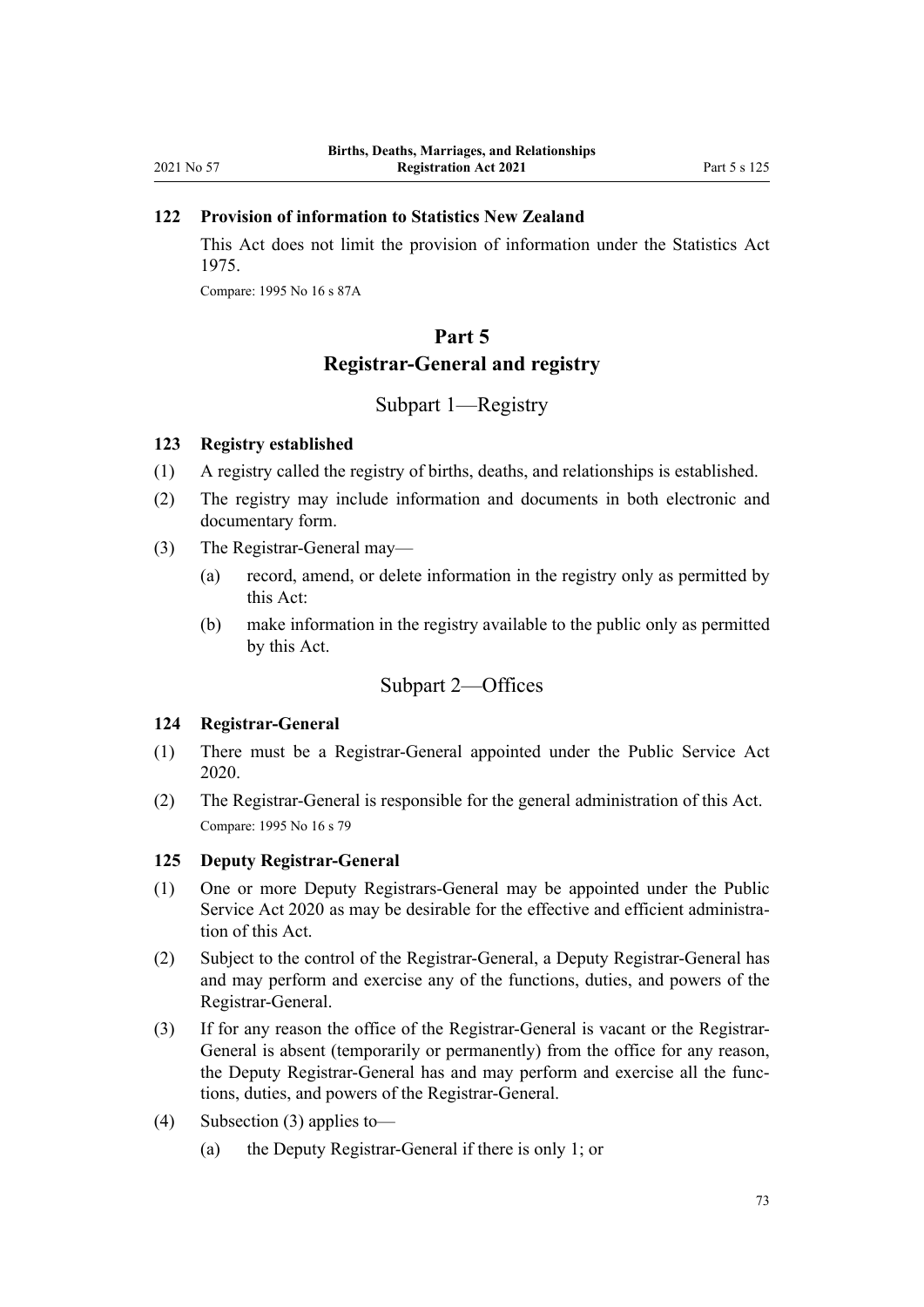### **122 Provision of information to Statistics New Zealand**

This Act does not limit the provision of information under the [Statistics Act](http://legislation.govt.nz/pdflink.aspx?id=DLM430704) [1975](http://legislation.govt.nz/pdflink.aspx?id=DLM430704).

Compare: 1995 No 16 [s 87A](http://legislation.govt.nz/pdflink.aspx?id=DLM1806488)

# **Part 5 Registrar-General and registry**

### Subpart 1—Registry

#### **123 Registry established**

- (1) A registry called the registry of births, deaths, and relationships is established.
- (2) The registry may include information and documents in both electronic and documentary form.
- (3) The Registrar-General may—
	- (a) record, amend, or delete information in the registry only as permitted by this Act:
	- (b) make information in the registry available to the public only as permitted by this Act.

### Subpart 2—Offices

#### **124 Registrar-General**

- (1) There must be a Registrar-General appointed under the [Public Service Act](http://legislation.govt.nz/pdflink.aspx?id=LMS106157) [2020](http://legislation.govt.nz/pdflink.aspx?id=LMS106157).
- (2) The Registrar-General is responsible for the general administration of this Act. Compare: 1995 No 16 [s 79](http://legislation.govt.nz/pdflink.aspx?id=DLM364757)

### **125 Deputy Registrar-General**

- (1) One or more Deputy Registrars-General may be appointed under the [Public](http://legislation.govt.nz/pdflink.aspx?id=LMS106157) [Service Act 2020](http://legislation.govt.nz/pdflink.aspx?id=LMS106157) as may be desirable for the effective and efficient administration of this Act.
- (2) Subject to the control of the Registrar-General, a Deputy Registrar-General has and may perform and exercise any of the functions, duties, and powers of the Registrar-General.
- (3) If for any reason the office of the Registrar-General is vacant or the Registrar-General is absent (temporarily or permanently) from the office for any reason, the Deputy Registrar-General has and may perform and exercise all the func‐ tions, duties, and powers of the Registrar-General.
- (4) Subsection (3) applies to—
	- (a) the Deputy Registrar-General if there is only 1; or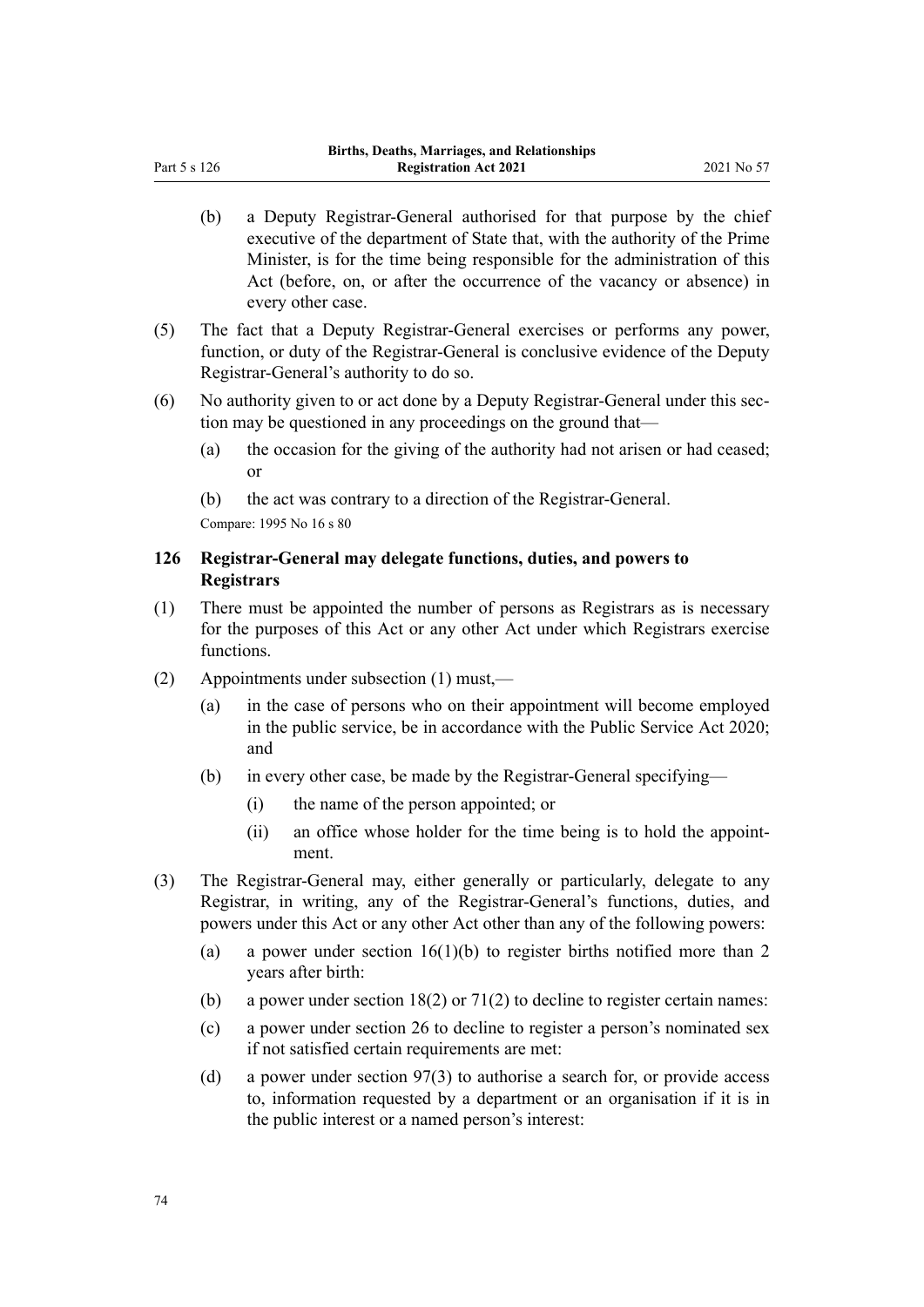- (b) a Deputy Registrar-General authorised for that purpose by the chief executive of the department of State that, with the authority of the Prime Minister, is for the time being responsible for the administration of this Act (before, on, or after the occurrence of the vacancy or absence) in every other case.
- (5) The fact that a Deputy Registrar-General exercises or performs any power, function, or duty of the Registrar-General is conclusive evidence of the Deputy Registrar-General's authority to do so.
- (6) No authority given to or act done by a Deputy Registrar-General under this sec‐ tion may be questioned in any proceedings on the ground that—
	- (a) the occasion for the giving of the authority had not arisen or had ceased; or
	- (b) the act was contrary to a direction of the Registrar-General.

Compare: 1995 No 16 [s 80](http://legislation.govt.nz/pdflink.aspx?id=DLM364758)

<span id="page-73-0"></span>Part 5 s 126

### **126 Registrar-General may delegate functions, duties, and powers to Registrars**

- (1) There must be appointed the number of persons as Registrars as is necessary for the purposes of this Act or any other Act under which Registrars exercise functions.
- (2) Appointments under subsection (1) must,—
	- (a) in the case of persons who on their appointment will become employed in the public service, be in accordance with the [Public Service Act 2020;](http://legislation.govt.nz/pdflink.aspx?id=LMS106157) and
	- (b) in every other case, be made by the Registrar-General specifying—
		- (i) the name of the person appointed; or
		- (ii) an office whose holder for the time being is to hold the appointment.
- (3) The Registrar-General may, either generally or particularly, delegate to any Registrar, in writing, any of the Registrar-General's functions, duties, and powers under this Act or any other Act other than any of the following powers:
	- (a) a power under section  $16(1)(b)$  to register births notified more than 2 years after birth:
	- (b) a power under section  $18(2)$  or  $71(2)$  to decline to register certain names:
	- (c) a power under [section 26](#page-24-0) to decline to register a person's nominated sex if not satisfied certain requirements are met:
	- (d) a power under [section 97\(3\)](#page-57-0) to authorise a search for, or provide access to, information requested by a department or an organisation if it is in the public interest or a named person's interest: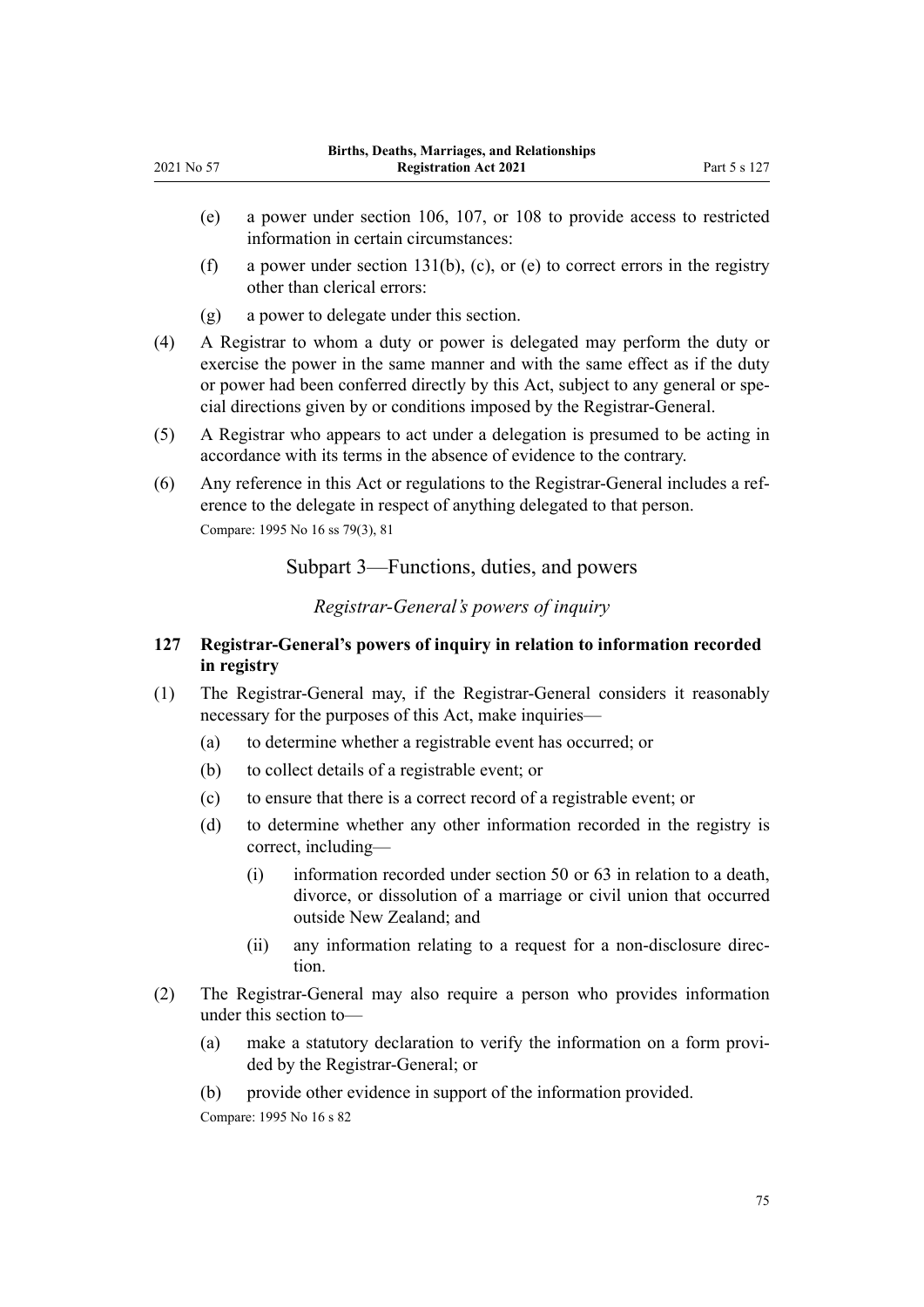- <span id="page-74-0"></span>(e) a power under [section 106](#page-62-0), [107,](#page-62-0) or [108](#page-63-0) to provide access to restricted information in certain circumstances:
- (f) a power under [section 131\(b\), \(c\), or \(e\)](#page-76-0) to correct errors in the registry other than clerical errors:
- (g) a power to delegate under this section.
- (4) A Registrar to whom a duty or power is delegated may perform the duty or exercise the power in the same manner and with the same effect as if the duty or power had been conferred directly by this Act, subject to any general or special directions given by or conditions imposed by the Registrar-General.
- (5) A Registrar who appears to act under a delegation is presumed to be acting in accordance with its terms in the absence of evidence to the contrary.
- (6) Any reference in this Act or regulations to the Registrar-General includes a ref‐ erence to the delegate in respect of anything delegated to that person. Compare: 1995 No 16 [ss 79\(3\)](http://legislation.govt.nz/pdflink.aspx?id=DLM364757), [81](http://legislation.govt.nz/pdflink.aspx?id=DLM364760)

Subpart 3—Functions, duties, and powers

*Registrar-General's powers of inquiry*

### **127 Registrar-General's powers of inquiry in relation to information recorded in registry**

- (1) The Registrar-General may, if the Registrar-General considers it reasonably necessary for the purposes of this Act, make inquiries—
	- (a) to determine whether a registrable event has occurred; or
	- (b) to collect details of a registrable event; or
	- (c) to ensure that there is a correct record of a registrable event; or
	- (d) to determine whether any other information recorded in the registry is correct, including—
		- (i) information recorded under [section 50](#page-34-0) or [63](#page-39-0) in relation to a death, divorce, or dissolution of a marriage or civil union that occurred outside New Zealand; and
		- (ii) any information relating to a request for a non-disclosure direc‐ tion.
- (2) The Registrar-General may also require a person who provides information under this section to—
	- (a) make a statutory declaration to verify the information on a form provi‐ ded by the Registrar-General; or
	- (b) provide other evidence in support of the information provided.

Compare: 1995 No 16 [s 82](http://legislation.govt.nz/pdflink.aspx?id=DLM364762)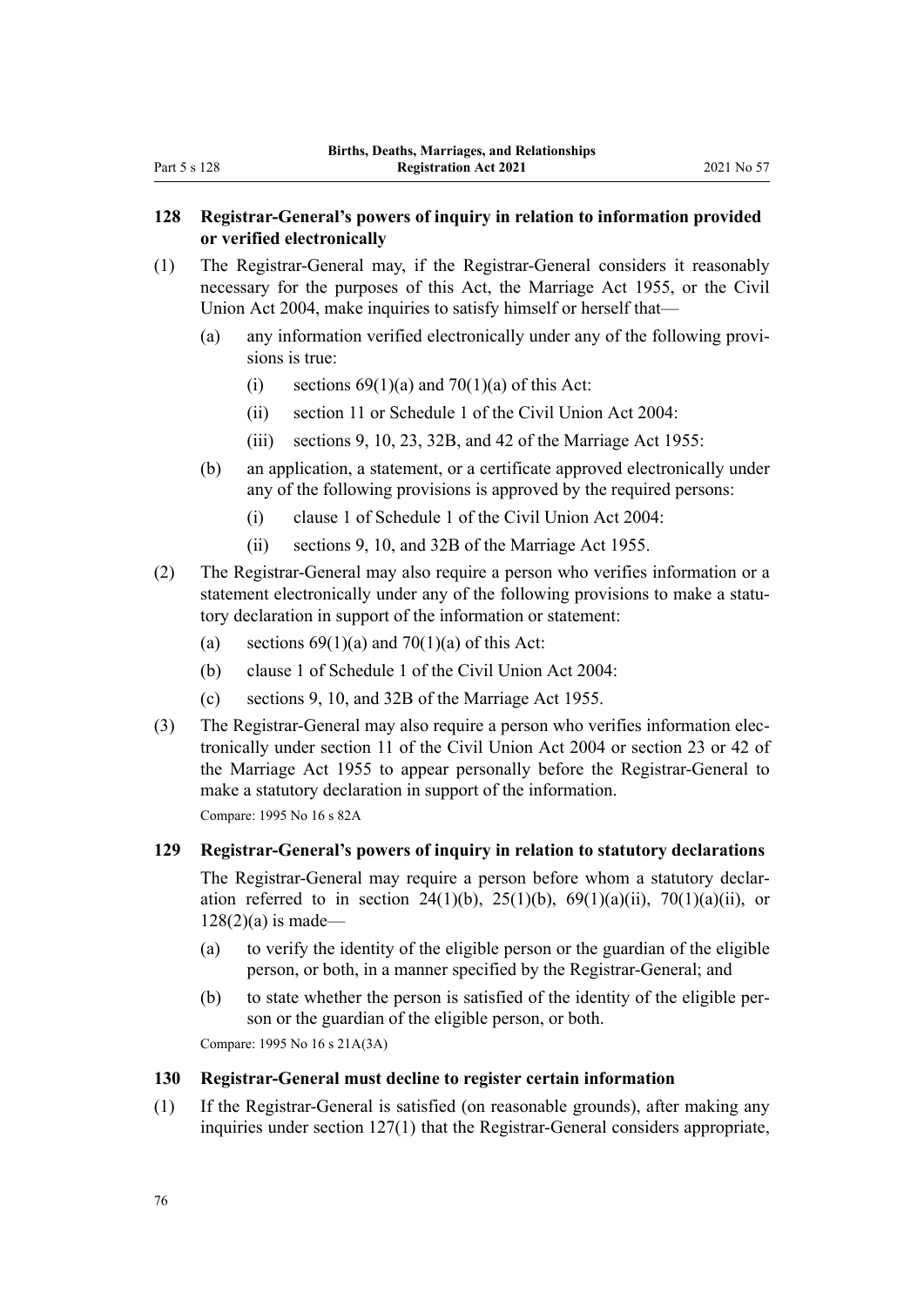### **128 Registrar-General's powers of inquiry in relation to information provided or verified electronically**

- (1) The Registrar-General may, if the Registrar-General considers it reasonably necessary for the purposes of this Act, the [Marriage Act 1955](http://legislation.govt.nz/pdflink.aspx?id=DLM292027), or the [Civil](http://legislation.govt.nz/pdflink.aspx?id=DLM323384) [Union Act 2004](http://legislation.govt.nz/pdflink.aspx?id=DLM323384), make inquiries to satisfy himself or herself that—
	- (a) any information verified electronically under any of the following provisions is true:
		- (i) sections  $69(1)(a)$  and  $70(1)(a)$  of this Act:
		- (ii) [section 11](http://legislation.govt.nz/pdflink.aspx?id=DLM323421) or [Schedule 1](http://legislation.govt.nz/pdflink.aspx?id=DLM323484) of the Civil Union Act 2004:
		- (iii) [sections 9,](http://legislation.govt.nz/pdflink.aspx?id=DLM292066) [10](http://legislation.govt.nz/pdflink.aspx?id=DLM292079), [23](http://legislation.govt.nz/pdflink.aspx?id=DLM292308), [32B](http://legislation.govt.nz/pdflink.aspx?id=DLM292340), and [42](http://legislation.govt.nz/pdflink.aspx?id=DLM292373) of the Marriage Act 1955:
	- (b) an application, a statement, or a certificate approved electronically under any of the following provisions is approved by the required persons:
		- (i) [clause 1](http://legislation.govt.nz/pdflink.aspx?id=DLM323485) of Schedule 1 of the Civil Union Act 2004:
		- (ii) [sections 9,](http://legislation.govt.nz/pdflink.aspx?id=DLM292066) [10](http://legislation.govt.nz/pdflink.aspx?id=DLM292079), and [32B](http://legislation.govt.nz/pdflink.aspx?id=DLM292340) of the Marriage Act 1955.
- (2) The Registrar-General may also require a person who verifies information or a statement electronically under any of the following provisions to make a statutory declaration in support of the information or statement:
	- (a) sections  $69(1)(a)$  and  $70(1)(a)$  of this Act:
	- (b) [clause 1](http://legislation.govt.nz/pdflink.aspx?id=DLM323485) of Schedule 1 of the Civil Union Act 2004:
	- (c) [sections 9,](http://legislation.govt.nz/pdflink.aspx?id=DLM292066) [10](http://legislation.govt.nz/pdflink.aspx?id=DLM292079), and [32B](http://legislation.govt.nz/pdflink.aspx?id=DLM292340) of the Marriage Act 1955.
- (3) The Registrar-General may also require a person who verifies information elec‐ tronically under [section 11](http://legislation.govt.nz/pdflink.aspx?id=DLM323421) of the Civil Union Act 2004 or [section 23](http://legislation.govt.nz/pdflink.aspx?id=DLM292308) or [42](http://legislation.govt.nz/pdflink.aspx?id=DLM292373) of the Marriage Act 1955 to appear personally before the Registrar-General to make a statutory declaration in support of the information. Compare: 1995 No 16 [s 82A](http://legislation.govt.nz/pdflink.aspx?id=DLM7522609)

**129 Registrar-General's powers of inquiry in relation to statutory declarations**

The Registrar-General may require a person before whom a statutory declaration referred to in [section 24\(1\)\(b\)](#page-23-0), [25\(1\)\(b\),](#page-24-0) [69\(1\)\(a\)\(ii\),](#page-42-0) [70\(1\)\(a\)\(ii\)](#page-42-0), or  $128(2)(a)$  is made-

- (a) to verify the identity of the eligible person or the guardian of the eligible person, or both, in a manner specified by the Registrar-General; and
- (b) to state whether the person is satisfied of the identity of the eligible per‐ son or the guardian of the eligible person, or both.

Compare: 1995 No 16 [s 21A\(3A\)](http://legislation.govt.nz/pdflink.aspx?id=DLM1805768)

### **130 Registrar-General must decline to register certain information**

(1) If the Registrar-General is satisfied (on reasonable grounds), after making any inquiries under [section 127\(1\)](#page-74-0) that the Registrar-General considers appropriate,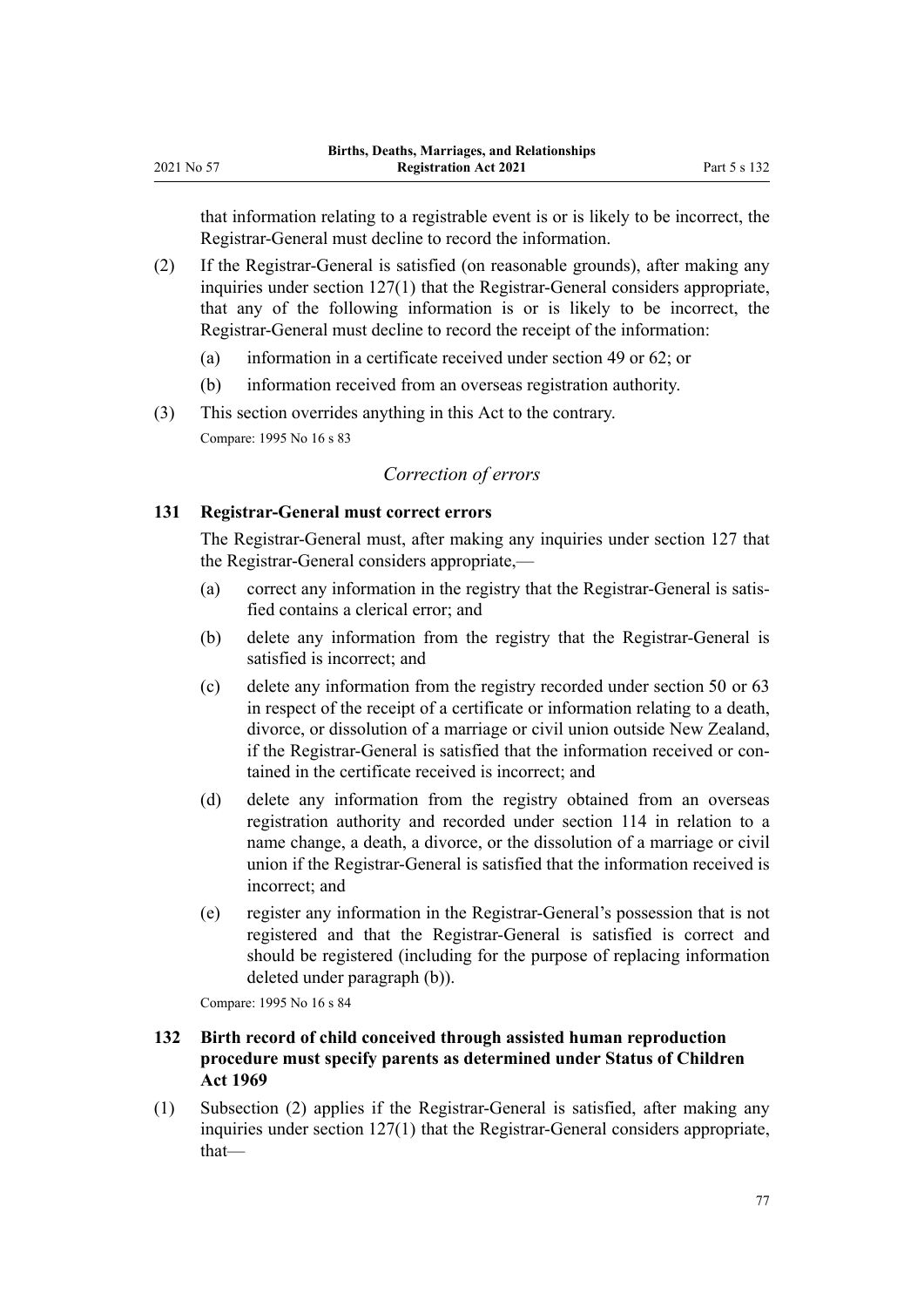<span id="page-76-0"></span>that information relating to a registrable event is or is likely to be incorrect, the Registrar-General must decline to record the information.

- (2) If the Registrar-General is satisfied (on reasonable grounds), after making any inquiries under [section 127\(1\)](#page-74-0) that the Registrar-General considers appropriate, that any of the following information is or is likely to be incorrect, the Registrar-General must decline to record the receipt of the information:
	- (a) information in a certificate received under [section 49](#page-34-0) or [62;](#page-39-0) or
	- (b) information received from an overseas registration authority.
- (3) This section overrides anything in this Act to the contrary. Compare: 1995 No 16 [s 83](http://legislation.govt.nz/pdflink.aspx?id=DLM364764)

### *Correction of errors*

### **131 Registrar-General must correct errors**

The Registrar-General must, after making any inquiries under [section 127](#page-74-0) that the Registrar-General considers appropriate,—

- (a) correct any information in the registry that the Registrar-General is satis‐ fied contains a clerical error; and
- (b) delete any information from the registry that the Registrar-General is satisfied is incorrect; and
- (c) delete any information from the registry recorded under [section 50](#page-34-0) or [63](#page-39-0) in respect of the receipt of a certificate or information relating to a death, divorce, or dissolution of a marriage or civil union outside New Zealand, if the Registrar-General is satisfied that the information received or contained in the certificate received is incorrect; and
- (d) delete any information from the registry obtained from an overseas registration authority and recorded under [section 114](#page-67-0) in relation to a name change, a death, a divorce, or the dissolution of a marriage or civil union if the Registrar-General is satisfied that the information received is incorrect; and
- (e) register any information in the Registrar-General's possession that is not registered and that the Registrar-General is satisfied is correct and should be registered (including for the purpose of replacing information deleted under paragraph (b)).

Compare: 1995 No 16 [s 84](http://legislation.govt.nz/pdflink.aspx?id=DLM364765)

### **132 Birth record of child conceived through assisted human reproduction procedure must specify parents as determined under Status of Children Act 1969**

(1) Subsection (2) applies if the Registrar-General is satisfied, after making any inquiries under [section 127\(1\)](#page-74-0) that the Registrar-General considers appropriate, that—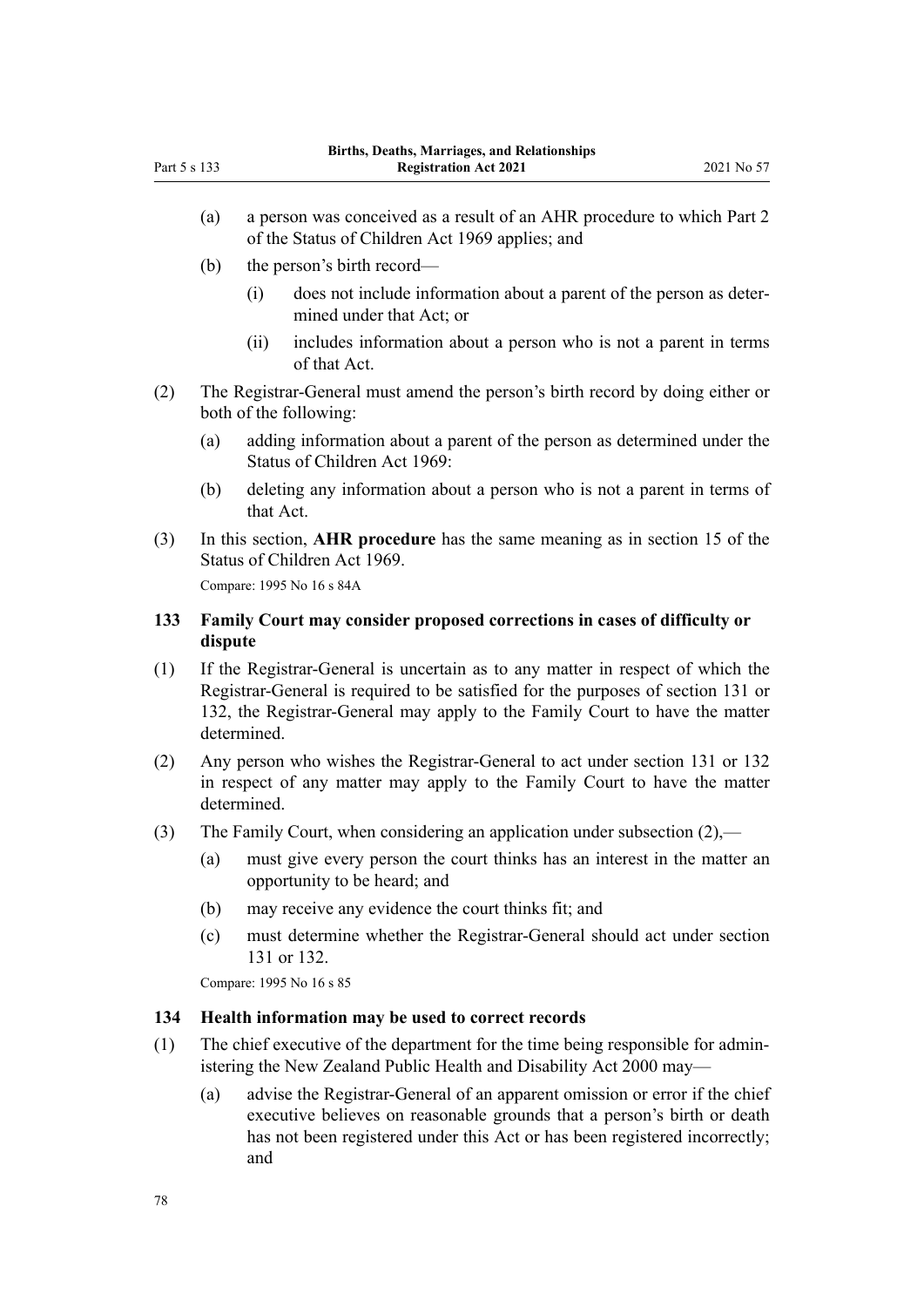- (a) a person was conceived as a result of an AHR procedure to which [Part 2](http://legislation.govt.nz/pdflink.aspx?id=DLM391031) of the Status of Children Act 1969 applies; and
- (b) the person's birth record—
	- (i) does not include information about a parent of the person as deter‐ mined under that Act; or
	- (ii) includes information about a person who is not a parent in terms of that Act.
- (2) The Registrar-General must amend the person's birth record by doing either or both of the following:
	- (a) adding information about a parent of the person as determined under the [Status of Children Act 1969](http://legislation.govt.nz/pdflink.aspx?id=DLM390653):
	- (b) deleting any information about a person who is not a parent in terms of that Act.
- (3) In this section, **AHR procedure** has the same meaning as in [section 15](http://legislation.govt.nz/pdflink.aspx?id=DLM391051) of the Status of Children Act 1969.

Compare: 1995 No 16 [s 84A](http://legislation.govt.nz/pdflink.aspx?id=DLM1806460)

### **133 Family Court may consider proposed corrections in cases of difficulty or dispute**

- (1) If the Registrar-General is uncertain as to any matter in respect of which the Registrar-General is required to be satisfied for the purposes of [section 131](#page-76-0) or [132](#page-76-0), the Registrar-General may apply to the Family Court to have the matter determined.
- (2) Any person who wishes the Registrar-General to act under [section 131](#page-76-0) or [132](#page-76-0) in respect of any matter may apply to the Family Court to have the matter determined.
- (3) The Family Court, when considering an application under subsection (2),—
	- (a) must give every person the court thinks has an interest in the matter an opportunity to be heard; and
	- (b) may receive any evidence the court thinks fit; and
	- (c) must determine whether the Registrar-General should act under [section](#page-76-0) [131](#page-76-0) or [132](#page-76-0).

Compare: 1995 No 16 [s 85](http://legislation.govt.nz/pdflink.aspx?id=DLM364766)

### **134 Health information may be used to correct records**

- (1) The chief executive of the department for the time being responsible for admin‐ istering the [New Zealand Public Health and Disability Act 2000](http://legislation.govt.nz/pdflink.aspx?id=DLM80050) may—
	- (a) advise the Registrar-General of an apparent omission or error if the chief executive believes on reasonable grounds that a person's birth or death has not been registered under this Act or has been registered incorrectly; and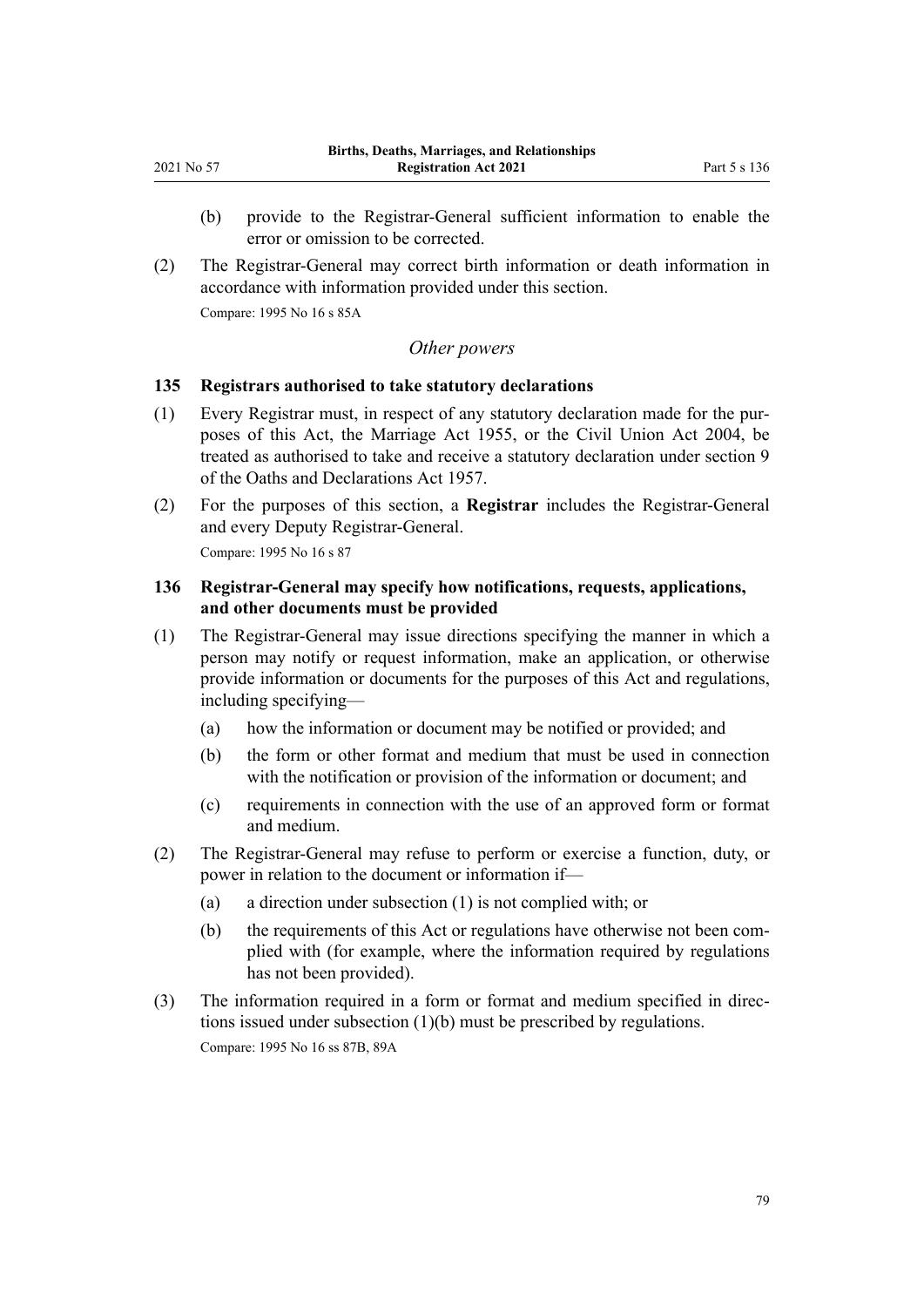- (b) provide to the Registrar-General sufficient information to enable the error or omission to be corrected.
- (2) The Registrar-General may correct birth information or death information in accordance with information provided under this section.

Compare: 1995 No 16 [s 85A](http://legislation.govt.nz/pdflink.aspx?id=DLM1806472)

#### *Other powers*

### **135 Registrars authorised to take statutory declarations**

- (1) Every Registrar must, in respect of any statutory declaration made for the pur‐ poses of this Act, the [Marriage Act 1955](http://legislation.govt.nz/pdflink.aspx?id=DLM292027), or the [Civil Union Act 2004](http://legislation.govt.nz/pdflink.aspx?id=DLM323384), be treated as authorised to take and receive a statutory declaration under [section 9](http://legislation.govt.nz/pdflink.aspx?id=DLM314584) of the Oaths and Declarations Act 1957.
- (2) For the purposes of this section, a **Registrar** includes the Registrar-General and every Deputy Registrar-General.

Compare: 1995 No 16 [s 87](http://legislation.govt.nz/pdflink.aspx?id=DLM364768)

### **136 Registrar-General may specify how notifications, requests, applications, and other documents must be provided**

- (1) The Registrar-General may issue directions specifying the manner in which a person may notify or request information, make an application, or otherwise provide information or documents for the purposes of this Act and regulations, including specifying—
	- (a) how the information or document may be notified or provided; and
	- (b) the form or other format and medium that must be used in connection with the notification or provision of the information or document; and
	- (c) requirements in connection with the use of an approved form or format and medium.
- (2) The Registrar-General may refuse to perform or exercise a function, duty, or power in relation to the document or information if—
	- (a) a direction under subsection (1) is not complied with; or
	- (b) the requirements of this Act or regulations have otherwise not been complied with (for example, where the information required by regulations has not been provided).
- (3) The information required in a form or format and medium specified in direc‐ tions issued under subsection (1)(b) must be prescribed by regulations. Compare: 1995 No 16 [ss 87B,](http://legislation.govt.nz/pdflink.aspx?id=DLM1806489) [89A](http://legislation.govt.nz/pdflink.aspx?id=DLM1806511)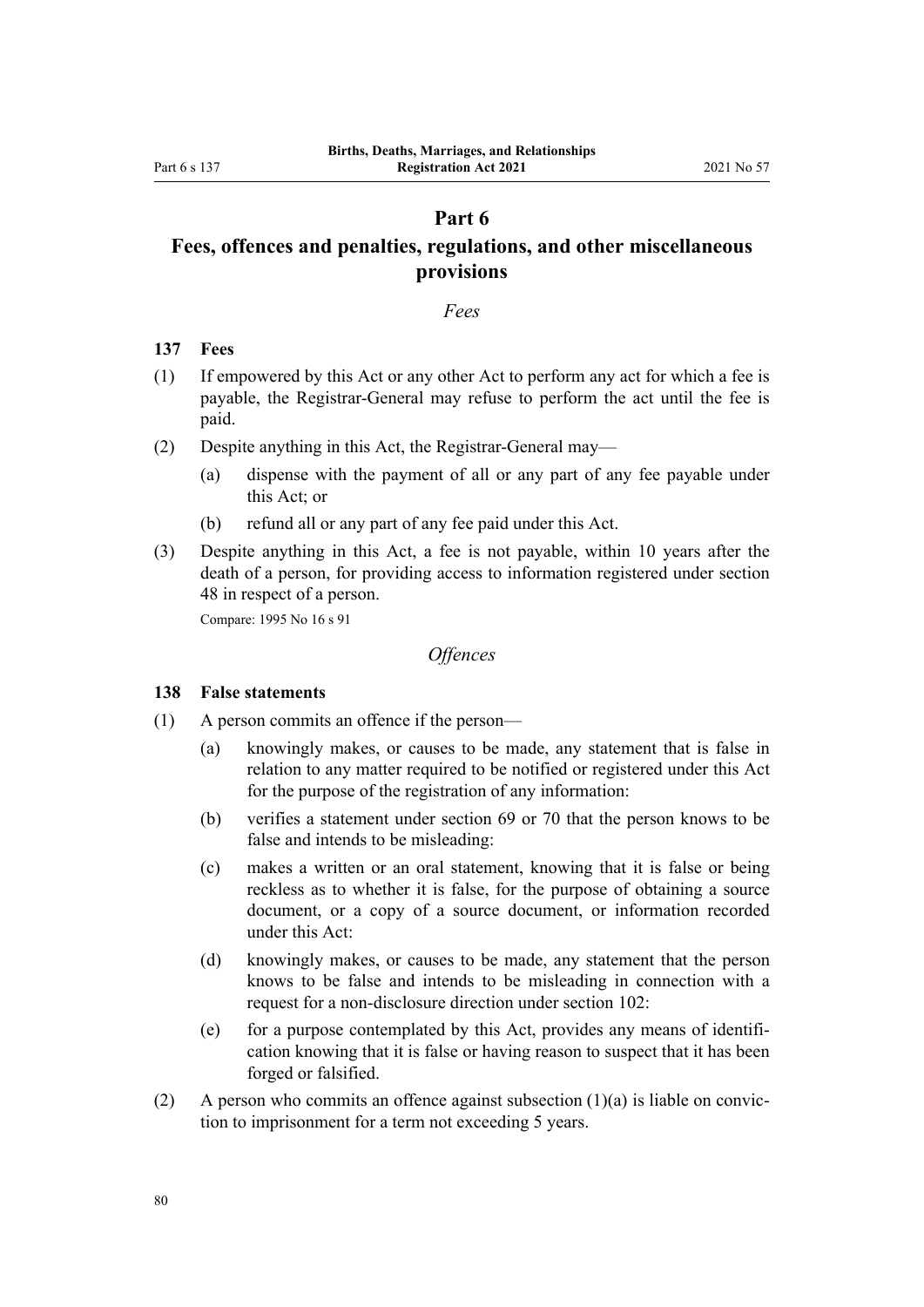### **Part 6**

# **Fees, offences and penalties, regulations, and other miscellaneous provisions**

#### *Fees*

#### **137 Fees**

- (1) If empowered by this Act or any other Act to perform any act for which a fee is payable, the Registrar-General may refuse to perform the act until the fee is paid.
- (2) Despite anything in this Act, the Registrar-General may—
	- (a) dispense with the payment of all or any part of any fee payable under this Act; or
	- (b) refund all or any part of any fee paid under this Act.
- (3) Despite anything in this Act, a fee is not payable, within 10 years after the death of a person, for providing access to information registered under [section](#page-33-0) [48](#page-33-0) in respect of a person.

Compare: 1995 No 16 [s 91](http://legislation.govt.nz/pdflink.aspx?id=DLM364773)

### *Offences*

#### **138 False statements**

- (1) A person commits an offence if the person—
	- (a) knowingly makes, or causes to be made, any statement that is false in relation to any matter required to be notified or registered under this Act for the purpose of the registration of any information:
	- (b) verifies a statement under [section 69](#page-42-0) or [70](#page-42-0) that the person knows to be false and intends to be misleading:
	- (c) makes a written or an oral statement, knowing that it is false or being reckless as to whether it is false, for the purpose of obtaining a source document, or a copy of a source document, or information recorded under this Act:
	- (d) knowingly makes, or causes to be made, any statement that the person knows to be false and intends to be misleading in connection with a request for a non-disclosure direction under [section 102:](#page-59-0)
	- (e) for a purpose contemplated by this Act, provides any means of identification knowing that it is false or having reason to suspect that it has been forged or falsified.
- (2) A person who commits an offence against subsection  $(1)(a)$  is liable on conviction to imprisonment for a term not exceeding 5 years.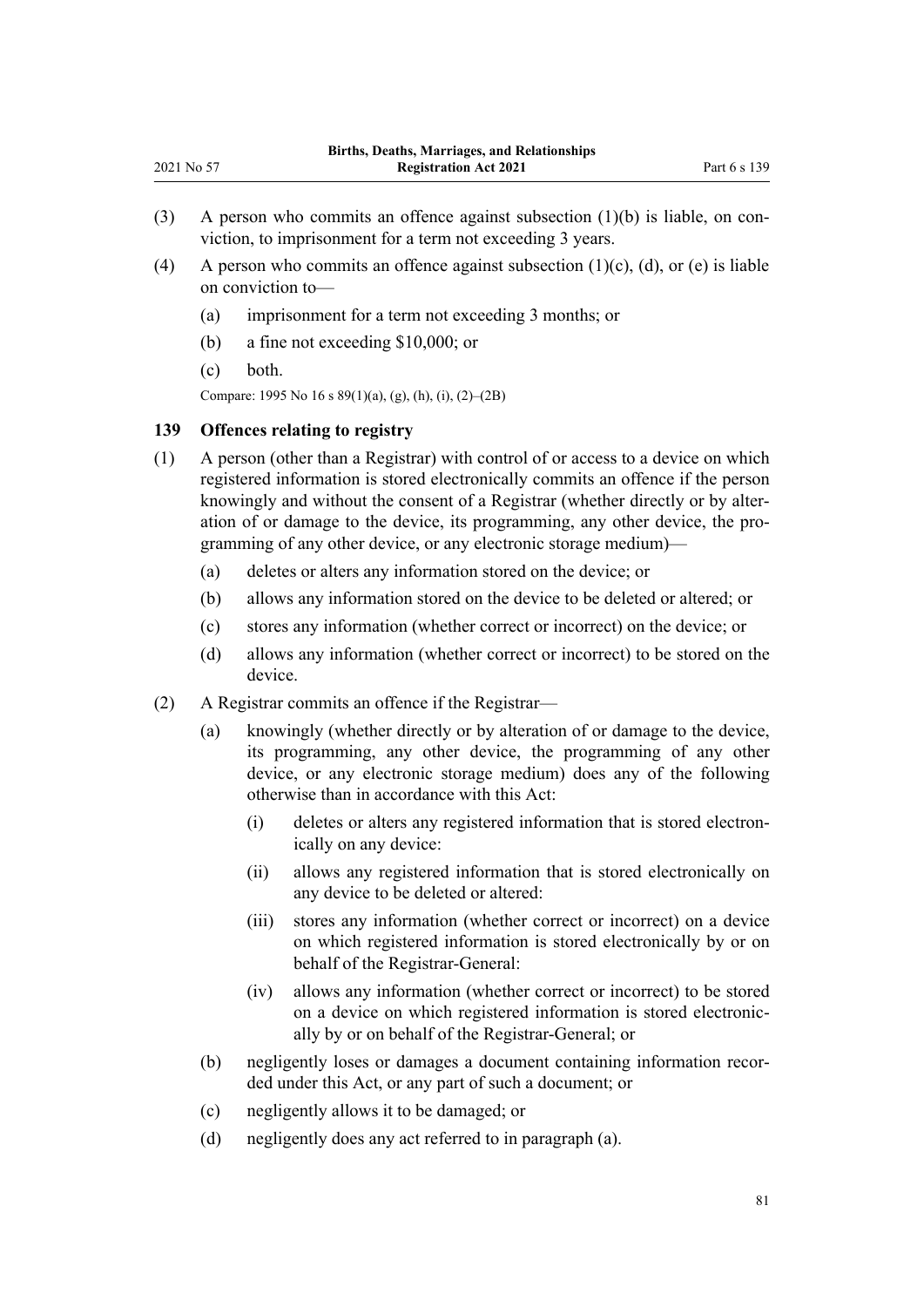- (3) A person who commits an offence against subsection  $(1)(b)$  is liable, on conviction, to imprisonment for a term not exceeding 3 years.
- (4) A person who commits an offence against subsection  $(1)(c)$ ,  $(d)$ , or  $(e)$  is liable on conviction to—
	- (a) imprisonment for a term not exceeding 3 months; or
	- (b) a fine not exceeding \$10,000; or
	- (c) both.

Compare: 1995 No 16 [s 89\(1\)\(a\), \(g\), \(h\), \(i\), \(2\)–\(2B\)](http://legislation.govt.nz/pdflink.aspx?id=DLM364771)

#### **139 Offences relating to registry**

- (1) A person (other than a Registrar) with control of or access to a device on which registered information is stored electronically commits an offence if the person knowingly and without the consent of a Registrar (whether directly or by alteration of or damage to the device, its programming, any other device, the pro‐ gramming of any other device, or any electronic storage medium)—
	- (a) deletes or alters any information stored on the device; or
	- (b) allows any information stored on the device to be deleted or altered; or
	- (c) stores any information (whether correct or incorrect) on the device; or
	- (d) allows any information (whether correct or incorrect) to be stored on the device.
- (2) A Registrar commits an offence if the Registrar—
	- (a) knowingly (whether directly or by alteration of or damage to the device, its programming, any other device, the programming of any other device, or any electronic storage medium) does any of the following otherwise than in accordance with this Act:
		- (i) deletes or alters any registered information that is stored electron‐ ically on any device:
		- (ii) allows any registered information that is stored electronically on any device to be deleted or altered:
		- (iii) stores any information (whether correct or incorrect) on a device on which registered information is stored electronically by or on behalf of the Registrar-General:
		- (iv) allows any information (whether correct or incorrect) to be stored on a device on which registered information is stored electronic‐ ally by or on behalf of the Registrar-General; or
	- (b) negligently loses or damages a document containing information recor‐ ded under this Act, or any part of such a document; or
	- (c) negligently allows it to be damaged; or
	- (d) negligently does any act referred to in paragraph (a).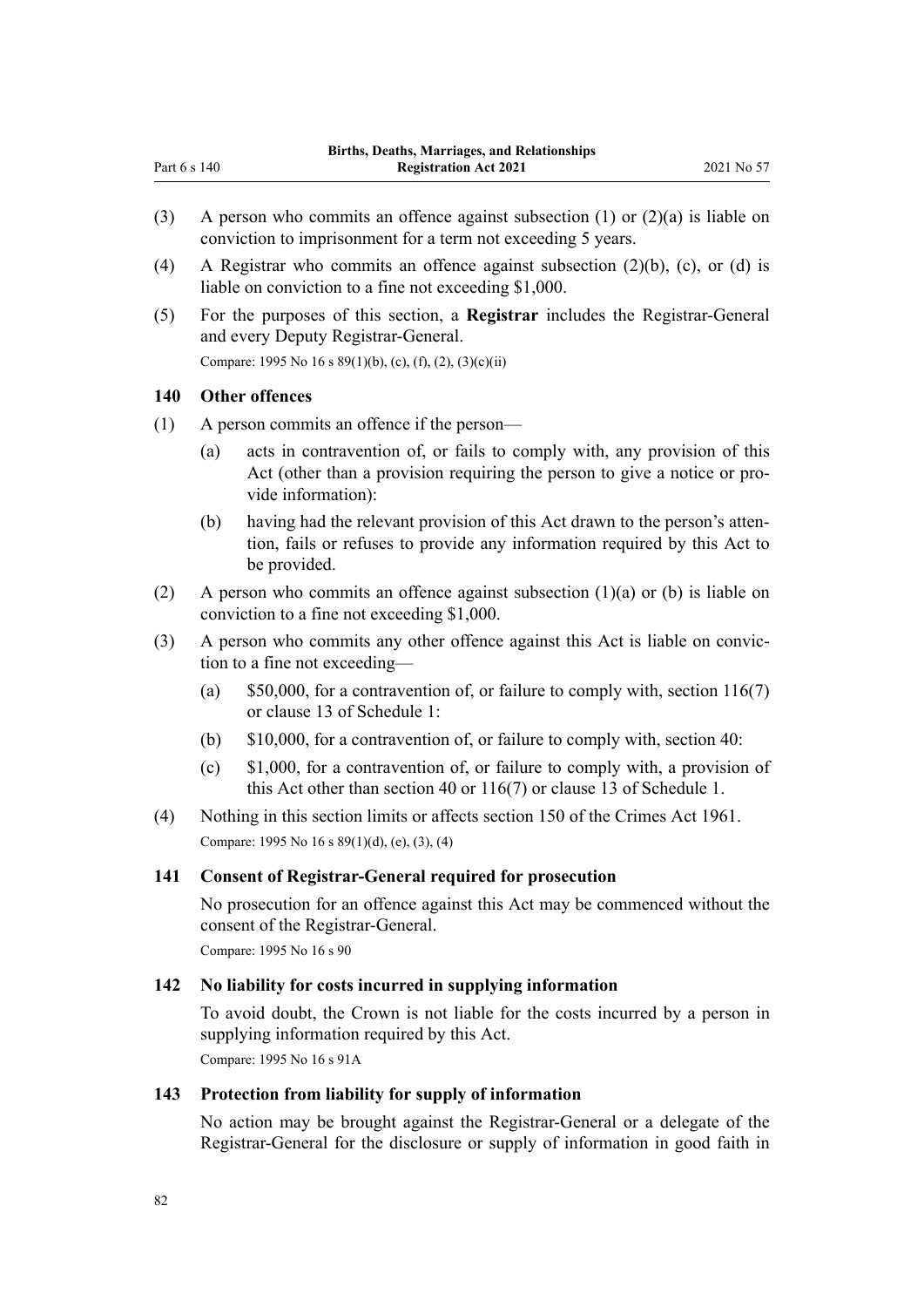- (3) A person who commits an offence against subsection (1) or (2)(a) is liable on conviction to imprisonment for a term not exceeding 5 years.
- (4) A Registrar who commits an offence against subsection (2)(b), (c), or (d) is liable on conviction to a fine not exceeding \$1,000.
- (5) For the purposes of this section, a **Registrar** includes the Registrar-General and every Deputy Registrar-General.

Compare: 1995 No 16 [s 89\(1\)\(b\), \(c\), \(f\), \(2\), \(3\)\(c\)\(ii\)](http://legislation.govt.nz/pdflink.aspx?id=DLM364771)

#### **140 Other offences**

Part 6 s 140

- (1) A person commits an offence if the person—
	- (a) acts in contravention of, or fails to comply with, any provision of this Act (other than a provision requiring the person to give a notice or provide information):
	- (b) having had the relevant provision of this Act drawn to the person's atten‐ tion, fails or refuses to provide any information required by this Act to be provided.
- (2) A person who commits an offence against subsection  $(1)(a)$  or (b) is liable on conviction to a fine not exceeding \$1,000.
- (3) A person who commits any other offence against this Act is liable on convic‐ tion to a fine not exceeding—
	- (a)  $$50,000$ , for a contravention of, or failure to comply with, [section 116\(7\)](#page-68-0) or [clause 13](#page-88-0) of Schedule 1:
	- (b) \$10,000, for a contravention of, or failure to comply with, [section 40:](#page-30-0)
	- (c) \$1,000, for a contravention of, or failure to comply with, a provision of this Act other than [section 40](#page-30-0) or [116\(7\)](#page-68-0) or [clause 13](#page-88-0) of Schedule 1.
- (4) Nothing in this section limits or affects [section 150](http://legislation.govt.nz/pdflink.aspx?id=DLM329287) of the Crimes Act 1961. Compare: 1995 No 16 [s 89\(1\)\(d\), \(e\), \(3\), \(4\)](http://legislation.govt.nz/pdflink.aspx?id=DLM364771)

### **141 Consent of Registrar-General required for prosecution**

No prosecution for an offence against this Act may be commenced without the consent of the Registrar-General.

Compare: 1995 No 16 [s 90](http://legislation.govt.nz/pdflink.aspx?id=DLM364772)

### **142 No liability for costs incurred in supplying information**

To avoid doubt, the Crown is not liable for the costs incurred by a person in supplying information required by this Act. Compare: 1995 No 16 [s 91A](http://legislation.govt.nz/pdflink.aspx?id=DLM1806517)

#### **143 Protection from liability for supply of information**

No action may be brought against the Registrar-General or a delegate of the Registrar-General for the disclosure or supply of information in good faith in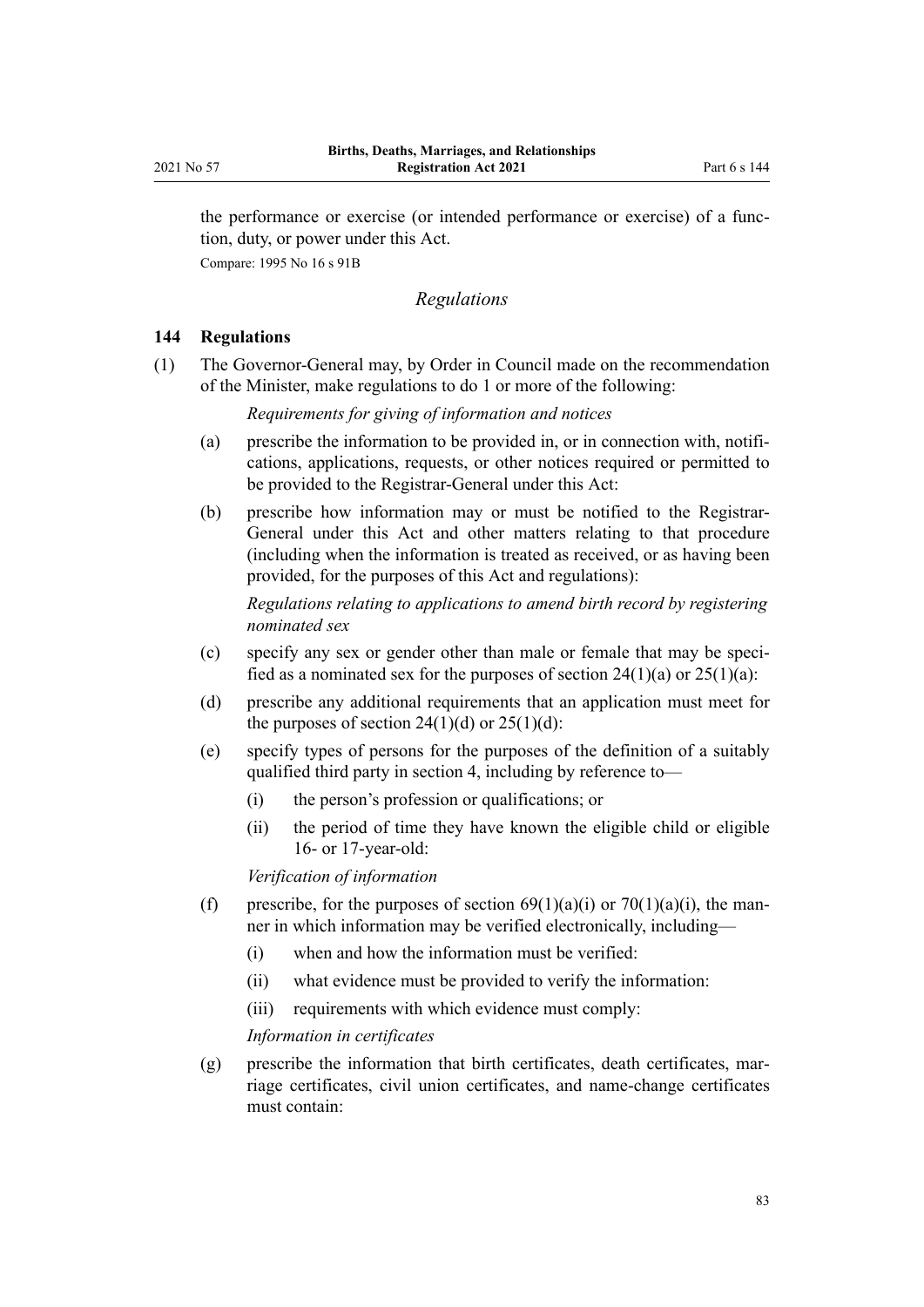<span id="page-82-0"></span>the performance or exercise (or intended performance or exercise) of a func‐ tion, duty, or power under this Act.

Compare: 1995 No 16 [s 91B](http://legislation.govt.nz/pdflink.aspx?id=DLM1806518)

### *Regulations*

### **144 Regulations**

(1) The Governor-General may, by Order in Council made on the recommendation of the Minister, make regulations to do 1 or more of the following:

*Requirements for giving of information and notices*

- (a) prescribe the information to be provided in, or in connection with, notifications, applications, requests, or other notices required or permitted to be provided to the Registrar-General under this Act:
- (b) prescribe how information may or must be notified to the Registrar-General under this Act and other matters relating to that procedure (including when the information is treated as received, or as having been provided, for the purposes of this Act and regulations):

*Regulations relating to applications to amend birth record by registering nominated sex*

- (c) specify any sex or gender other than male or female that may be speci‐ fied as a nominated sex for the purposes of section  $24(1)(a)$  or  $25(1)(a)$ :
- (d) prescribe any additional requirements that an application must meet for the purposes of section  $24(1)(d)$  or  $25(1)(d)$ :
- (e) specify types of persons for the purposes of the definition of a suitably qualified third party in [section 4](#page-9-0), including by reference to—
	- (i) the person's profession or qualifications; or
	- (ii) the period of time they have known the eligible child or eligible 16- or 17-year-old:

*Verification of information*

- (f) prescribe, for the purposes of section  $69(1)(a)(i)$  or  $70(1)(a)(i)$ , the manner in which information may be verified electronically, including—
	- (i) when and how the information must be verified:
	- (ii) what evidence must be provided to verify the information:
	- (iii) requirements with which evidence must comply:

*Information in certificates*

 $(g)$  prescribe the information that birth certificates, death certificates, marriage certificates, civil union certificates, and name-change certificates must contain: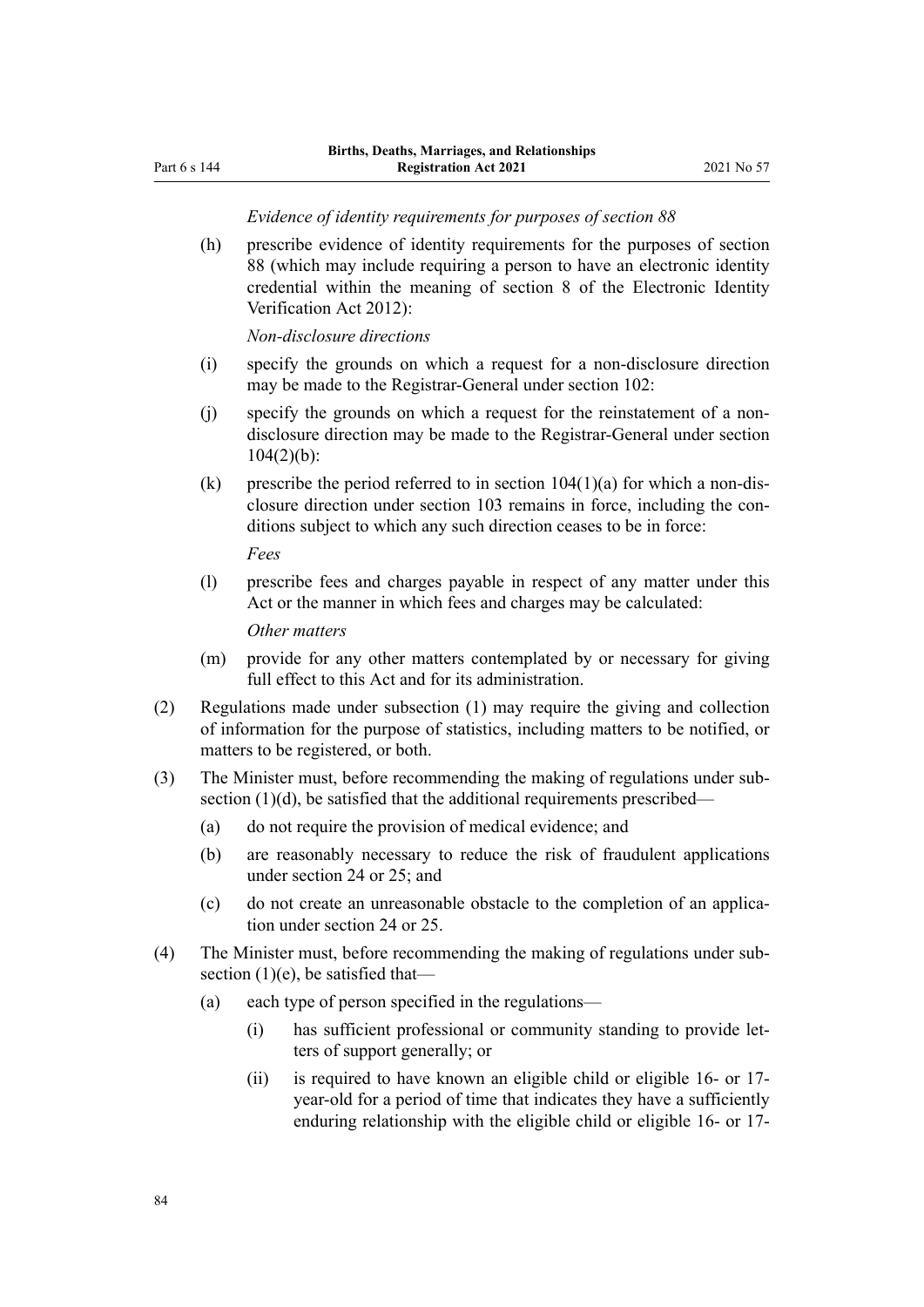*Evidence of identity requirements for purposes of section 88*

(h) prescribe evidence of identity requirements for the purposes of [section](#page-52-0) [88](#page-52-0) (which may include requiring a person to have an electronic identity credential within the meaning of [section 8](http://legislation.govt.nz/pdflink.aspx?id=DLM1777862) of the Electronic Identity Verification Act 2012):

*Non-disclosure directions*

- (i) specify the grounds on which a request for a non-disclosure direction may be made to the Registrar-General under [section 102:](#page-59-0)
- (j) specify the grounds on which a request for the reinstatement of a nondisclosure direction may be made to the Registrar-General under [section](#page-60-0)  $104(2)(b)$ :
- (k) prescribe the period referred to in section  $104(1)(a)$  for which a non-disclosure direction under [section 103](#page-60-0) remains in force, including the conditions subject to which any such direction ceases to be in force:

*Fees*

(l) prescribe fees and charges payable in respect of any matter under this Act or the manner in which fees and charges may be calculated:

*Other matters*

- (m) provide for any other matters contemplated by or necessary for giving full effect to this Act and for its administration.
- (2) Regulations made under subsection (1) may require the giving and collection of information for the purpose of statistics, including matters to be notified, or matters to be registered, or both.
- (3) The Minister must, before recommending the making of regulations under sub‐ section (1)(d), be satisfied that the additional requirements prescribed—
	- (a) do not require the provision of medical evidence; and
	- (b) are reasonably necessary to reduce the risk of fraudulent applications under [section 24](#page-23-0) or [25](#page-24-0); and
	- (c) do not create an unreasonable obstacle to the completion of an applica‐ tion under [section 24](#page-23-0) or [25.](#page-24-0)
- (4) The Minister must, before recommending the making of regulations under sub‐ section  $(1)(e)$ , be satisfied that-
	- (a) each type of person specified in the regulations—
		- (i) has sufficient professional or community standing to provide let‐ ters of support generally; or
		- (ii) is required to have known an eligible child or eligible 16- or 17 year-old for a period of time that indicates they have a sufficiently enduring relationship with the eligible child or eligible 16- or 17-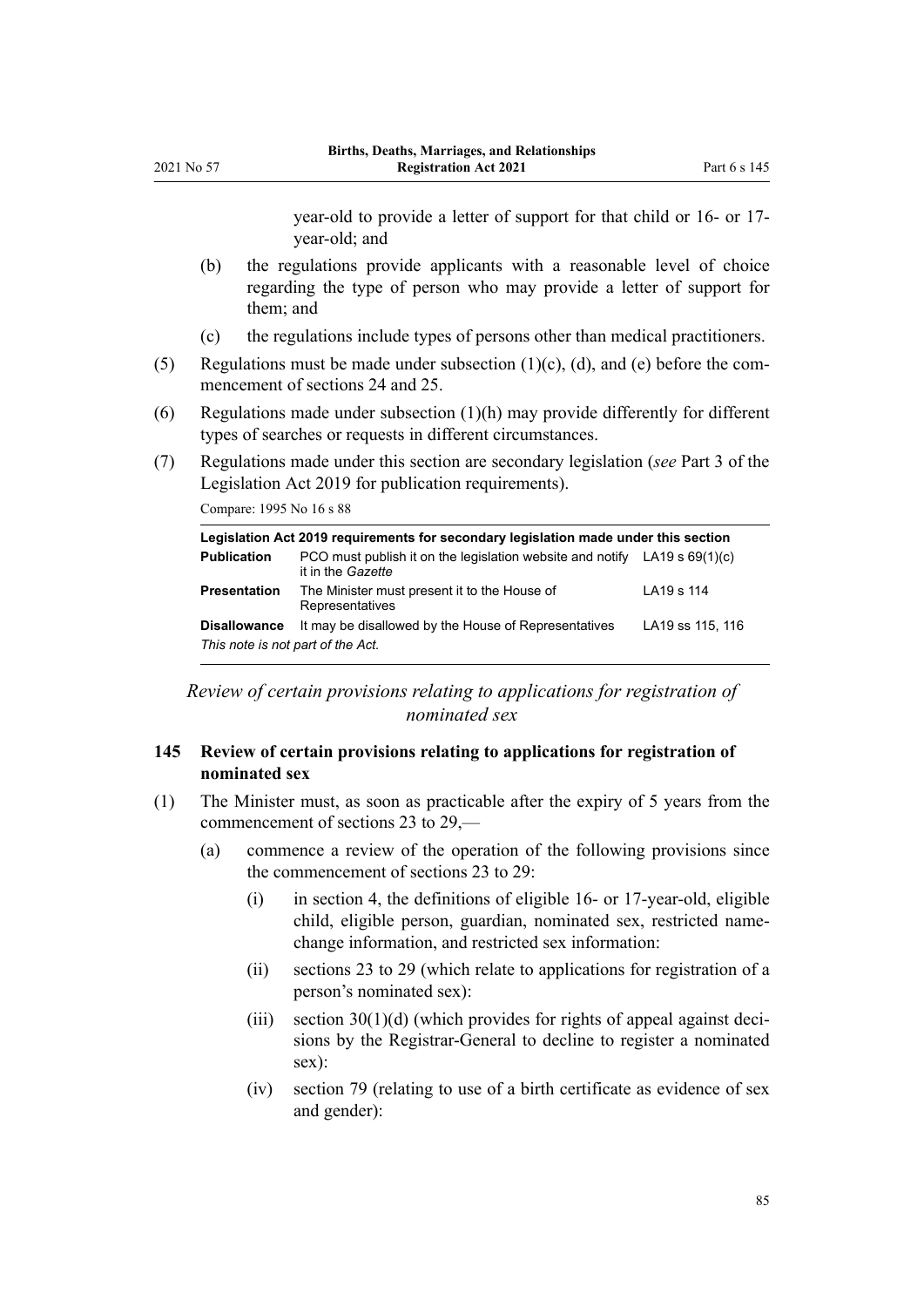year-old to provide a letter of support for that child or 16- or 17 year-old; and

- (b) the regulations provide applicants with a reasonable level of choice regarding the type of person who may provide a letter of support for them; and
- (c) the regulations include types of persons other than medical practitioners.
- (5) Regulations must be made under subsection  $(1)(c)$ ,  $(d)$ , and  $(e)$  before the commencement of [sections 24](#page-23-0) and [25.](#page-24-0)
- (6) Regulations made under subsection  $(1)(h)$  may provide differently for different types of searches or requests in different circumstances.
- (7) Regulations made under this section are secondary legislation (*see* [Part 3](http://legislation.govt.nz/pdflink.aspx?id=DLM7298343) of the Legislation Act 2019 for publication requirements).

Compare: 1995 No 16 [s 88](http://legislation.govt.nz/pdflink.aspx?id=DLM364770)

2021 No 57

| Legislation Act 2019 requirements for secondary legislation made under this section |                                                                                                  |                  |  |  |  |
|-------------------------------------------------------------------------------------|--------------------------------------------------------------------------------------------------|------------------|--|--|--|
| <b>Publication</b>                                                                  | PCO must publish it on the legislation website and notify LA19 s $69(1)(c)$<br>it in the Gazette |                  |  |  |  |
| <b>Presentation</b>                                                                 | The Minister must present it to the House of<br>Representatives                                  | LA19 s 114       |  |  |  |
| <b>Disallowance</b><br>This note is not part of the Act.                            | It may be disallowed by the House of Representatives                                             | LA19 ss 115, 116 |  |  |  |

*Review of certain provisions relating to applications for registration of nominated sex*

### **145 Review of certain provisions relating to applications for registration of nominated sex**

- (1) The Minister must, as soon as practicable after the expiry of 5 years from the commencement of [sections 23 to 29,](#page-23-0)—
	- (a) commence a review of the operation of the following provisions since the commencement of [sections 23 to 29:](#page-23-0)
		- (i) in [section 4](#page-9-0), the definitions of eligible 16- or 17-year-old, eligible child, eligible person, guardian, nominated sex, restricted namechange information, and restricted sex information:
		- (ii) [sections 23 to 29](#page-23-0) (which relate to applications for registration of a person's nominated sex):
		- (iii) section  $30(1)(d)$  (which provides for rights of appeal against decisions by the Registrar-General to decline to register a nominated sex):
		- (iv) [section 79](#page-46-0) (relating to use of a birth certificate as evidence of sex and gender):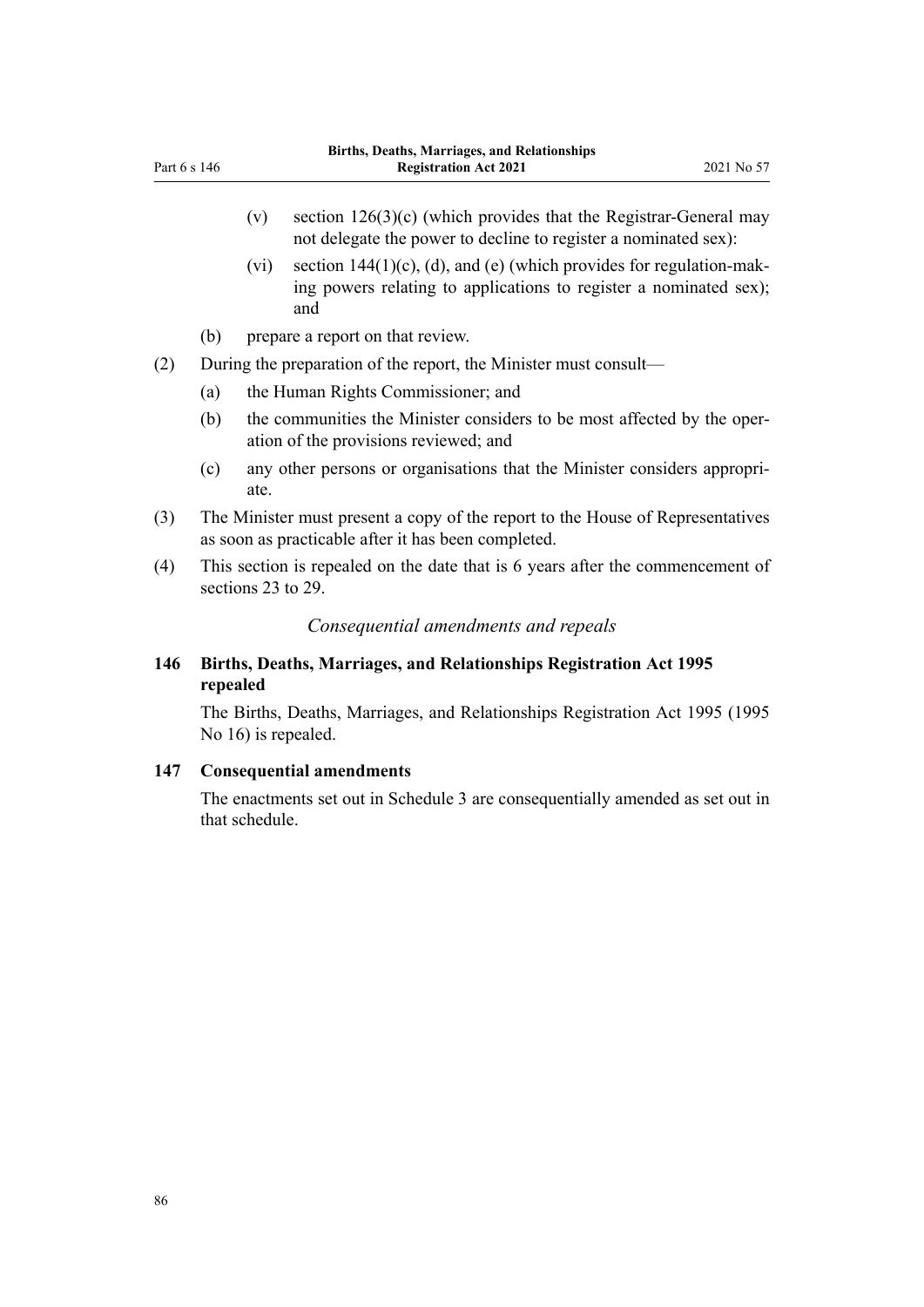- <span id="page-85-0"></span>(v) section  $126(3)(c)$  (which provides that the Registrar-General may not delegate the power to decline to register a nominated sex):
- (vi) section  $144(1)(c)$ , (d), and (e) (which provides for regulation-making powers relating to applications to register a nominated sex); and
- (b) prepare a report on that review.
- (2) During the preparation of the report, the Minister must consult—
	- (a) the Human Rights Commissioner; and
	- (b) the communities the Minister considers to be most affected by the oper‐ ation of the provisions reviewed; and
	- (c) any other persons or organisations that the Minister considers appropri‐ ate.
- (3) The Minister must present a copy of the report to the House of Representatives as soon as practicable after it has been completed.
- (4) This section is repealed on the date that is 6 years after the commencement of [sections 23 to 29.](#page-23-0)

*Consequential amendments and repeals*

### **146 Births, Deaths, Marriages, and Relationships Registration Act 1995 repealed**

The [Births, Deaths, Marriages, and Relationships Registration Act 1995](http://legislation.govt.nz/pdflink.aspx?id=DLM359368) (1995 No 16) is repealed.

#### **147 Consequential amendments**

The enactments set out in [Schedule 3](#page-93-0) are consequentially amended as set out in that schedule.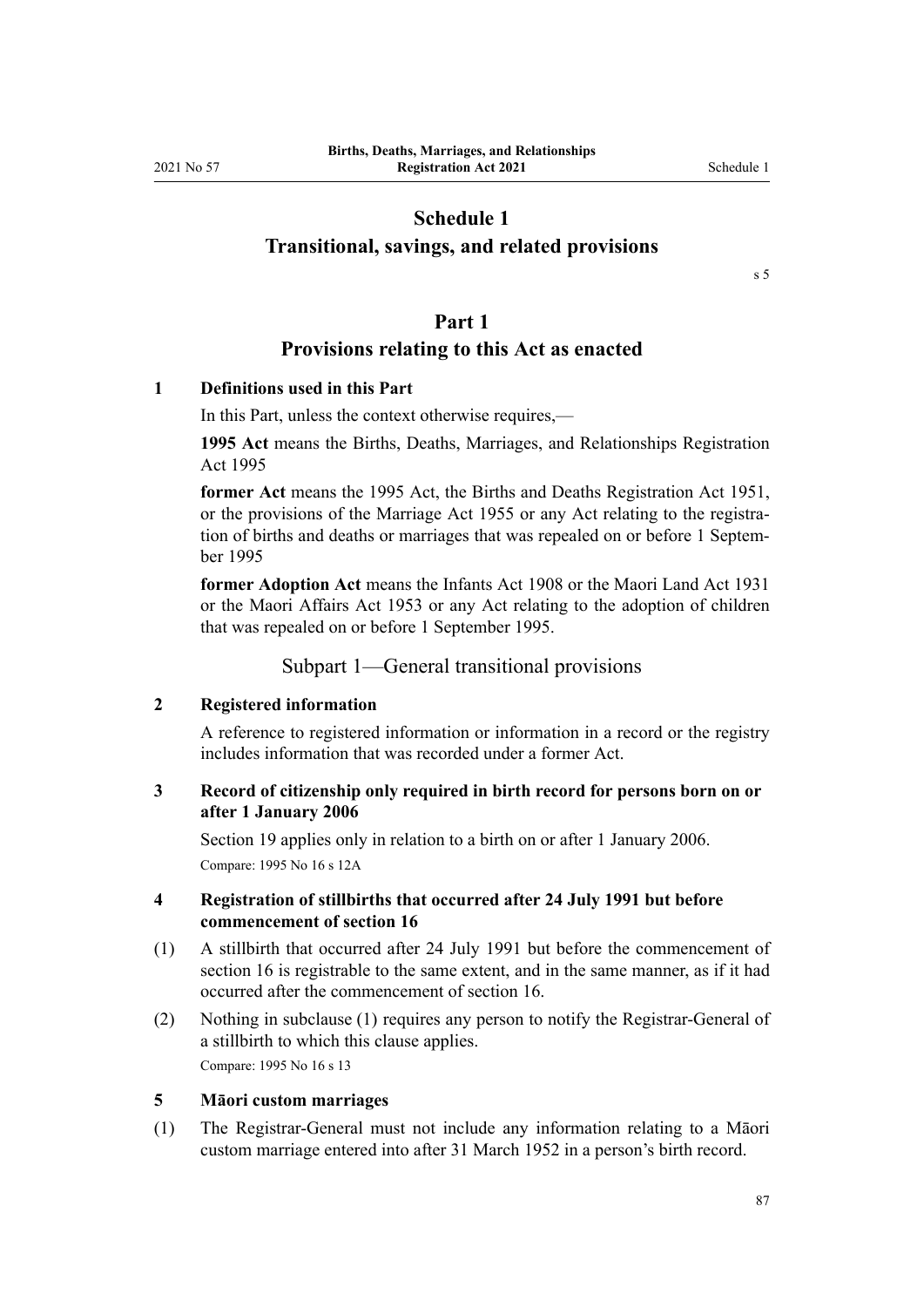## **Schedule 1**

### **Transitional, savings, and related provisions**

[s 5](#page-16-0)

### **Part 1**

### **Provisions relating to this Act as enacted**

### **1 Definitions used in this Part**

In this Part, unless the context otherwise requires,—

**1995 Act** means the [Births, Deaths, Marriages, and Relationships Registration](http://legislation.govt.nz/pdflink.aspx?id=DLM359368) [Act 1995](http://legislation.govt.nz/pdflink.aspx?id=DLM359368)

**former Act** means the 1995 Act, the Births and Deaths Registration Act 1951, or the provisions of the [Marriage Act 1955](http://legislation.govt.nz/pdflink.aspx?id=DLM292027) or any Act relating to the registration of births and deaths or marriages that was repealed on or before 1 September 1995

**former Adoption Act** means the Infants Act 1908 or the Maori Land Act 1931 or the Maori Affairs Act 1953 or any Act relating to the adoption of children that was repealed on or before 1 September 1995.

#### Subpart 1—General transitional provisions

#### **2 Registered information**

A reference to registered information or information in a record or the registry includes information that was recorded under a former Act.

### **3 Record of citizenship only required in birth record for persons born on or after 1 January 2006**

[Section 19](#page-21-0) applies only in relation to a birth on or after 1 January 2006. Compare: 1995 No 16 [s 12A](http://legislation.govt.nz/pdflink.aspx?id=DLM364108)

### **4 Registration of stillbirths that occurred after 24 July 1991 but before commencement of section 16**

- (1) A stillbirth that occurred after 24 July 1991 but before the commencement of [section 16](#page-20-0) is registrable to the same extent, and in the same manner, as if it had occurred after the commencement of section 16.
- (2) Nothing in subclause (1) requires any person to notify the Registrar-General of a stillbirth to which this clause applies.

Compare: 1995 No 16 [s 13](http://legislation.govt.nz/pdflink.aspx?id=DLM364110)

### **5 Māori custom marriages**

(1) The Registrar-General must not include any information relating to a Māori custom marriage entered into after 31 March 1952 in a person's birth record.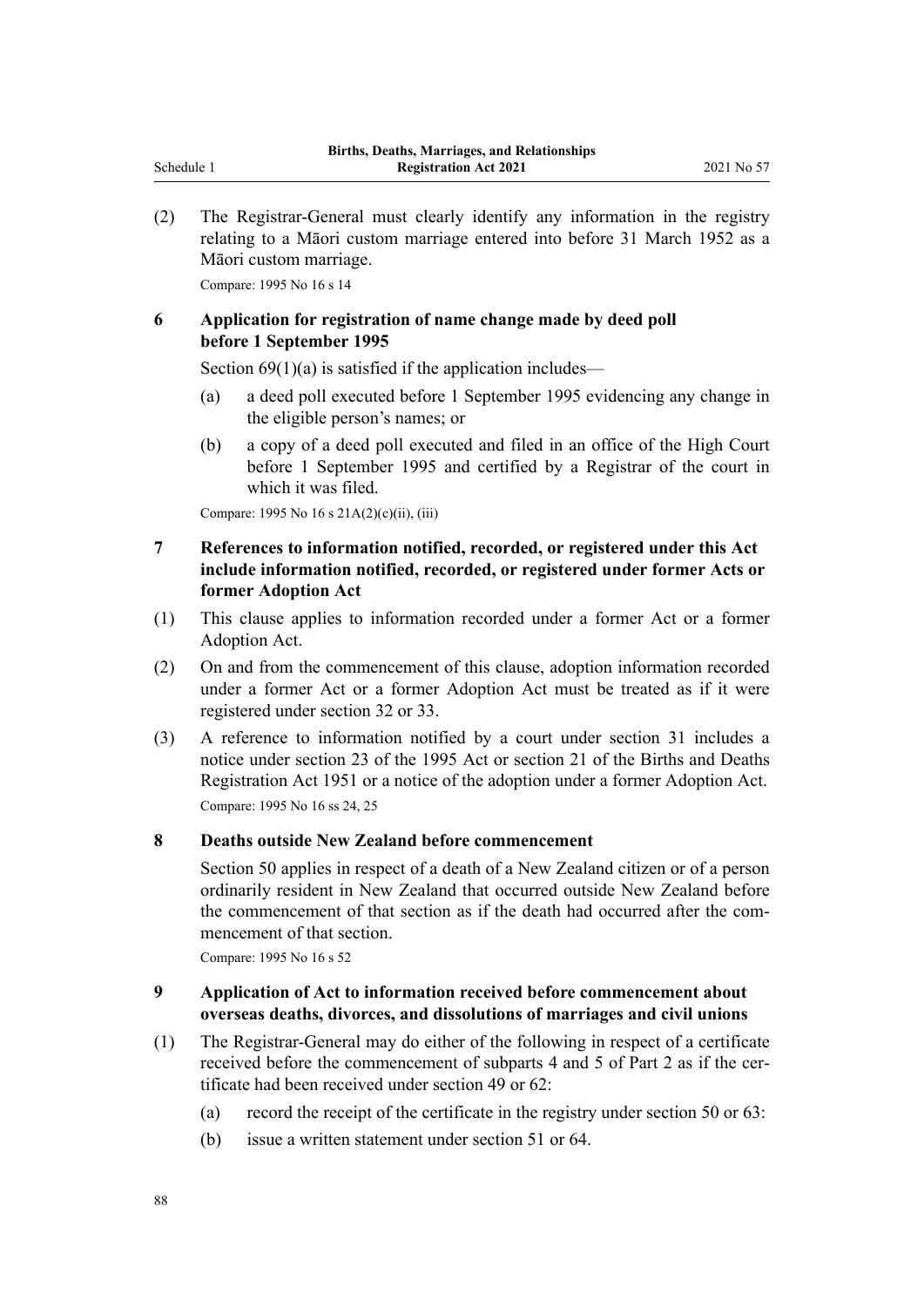(2) The Registrar-General must clearly identify any information in the registry relating to a Māori custom marriage entered into before 31 March 1952 as a Māori custom marriage.

Compare: 1995 No 16 [s 14](http://legislation.govt.nz/pdflink.aspx?id=DLM364111)

### **6 Application for registration of name change made by deed poll before 1 September 1995**

Section  $69(1)(a)$  is satisfied if the application includes—

- (a) a deed poll executed before 1 September 1995 evidencing any change in the eligible person's names; or
- (b) a copy of a deed poll executed and filed in an office of the High Court before 1 September 1995 and certified by a Registrar of the court in which it was filed.

Compare: 1995 No 16 [s 21A\(2\)\(c\)\(ii\), \(iii\)](http://legislation.govt.nz/pdflink.aspx?id=DLM1805768)

### **7 References to information notified, recorded, or registered under this Act include information notified, recorded, or registered under former Acts or former Adoption Act**

- (1) This clause applies to information recorded under a former Act or a former Adoption Act.
- (2) On and from the commencement of this clause, adoption information recorded under a former Act or a former Adoption Act must be treated as if it were registered under [section 32](#page-27-0) or [33](#page-28-0).
- (3) A reference to information notified by a court under [section 31](#page-27-0) includes a notice under [section 23](http://legislation.govt.nz/pdflink.aspx?id=DLM364142) of the 1995 Act or section 21 of the Births and Deaths Registration Act 1951 or a notice of the adoption under a former Adoption Act. Compare: 1995 No 16 [ss 24,](http://legislation.govt.nz/pdflink.aspx?id=DLM364143) [25](http://legislation.govt.nz/pdflink.aspx?id=DLM364145)

### **8 Deaths outside New Zealand before commencement**

[Section 50](#page-34-0) applies in respect of a death of a New Zealand citizen or of a person ordinarily resident in New Zealand that occurred outside New Zealand before the commencement of that section as if the death had occurred after the commencement of that section.

Compare: 1995 No 16 [s 52](http://legislation.govt.nz/pdflink.aspx?id=DLM364188)

### **9 Application of Act to information received before commencement about overseas deaths, divorces, and dissolutions of marriages and civil unions**

- (1) The Registrar-General may do either of the following in respect of a certificate received before the commencement of [subparts 4](#page-29-0) and [5](#page-35-0) of Part 2 as if the certificate had been received under [section 49](#page-34-0) or [62:](#page-39-0)
	- (a) record the receipt of the certificate in the registry under [section 50](#page-34-0) or [63](#page-39-0):
	- (b) issue a written statement under [section 51](#page-35-0) or [64](#page-40-0).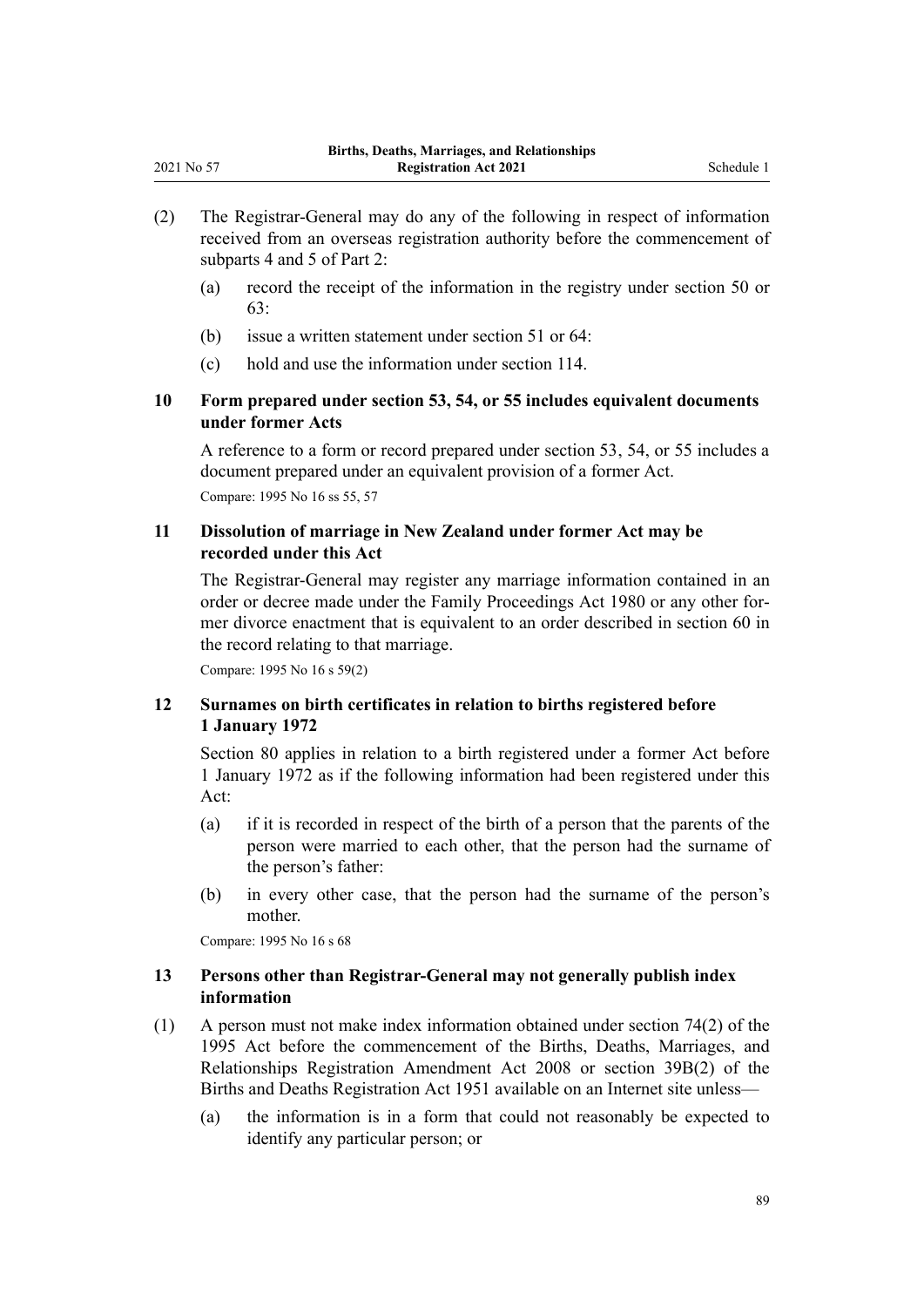- (2) The Registrar-General may do any of the following in respect of information received from an overseas registration authority before the commencement of [subparts 4](#page-29-0) and [5](#page-35-0) of Part 2:
	- (a) record the receipt of the information in the registry under [section 50](#page-34-0) or [63:](#page-39-0)
	- (b) issue a written statement under [section 51](#page-35-0) or [64](#page-40-0):
	- (c) hold and use the information under [section 114.](#page-67-0)

### **10 Form prepared under section 53, 54, or 55 includes equivalent documents under former Acts**

A reference to a form or record prepared under [section 53](#page-35-0), [54,](#page-36-0) or [55](#page-36-0) includes a document prepared under an equivalent provision of a former Act. Compare: 1995 No 16 [ss 55,](http://legislation.govt.nz/pdflink.aspx?id=DLM364192) [57](http://legislation.govt.nz/pdflink.aspx?id=DLM364195)

### **11 Dissolution of marriage in New Zealand under former Act may be recorded under this Act**

The Registrar-General may register any marriage information contained in an order or decree made under the [Family Proceedings Act 1980](http://legislation.govt.nz/pdflink.aspx?id=DLM39722) or any other for‐ mer divorce enactment that is equivalent to an order described in [section 60](#page-38-0) in the record relating to that marriage.

Compare: 1995 No 16 [s 59\(2\)](http://legislation.govt.nz/pdflink.aspx?id=DLM364197)

<span id="page-88-0"></span>2021 No 57

### **12 Surnames on birth certificates in relation to births registered before 1 January 1972**

[Section 80](#page-47-0) applies in relation to a birth registered under a former Act before 1 January 1972 as if the following information had been registered under this Act:

- (a) if it is recorded in respect of the birth of a person that the parents of the person were married to each other, that the person had the surname of the person's father:
- (b) in every other case, that the person had the surname of the person's mother.

Compare: 1995 No 16 [s 68](http://legislation.govt.nz/pdflink.aspx?id=DLM364723)

### **13 Persons other than Registrar-General may not generally publish index information**

- (1) A person must not make index information obtained under [section 74\(2\)](http://legislation.govt.nz/pdflink.aspx?id=DLM364734) of the 1995 Act before the commencement of the [Births, Deaths, Marriages, and](http://legislation.govt.nz/pdflink.aspx?id=DLM1048800) [Relationships Registration Amendment Act 2008](http://legislation.govt.nz/pdflink.aspx?id=DLM1048800) or section 39B(2) of the Births and Deaths Registration Act 1951 available on an Internet site unless—
	- (a) the information is in a form that could not reasonably be expected to identify any particular person; or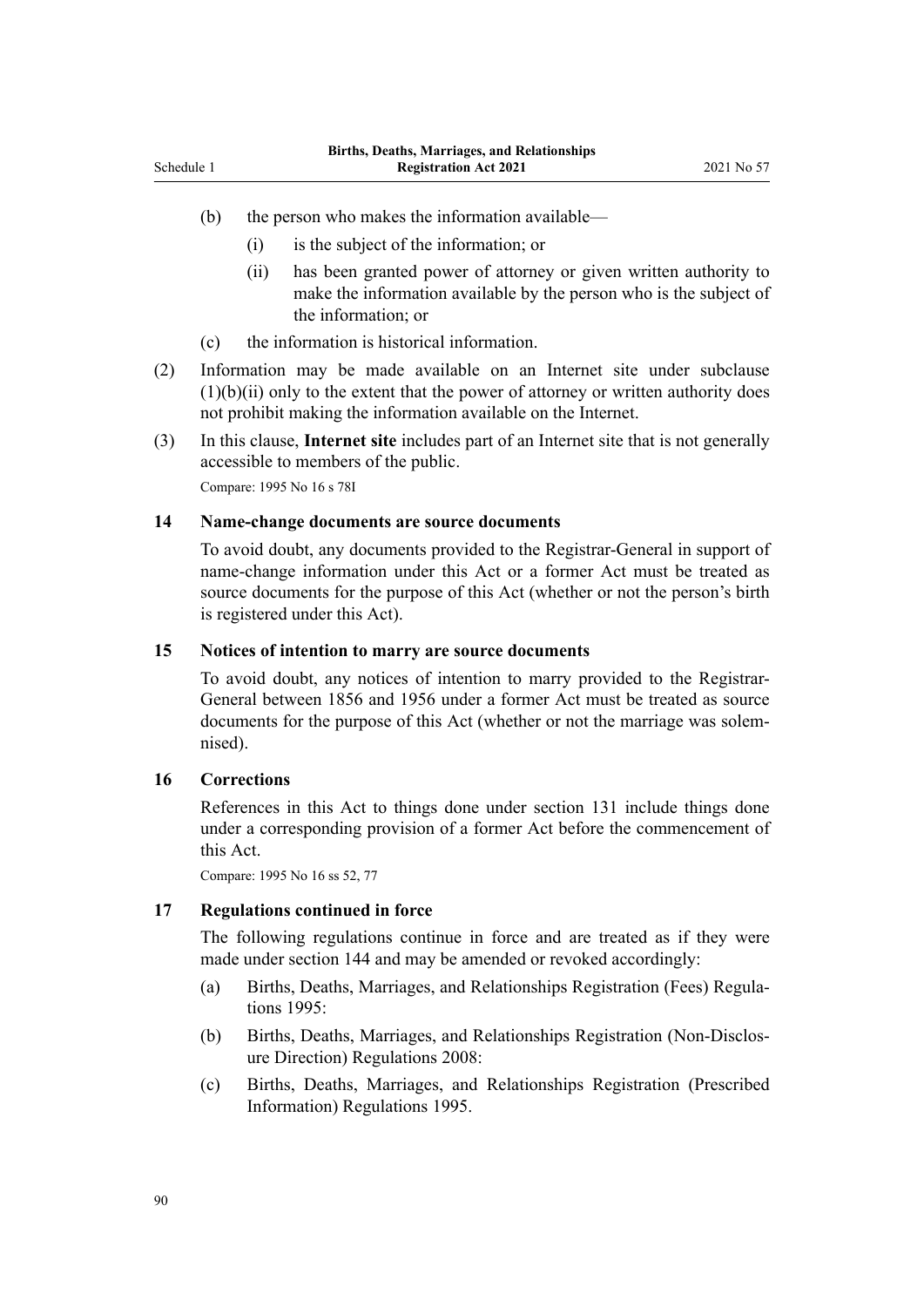- (b) the person who makes the information available—
	- (i) is the subject of the information; or
	- (ii) has been granted power of attorney or given written authority to make the information available by the person who is the subject of the information; or
- (c) the information is historical information.
- (2) Information may be made available on an Internet site under subclause  $(1)(b)(ii)$  only to the extent that the power of attorney or written authority does not prohibit making the information available on the Internet.
- (3) In this clause, **Internet site** includes part of an Internet site that is not generally accessible to members of the public.

Compare: 1995 No 16 [s 78I](http://legislation.govt.nz/pdflink.aspx?id=DLM1806414)

### **14 Name-change documents are source documents**

To avoid doubt, any documents provided to the Registrar-General in support of name-change information under this Act or a former Act must be treated as source documents for the purpose of this Act (whether or not the person's birth is registered under this Act).

#### **15 Notices of intention to marry are source documents**

To avoid doubt, any notices of intention to marry provided to the Registrar-General between 1856 and 1956 under a former Act must be treated as source documents for the purpose of this Act (whether or not the marriage was solemnised).

### **16 Corrections**

References in this Act to things done under [section 131](#page-76-0) include things done under a corresponding provision of a former Act before the commencement of this Act.

Compare: 1995 No 16 [ss 52,](http://legislation.govt.nz/pdflink.aspx?id=DLM364188) [77](http://legislation.govt.nz/pdflink.aspx?id=DLM364744)

#### **17 Regulations continued in force**

The following regulations continue in force and are treated as if they were made under [section 144](#page-82-0) and may be amended or revoked accordingly:

- (a) [Births, Deaths, Marriages, and Relationships Registration \(Fees\) Regula‐](http://legislation.govt.nz/pdflink.aspx?id=DLM204745) [tions 1995](http://legislation.govt.nz/pdflink.aspx?id=DLM204745):
- (b) [Births, Deaths, Marriages, and Relationships Registration \(Non-Disclos‐](http://legislation.govt.nz/pdflink.aspx?id=DLM1679706) [ure Direction\) Regulations 2008:](http://legislation.govt.nz/pdflink.aspx?id=DLM1679706)
- (c) [Births, Deaths, Marriages, and Relationships Registration \(Prescribed](http://legislation.govt.nz/pdflink.aspx?id=DLM204029) [Information\) Regulations 1995.](http://legislation.govt.nz/pdflink.aspx?id=DLM204029)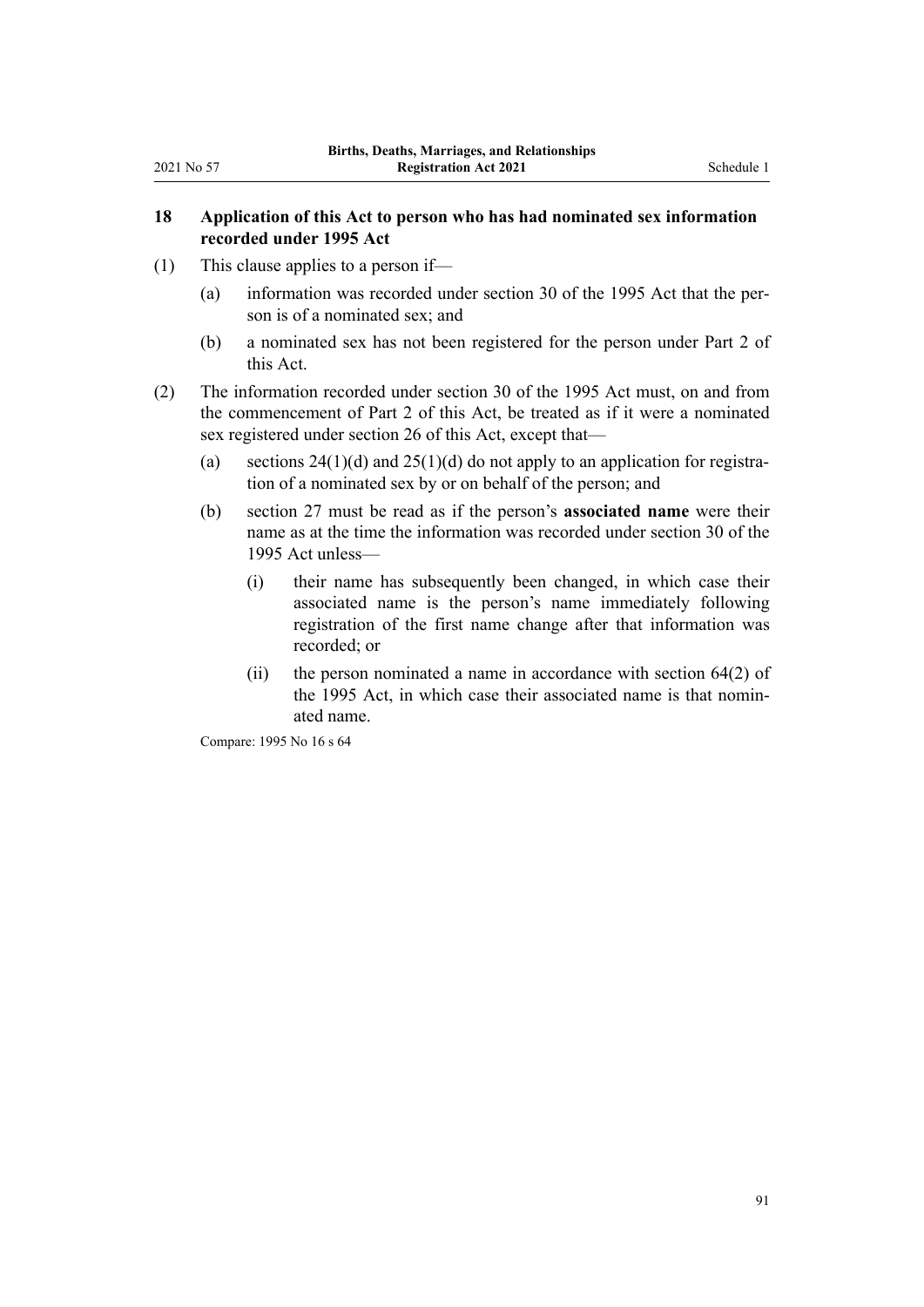### **18 Application of this Act to person who has had nominated sex information recorded under 1995 Act**

- (1) This clause applies to a person if—
	- (a) information was recorded under [section 30](http://legislation.govt.nz/pdflink.aspx?id=DLM364153) of the 1995 Act that the per‐ son is of a nominated sex; and
	- (b) a nominated sex has not been registered for the person under [Part 2](#page-16-0) of this Act.
- (2) The information recorded under [section 30](http://legislation.govt.nz/pdflink.aspx?id=DLM364153) of the 1995 Act must, on and from the commencement of [Part 2](#page-16-0) of this Act, be treated as if it were a nominated sex registered under [section 26](#page-24-0) of this Act, except that—
	- (a) sections  $24(1)(d)$  and  $25(1)(d)$  do not apply to an application for registration of a nominated sex by or on behalf of the person; and
	- (b) [section 27](#page-25-0) must be read as if the person's **associated name** were their name as at the time the information was recorded under section 30 of the 1995 Act unless—
		- (i) their name has subsequently been changed, in which case their associated name is the person's name immediately following registration of the first name change after that information was recorded; or
		- (ii) the person nominated a name in accordance with [section 64\(2\)](http://legislation.govt.nz/pdflink.aspx?id=DLM364719) of the 1995 Act, in which case their associated name is that nominated name.

Compare: 1995 No 16 [s 64](http://legislation.govt.nz/pdflink.aspx?id=DLM364719)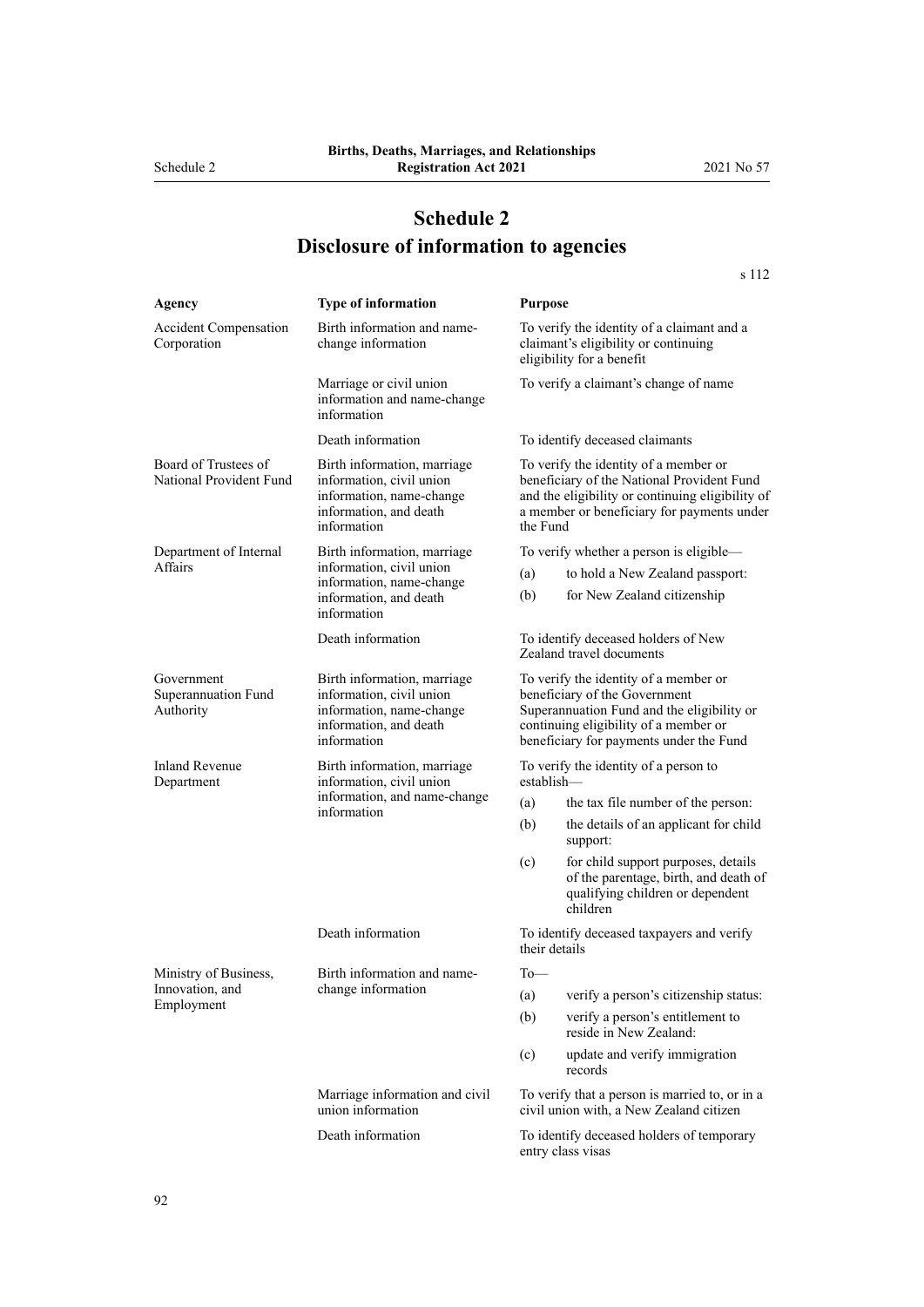# **Schedule 2 Disclosure of information to agencies**

|                                                 |                                                                                                                              |                                                                                                                                                                                                          | s 112                                                                                                                        |
|-------------------------------------------------|------------------------------------------------------------------------------------------------------------------------------|----------------------------------------------------------------------------------------------------------------------------------------------------------------------------------------------------------|------------------------------------------------------------------------------------------------------------------------------|
| Agency                                          | Type of information                                                                                                          | <b>Purpose</b>                                                                                                                                                                                           |                                                                                                                              |
| <b>Accident Compensation</b><br>Corporation     | Birth information and name-<br>change information                                                                            | To verify the identity of a claimant and a<br>claimant's eligibility or continuing<br>eligibility for a benefit                                                                                          |                                                                                                                              |
|                                                 | Marriage or civil union<br>information and name-change<br>information                                                        | To verify a claimant's change of name                                                                                                                                                                    |                                                                                                                              |
|                                                 | Death information                                                                                                            | To identify deceased claimants                                                                                                                                                                           |                                                                                                                              |
| Board of Trustees of<br>National Provident Fund | Birth information, marriage<br>information, civil union<br>information, name-change<br>information, and death<br>information | To verify the identity of a member or<br>beneficiary of the National Provident Fund<br>and the eligibility or continuing eligibility of<br>a member or beneficiary for payments under<br>the Fund        |                                                                                                                              |
| Department of Internal                          | Birth information, marriage                                                                                                  |                                                                                                                                                                                                          | To verify whether a person is eligible-                                                                                      |
| Affairs                                         | information, civil union<br>information, name-change<br>information, and death<br>information                                | (a)                                                                                                                                                                                                      | to hold a New Zealand passport:                                                                                              |
|                                                 |                                                                                                                              | (b)                                                                                                                                                                                                      | for New Zealand citizenship                                                                                                  |
|                                                 | Death information                                                                                                            |                                                                                                                                                                                                          | To identify deceased holders of New<br>Zealand travel documents                                                              |
| Government<br>Superannuation Fund<br>Authority  | Birth information, marriage<br>information, civil union<br>information, name-change<br>information, and death<br>information | To verify the identity of a member or<br>beneficiary of the Government<br>Superannuation Fund and the eligibility or<br>continuing eligibility of a member or<br>beneficiary for payments under the Fund |                                                                                                                              |
| <b>Inland Revenue</b><br>Department             | Birth information, marriage<br>information, civil union<br>information, and name-change<br>information                       | To verify the identity of a person to<br>establish                                                                                                                                                       |                                                                                                                              |
|                                                 |                                                                                                                              | (a)                                                                                                                                                                                                      | the tax file number of the person:                                                                                           |
|                                                 |                                                                                                                              | (b)                                                                                                                                                                                                      | the details of an applicant for child<br>support:                                                                            |
|                                                 |                                                                                                                              | (c)                                                                                                                                                                                                      | for child support purposes, details<br>of the parentage, birth, and death of<br>qualifying children or dependent<br>children |
|                                                 | Death information                                                                                                            | their details                                                                                                                                                                                            | To identify deceased taxpayers and verify                                                                                    |
| Ministry of Business,                           | Birth information and name-                                                                                                  | $To$ —                                                                                                                                                                                                   |                                                                                                                              |
| Innovation, and                                 | change information                                                                                                           | (a)                                                                                                                                                                                                      | verify a person's citizenship status:                                                                                        |
| Employment                                      |                                                                                                                              | (b)                                                                                                                                                                                                      | verify a person's entitlement to<br>reside in New Zealand:                                                                   |
|                                                 |                                                                                                                              | (c)                                                                                                                                                                                                      | update and verify immigration<br>records                                                                                     |
|                                                 | Marriage information and civil<br>union information                                                                          | To verify that a person is married to, or in a<br>civil union with, a New Zealand citizen                                                                                                                |                                                                                                                              |
|                                                 | Death information                                                                                                            | To identify deceased holders of temporary<br>entry class visas                                                                                                                                           |                                                                                                                              |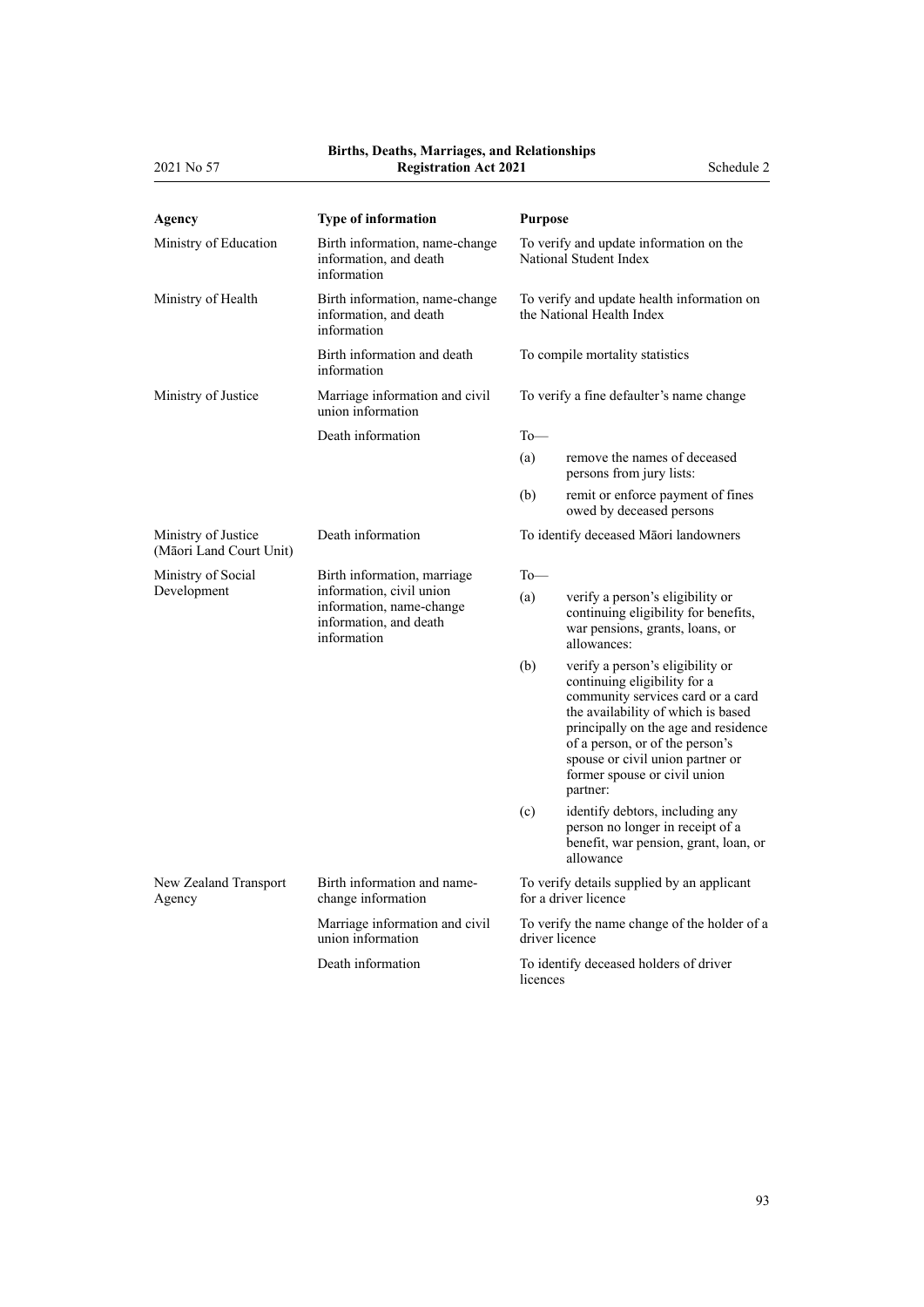#### **Births, Deaths, Marriages, and Relationships**

| 2021 No 57                                     | <b>Registration Act 2021</b>                                                                  |                                                                                                                                                                                                                                                                                                               | Schedule 2 |
|------------------------------------------------|-----------------------------------------------------------------------------------------------|---------------------------------------------------------------------------------------------------------------------------------------------------------------------------------------------------------------------------------------------------------------------------------------------------------------|------------|
| Agency                                         | Type of information                                                                           | <b>Purpose</b>                                                                                                                                                                                                                                                                                                |            |
| Ministry of Education                          | Birth information, name-change<br>information, and death<br>information                       | To verify and update information on the<br>National Student Index                                                                                                                                                                                                                                             |            |
| Ministry of Health                             | Birth information, name-change<br>information, and death<br>information                       | To verify and update health information on<br>the National Health Index                                                                                                                                                                                                                                       |            |
|                                                | Birth information and death<br>information                                                    | To compile mortality statistics                                                                                                                                                                                                                                                                               |            |
| Ministry of Justice                            | Marriage information and civil<br>union information                                           | To verify a fine defaulter's name change                                                                                                                                                                                                                                                                      |            |
|                                                | Death information                                                                             | $To$ —                                                                                                                                                                                                                                                                                                        |            |
|                                                |                                                                                               | (a)<br>remove the names of deceased<br>persons from jury lists:                                                                                                                                                                                                                                               |            |
|                                                |                                                                                               | (b)<br>remit or enforce payment of fines<br>owed by deceased persons                                                                                                                                                                                                                                          |            |
| Ministry of Justice<br>(Māori Land Court Unit) | Death information                                                                             | To identify deceased Māori landowners                                                                                                                                                                                                                                                                         |            |
| Ministry of Social                             | Birth information, marriage                                                                   | $To$ —                                                                                                                                                                                                                                                                                                        |            |
| Development                                    | information, civil union<br>information, name-change<br>information, and death<br>information | (a)<br>verify a person's eligibility or<br>continuing eligibility for benefits,<br>war pensions, grants, loans, or<br>allowances:                                                                                                                                                                             |            |
|                                                |                                                                                               | (b)<br>verify a person's eligibility or<br>continuing eligibility for a<br>community services card or a card<br>the availability of which is based<br>principally on the age and residence<br>of a person, or of the person's<br>spouse or civil union partner or<br>former spouse or civil union<br>partner: |            |
|                                                |                                                                                               | (c)<br>identify debtors, including any<br>person no longer in receipt of a<br>benefit, war pension, grant, loan, or<br>allowance                                                                                                                                                                              |            |
| New Zealand Transport<br>Agency                | Birth information and name-<br>change information                                             | To verify details supplied by an applicant<br>for a driver licence                                                                                                                                                                                                                                            |            |
|                                                | Marriage information and civil<br>union information                                           | To verify the name change of the holder of a<br>driver licence                                                                                                                                                                                                                                                |            |
|                                                | Death information                                                                             | To identify deceased holders of driver<br>licences                                                                                                                                                                                                                                                            |            |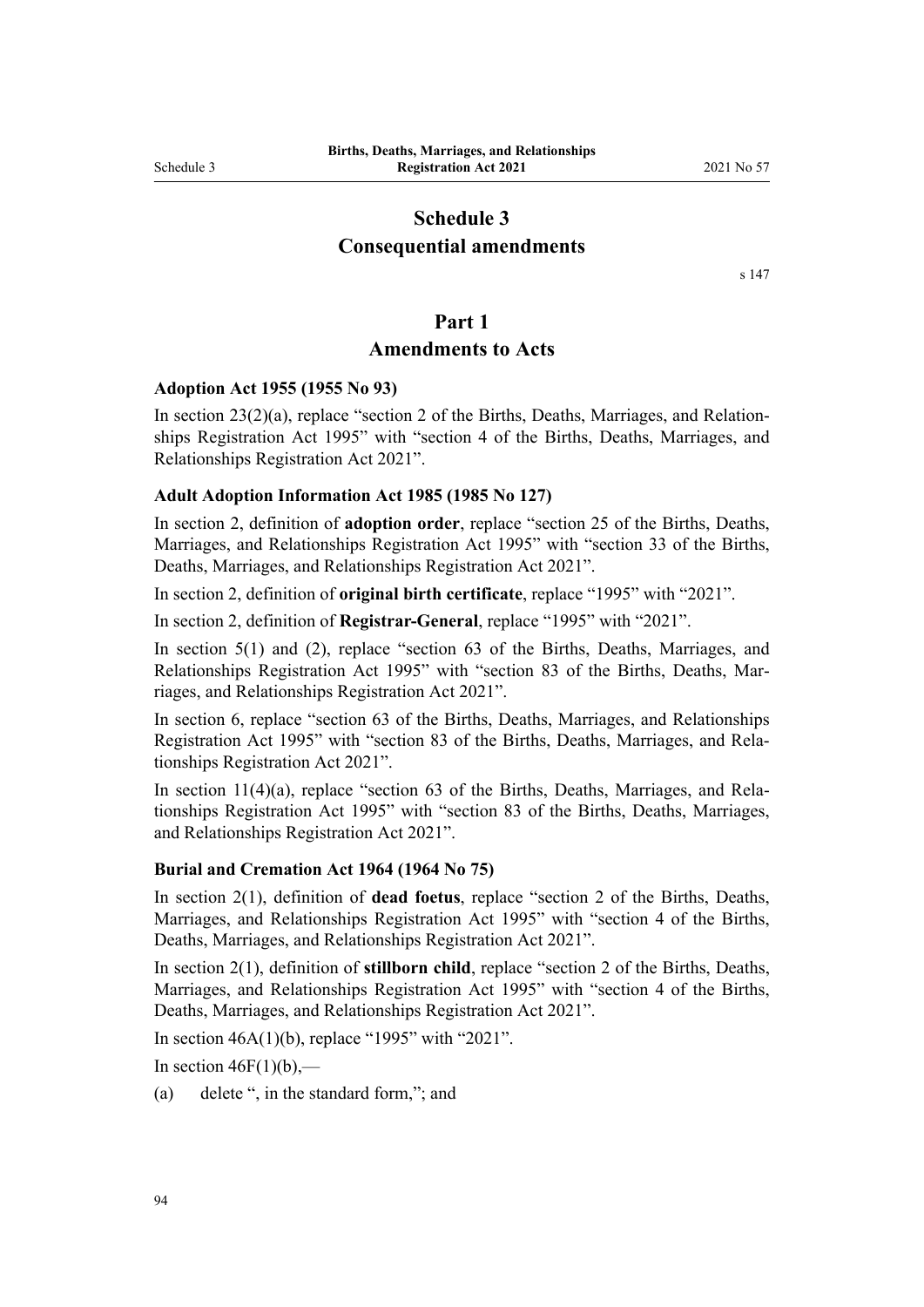# <span id="page-93-0"></span>**Schedule 3 Consequential amendments**

[s 147](#page-85-0)

### **Part 1**

### **Amendments to Acts**

#### **Adoption Act 1955 (1955 No 93)**

In section  $23(2)(a)$ , replace "section 2 of the Births, Deaths, Marriages, and Relationships Registration Act 1995" with "section 4 of the Births, Deaths, Marriages, and Relationships Registration Act 2021".

#### **Adult Adoption Information Act 1985 (1985 No 127)**

In [section 2](http://legislation.govt.nz/pdflink.aspx?id=DLM80518), definition of **adoption order**, replace "section 25 of the Births, Deaths, Marriages, and Relationships Registration Act 1995" with "section 33 of the Births, Deaths, Marriages, and Relationships Registration Act 2021".

In [section 2,](http://legislation.govt.nz/pdflink.aspx?id=DLM80518) definition of **original birth certificate**, replace "1995" with "2021".

In [section 2,](http://legislation.govt.nz/pdflink.aspx?id=DLM80518) definition of **Registrar-General**, replace "1995" with "2021".

In [section 5\(1\) and \(2\)](http://legislation.govt.nz/pdflink.aspx?id=DLM80557), replace "section 63 of the Births, Deaths, Marriages, and Relationships Registration Act 1995" with "section 83 of the Births, Deaths, Mar‐ riages, and Relationships Registration Act 2021".

In [section 6,](http://legislation.govt.nz/pdflink.aspx?id=DLM80561) replace "section 63 of the Births, Deaths, Marriages, and Relationships Registration Act 1995" with "section 83 of the Births, Deaths, Marriages, and Rela‐ tionships Registration Act 2021".

In [section 11\(4\)\(a\)](http://legislation.govt.nz/pdflink.aspx?id=DLM80568), replace "section 63 of the Births, Deaths, Marriages, and Relationships Registration Act 1995" with "section 83 of the Births, Deaths, Marriages, and Relationships Registration Act 2021".

#### **Burial and Cremation Act 1964 (1964 No 75)**

In [section 2\(1\)](http://legislation.govt.nz/pdflink.aspx?id=DLM355084), definition of **dead foetus**, replace "section 2 of the Births, Deaths, Marriages, and Relationships Registration Act 1995" with "section 4 of the Births, Deaths, Marriages, and Relationships Registration Act 2021".

In [section 2\(1\)](http://legislation.govt.nz/pdflink.aspx?id=DLM355084), definition of **stillborn child**, replace "section 2 of the Births, Deaths, Marriages, and Relationships Registration Act 1995" with "section 4 of the Births, Deaths, Marriages, and Relationships Registration Act 2021".

In section  $46A(1)(b)$ , replace "1995" with "2021".

In section  $46F(1)(b)$ ,—

(a) delete ", in the standard form,"; and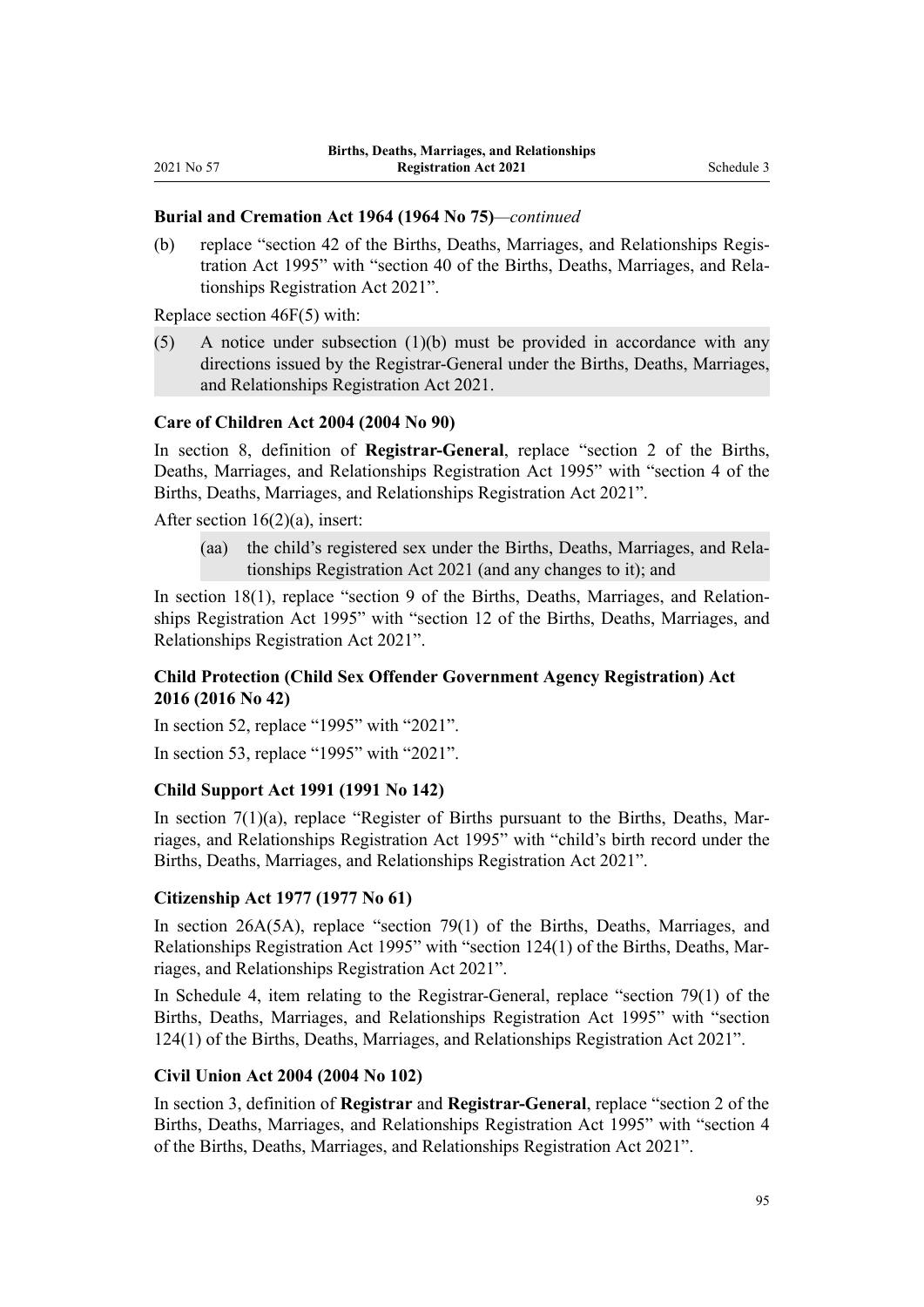### **Burial and Cremation Act 1964 (1964 No 75)***—continued*

(b) replace "section 42 of the Births, Deaths, Marriages, and Relationships Regis‐ tration Act 1995" with "section 40 of the Births, Deaths, Marriages, and Rela‐ tionships Registration Act 2021".

Replace [section 46F\(5\)](http://legislation.govt.nz/pdflink.aspx?id=DLM1806652) with:

 $(5)$  A notice under subsection  $(1)(b)$  must be provided in accordance with any directions issued by the Registrar-General under the Births, Deaths, Marriages, and Relationships Registration Act 2021.

### **Care of Children Act 2004 (2004 No 90)**

In [section 8](http://legislation.govt.nz/pdflink.aspx?id=DLM317244), definition of **Registrar-General**, replace "section 2 of the Births, Deaths, Marriages, and Relationships Registration Act 1995" with "section 4 of the Births, Deaths, Marriages, and Relationships Registration Act 2021".

After section 16(2)(a), insert:

(aa) the child's registered sex under the Births, Deaths, Marriages, and Rela‐ tionships Registration Act 2021 (and any changes to it); and

In [section 18\(1\),](http://legislation.govt.nz/pdflink.aspx?id=DLM317421) replace "section 9 of the Births, Deaths, Marriages, and Relationships Registration Act 1995" with "section 12 of the Births, Deaths, Marriages, and Relationships Registration Act 2021".

### **Child Protection (Child Sex Offender Government Agency Registration) Act 2016 (2016 No 42)**

In [section 52,](http://legislation.govt.nz/pdflink.aspx?id=DLM6775610) replace "1995" with "2021".

In [section 53,](http://legislation.govt.nz/pdflink.aspx?id=DLM6775611) replace "1995" with "2021".

#### **Child Support Act 1991 (1991 No 142)**

In section  $7(1)(a)$ , replace "Register of Births pursuant to the Births, Deaths, Marriages, and Relationships Registration Act 1995" with "child's birth record under the Births, Deaths, Marriages, and Relationships Registration Act 2021".

### **Citizenship Act 1977 (1977 No 61)**

In [section 26A\(5A\),](http://legislation.govt.nz/pdflink.aspx?id=DLM444014) replace "section 79(1) of the Births, Deaths, Marriages, and Relationships Registration Act 1995" with "section 124(1) of the Births, Deaths, Mar‐ riages, and Relationships Registration Act 2021".

In [Schedule 4,](http://legislation.govt.nz/pdflink.aspx?id=DLM444045) item relating to the Registrar-General, replace "section 79(1) of the Births, Deaths, Marriages, and Relationships Registration Act 1995" with "section 124(1) of the Births, Deaths, Marriages, and Relationships Registration Act 2021".

#### **Civil Union Act 2004 (2004 No 102)**

In [section 3](http://legislation.govt.nz/pdflink.aspx?id=DLM323391), definition of **Registrar** and **Registrar-General**, replace "section 2 of the Births, Deaths, Marriages, and Relationships Registration Act 1995" with "section 4 of the Births, Deaths, Marriages, and Relationships Registration Act 2021".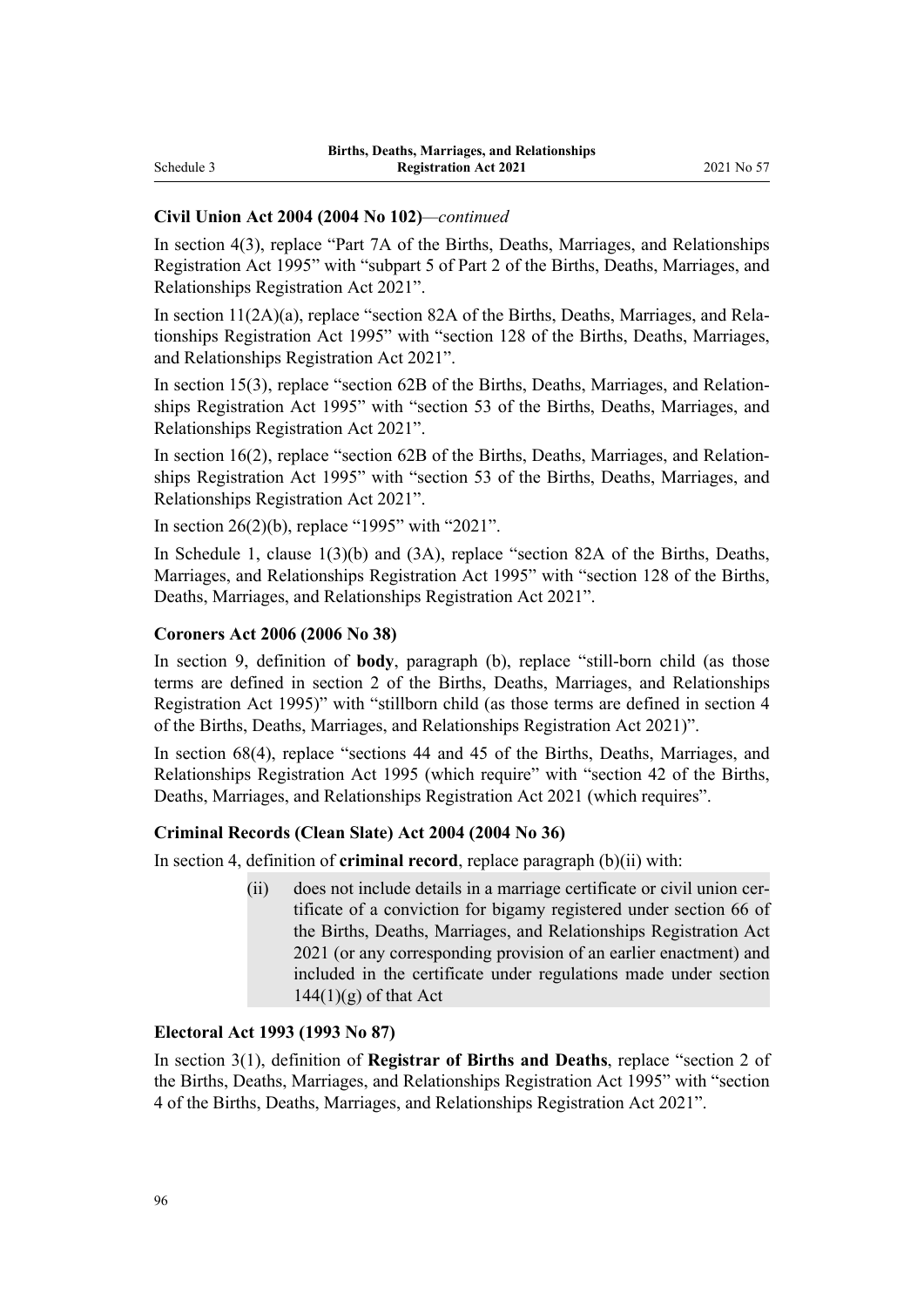### **Civil Union Act 2004 (2004 No 102)***—continued*

In [section 4\(3\),](http://legislation.govt.nz/pdflink.aspx?id=DLM323410) replace "Part 7A of the Births, Deaths, Marriages, and Relationships Registration Act 1995" with "subpart 5 of Part 2 of the Births, Deaths, Marriages, and Relationships Registration Act 2021".

In section  $11(2A)(a)$ , replace "section 82A of the Births, Deaths, Marriages, and Relationships Registration Act 1995" with "section 128 of the Births, Deaths, Marriages, and Relationships Registration Act 2021".

In [section 15\(3\),](http://legislation.govt.nz/pdflink.aspx?id=DLM323425) replace "section 62B of the Births, Deaths, Marriages, and Relationships Registration Act 1995" with "section 53 of the Births, Deaths, Marriages, and Relationships Registration Act 2021".

In section  $16(2)$ , replace "section  $62B$  of the Births, Deaths, Marriages, and Relationships Registration Act 1995" with "section 53 of the Births, Deaths, Marriages, and Relationships Registration Act 2021".

In [section 26\(2\)\(b\)](http://legislation.govt.nz/pdflink.aspx?id=DLM323442), replace "1995" with "2021".

In Schedule 1, [clause 1\(3\)\(b\) and \(3A\)](http://legislation.govt.nz/pdflink.aspx?id=LMS74522), replace "section 82A of the Births, Deaths, Marriages, and Relationships Registration Act 1995" with "section 128 of the Births, Deaths, Marriages, and Relationships Registration Act 2021".

#### **Coroners Act 2006 (2006 No 38)**

In [section 9](http://legislation.govt.nz/pdflink.aspx?id=DLM377069), definition of **body**, paragraph (b), replace "still-born child (as those terms are defined in section 2 of the Births, Deaths, Marriages, and Relationships Registration Act 1995)" with "stillborn child (as those terms are defined in section 4 of the Births, Deaths, Marriages, and Relationships Registration Act 2021)".

In [section 68\(4\),](http://legislation.govt.nz/pdflink.aspx?id=DLM377805) replace "sections 44 and 45 of the Births, Deaths, Marriages, and Relationships Registration Act 1995 (which require" with "section 42 of the Births, Deaths, Marriages, and Relationships Registration Act 2021 (which requires".

#### **Criminal Records (Clean Slate) Act 2004 (2004 No 36)**

In [section 4,](http://legislation.govt.nz/pdflink.aspx?id=DLM280848) definition of **criminal record**, replace paragraph (b)(ii) with:

(ii) does not include details in a marriage certificate or civil union cer‐ tificate of a conviction for bigamy registered under section 66 of the Births, Deaths, Marriages, and Relationships Registration Act 2021 (or any corresponding provision of an earlier enactment) and included in the certificate under regulations made under section  $144(1)(g)$  of that Act

### **Electoral Act 1993 (1993 No 87)**

In [section 3\(1\)](http://legislation.govt.nz/pdflink.aspx?id=DLM307525), definition of **Registrar of Births and Deaths**, replace "section 2 of the Births, Deaths, Marriages, and Relationships Registration Act 1995" with "section 4 of the Births, Deaths, Marriages, and Relationships Registration Act 2021".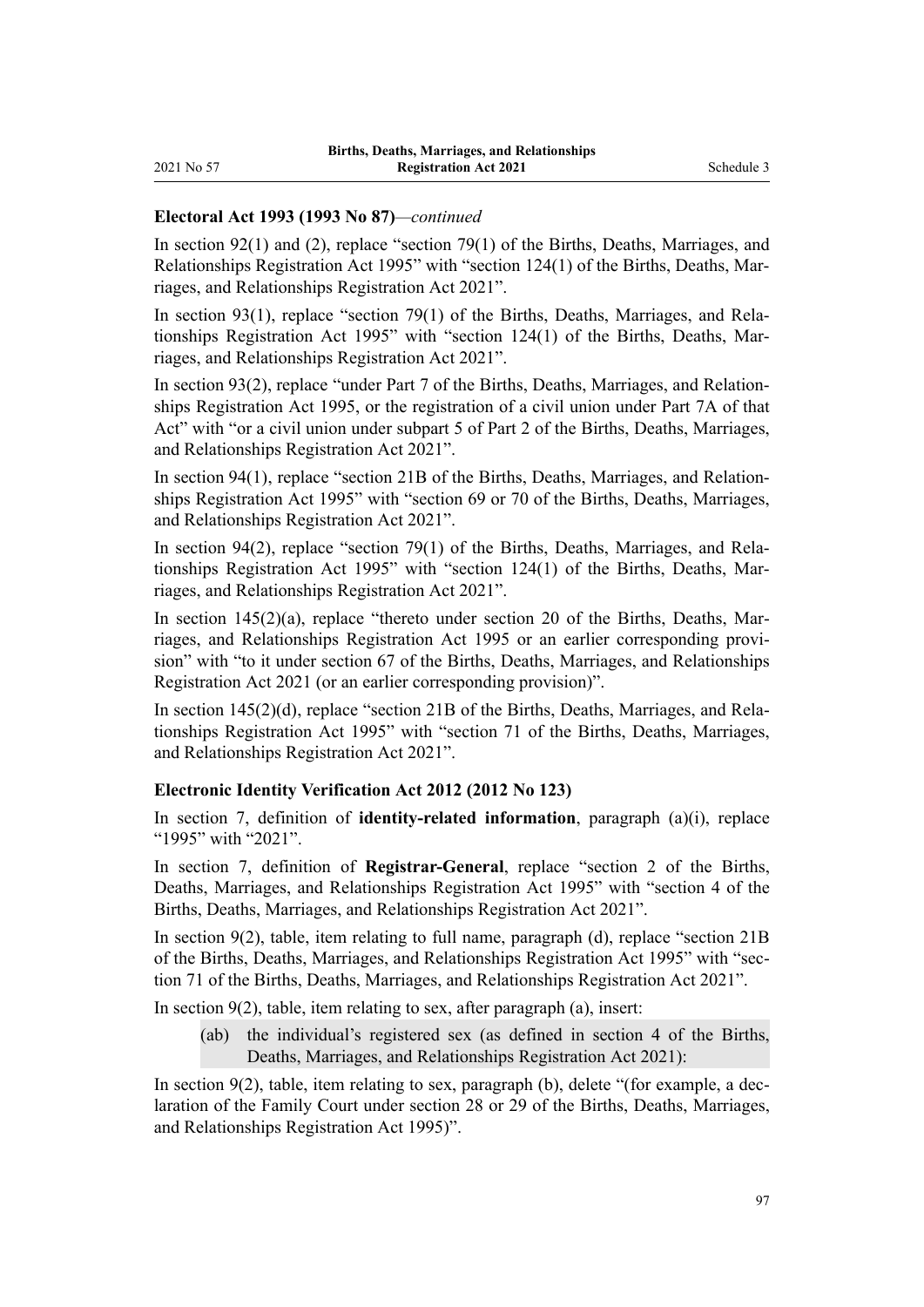### **Electoral Act 1993 (1993 No 87)***—continued*

In [section 92\(1\) and \(2\)](http://legislation.govt.nz/pdflink.aspx?id=DLM308887), replace "section 79(1) of the Births, Deaths, Marriages, and Relationships Registration Act 1995" with "section 124(1) of the Births, Deaths, Mar‐ riages, and Relationships Registration Act 2021".

In [section 93\(1\),](http://legislation.govt.nz/pdflink.aspx?id=DLM308891) replace "section 79(1) of the Births, Deaths, Marriages, and Relationships Registration Act 1995" with "section 124(1) of the Births, Deaths, Mar‐ riages, and Relationships Registration Act 2021".

In [section 93\(2\)](http://legislation.govt.nz/pdflink.aspx?id=DLM308891), replace "under Part 7 of the Births, Deaths, Marriages, and Relationships Registration Act 1995, or the registration of a civil union under Part 7A of that Act" with "or a civil union under subpart 5 of Part 2 of the Births, Deaths, Marriages, and Relationships Registration Act 2021".

In [section 94\(1\),](http://legislation.govt.nz/pdflink.aspx?id=DLM308898) replace "section 21B of the Births, Deaths, Marriages, and Relationships Registration Act 1995" with "section 69 or 70 of the Births, Deaths, Marriages, and Relationships Registration Act 2021".

In [section 94\(2\),](http://legislation.govt.nz/pdflink.aspx?id=DLM308898) replace "section 79(1) of the Births, Deaths, Marriages, and Relationships Registration Act 1995" with "section 124(1) of the Births, Deaths, Mar‐ riages, and Relationships Registration Act 2021".

In section  $145(2)(a)$ , replace "thereto under section 20 of the Births, Deaths, Marriages, and Relationships Registration Act 1995 or an earlier corresponding provi‐ sion" with "to it under section 67 of the Births, Deaths, Marriages, and Relationships Registration Act 2021 (or an earlier corresponding provision)".

In [section 145\(2\)\(d\),](http://legislation.govt.nz/pdflink.aspx?id=DLM309600) replace "section 21B of the Births, Deaths, Marriages, and Rela‐ tionships Registration Act 1995" with "section 71 of the Births, Deaths, Marriages, and Relationships Registration Act 2021".

### **Electronic Identity Verification Act 2012 (2012 No 123)**

In [section 7,](http://legislation.govt.nz/pdflink.aspx?id=DLM1777812) definition of **identity-related information**, paragraph (a)(i), replace "1995" with "2021".

In [section 7](http://legislation.govt.nz/pdflink.aspx?id=DLM1777812), definition of **Registrar-General**, replace "section 2 of the Births, Deaths, Marriages, and Relationships Registration Act 1995" with "section 4 of the Births, Deaths, Marriages, and Relationships Registration Act 2021".

In [section 9\(2\),](http://legislation.govt.nz/pdflink.aspx?id=DLM1777863) table, item relating to full name, paragraph (d), replace "section 21B of the Births, Deaths, Marriages, and Relationships Registration Act 1995" with "sec‐ tion 71 of the Births, Deaths, Marriages, and Relationships Registration Act 2021".

In section  $9(2)$ , table, item relating to sex, after paragraph  $(a)$ , insert:

(ab) the individual's registered sex (as defined in section 4 of the Births, Deaths, Marriages, and Relationships Registration Act 2021):

In [section 9\(2\)](http://legislation.govt.nz/pdflink.aspx?id=DLM1777863), table, item relating to sex, paragraph (b), delete "(for example, a declaration of the Family Court under section 28 or 29 of the Births, Deaths, Marriages, and Relationships Registration Act 1995)".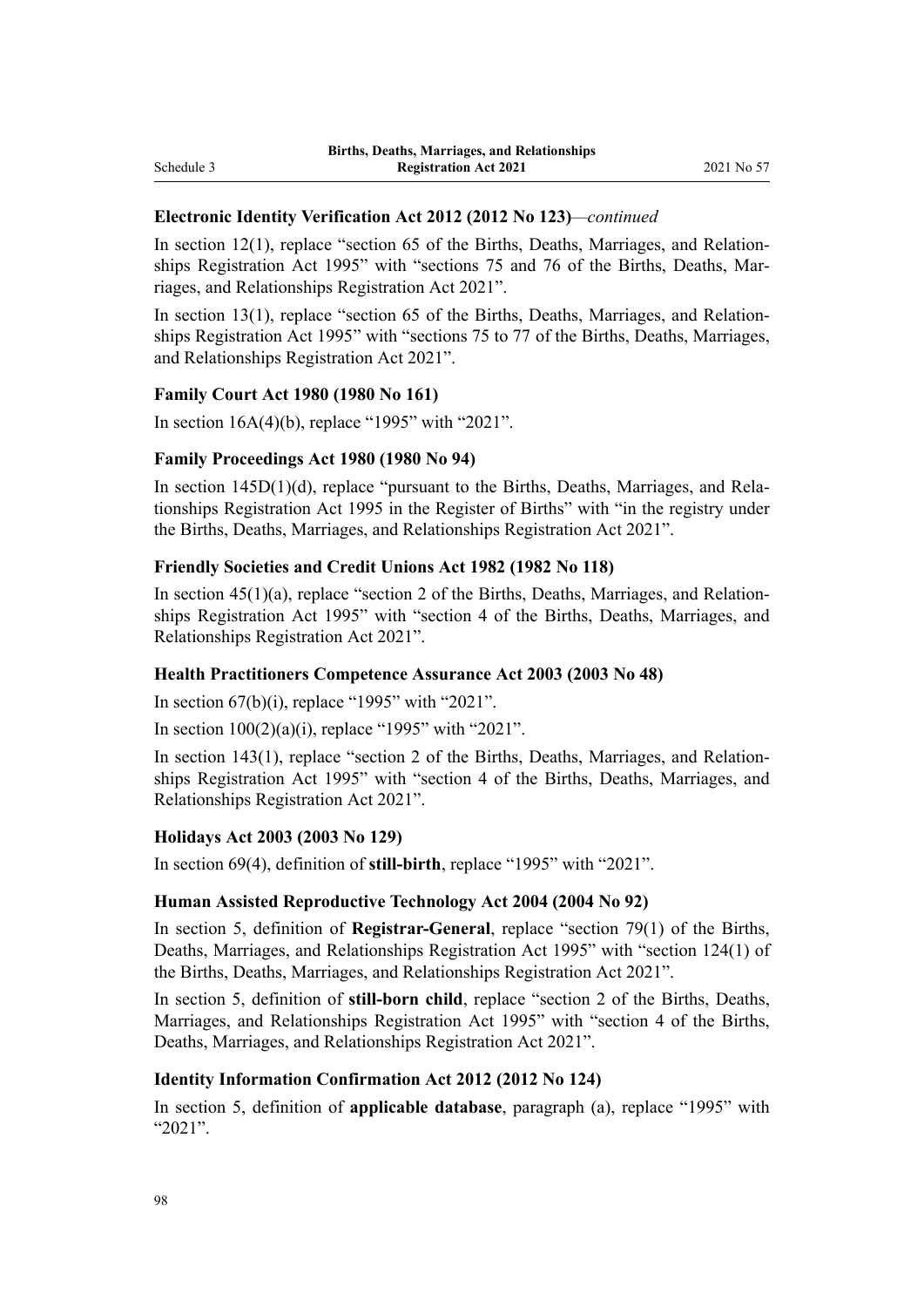### **Electronic Identity Verification Act 2012 (2012 No 123)***—continued*

In section  $12(1)$ , replace "section 65 of the Births, Deaths, Marriages, and Relationships Registration Act 1995" with "sections 75 and 76 of the Births, Deaths, Marriages, and Relationships Registration Act 2021".

In section  $13(1)$ , replace "section 65 of the Births, Deaths, Marriages, and Relationships Registration Act 1995" with "sections 75 to 77 of the Births, Deaths, Marriages, and Relationships Registration Act 2021".

### **Family Court Act 1980 (1980 No 161)**

In [section 16A\(4\)\(b\),](http://legislation.govt.nz/pdflink.aspx?id=DLM42296) replace "1995" with "2021".

#### **Family Proceedings Act 1980 (1980 No 94)**

In [section 145D\(1\)\(d\)](http://legislation.govt.nz/pdflink.aspx?id=DLM41473), replace "pursuant to the Births, Deaths, Marriages, and Relationships Registration Act 1995 in the Register of Births" with "in the registry under the Births, Deaths, Marriages, and Relationships Registration Act 2021".

#### **Friendly Societies and Credit Unions Act 1982 (1982 No 118)**

In section  $45(1)(a)$ , replace "section 2 of the Births, Deaths, Marriages, and Relationships Registration Act 1995" with "section 4 of the Births, Deaths, Marriages, and Relationships Registration Act 2021".

#### **Health Practitioners Competence Assurance Act 2003 (2003 No 48)**

In section  $67(b)(i)$ , replace "1995" with "2021".

In section  $100(2)(a)(i)$ , replace "1995" with "2021".

In [section 143\(1\),](http://legislation.govt.nz/pdflink.aspx?id=DLM204370) replace "section 2 of the Births, Deaths, Marriages, and Relationships Registration Act 1995" with "section 4 of the Births, Deaths, Marriages, and Relationships Registration Act 2021".

#### **Holidays Act 2003 (2003 No 129)**

In [section 69\(4\)](http://legislation.govt.nz/pdflink.aspx?id=DLM237171), definition of **still-birth**, replace "1995" with "2021".

#### **Human Assisted Reproductive Technology Act 2004 (2004 No 92)**

In [section 5,](http://legislation.govt.nz/pdflink.aspx?id=DLM236395) definition of **Registrar-General**, replace "section 79(1) of the Births, Deaths, Marriages, and Relationships Registration Act 1995" with "section 124(1) of the Births, Deaths, Marriages, and Relationships Registration Act 2021".

In [section 5](http://legislation.govt.nz/pdflink.aspx?id=DLM236395), definition of **still-born child**, replace "section 2 of the Births, Deaths, Marriages, and Relationships Registration Act 1995" with "section 4 of the Births, Deaths, Marriages, and Relationships Registration Act 2021".

#### **Identity Information Confirmation Act 2012 (2012 No 124)**

In [section 5,](http://legislation.govt.nz/pdflink.aspx?id=DLM3136818) definition of **applicable database**, paragraph (a), replace "1995" with "2021".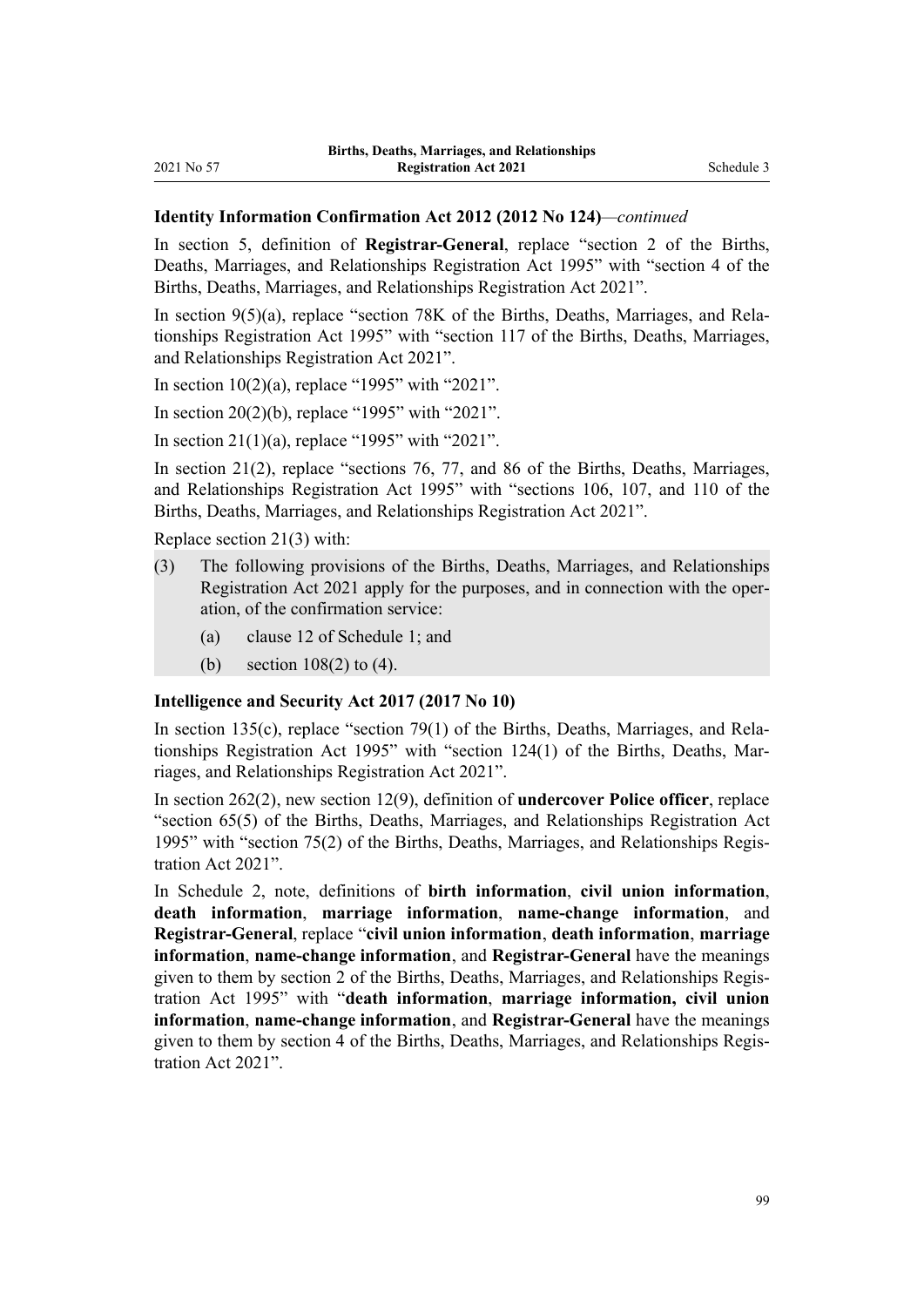#### **Identity Information Confirmation Act 2012 (2012 No 124)***—continued*

In [section 5](http://legislation.govt.nz/pdflink.aspx?id=DLM3136818), definition of **Registrar-General**, replace "section 2 of the Births, Deaths, Marriages, and Relationships Registration Act 1995" with "section 4 of the Births, Deaths, Marriages, and Relationships Registration Act 2021".

In section  $9(5)(a)$ , replace "section 78K of the Births, Deaths, Marriages, and Relationships Registration Act 1995" with "section 117 of the Births, Deaths, Marriages, and Relationships Registration Act 2021".

In section  $10(2)(a)$ , replace "1995" with "2021".

In [section 20\(2\)\(b\)](http://legislation.govt.nz/pdflink.aspx?id=DLM3136864), replace "1995" with "2021".

In [section 21\(1\)\(a\),](http://legislation.govt.nz/pdflink.aspx?id=DLM3136866) replace "1995" with "2021".

In [section 21\(2\),](http://legislation.govt.nz/pdflink.aspx?id=DLM3136866) replace "sections 76, 77, and 86 of the Births, Deaths, Marriages, and Relationships Registration Act 1995" with "sections 106, 107, and 110 of the Births, Deaths, Marriages, and Relationships Registration Act 2021".

Replace [section 21\(3\)](http://legislation.govt.nz/pdflink.aspx?id=DLM3136866) with:

- (3) The following provisions of the Births, Deaths, Marriages, and Relationships Registration Act 2021 apply for the purposes, and in connection with the oper‐ ation, of the confirmation service:
	- (a) clause 12 of Schedule 1; and
	- (b) section 108(2) to (4).

#### **Intelligence and Security Act 2017 (2017 No 10)**

In [section 135\(c\),](http://legislation.govt.nz/pdflink.aspx?id=DLM6921157) replace "section 79(1) of the Births, Deaths, Marriages, and Relationships Registration Act 1995" with "section 124(1) of the Births, Deaths, Mar‐ riages, and Relationships Registration Act 2021".

In [section 262\(2\)](http://legislation.govt.nz/pdflink.aspx?id=DLM6921324), new section 12(9), definition of **undercover Police officer**, replace "section 65(5) of the Births, Deaths, Marriages, and Relationships Registration Act 1995" with "section 75(2) of the Births, Deaths, Marriages, and Relationships Regis‐ tration Act 2021".

In [Schedule 2](http://legislation.govt.nz/pdflink.aspx?id=DLM6921493), note, definitions of **birth information**, **civil union information**, **death information**, **marriage information**, **name-change information**, and **Registrar-General**, replace "**civil union information**, **death information**, **marriage information**, **name-change information**, and **Registrar-General** have the meanings given to them by section 2 of the Births, Deaths, Marriages, and Relationships Regis‐ tration Act 1995" with "**death information**, **marriage information, civil union information**, **name-change information**, and **Registrar-General** have the meanings given to them by section 4 of the Births, Deaths, Marriages, and Relationships Regis‐ tration Act 2021".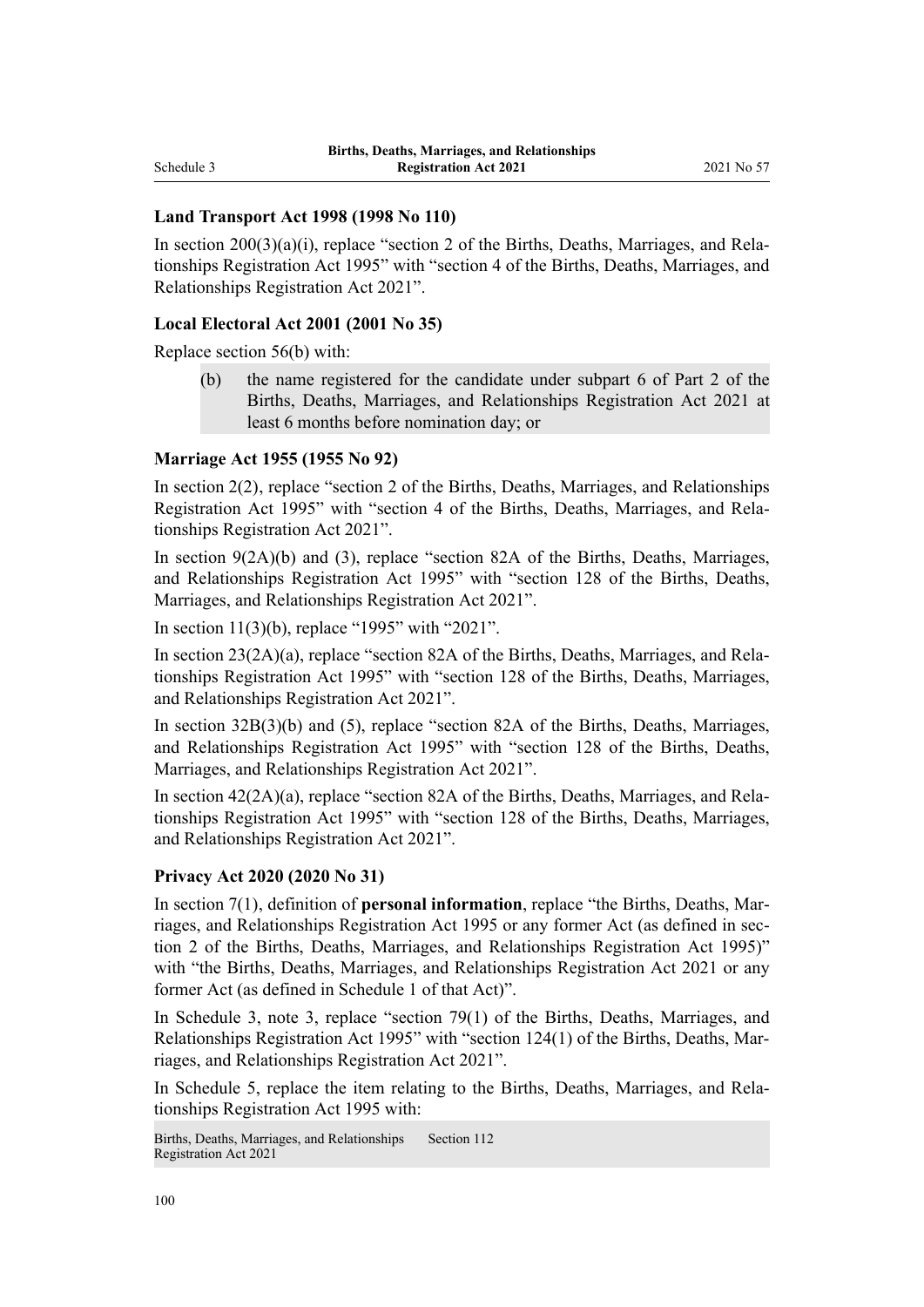### **Land Transport Act 1998 (1998 No 110)**

In section  $200(3)(a)(i)$ , replace "section 2 of the Births, Deaths, Marriages, and Relationships Registration Act 1995" with "section 4 of the Births, Deaths, Marriages, and Relationships Registration Act 2021".

#### **Local Electoral Act 2001 (2001 No 35)**

Replace [section 56\(b\)](http://legislation.govt.nz/pdflink.aspx?id=DLM94334) with:

(b) the name registered for the candidate under subpart 6 of Part 2 of the Births, Deaths, Marriages, and Relationships Registration Act 2021 at least 6 months before nomination day; or

#### **Marriage Act 1955 (1955 No 92)**

In [section 2\(2\),](http://legislation.govt.nz/pdflink.aspx?id=DLM292034) replace "section 2 of the Births, Deaths, Marriages, and Relationships Registration Act 1995" with "section 4 of the Births, Deaths, Marriages, and Rela‐ tionships Registration Act 2021".

In [section 9\(2A\)\(b\) and \(3\)](http://legislation.govt.nz/pdflink.aspx?id=DLM292066), replace "section 82A of the Births, Deaths, Marriages, and Relationships Registration Act 1995" with "section 128 of the Births, Deaths, Marriages, and Relationships Registration Act 2021".

In [section 11\(3\)\(b\)](http://legislation.govt.nz/pdflink.aspx?id=DLM292082), replace "1995" with "2021".

In section 23(2A)(a), replace "section 82A of the Births, Deaths, Marriages, and Relationships Registration Act 1995" with "section 128 of the Births, Deaths, Marriages, and Relationships Registration Act 2021".

In [section 32B\(3\)\(b\) and \(5\),](http://legislation.govt.nz/pdflink.aspx?id=DLM292340) replace "section 82A of the Births, Deaths, Marriages, and Relationships Registration Act 1995" with "section 128 of the Births, Deaths, Marriages, and Relationships Registration Act 2021".

In section  $42(2A)(a)$ , replace "section 82A of the Births, Deaths, Marriages, and Relationships Registration Act 1995" with "section 128 of the Births, Deaths, Marriages, and Relationships Registration Act 2021".

#### **Privacy Act 2020 (2020 No 31)**

In [section 7\(1\),](http://legislation.govt.nz/pdflink.aspx?id=DLM292064) definition of **personal information**, replace "the Births, Deaths, Marriages, and Relationships Registration Act 1995 or any former Act (as defined in section 2 of the Births, Deaths, Marriages, and Relationships Registration Act 1995)" with "the Births, Deaths, Marriages, and Relationships Registration Act 2021 or any former Act (as defined in Schedule 1 of that Act)".

In [Schedule 3](http://legislation.govt.nz/pdflink.aspx?id=DLM292656), note 3, replace "section 79(1) of the Births, Deaths, Marriages, and Relationships Registration Act 1995" with "section 124(1) of the Births, Deaths, Mar‐ riages, and Relationships Registration Act 2021".

In Schedule 5, replace the item relating to the Births, Deaths, Marriages, and Rela‐ tionships Registration Act 1995 with:

Births, Deaths, Marriages, and Relationships Registration Act 2021 Section 112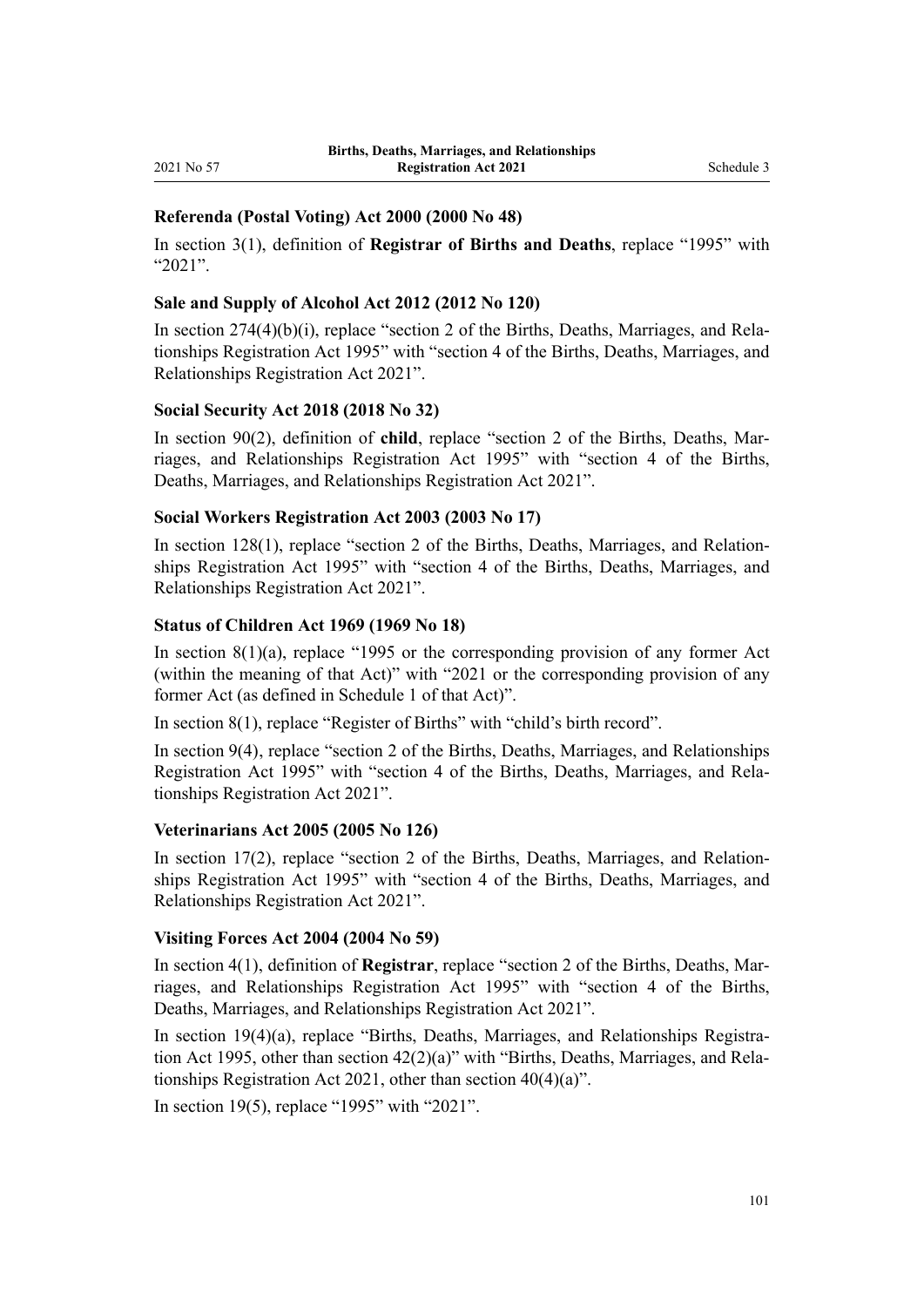### **Referenda (Postal Voting) Act 2000 (2000 No 48)**

In [section 3\(1\),](http://legislation.govt.nz/pdflink.aspx?id=DLM73887) definition of **Registrar of Births and Deaths**, replace "1995" with "2021".

### **Sale and Supply of Alcohol Act 2012 (2012 No 120)**

In section  $274(4)(b)(i)$ , replace "section 2 of the Births, Deaths, Marriages, and Relationships Registration Act 1995" with "section 4 of the Births, Deaths, Marriages, and Relationships Registration Act 2021".

### **Social Security Act 2018 (2018 No 32)**

In [section 90\(2\),](http://legislation.govt.nz/pdflink.aspx?id=DLM6783287) definition of **child**, replace "section 2 of the Births, Deaths, Marriages, and Relationships Registration Act 1995" with "section 4 of the Births, Deaths, Marriages, and Relationships Registration Act 2021".

### **Social Workers Registration Act 2003 (2003 No 17)**

In [section 128\(1\),](http://legislation.govt.nz/pdflink.aspx?id=DLM190625) replace "section 2 of the Births, Deaths, Marriages, and Relationships Registration Act 1995" with "section 4 of the Births, Deaths, Marriages, and Relationships Registration Act 2021".

### **Status of Children Act 1969 (1969 No 18)**

In section  $8(1)(a)$ , replace "1995 or the corresponding provision of any former Act (within the meaning of that Act)" with "2021 or the corresponding provision of any former Act (as defined in Schedule 1 of that Act)".

In [section 8\(1\)](http://legislation.govt.nz/pdflink.aspx?id=DLM391005), replace "Register of Births" with "child's birth record".

In [section 9\(4\),](http://legislation.govt.nz/pdflink.aspx?id=DLM391012) replace "section 2 of the Births, Deaths, Marriages, and Relationships Registration Act 1995" with "section 4 of the Births, Deaths, Marriages, and Rela‐ tionships Registration Act 2021".

### **Veterinarians Act 2005 (2005 No 126)**

In section  $17(2)$ , replace "section 2 of the Births, Deaths, Marriages, and Relationships Registration Act 1995" with "section 4 of the Births, Deaths, Marriages, and Relationships Registration Act 2021".

### **Visiting Forces Act 2004 (2004 No 59)**

In [section 4\(1\),](http://legislation.govt.nz/pdflink.aspx?id=DLM302487) definition of **Registrar**, replace "section 2 of the Births, Deaths, Marriages, and Relationships Registration Act 1995" with "section 4 of the Births, Deaths, Marriages, and Relationships Registration Act 2021".

In [section 19\(4\)\(a\),](http://legislation.govt.nz/pdflink.aspx?id=DLM302835) replace "Births, Deaths, Marriages, and Relationships Registration Act 1995, other than section  $42(2)(a)$ " with "Births, Deaths, Marriages, and Relationships Registration Act 2021, other than section 40(4)(a)".

In [section 19\(5\)](http://legislation.govt.nz/pdflink.aspx?id=DLM302835), replace "1995" with "2021".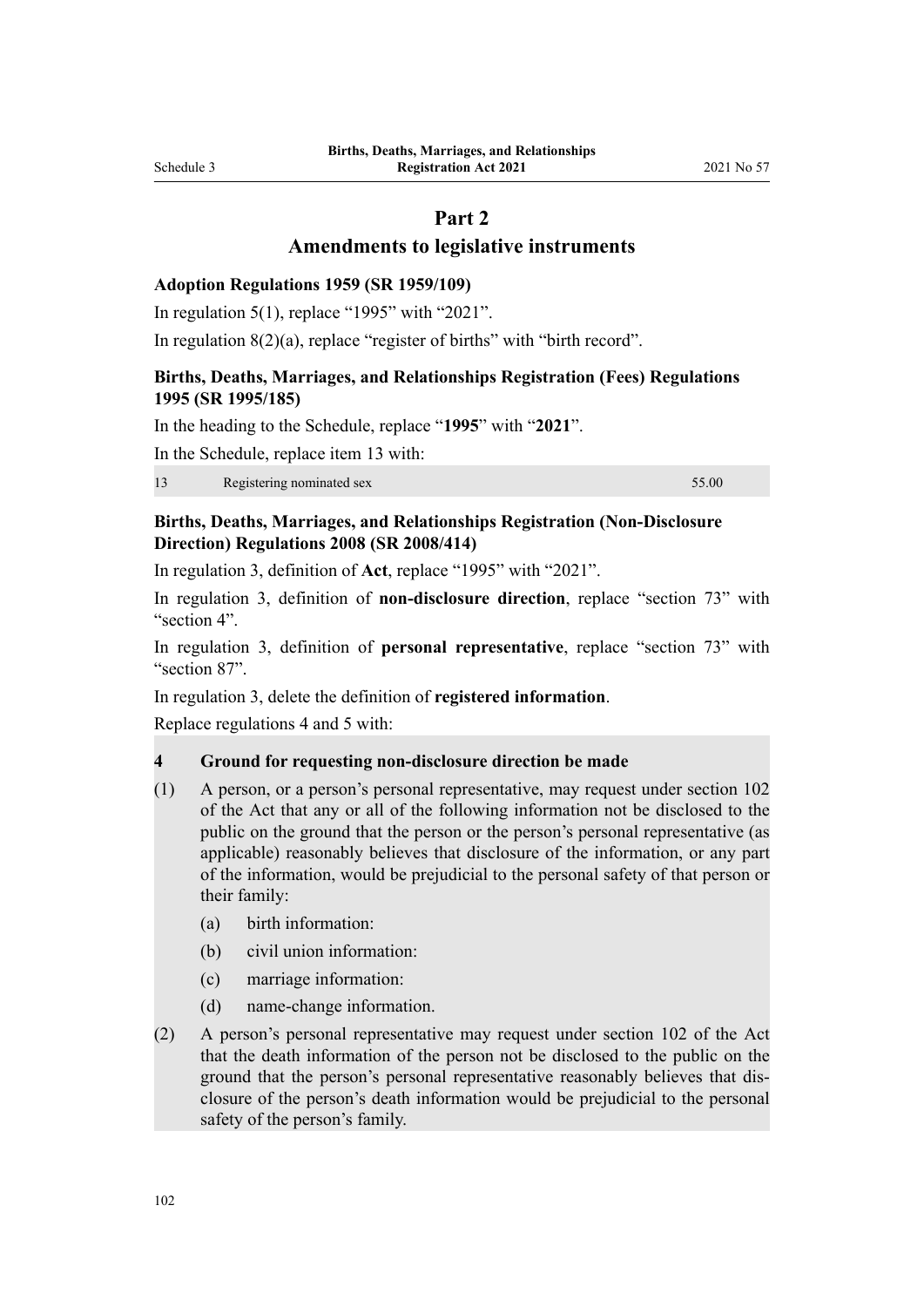# **Part 2**

### **Amendments to legislative instruments**

#### **Adoption Regulations 1959 (SR 1959/109)**

In [regulation 5\(1\)](http://legislation.govt.nz/pdflink.aspx?id=DLM13665), replace "1995" with "2021".

In [regulation 8\(2\)\(a\)](http://legislation.govt.nz/pdflink.aspx?id=DLM13668), replace "register of births" with "birth record".

### **Births, Deaths, Marriages, and Relationships Registration (Fees) Regulations 1995 (SR 1995/185)**

In the heading to the [Schedule,](http://legislation.govt.nz/pdflink.aspx?id=DLM204757) replace "**1995**" with "**2021**".

In the [Schedule,](http://legislation.govt.nz/pdflink.aspx?id=DLM204757) replace item 13 with:

13 Registering nominated sex 55.00

### **Births, Deaths, Marriages, and Relationships Registration (Non-Disclosure Direction) Regulations 2008 (SR 2008/414)**

In [regulation 3,](http://legislation.govt.nz/pdflink.aspx?id=DLM1679712) definition of **Act**, replace "1995" with "2021".

In [regulation 3,](http://legislation.govt.nz/pdflink.aspx?id=DLM1679712) definition of **non-disclosure direction**, replace "section 73" with "section 4".

In [regulation 3](http://legislation.govt.nz/pdflink.aspx?id=DLM1679712), definition of **personal representative**, replace "section 73" with "section 87".

In [regulation 3,](http://legislation.govt.nz/pdflink.aspx?id=DLM1679712) delete the definition of **registered information**.

Replace [regulations 4](http://legislation.govt.nz/pdflink.aspx?id=DLM1679721) and [5](http://legislation.govt.nz/pdflink.aspx?id=DLM1679722) with:

### **4 Ground for requesting non-disclosure direction be made**

- (1) A person, or a person's personal representative, may request under section 102 of the Act that any or all of the following information not be disclosed to the public on the ground that the person or the person's personal representative (as applicable) reasonably believes that disclosure of the information, or any part of the information, would be prejudicial to the personal safety of that person or their family:
	- (a) birth information:
	- (b) civil union information:
	- (c) marriage information:
	- (d) name-change information.
- (2) A person's personal representative may request under section 102 of the Act that the death information of the person not be disclosed to the public on the ground that the person's personal representative reasonably believes that dis‐ closure of the person's death information would be prejudicial to the personal safety of the person's family.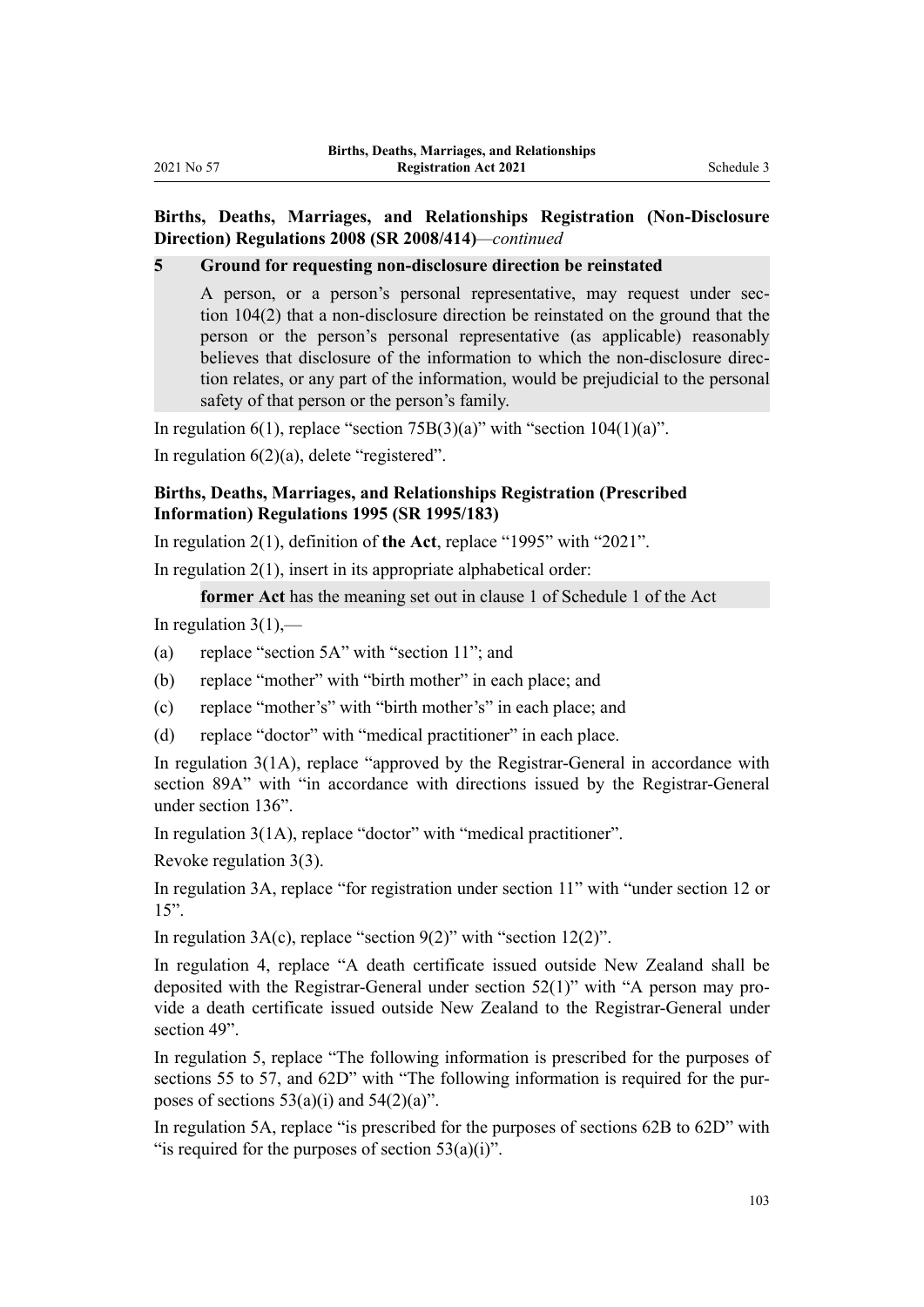### **Births, Deaths, Marriages, and Relationships Registration (Non-Disclosure Direction) Regulations 2008 (SR 2008/414)***—continued*

**5 Ground for requesting non-disclosure direction be reinstated**

A person, or a person's personal representative, may request under section 104(2) that a non-disclosure direction be reinstated on the ground that the person or the person's personal representative (as applicable) reasonably believes that disclosure of the information to which the non-disclosure direction relates, or any part of the information, would be prejudicial to the personal safety of that person or the person's family.

In [regulation 6\(1\)](http://legislation.govt.nz/pdflink.aspx?id=DLM1679723), replace "section 75B(3)(a)" with "section  $104(1)(a)$ ".

In [regulation 6\(2\)\(a\)](http://legislation.govt.nz/pdflink.aspx?id=DLM1679723), delete "registered".

### **Births, Deaths, Marriages, and Relationships Registration (Prescribed Information) Regulations 1995 (SR 1995/183)**

In [regulation 2\(1\)](http://legislation.govt.nz/pdflink.aspx?id=DLM204034), definition of **the Act**, replace "1995" with "2021".

In [regulation 2\(1\)](http://legislation.govt.nz/pdflink.aspx?id=DLM204034), insert in its appropriate alphabetical order:

**former Act** has the meaning set out in clause 1 of Schedule 1 of the Act

In regulation  $3(1)$ ,—

- (a) replace "section 5A" with "section 11"; and
- (b) replace "mother" with "birth mother" in each place; and
- (c) replace "mother's" with "birth mother's" in each place; and
- (d) replace "doctor" with "medical practitioner" in each place.

In [regulation 3\(1A\),](http://legislation.govt.nz/pdflink.aspx?id=DLM204043) replace "approved by the Registrar-General in accordance with section 89A" with "in accordance with directions issued by the Registrar-General under section 136".

In [regulation 3\(1A\),](http://legislation.govt.nz/pdflink.aspx?id=DLM204043) replace "doctor" with "medical practitioner".

Revoke [regulation 3\(3\).](http://legislation.govt.nz/pdflink.aspx?id=DLM204043)

In [regulation 3A,](http://legislation.govt.nz/pdflink.aspx?id=DLM1811247) replace "for registration under section 11" with "under section 12 or 15".

In regulation  $3A(c)$ , replace "section  $9(2)$ " with "section  $12(2)$ ".

In [regulation 4](http://legislation.govt.nz/pdflink.aspx?id=DLM204044), replace "A death certificate issued outside New Zealand shall be deposited with the Registrar-General under section 52(1)" with "A person may pro‐ vide a death certificate issued outside New Zealand to the Registrar-General under section 49".

In [regulation 5](http://legislation.govt.nz/pdflink.aspx?id=DLM204045), replace "The following information is prescribed for the purposes of sections 55 to 57, and 62D" with "The following information is required for the purposes of sections  $53(a)(i)$  and  $54(2)(a)$ ".

In [regulation 5A](http://legislation.govt.nz/pdflink.aspx?id=DLM204047), replace "is prescribed for the purposes of sections 62B to 62D" with "is required for the purposes of section 53(a)(i)".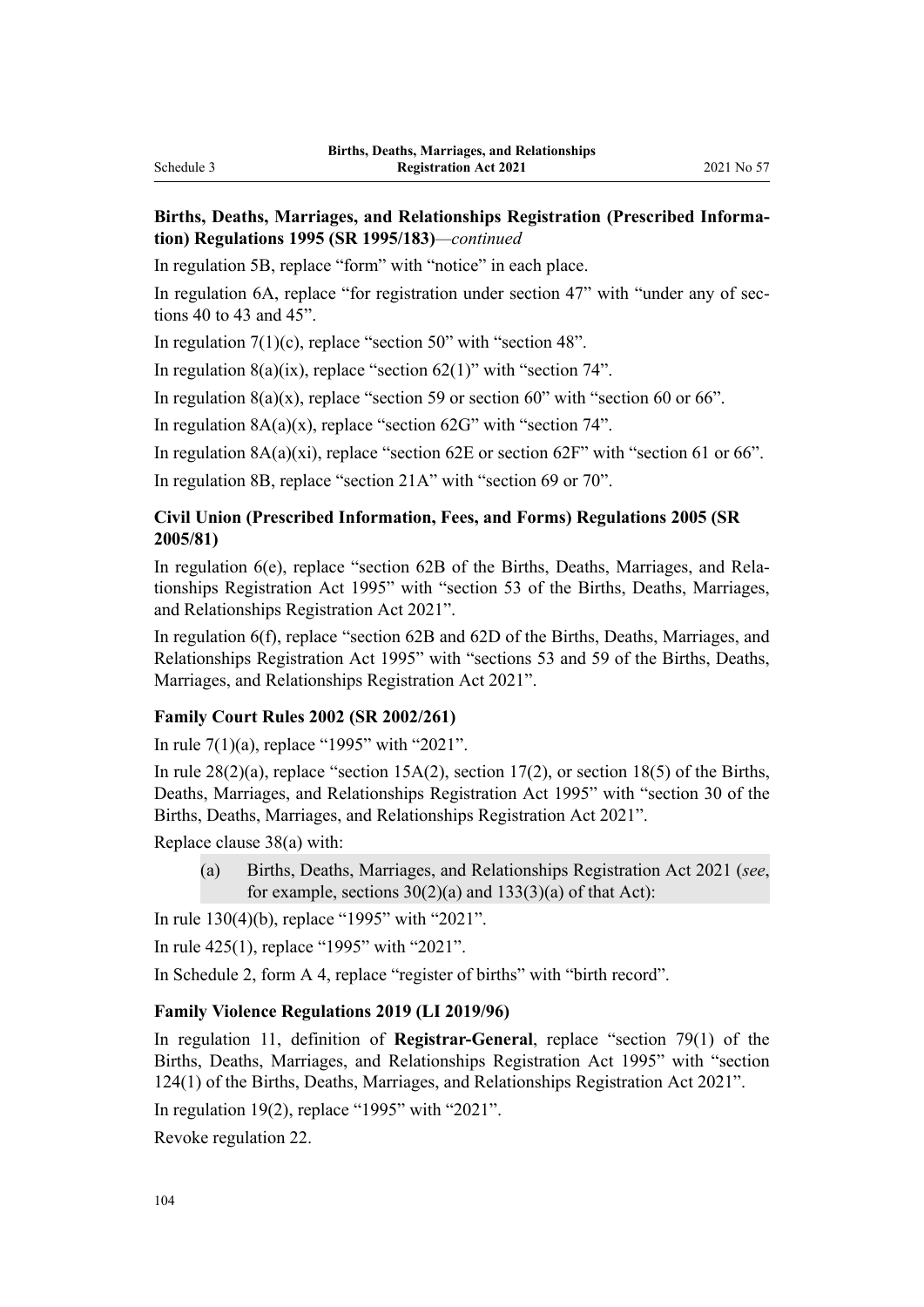### **Births, Deaths, Marriages, and Relationships Registration (Prescribed Informa‐ tion) Regulations 1995 (SR 1995/183)***—continued*

In [regulation 5B,](http://legislation.govt.nz/pdflink.aspx?id=DLM1811252) replace "form" with "notice" in each place.

In [regulation 6A,](http://legislation.govt.nz/pdflink.aspx?id=DLM204052) replace "for registration under section 47" with "under any of sections 40 to 43 and 45".

In regulation  $7(1)(c)$ , replace "section 50" with "section 48".

In regulation  $8(a)(ix)$ , replace "section  $62(1)$ " with "section 74".

In regulation  $8(a)(x)$ , replace "section 59 or section 60" with "section 60 or 66".

In regulation  $8A(a)(x)$ , replace "section  $62G$ " with "section  $74$ ".

In regulation  $8A(a)(xi)$ , replace "section  $62E$  or section  $62F'$ " with "section  $61$  or  $66"$ .

In [regulation 8B,](http://legislation.govt.nz/pdflink.aspx?id=DLM6533019) replace "section 21A" with "section 69 or 70".

### **Civil Union (Prescribed Information, Fees, and Forms) Regulations 2005 (SR 2005/81)**

In [regulation 6\(e\)](http://legislation.govt.nz/pdflink.aspx?id=DLM322410), replace "section 62B of the Births, Deaths, Marriages, and Relationships Registration Act 1995" with "section 53 of the Births, Deaths, Marriages, and Relationships Registration Act 2021".

In [regulation 6\(f\),](http://legislation.govt.nz/pdflink.aspx?id=DLM322410) replace "section 62B and 62D of the Births, Deaths, Marriages, and Relationships Registration Act 1995" with "sections 53 and 59 of the Births, Deaths, Marriages, and Relationships Registration Act 2021".

### **Family Court Rules 2002 (SR 2002/261)**

In [rule 7\(1\)\(a\)](http://legislation.govt.nz/pdflink.aspx?id=DLM144111), replace "1995" with "2021".

In rule  $28(2)(a)$ , replace "section 15A(2), section 17(2), or section 18(5) of the Births, Deaths, Marriages, and Relationships Registration Act 1995" with "section 30 of the Births, Deaths, Marriages, and Relationships Registration Act 2021".

Replace [clause 38\(a\)](http://legislation.govt.nz/pdflink.aspx?id=DLM144704) with:

(a) Births, Deaths, Marriages, and Relationships Registration Act 2021 (*see*, for example, sections  $30(2)(a)$  and  $133(3)(a)$  of that Act):

In [rule 130\(4\)\(b\)](http://legislation.govt.nz/pdflink.aspx?id=DLM145652), replace "1995" with "2021".

In [rule 425\(1\)](http://legislation.govt.nz/pdflink.aspx?id=DLM150138), replace "1995" with "2021".

In Schedule 2, [form A 4](http://legislation.govt.nz/pdflink.aspx?id=DLM2512503), replace "register of births" with "birth record".

### **Family Violence Regulations 2019 (LI 2019/96)**

In [regulation 11,](http://legislation.govt.nz/pdflink.aspx?id=LMS194779) definition of **Registrar-General**, replace "section 79(1) of the Births, Deaths, Marriages, and Relationships Registration Act 1995" with "section 124(1) of the Births, Deaths, Marriages, and Relationships Registration Act 2021".

In [regulation 19\(2\)](http://legislation.govt.nz/pdflink.aspx?id=LMS194787), replace "1995" with "2021".

Revoke [regulation 22](http://legislation.govt.nz/pdflink.aspx?id=LMS194790).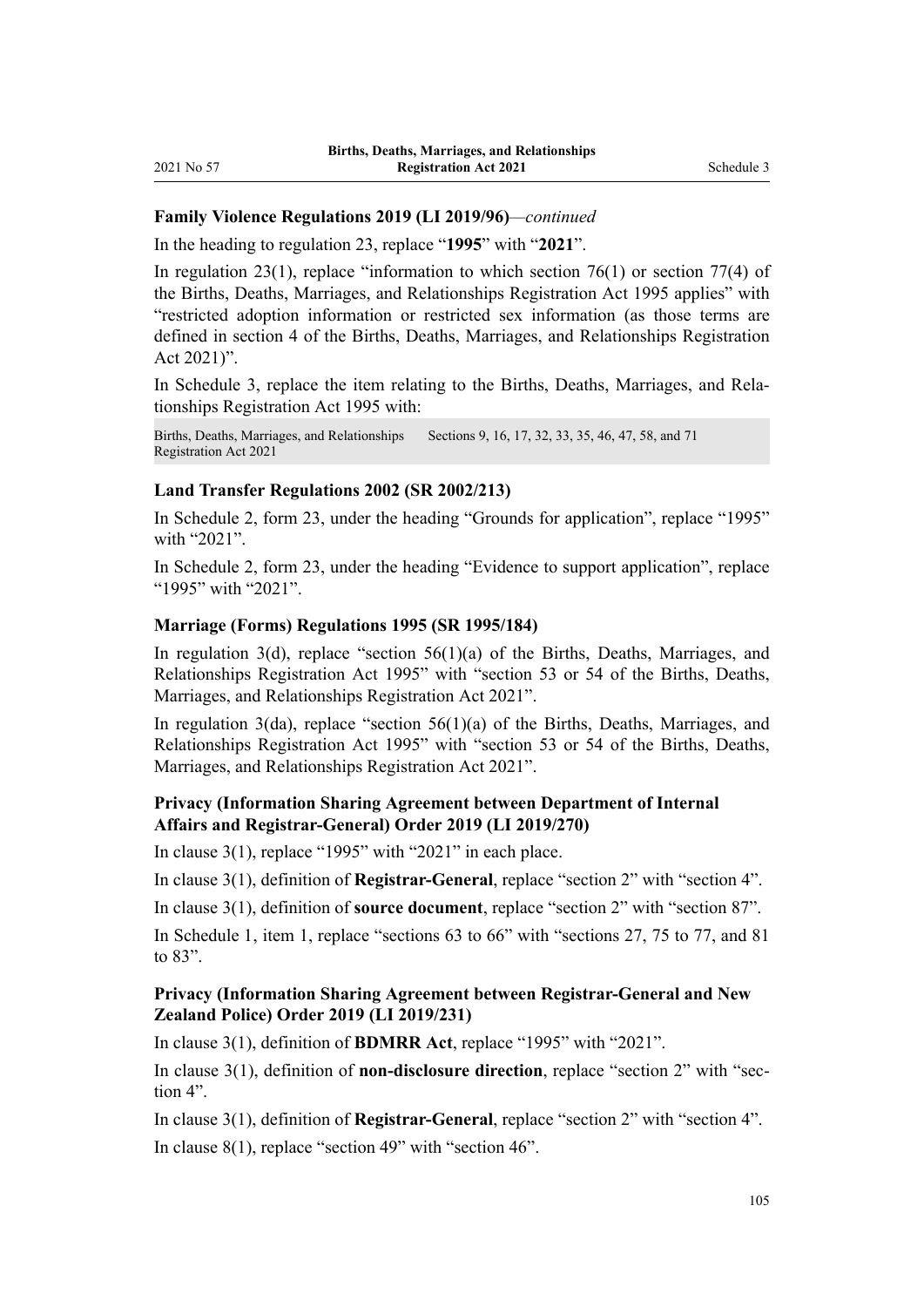### **Family Violence Regulations 2019 (LI 2019/96)***—continued*

In the heading to [regulation 23,](http://legislation.govt.nz/pdflink.aspx?id=LMS194791) replace "**1995**" with "**2021**".

In [regulation 23\(1\),](http://legislation.govt.nz/pdflink.aspx?id=LMS194791) replace "information to which section  $76(1)$  or section 77(4) of the Births, Deaths, Marriages, and Relationships Registration Act 1995 applies" with "restricted adoption information or restricted sex information (as those terms are defined in section 4 of the Births, Deaths, Marriages, and Relationships Registration Act 2021)".

In [Schedule 3,](http://legislation.govt.nz/pdflink.aspx?id=LMS194807) replace the item relating to the Births, Deaths, Marriages, and Relationships Registration Act 1995 with:

Births, Deaths, Marriages, and Relationships Registration Act 2021 Sections 9, 16, 17, 32, 33, 35, 46, 47, 58, and 71

### **Land Transfer Regulations 2002 (SR 2002/213)**

In Schedule 2, [form 23,](http://legislation.govt.nz/pdflink.aspx?id=DLM138581) under the heading "Grounds for application", replace "1995" with "2021".

In Schedule 2, [form 23,](http://legislation.govt.nz/pdflink.aspx?id=DLM138581) under the heading "Evidence to support application", replace "1995" with "2021".

### **Marriage (Forms) Regulations 1995 (SR 1995/184)**

In regulation  $3(d)$ , replace "section  $56(1)(a)$  of the Births, Deaths, Marriages, and Relationships Registration Act 1995" with "section 53 or 54 of the Births, Deaths, Marriages, and Relationships Registration Act 2021".

In [regulation 3\(da\),](http://legislation.govt.nz/pdflink.aspx?id=DLM204703) replace "section 56(1)(a) of the Births, Deaths, Marriages, and Relationships Registration Act 1995" with "section 53 or 54 of the Births, Deaths, Marriages, and Relationships Registration Act 2021".

### **Privacy (Information Sharing Agreement between Department of Internal Affairs and Registrar-General) Order 2019 (LI 2019/270)**

In [clause 3\(1\)](http://legislation.govt.nz/pdflink.aspx?id=LMS274747), replace "1995" with "2021" in each place.

In [clause 3\(1\)](http://legislation.govt.nz/pdflink.aspx?id=LMS274747), definition of **Registrar-General**, replace "section 2" with "section 4".

In [clause 3\(1\)](http://legislation.govt.nz/pdflink.aspx?id=LMS274747), definition of **source document**, replace "section 2" with "section 87".

In [Schedule 1](http://legislation.govt.nz/pdflink.aspx?id=LMS274771), item 1, replace "sections 63 to 66" with "sections 27, 75 to 77, and 81 to 83".

### **Privacy (Information Sharing Agreement between Registrar-General and New Zealand Police) Order 2019 (LI 2019/231)**

In [clause 3\(1\)](http://legislation.govt.nz/pdflink.aspx?id=LMS256169), definition of **BDMRR Act**, replace "1995" with "2021".

In [clause 3\(1\),](http://legislation.govt.nz/pdflink.aspx?id=LMS256169) definition of **non-disclosure direction**, replace "section 2" with "section 4".

In [clause 3\(1\)](http://legislation.govt.nz/pdflink.aspx?id=LMS256169), definition of **Registrar-General**, replace "section 2" with "section 4". In [clause 8\(1\)](http://legislation.govt.nz/pdflink.aspx?id=LMS256179), replace "section 49" with "section 46".